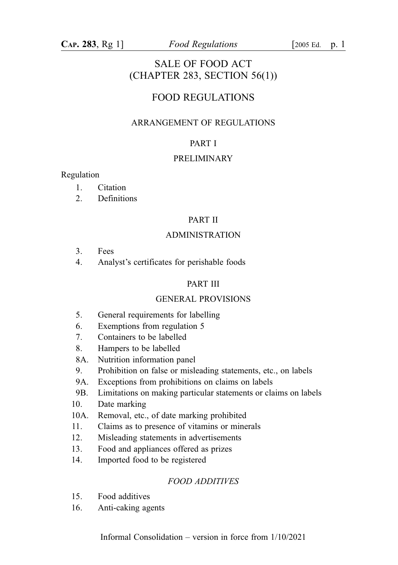## SALE OF FOOD ACT (CHAPTER 283, SECTION 56(1))

## FOOD REGULATIONS

## ARRANGEMENT OF REGULATIONS

## PART I

#### PRELIMINARY

#### Regulation

- 1. Citation
- 2. Definitions

#### PART II

### ADMINISTRATION

- 3. Fees
- 4. Analyst's certificates for perishable foods

#### PART III

### GENERAL PROVISIONS

- 5. General requirements for labelling
- 6. Exemptions from regulation 5
- 7. Containers to be labelled
- 8. Hampers to be labelled
- 8A. Nutrition information panel
- 9. Prohibition on false or misleading statements, etc., on labels
- 9A. Exceptions from prohibitions on claims on labels
- 9B. Limitations on making particular statements or claims on labels
- 10. Date marking
- 10A. Removal, etc., of date marking prohibited
- 11. Claims as to presence of vitamins or minerals
- 12. Misleading statements in advertisements
- 13. Food and appliances offered as prizes
- 14. Imported food to be registered

#### FOOD ADDITIVES

- 15. Food additives
- 16. Anti-caking agents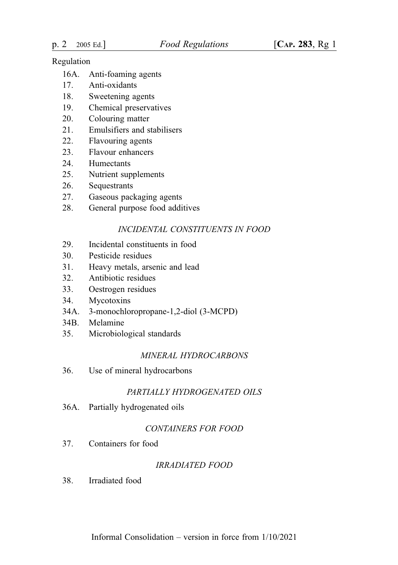- 16A. Anti-foaming agents
- 17. Anti-oxidants
- 18. Sweetening agents
- 19. Chemical preservatives
- 20. Colouring matter
- 21. Emulsifiers and stabilisers
- 22. Flavouring agents
- 23. Flavour enhancers
- 24. Humectants
- 25. Nutrient supplements
- 26. Sequestrants
- 27. Gaseous packaging agents
- 28. General purpose food additives

#### INCIDENTAL CONSTITUENTS IN FOOD

- 29. Incidental constituents in food
- 30. Pesticide residues
- 31. Heavy metals, arsenic and lead
- 32. Antibiotic residues
- 33. Oestrogen residues
- 34. Mycotoxins
- 34A. 3-monochloropropane-1,2-diol (3-MCPD)
- 34B. Melamine
- 35. Microbiological standards

#### MINERAL HYDROCARBONS

36. Use of mineral hydrocarbons

#### PARTIALLY HYDROGENATED OILS

36A. Partially hydrogenated oils

### CONTAINERS FOR FOOD

37. Containers for food

### IRRADIATED FOOD

38. Irradiated food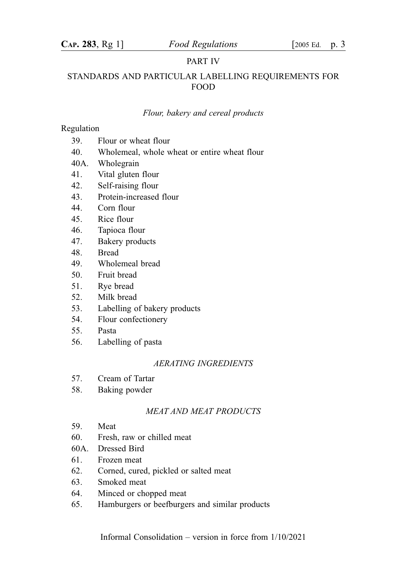#### PART IV

### STANDARDS AND PARTICULAR LABELLING REQUIREMENTS FOR FOOD

#### Flour, bakery and cereal products

### Regulation

- 39. Flour or wheat flour
- 40. Wholemeal, whole wheat or entire wheat flour
- 40A. Wholegrain
- 41. Vital gluten flour
- 42. Self-raising flour
- 43. Protein-increased flour
- 44. Corn flour
- 45. Rice flour
- 46. Tapioca flour
- 47. Bakery products
- 48. Bread
- 49. Wholemeal bread
- 50. Fruit bread
- 51. Rye bread
- 52. Milk bread
- 53. Labelling of bakery products
- 54. Flour confectionery
- 55. Pasta
- 56. Labelling of pasta

#### AERATING INGREDIENTS

- 57. Cream of Tartar
- 58. Baking powder

#### MEAT AND MEAT PRODUCTS

- 59. Meat
- 60. Fresh, raw or chilled meat
- 60A. Dressed Bird
- 61. Frozen meat
- 62. Corned, cured, pickled or salted meat
- 63. Smoked meat
- 64. Minced or chopped meat
- 65. Hamburgers or beefburgers and similar products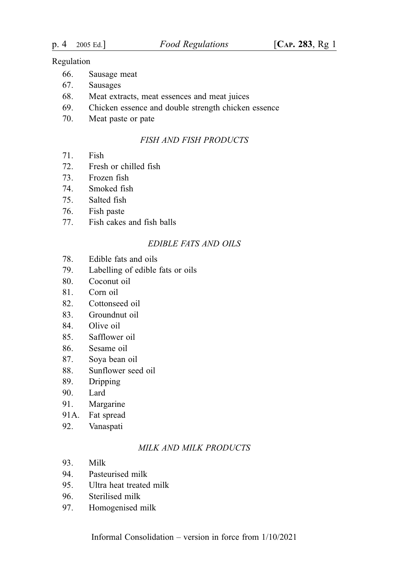- 66. Sausage meat
- 67. Sausages
- 68. Meat extracts, meat essences and meat juices
- 69. Chicken essence and double strength chicken essence
- 70. Meat paste or pate

#### FISH AND FISH PRODUCTS

- 71. Fish
- 72. Fresh or chilled fish
- 73. Frozen fish
- 74. Smoked fish
- 75. Salted fish
- 76. Fish paste
- 77. Fish cakes and fish balls

## EDIBLE FATS AND OILS

- 78. Edible fats and oils
- 79. Labelling of edible fats or oils
- 80. Coconut oil
- 81. Corn oil
- 82. Cottonseed oil
- 83. Groundnut oil
- 84. Olive oil
- 85. Safflower oil
- 86. Sesame oil
- 87. Soya bean oil
- 88. Sunflower seed oil
- 89. Dripping
- 90. Lard
- 91. Margarine
- 91A. Fat spread
- 92. Vanaspati

### MILK AND MILK PRODUCTS

- 93. Milk
- 94. Pasteurised milk
- 95. Ultra heat treated milk
- 96. Sterilised milk
- 97. Homogenised milk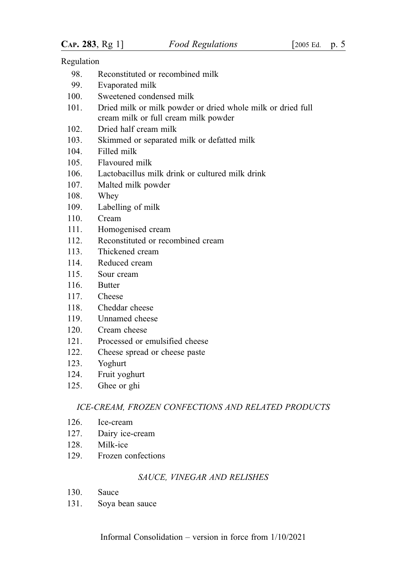- 98. Reconstituted or recombined milk
- 99. Evaporated milk
- 100. Sweetened condensed milk
- 101. Dried milk or milk powder or dried whole milk or dried full cream milk or full cream milk powder
- 102. Dried half cream milk
- 103. Skimmed or separated milk or defatted milk
- 104. Filled milk
- 105. Flavoured milk
- 106. Lactobacillus milk drink or cultured milk drink
- 107. Malted milk powder
- 108. Whey
- 109. Labelling of milk
- 110. Cream
- 111. Homogenised cream
- 112. Reconstituted or recombined cream
- 113. Thickened cream
- 114. Reduced cream
- 115. Sour cream
- 116. Butter
- 117. Cheese
- 118. Cheddar cheese
- 119. Unnamed cheese
- 120. Cream cheese
- 121. Processed or emulsified cheese
- 122. Cheese spread or cheese paste
- 123. Yoghurt
- 124. Fruit yoghurt
- 125. Ghee or ghi

#### ICE-CREAM, FROZEN CONFECTIONS AND RELATED PRODUCTS

- 126. Ice-cream
- 127. Dairy ice-cream
- 128. Milk-ice
- 129. Frozen confections

### SAUCE, VINEGAR AND RELISHES

- 130. Sauce
- 131. Soya bean sauce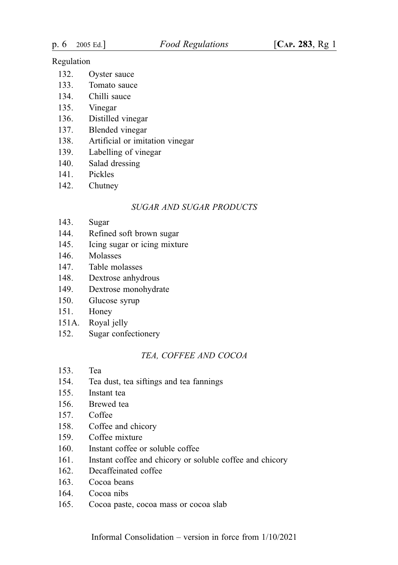- 132. Oyster sauce
- 133. Tomato sauce
- 134. Chilli sauce
- 135. Vinegar
- 136. Distilled vinegar
- 137. Blended vinegar
- 138. Artificial or imitation vinegar
- 139. Labelling of vinegar
- 140. Salad dressing
- 141. Pickles
- 142. Chutney

### SUGAR AND SUGAR PRODUCTS

- 143. Sugar
- 144. Refined soft brown sugar
- 145. Icing sugar or icing mixture
- 146. Molasses
- 147. Table molasses
- 148. Dextrose anhydrous
- 149. Dextrose monohydrate
- 150. Glucose syrup
- 151. Honey
- 151A. Royal jelly
- 152. Sugar confectionery

### TEA, COFFEE AND COCOA

- 153. Tea
- 154. Tea dust, tea siftings and tea fannings
- 155. Instant tea
- 156. Brewed tea
- 157. Coffee
- 158. Coffee and chicory
- 159. Coffee mixture
- 160. Instant coffee or soluble coffee
- 161. Instant coffee and chicory or soluble coffee and chicory
- 162. Decaffeinated coffee
- 163. Cocoa beans
- 164. Cocoa nibs
- 165. Cocoa paste, cocoa mass or cocoa slab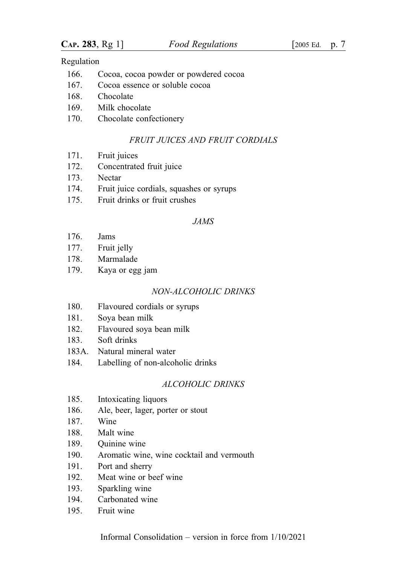- 166. Cocoa, cocoa powder or powdered cocoa
- 167. Cocoa essence or soluble cocoa
- 168. Chocolate
- 169. Milk chocolate
- 170. Chocolate confectionery

#### FRUIT JUICES AND FRUIT CORDIALS

- 171. Fruit juices
- 172. Concentrated fruit juice
- 173. Nectar
- 174. Fruit juice cordials, squashes or syrups
- 175. Fruit drinks or fruit crushes

### JAMS

- 176. Jams
- 177. Fruit jelly
- 178. Marmalade
- 179. Kaya or egg jam

#### NON-ALCOHOLIC DRINKS

- 180. Flavoured cordials or syrups
- 181. Soya bean milk
- 182. Flavoured soya bean milk
- 183. Soft drinks
- 183A. Natural mineral water
- 184. Labelling of non-alcoholic drinks

### ALCOHOLIC DRINKS

- 185. Intoxicating liquors
- 186. Ale, beer, lager, porter or stout
- 187. Wine
- 188. Malt wine
- 189. Quinine wine
- 190. Aromatic wine, wine cocktail and vermouth
- 191. Port and sherry
- 192. Meat wine or beef wine
- 193. Sparkling wine
- 194. Carbonated wine
- 195. Fruit wine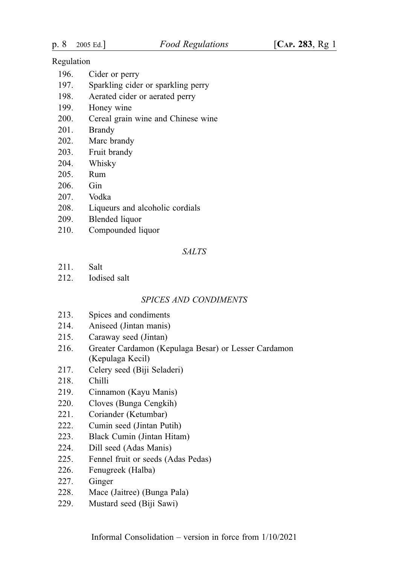- 196. Cider or perry
- 197. Sparkling cider or sparkling perry
- 198. Aerated cider or aerated perry
- 199. Honey wine
- 200. Cereal grain wine and Chinese wine
- 201. Brandy
- 202. Marc brandy
- 203. Fruit brandy
- 204. Whisky
- 205. Rum
- 206. Gin
- 207. Vodka
- 208. Liqueurs and alcoholic cordials
- 209. Blended liquor
- 210. Compounded liquor

#### SALTS

- 211. Salt
- 212. Iodised salt

#### SPICES AND CONDIMENTS

- 213. Spices and condiments
- 214. Aniseed (Jintan manis)
- 215. Caraway seed (Jintan)
- 216. Greater Cardamon (Kepulaga Besar) or Lesser Cardamon (Kepulaga Kecil)
- 217. Celery seed (Biji Seladeri)
- 218. Chilli
- 219. Cinnamon (Kayu Manis)
- 220. Cloves (Bunga Cengkih)
- 221. Coriander (Ketumbar)
- 222. Cumin seed (Jintan Putih)
- 223. Black Cumin (Jintan Hitam)
- 224. Dill seed (Adas Manis)
- 225. Fennel fruit or seeds (Adas Pedas)
- 226. Fenugreek (Halba)
- 227. Ginger
- 228. Mace (Jaitree) (Bunga Pala)
- 229. Mustard seed (Biji Sawi)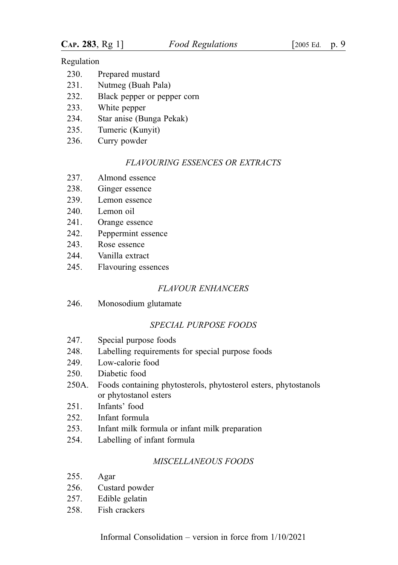| Prepared mustard<br>230. |  |
|--------------------------|--|
|--------------------------|--|

- 231. Nutmeg (Buah Pala)
- 232. Black pepper or pepper corn
- 233. White pepper
- 234. Star anise (Bunga Pekak)
- 235. Tumeric (Kunyit)
- 236. Curry powder

### FLAVOURING ESSENCES OR EXTRACTS

- 237. Almond essence
- 238. Ginger essence
- 239. Lemon essence
- 240. Lemon oil
- 241. Orange essence
- 242. Peppermint essence
- 243. Rose essence
- 244. Vanilla extract
- 245. Flavouring essences

## FLAVOUR ENHANCERS

246. Monosodium glutamate

## SPECIAL PURPOSE FOODS

- 247. Special purpose foods
- 248. Labelling requirements for special purpose foods
- 249. Low-calorie food
- 250. Diabetic food
- 250A. Foods containing phytosterols, phytosterol esters, phytostanols or phytostanol esters
- 251. Infants' food
- 252. Infant formula
- 253. Infant milk formula or infant milk preparation
- 254. Labelling of infant formula

## MISCELLANEOUS FOODS

- 255. Agar
- 256. Custard powder
- 257. Edible gelatin
- 258. Fish crackers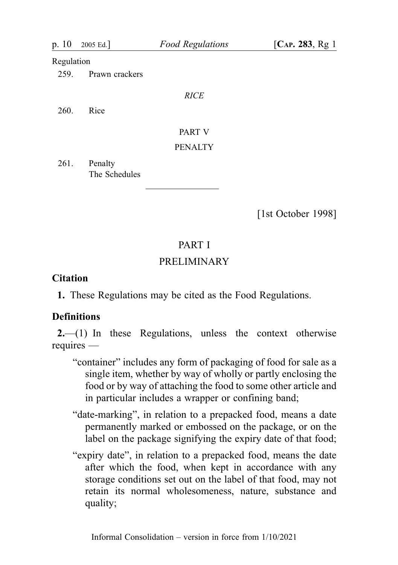| p. 10      | 2005 Ed.                 | <b>Food Regulations</b> | [ $CAP. 283, Rg1$ ] |
|------------|--------------------------|-------------------------|---------------------|
| Regulation |                          |                         |                     |
| 259.       | Prawn crackers           |                         |                     |
|            |                          | <b>RICE</b>             |                     |
| 260.       | Rice                     |                         |                     |
|            |                          | PART V                  |                     |
|            |                          | <b>PENALTY</b>          |                     |
| 261.       | Penalty<br>The Schedules |                         |                     |

[1st October 1998]

## PART I

## PRELIMINARY

## **Citation**

1. These Regulations may be cited as the Food Regulations.

## **Definitions**

2.—(1) In these Regulations, unless the context otherwise requires —

- "container" includes any form of packaging of food for sale as a single item, whether by way of wholly or partly enclosing the food or by way of attaching the food to some other article and in particular includes a wrapper or confining band;
- "date-marking", in relation to a prepacked food, means a date permanently marked or embossed on the package, or on the label on the package signifying the expiry date of that food;
- "expiry date", in relation to a prepacked food, means the date after which the food, when kept in accordance with any storage conditions set out on the label of that food, may not retain its normal wholesomeness, nature, substance and quality;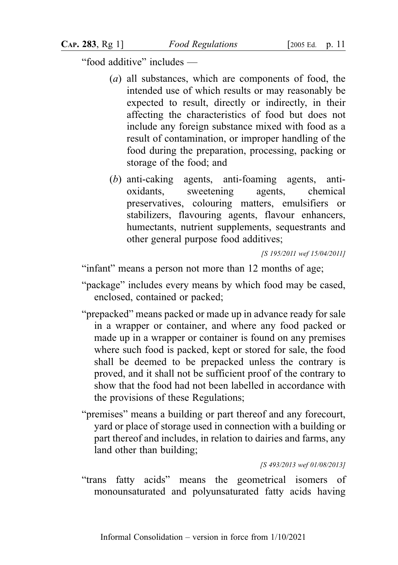"food additive" includes —

- (a) all substances, which are components of food, the intended use of which results or may reasonably be expected to result, directly or indirectly, in their affecting the characteristics of food but does not include any foreign substance mixed with food as a result of contamination, or improper handling of the food during the preparation, processing, packing or storage of the food; and
- (b) anti-caking agents, anti-foaming agents, antioxidants, sweetening agents, chemical preservatives, colouring matters, emulsifiers or stabilizers, flavouring agents, flavour enhancers, humectants, nutrient supplements, sequestrants and other general purpose food additives;

[S 195/2011 wef 15/04/2011]

"infant" means a person not more than 12 months of age;

- "package" includes every means by which food may be cased, enclosed, contained or packed;
- "prepacked" means packed or made up in advance ready for sale in a wrapper or container, and where any food packed or made up in a wrapper or container is found on any premises where such food is packed, kept or stored for sale, the food shall be deemed to be prepacked unless the contrary is proved, and it shall not be sufficient proof of the contrary to show that the food had not been labelled in accordance with the provisions of these Regulations;
- "premises" means a building or part thereof and any forecourt, yard or place of storage used in connection with a building or part thereof and includes, in relation to dairies and farms, any land other than building;

[S 493/2013 wef 01/08/2013]

"trans fatty acids" means the geometrical isomers of monounsaturated and polyunsaturated fatty acids having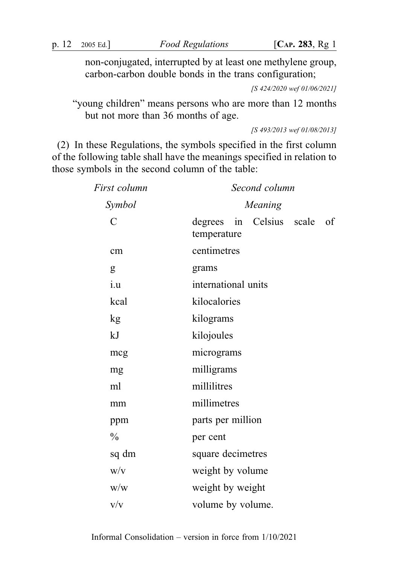non-conjugated, interrupted by at least one methylene group, carbon-carbon double bonds in the trans configuration;

[S 424/2020 wef 01/06/2021]

"young children" means persons who are more than 12 months but not more than 36 months of age.

[S 493/2013 wef 01/08/2013]

(2) In these Regulations, the symbols specified in the first column of the following table shall have the meanings specified in relation to those symbols in the second column of the table:

| First column  | Second column                                 |  |  |
|---------------|-----------------------------------------------|--|--|
| Symbol        | <b>Meaning</b>                                |  |  |
| $\mathcal{C}$ | degrees in Celsius scale<br>of<br>temperature |  |  |
| cm            | centimetres                                   |  |  |
| g             | grams                                         |  |  |
| i.u           | international units                           |  |  |
| kcal          | kilocalories                                  |  |  |
| kg            | kilograms                                     |  |  |
| kJ            | kilojoules                                    |  |  |
| mcg           | micrograms                                    |  |  |
| mg            | milligrams                                    |  |  |
| ml            | millilitres                                   |  |  |
| mm            | millimetres                                   |  |  |
| ppm           | parts per million                             |  |  |
| $\frac{0}{0}$ | per cent                                      |  |  |
| sq dm         | square decimetres                             |  |  |
| W/V           | weight by volume                              |  |  |
| W/W           | weight by weight                              |  |  |
| V/V           | volume by volume.                             |  |  |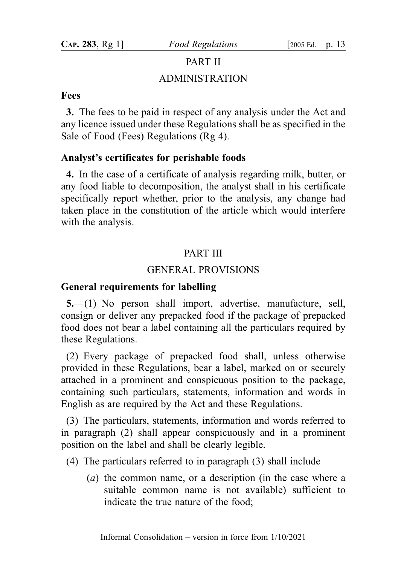# PART II ADMINISTRATION

### Fees

3. The fees to be paid in respect of any analysis under the Act and any licence issued under these Regulations shall be as specified in the Sale of Food (Fees) Regulations (Rg 4).

## Analyst's certificates for perishable foods

4. In the case of a certificate of analysis regarding milk, butter, or any food liable to decomposition, the analyst shall in his certificate specifically report whether, prior to the analysis, any change had taken place in the constitution of the article which would interfere with the analysis.

## PART III

## GENERAL PROVISIONS

## General requirements for labelling

5.—(1) No person shall import, advertise, manufacture, sell, consign or deliver any prepacked food if the package of prepacked food does not bear a label containing all the particulars required by these Regulations.

(2) Every package of prepacked food shall, unless otherwise provided in these Regulations, bear a label, marked on or securely attached in a prominent and conspicuous position to the package, containing such particulars, statements, information and words in English as are required by the Act and these Regulations.

(3) The particulars, statements, information and words referred to in paragraph (2) shall appear conspicuously and in a prominent position on the label and shall be clearly legible.

- (4) The particulars referred to in paragraph (3) shall include
	- (a) the common name, or a description (in the case where a suitable common name is not available) sufficient to indicate the true nature of the food;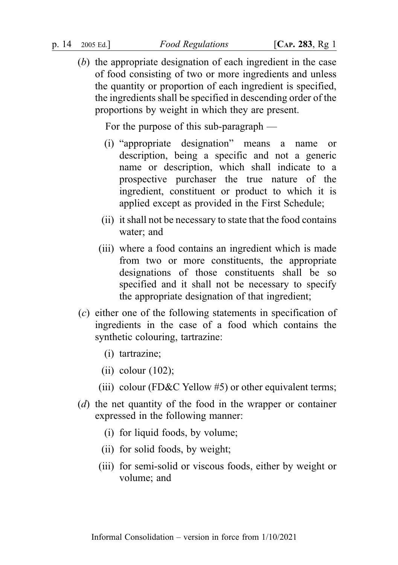(b) the appropriate designation of each ingredient in the case of food consisting of two or more ingredients and unless the quantity or proportion of each ingredient is specified, the ingredients shall be specified in descending order of the proportions by weight in which they are present.

For the purpose of this sub-paragraph —

- (i) "appropriate designation" means a name or description, being a specific and not a generic name or description, which shall indicate to a prospective purchaser the true nature of the ingredient, constituent or product to which it is applied except as provided in the First Schedule;
- (ii) it shall not be necessary to state that the food contains water; and
- (iii) where a food contains an ingredient which is made from two or more constituents, the appropriate designations of those constituents shall be so specified and it shall not be necessary to specify the appropriate designation of that ingredient;
- (c) either one of the following statements in specification of ingredients in the case of a food which contains the synthetic colouring, tartrazine:
	- (i) tartrazine;
	- (ii) colour  $(102)$ ;
	- (iii) colour (FD&C Yellow  $#5$ ) or other equivalent terms;
- (d) the net quantity of the food in the wrapper or container expressed in the following manner:
	- (i) for liquid foods, by volume;
	- (ii) for solid foods, by weight;
	- (iii) for semi-solid or viscous foods, either by weight or volume; and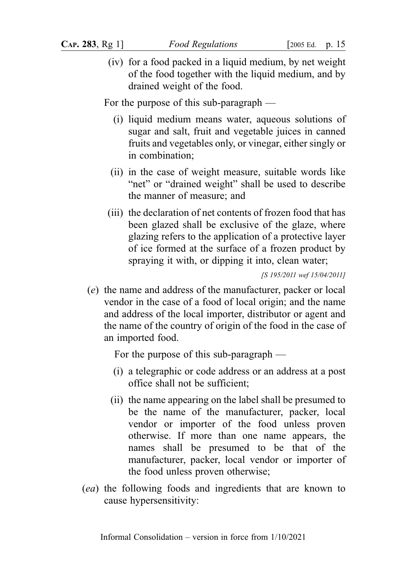(iv) for a food packed in a liquid medium, by net weight of the food together with the liquid medium, and by drained weight of the food.

For the purpose of this sub-paragraph —

- (i) liquid medium means water, aqueous solutions of sugar and salt, fruit and vegetable juices in canned fruits and vegetables only, or vinegar, either singly or in combination;
- (ii) in the case of weight measure, suitable words like "net" or "drained weight" shall be used to describe the manner of measure; and
- (iii) the declaration of net contents of frozen food that has been glazed shall be exclusive of the glaze, where glazing refers to the application of a protective layer of ice formed at the surface of a frozen product by spraying it with, or dipping it into, clean water;

[S 195/2011 wef 15/04/2011]

(e) the name and address of the manufacturer, packer or local vendor in the case of a food of local origin; and the name and address of the local importer, distributor or agent and the name of the country of origin of the food in the case of an imported food.

For the purpose of this sub-paragraph —

- (i) a telegraphic or code address or an address at a post office shall not be sufficient;
- (ii) the name appearing on the label shall be presumed to be the name of the manufacturer, packer, local vendor or importer of the food unless proven otherwise. If more than one name appears, the names shall be presumed to be that of the manufacturer, packer, local vendor or importer of the food unless proven otherwise;
- (ea) the following foods and ingredients that are known to cause hypersensitivity: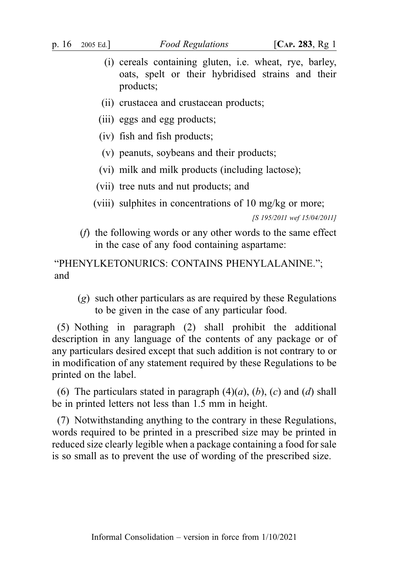- (i) cereals containing gluten, i.e. wheat, rye, barley, oats, spelt or their hybridised strains and their products;
- (ii) crustacea and crustacean products;
- (iii) eggs and egg products;
- (iv) fish and fish products;
- (v) peanuts, soybeans and their products;
- (vi) milk and milk products (including lactose);
- (vii) tree nuts and nut products; and
- (viii) sulphites in concentrations of 10 mg/kg or more;

[S 195/2011 wef 15/04/2011]

(f) the following words or any other words to the same effect in the case of any food containing aspartame:

"PHENYLKETONURICS: CONTAINS PHENYLALANINE."; and

(g) such other particulars as are required by these Regulations to be given in the case of any particular food.

(5) Nothing in paragraph (2) shall prohibit the additional description in any language of the contents of any package or of any particulars desired except that such addition is not contrary to or in modification of any statement required by these Regulations to be printed on the label.

(6) The particulars stated in paragraph  $(4)(a)$ ,  $(b)$ ,  $(c)$  and  $(d)$  shall be in printed letters not less than 1.5 mm in height.

(7) Notwithstanding anything to the contrary in these Regulations, words required to be printed in a prescribed size may be printed in reduced size clearly legible when a package containing a food for sale is so small as to prevent the use of wording of the prescribed size.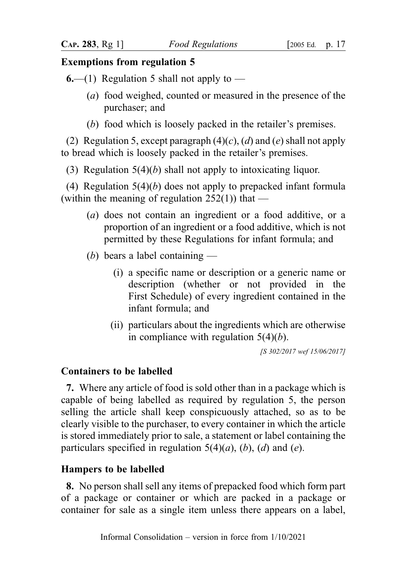## Exemptions from regulation 5

**6.—(1)** Regulation 5 shall not apply to —

- (a) food weighed, counted or measured in the presence of the purchaser; and
- (b) food which is loosely packed in the retailer's premises.

(2) Regulation 5, except paragraph  $(4)(c)$ ,  $(d)$  and  $(e)$  shall not apply to bread which is loosely packed in the retailer's premises.

(3) Regulation  $5(4)(b)$  shall not apply to intoxicating liquor.

(4) Regulation  $5(4)(b)$  does not apply to prepacked infant formula (within the meaning of regulation  $252(1)$ ) that —

- (a) does not contain an ingredient or a food additive, or a proportion of an ingredient or a food additive, which is not permitted by these Regulations for infant formula; and
- (b) bears a label containing
	- (i) a specific name or description or a generic name or description (whether or not provided in the First Schedule) of every ingredient contained in the infant formula; and
	- (ii) particulars about the ingredients which are otherwise in compliance with regulation  $5(4)(b)$ .

[S 302/2017 wef 15/06/2017]

## Containers to be labelled

7. Where any article of food is sold other than in a package which is capable of being labelled as required by regulation 5, the person selling the article shall keep conspicuously attached, so as to be clearly visible to the purchaser, to every container in which the article is stored immediately prior to sale, a statement or label containing the particulars specified in regulation  $5(4)(a)$ ,  $(b)$ ,  $(d)$  and  $(e)$ .

### Hampers to be labelled

8. No person shall sell any items of prepacked food which form part of a package or container or which are packed in a package or container for sale as a single item unless there appears on a label,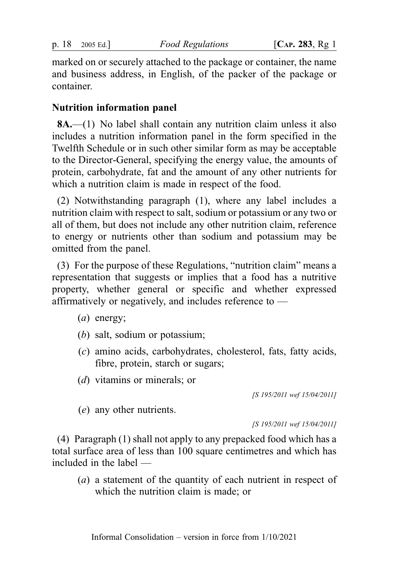marked on or securely attached to the package or container, the name and business address, in English, of the packer of the package or container.

## Nutrition information panel

8A.—(1) No label shall contain any nutrition claim unless it also includes a nutrition information panel in the form specified in the Twelfth Schedule or in such other similar form as may be acceptable to the Director-General, specifying the energy value, the amounts of protein, carbohydrate, fat and the amount of any other nutrients for which a nutrition claim is made in respect of the food.

(2) Notwithstanding paragraph (1), where any label includes a nutrition claim with respect to salt, sodium or potassium or any two or all of them, but does not include any other nutrition claim, reference to energy or nutrients other than sodium and potassium may be omitted from the panel.

(3) For the purpose of these Regulations, "nutrition claim" means a representation that suggests or implies that a food has a nutritive property, whether general or specific and whether expressed affirmatively or negatively, and includes reference to —

- (a) energy;
- (b) salt, sodium or potassium;
- (c) amino acids, carbohydrates, cholesterol, fats, fatty acids, fibre, protein, starch or sugars;
- (d) vitamins or minerals; or

[S 195/2011 wef 15/04/2011]

(e) any other nutrients.

[S 195/2011 wef 15/04/2011]

(4) Paragraph (1) shall not apply to any prepacked food which has a total surface area of less than 100 square centimetres and which has included in the label —

(a) a statement of the quantity of each nutrient in respect of which the nutrition claim is made; or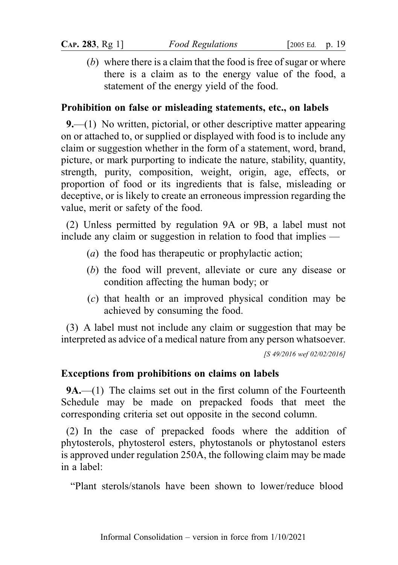(b) where there is a claim that the food is free of sugar or where there is a claim as to the energy value of the food, a statement of the energy yield of the food.

## Prohibition on false or misleading statements, etc., on labels

9.—(1) No written, pictorial, or other descriptive matter appearing on or attached to, or supplied or displayed with food is to include any claim or suggestion whether in the form of a statement, word, brand, picture, or mark purporting to indicate the nature, stability, quantity, strength, purity, composition, weight, origin, age, effects, or proportion of food or its ingredients that is false, misleading or deceptive, or is likely to create an erroneous impression regarding the value, merit or safety of the food.

(2) Unless permitted by regulation 9A or 9B, a label must not include any claim or suggestion in relation to food that implies —

- (a) the food has therapeutic or prophylactic action;
- (b) the food will prevent, alleviate or cure any disease or condition affecting the human body; or
- (c) that health or an improved physical condition may be achieved by consuming the food.

(3) A label must not include any claim or suggestion that may be interpreted as advice of a medical nature from any person whatsoever. [S 49/2016 wef 02/02/2016]

## Exceptions from prohibitions on claims on labels

9A.—(1) The claims set out in the first column of the Fourteenth Schedule may be made on prepacked foods that meet the corresponding criteria set out opposite in the second column.

(2) In the case of prepacked foods where the addition of phytosterols, phytosterol esters, phytostanols or phytostanol esters is approved under regulation 250A, the following claim may be made in a label:

"Plant sterols/stanols have been shown to lower/reduce blood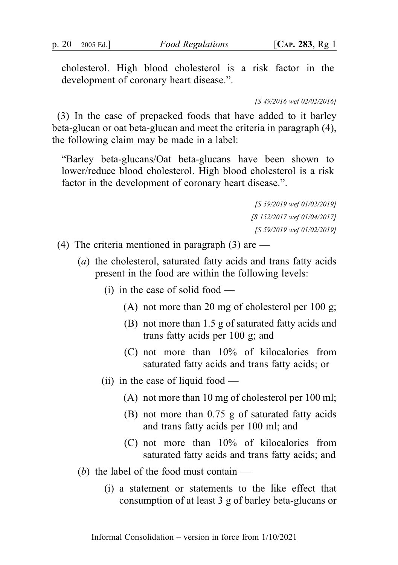cholesterol. High blood cholesterol is a risk factor in the development of coronary heart disease.".

[S 49/2016 wef 02/02/2016]

(3) In the case of prepacked foods that have added to it barley beta-glucan or oat beta-glucan and meet the criteria in paragraph (4), the following claim may be made in a label:

"Barley beta-glucans/Oat beta-glucans have been shown to lower/reduce blood cholesterol. High blood cholesterol is a risk factor in the development of coronary heart disease.".

> [S 59/2019 wef 01/02/2019] [S 152/2017 wef 01/04/2017] [S 59/2019 wef 01/02/2019]

- (4) The criteria mentioned in paragraph (3) are  $-$ 
	- (a) the cholesterol, saturated fatty acids and trans fatty acids present in the food are within the following levels:
		- (i) in the case of solid food  $-$ 
			- (A) not more than 20 mg of cholesterol per 100 g;
			- (B) not more than 1.5 g of saturated fatty acids and trans fatty acids per 100 g; and
			- (C) not more than 10% of kilocalories from saturated fatty acids and trans fatty acids; or
		- (ii) in the case of liquid food
			- (A) not more than 10 mg of cholesterol per 100 ml;
			- (B) not more than 0.75 g of saturated fatty acids and trans fatty acids per 100 ml; and
			- (C) not more than 10% of kilocalories from saturated fatty acids and trans fatty acids; and
	- (b) the label of the food must contain  $-$ 
		- (i) a statement or statements to the like effect that consumption of at least 3 g of barley beta-glucans or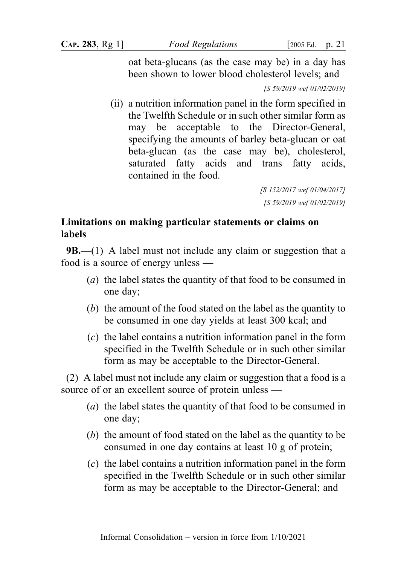oat beta-glucans (as the case may be) in a day has been shown to lower blood cholesterol levels; and

[S 59/2019 wef 01/02/2019]

(ii) a nutrition information panel in the form specified in the Twelfth Schedule or in such other similar form as may be acceptable to the Director-General, specifying the amounts of barley beta-glucan or oat beta-glucan (as the case may be), cholesterol, saturated fatty acids and trans fatty acids, contained in the food.

> [S 152/2017 wef 01/04/2017] [S 59/2019 wef 01/02/2019]

## Limitations on making particular statements or claims on labels

**9B.**—(1) A label must not include any claim or suggestion that a food is a source of energy unless —

- (a) the label states the quantity of that food to be consumed in one day;
- (b) the amount of the food stated on the label as the quantity to be consumed in one day yields at least 300 kcal; and
- (c) the label contains a nutrition information panel in the form specified in the Twelfth Schedule or in such other similar form as may be acceptable to the Director-General.

(2) A label must not include any claim or suggestion that a food is a source of or an excellent source of protein unless —

- (a) the label states the quantity of that food to be consumed in one day;
- (b) the amount of food stated on the label as the quantity to be consumed in one day contains at least 10 g of protein;
- (c) the label contains a nutrition information panel in the form specified in the Twelfth Schedule or in such other similar form as may be acceptable to the Director-General; and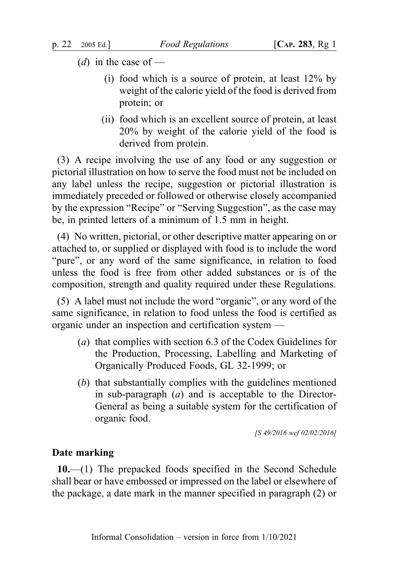- (*d*) in the case of
	- (i) food which is a source of protein, at least 12% by weight of the calorie yield of the food is derived from protein; or
	- (ii) food which is an excellent source of protein, at least 20% by weight of the calorie yield of the food is derived from protein.

(3) A recipe involving the use of any food or any suggestion or pictorial illustration on how to serve the food must not be included on any label unless the recipe, suggestion or pictorial illustration is immediately preceded or followed or otherwise closely accompanied by the expression "Recipe" or "Serving Suggestion", as the case may be, in printed letters of a minimum of 1.5 mm in height.

(4) No written, pictorial, or other descriptive matter appearing on or attached to, or supplied or displayed with food is to include the word "pure", or any word of the same significance, in relation to food unless the food is free from other added substances or is of the composition, strength and quality required under these Regulations.

(5) A label must not include the word "organic", or any word of the same significance, in relation to food unless the food is certified as organic under an inspection and certification system —

- (a) that complies with section 6.3 of the Codex Guidelines for the Production, Processing, Labelling and Marketing of Organically Produced Foods, GL 32-1999; or
- (b) that substantially complies with the guidelines mentioned in sub-paragraph (a) and is acceptable to the Director-General as being a suitable system for the certification of organic food.

[S 49/2016 wef 02/02/2016]

### Date marking

10.—(1) The prepacked foods specified in the Second Schedule shall bear or have embossed or impressed on the label or elsewhere of the package, a date mark in the manner specified in paragraph (2) or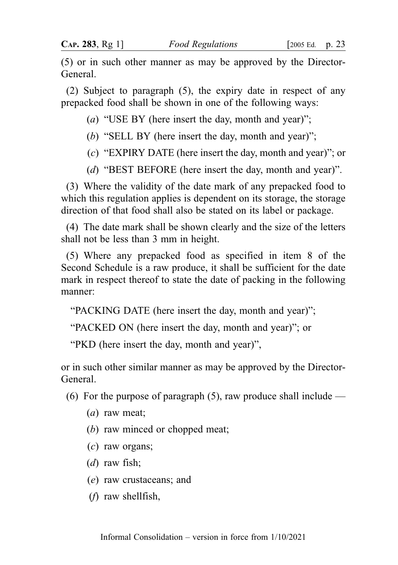(5) or in such other manner as may be approved by the Director-General.

(2) Subject to paragraph (5), the expiry date in respect of any prepacked food shall be shown in one of the following ways:

(a) "USE BY (here insert the day, month and year)";

- (b) "SELL BY (here insert the day, month and year)";
- (c) "EXPIRY DATE (here insert the day, month and year)"; or
- (d) "BEST BEFORE (here insert the day, month and year)".

(3) Where the validity of the date mark of any prepacked food to which this regulation applies is dependent on its storage, the storage direction of that food shall also be stated on its label or package.

(4) The date mark shall be shown clearly and the size of the letters shall not be less than 3 mm in height.

(5) Where any prepacked food as specified in item 8 of the Second Schedule is a raw produce, it shall be sufficient for the date mark in respect thereof to state the date of packing in the following manner:

"PACKING DATE (here insert the day, month and year)";

"PACKED ON (here insert the day, month and year)"; or

"PKD (here insert the day, month and year)",

or in such other similar manner as may be approved by the Director-General.

(6) For the purpose of paragraph  $(5)$ , raw produce shall include —

- (a) raw meat;
- (b) raw minced or chopped meat;
- (c) raw organs;
- (*d*) raw fish;
- (e) raw crustaceans; and
- (f) raw shellfish,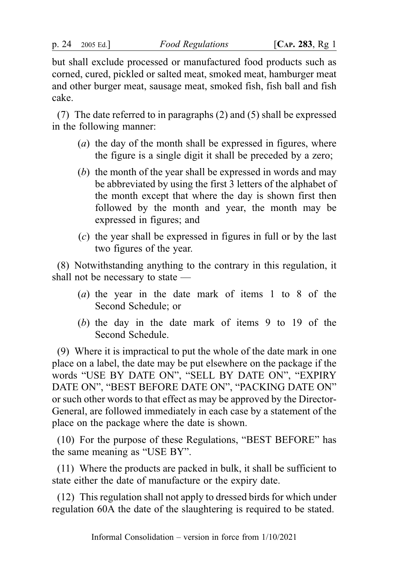but shall exclude processed or manufactured food products such as corned, cured, pickled or salted meat, smoked meat, hamburger meat and other burger meat, sausage meat, smoked fish, fish ball and fish cake.

(7) The date referred to in paragraphs (2) and (5) shall be expressed in the following manner:

- (a) the day of the month shall be expressed in figures, where the figure is a single digit it shall be preceded by a zero;
- (b) the month of the year shall be expressed in words and may be abbreviated by using the first 3 letters of the alphabet of the month except that where the day is shown first then followed by the month and year, the month may be expressed in figures; and
- (c) the year shall be expressed in figures in full or by the last two figures of the year.

(8) Notwithstanding anything to the contrary in this regulation, it shall not be necessary to state —

- (a) the year in the date mark of items 1 to 8 of the Second Schedule; or
- (b) the day in the date mark of items 9 to 19 of the Second Schedule.

(9) Where it is impractical to put the whole of the date mark in one place on a label, the date may be put elsewhere on the package if the words "USE BY DATE ON", "SELL BY DATE ON", "EXPIRY DATE ON", "BEST BEFORE DATE ON", "PACKING DATE ON" or such other words to that effect as may be approved by the Director-General, are followed immediately in each case by a statement of the place on the package where the date is shown.

(10) For the purpose of these Regulations, "BEST BEFORE" has the same meaning as "USE BY".

(11) Where the products are packed in bulk, it shall be sufficient to state either the date of manufacture or the expiry date.

(12) This regulation shall not apply to dressed birds for which under regulation 60A the date of the slaughtering is required to be stated.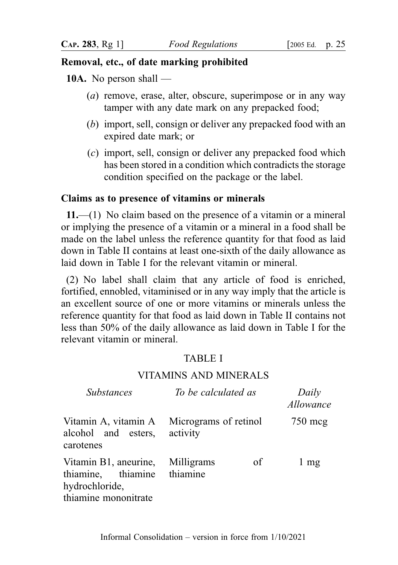## Removal, etc., of date marking prohibited

10A. No person shall —

- (a) remove, erase, alter, obscure, superimpose or in any way tamper with any date mark on any prepacked food;
- (b) import, sell, consign or deliver any prepacked food with an expired date mark; or
- (c) import, sell, consign or deliver any prepacked food which has been stored in a condition which contradicts the storage condition specified on the package or the label.

## Claims as to presence of vitamins or minerals

 $11.$ —(1) No claim based on the presence of a vitamin or a mineral or implying the presence of a vitamin or a mineral in a food shall be made on the label unless the reference quantity for that food as laid down in Table II contains at least one-sixth of the daily allowance as laid down in Table I for the relevant vitamin or mineral.

(2) No label shall claim that any article of food is enriched, fortified, ennobled, vitaminised or in any way imply that the article is an excellent source of one or more vitamins or minerals unless the reference quantity for that food as laid down in Table II contains not less than 50% of the daily allowance as laid down in Table I for the relevant vitamin or mineral.

## TABLE I

### VITAMINS AND MINERALS

| <b>Substances</b>                                                                                         | To be calculated as                        | Daily<br>Allowance |
|-----------------------------------------------------------------------------------------------------------|--------------------------------------------|--------------------|
| alcohol and esters, activity<br>carotenes                                                                 | Vitamin A, vitamin A Micrograms of retinol | 750 mcg            |
| Vitamin B1, aneurine, Milligrams<br>thiamine, thiamine thiamine<br>hydrochloride,<br>thiamine mononitrate | of                                         | $1 \text{ mg}$     |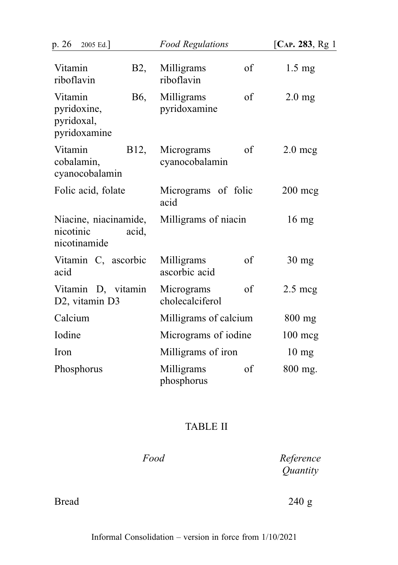| p. 26<br>2005 Ed.]                                            | <b>Food Regulations</b>             | [ $CAP. 283, Rg1$ ] |
|---------------------------------------------------------------|-------------------------------------|---------------------|
| Vitamin<br>B <sub>2</sub> ,<br>riboflavin                     | Milligrams<br>of<br>riboflavin      | $1.5 \text{ mg}$    |
| Vitamin<br>B6,<br>pyridoxine,<br>pyridoxal,<br>pyridoxamine   | Milligrams<br>of<br>pyridoxamine    | $2.0 \text{ mg}$    |
| Vitamin<br>B12,<br>cobalamin,<br>cyanocobalamin               | of<br>Micrograms<br>cyanocobalamin  | $2.0 \text{~mag}$   |
| Folic acid, folate                                            | Micrograms of folic<br>acid         | $200 \text{ mg}$    |
| Niacine, niacinamide,<br>nicotinic<br>acid,<br>nicotinamide   | Milligrams of niacin                | $16 \text{ mg}$     |
| Vitamin C, ascorbic<br>acid                                   | Milligrams<br>of<br>ascorbic acid   | $30 \text{ mg}$     |
| Vitamin D, vitamin<br>D <sub>2</sub> , vitamin D <sub>3</sub> | Micrograms<br>of<br>cholecalciferol | $2.5 \text{~mag}$   |
| Calcium                                                       | Milligrams of calcium               | $800$ mg            |
| Iodine                                                        | Micrograms of iodine                | $100 \text{ mg}$    |
| Iron                                                          | Milligrams of iron                  | $10 \text{ mg}$     |
| Phosphorus                                                    | Milligrams<br>of<br>phosphorus      | 800 mg.             |

# TABLE II

Food Reference **Quantity** 

Bread 240 g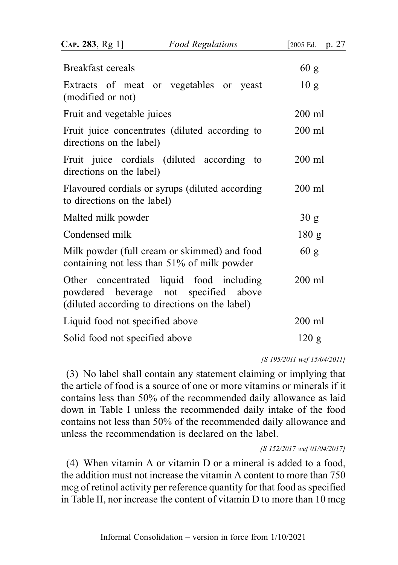| CAP. 283, Rg 1]                 | <b>Food Regulations</b>                                                                                                             | [2005 Ed.<br>p. 27 |
|---------------------------------|-------------------------------------------------------------------------------------------------------------------------------------|--------------------|
| <b>Breakfast cereals</b>        |                                                                                                                                     | 60 g               |
| (modified or not)               | Extracts of meat or vegetables or yeast                                                                                             | 10 <sub>g</sub>    |
| Fruit and vegetable juices      |                                                                                                                                     | $200$ ml           |
| directions on the label)        | Fruit juice concentrates (diluted according to                                                                                      | $200$ ml           |
| directions on the label)        | Fruit juice cordials (diluted according<br>to                                                                                       | $200$ ml           |
| to directions on the label)     | Flavoured cordials or syrups (diluted according                                                                                     | $200$ ml           |
| Malted milk powder              |                                                                                                                                     | 30 g               |
| Condensed milk                  |                                                                                                                                     | 180 g              |
|                                 | Milk powder (full cream or skimmed) and food<br>containing not less than 51% of milk powder                                         | 60 g               |
|                                 | Other concentrated liquid food including<br>powdered beverage not specified above<br>(diluted according to directions on the label) | $200$ ml           |
| Liquid food not specified above |                                                                                                                                     | $200$ ml           |
| Solid food not specified above  |                                                                                                                                     | 120 g              |
|                                 |                                                                                                                                     |                    |

[S 195/2011 wef 15/04/2011]

(3) No label shall contain any statement claiming or implying that the article of food is a source of one or more vitamins or minerals if it contains less than 50% of the recommended daily allowance as laid down in Table I unless the recommended daily intake of the food contains not less than 50% of the recommended daily allowance and unless the recommendation is declared on the label.

[S 152/2017 wef 01/04/2017]

(4) When vitamin A or vitamin D or a mineral is added to a food, the addition must not increase the vitamin A content to more than 750 mcg of retinol activity per reference quantity for that food as specified in Table II, nor increase the content of vitamin D to more than 10 mcg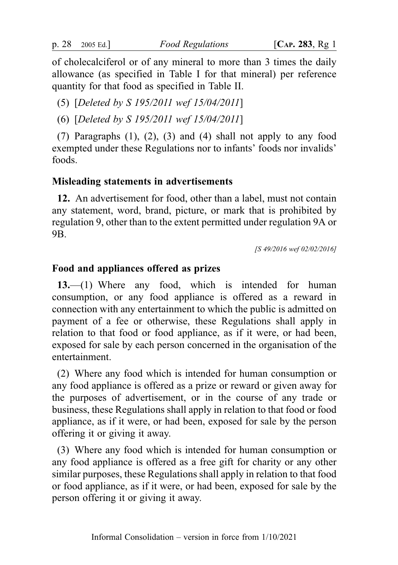of cholecalciferol or of any mineral to more than 3 times the daily allowance (as specified in Table I for that mineral) per reference quantity for that food as specified in Table II.

(5) [Deleted by S 195/2011 wef 15/04/2011]

(6) [Deleted by S 195/2011 wef 15/04/2011]

(7) Paragraphs (1), (2), (3) and (4) shall not apply to any food exempted under these Regulations nor to infants' foods nor invalids' foods.

## Misleading statements in advertisements

12. An advertisement for food, other than a label, must not contain any statement, word, brand, picture, or mark that is prohibited by regulation 9, other than to the extent permitted under regulation 9A or 9B.

[S 49/2016 wef 02/02/2016]

## Food and appliances offered as prizes

13.—(1) Where any food, which is intended for human consumption, or any food appliance is offered as a reward in connection with any entertainment to which the public is admitted on payment of a fee or otherwise, these Regulations shall apply in relation to that food or food appliance, as if it were, or had been, exposed for sale by each person concerned in the organisation of the entertainment.

(2) Where any food which is intended for human consumption or any food appliance is offered as a prize or reward or given away for the purposes of advertisement, or in the course of any trade or business, these Regulations shall apply in relation to that food or food appliance, as if it were, or had been, exposed for sale by the person offering it or giving it away.

(3) Where any food which is intended for human consumption or any food appliance is offered as a free gift for charity or any other similar purposes, these Regulations shall apply in relation to that food or food appliance, as if it were, or had been, exposed for sale by the person offering it or giving it away.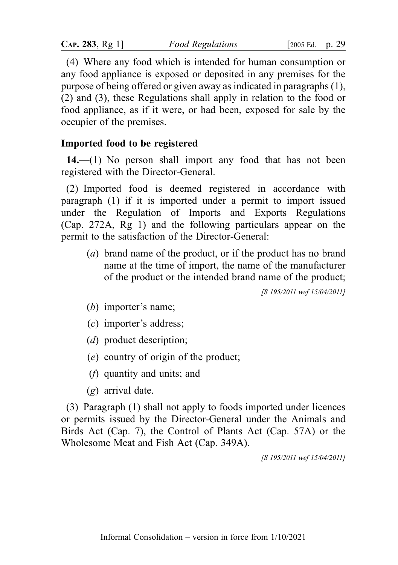| CAP. 283, Rg 1] | Food Regulation. |
|-----------------|------------------|
|                 |                  |

(4) Where any food which is intended for human consumption or any food appliance is exposed or deposited in any premises for the purpose of being offered or given away as indicated in paragraphs (1), (2) and (3), these Regulations shall apply in relation to the food or food appliance, as if it were, or had been, exposed for sale by the occupier of the premises.

## Imported food to be registered

 $14.$ —(1) No person shall import any food that has not been registered with the Director-General.

(2) Imported food is deemed registered in accordance with paragraph (1) if it is imported under a permit to import issued under the Regulation of Imports and Exports Regulations (Cap. 272A, Rg 1) and the following particulars appear on the permit to the satisfaction of the Director-General:

(a) brand name of the product, or if the product has no brand name at the time of import, the name of the manufacturer of the product or the intended brand name of the product;

[S 195/2011 wef 15/04/2011]

- (b) importer's name;
- (c) importer's address;
- (*d*) product description;
- (e) country of origin of the product;
- (f) quantity and units; and
- (g) arrival date.

(3) Paragraph (1) shall not apply to foods imported under licences or permits issued by the Director-General under the Animals and Birds Act (Cap. 7), the Control of Plants Act (Cap. 57A) or the Wholesome Meat and Fish Act (Cap. 349A).

[S 195/2011 wef 15/04/2011]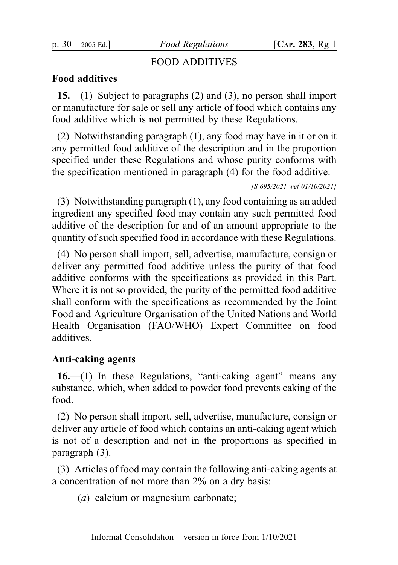p. 30 2005 Ed.]  $Food$  Regulations  $[Car. 283, Rg 1]$ 

## FOOD ADDITIVES

## Food additives

15.—(1) Subject to paragraphs (2) and (3), no person shall import or manufacture for sale or sell any article of food which contains any food additive which is not permitted by these Regulations.

(2) Notwithstanding paragraph (1), any food may have in it or on it any permitted food additive of the description and in the proportion specified under these Regulations and whose purity conforms with the specification mentioned in paragraph (4) for the food additive.

[S 695/2021 wef 01/10/2021]

(3) Notwithstanding paragraph (1), any food containing as an added ingredient any specified food may contain any such permitted food additive of the description for and of an amount appropriate to the quantity of such specified food in accordance with these Regulations.

(4) No person shall import, sell, advertise, manufacture, consign or deliver any permitted food additive unless the purity of that food additive conforms with the specifications as provided in this Part. Where it is not so provided, the purity of the permitted food additive shall conform with the specifications as recommended by the Joint Food and Agriculture Organisation of the United Nations and World Health Organisation (FAO/WHO) Expert Committee on food additives.

## Anti-caking agents

16.—(1) In these Regulations, "anti-caking agent" means any substance, which, when added to powder food prevents caking of the food.

(2) No person shall import, sell, advertise, manufacture, consign or deliver any article of food which contains an anti-caking agent which is not of a description and not in the proportions as specified in paragraph (3).

(3) Articles of food may contain the following anti-caking agents at a concentration of not more than 2% on a dry basis:

(a) calcium or magnesium carbonate;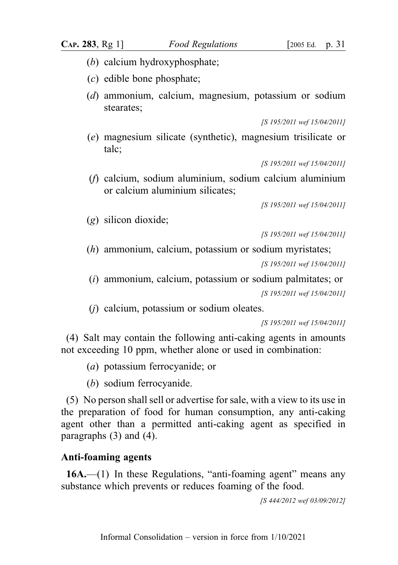- (b) calcium hydroxyphosphate;
- (c) edible bone phosphate;
- (d) ammonium, calcium, magnesium, potassium or sodium stearates;

```
[S 195/2011 wef 15/04/2011]
```
(e) magnesium silicate (synthetic), magnesium trisilicate or talc;

[S 195/2011 wef 15/04/2011]

(f) calcium, sodium aluminium, sodium calcium aluminium or calcium aluminium silicates;

[S 195/2011 wef 15/04/2011]

(g) silicon dioxide;

[S 195/2011 wef 15/04/2011]

(h) ammonium, calcium, potassium or sodium myristates;

[S 195/2011 wef 15/04/2011]

(i) ammonium, calcium, potassium or sodium palmitates; or [S 195/2011 wef 15/04/2011]

(j) calcium, potassium or sodium oleates.

[S 195/2011 wef 15/04/2011]

(4) Salt may contain the following anti-caking agents in amounts not exceeding 10 ppm, whether alone or used in combination:

- (a) potassium ferrocyanide; or
- (b) sodium ferrocyanide.

(5) No person shall sell or advertise for sale, with a view to its use in the preparation of food for human consumption, any anti-caking agent other than a permitted anti-caking agent as specified in paragraphs (3) and (4).

## Anti-foaming agents

16A.—(1) In these Regulations, "anti-foaming agent" means any substance which prevents or reduces foaming of the food.

[S 444/2012 wef 03/09/2012]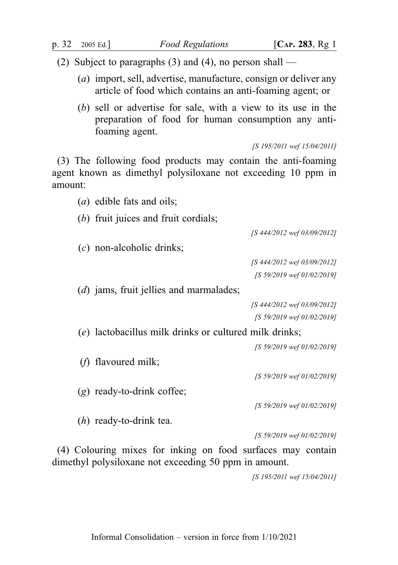- (2) Subject to paragraphs (3) and (4), no person shall
	- (a) import, sell, advertise, manufacture, consign or deliver any article of food which contains an anti-foaming agent; or
	- (b) sell or advertise for sale, with a view to its use in the preparation of food for human consumption any antifoaming agent.

[S 195/2011 wef 15/04/2011]

(3) The following food products may contain the anti-foaming agent known as dimethyl polysiloxane not exceeding 10 ppm in amount:

- (a) edible fats and oils;
- (b) fruit juices and fruit cordials;

[S 444/2012 wef 03/09/2012]

(c) non-alcoholic drinks;

[S 444/2012 wef 03/09/2012] [S 59/2019 wef 01/02/2019]

(*d*) jams, fruit jellies and marmalades;

```
[S 444/2012 wef 03/09/2012]
[S 59/2019 wef 01/02/2019]
```
(e) lactobacillus milk drinks or cultured milk drinks;

[S 59/2019 wef 01/02/2019]

(f) flavoured milk;

[S 59/2019 wef 01/02/2019]

(g) ready-to-drink coffee;

[S 59/2019 wef 01/02/2019]

(h) ready-to-drink tea.

[S 59/2019 wef 01/02/2019]

(4) Colouring mixes for inking on food surfaces may contain dimethyl polysiloxane not exceeding 50 ppm in amount.

[S 195/2011 wef 15/04/2011]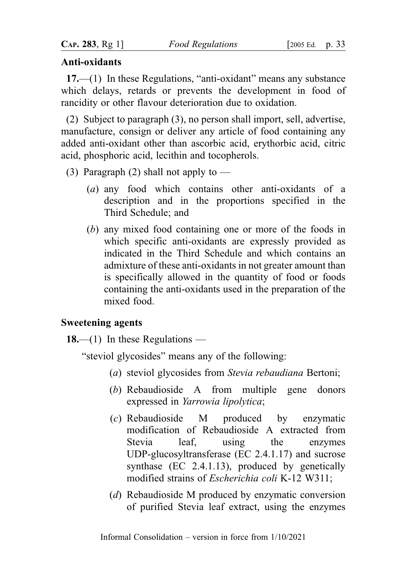## Anti-oxidants

17.—(1) In these Regulations, "anti-oxidant" means any substance which delays, retards or prevents the development in food of rancidity or other flavour deterioration due to oxidation.

(2) Subject to paragraph (3), no person shall import, sell, advertise, manufacture, consign or deliver any article of food containing any added anti-oxidant other than ascorbic acid, erythorbic acid, citric acid, phosphoric acid, lecithin and tocopherols.

- (3) Paragraph (2) shall not apply to  $-$ 
	- (a) any food which contains other anti-oxidants of a description and in the proportions specified in the Third Schedule; and
	- (b) any mixed food containing one or more of the foods in which specific anti-oxidants are expressly provided as indicated in the Third Schedule and which contains an admixture of these anti-oxidants in not greater amount than is specifically allowed in the quantity of food or foods containing the anti-oxidants used in the preparation of the mixed food.

## Sweetening agents

18.—(1) In these Regulations —

"steviol glycosides" means any of the following:

- (a) steviol glycosides from Stevia rebaudiana Bertoni;
- (b) Rebaudioside A from multiple gene donors expressed in Yarrowia lipolytica;
- (c) Rebaudioside M produced by enzymatic modification of Rebaudioside A extracted from Stevia leaf, using the enzymes UDP-glucosyltransferase (EC 2.4.1.17) and sucrose synthase (EC 2.4.1.13), produced by genetically modified strains of Escherichia coli K-12 W311;
- (d) Rebaudioside M produced by enzymatic conversion of purified Stevia leaf extract, using the enzymes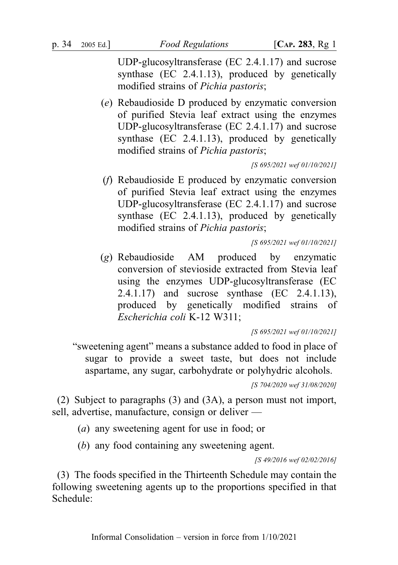UDP-glucosyltransferase (EC 2.4.1.17) and sucrose synthase (EC 2.4.1.13), produced by genetically modified strains of Pichia pastoris;

(e) Rebaudioside D produced by enzymatic conversion of purified Stevia leaf extract using the enzymes UDP-glucosyltransferase (EC 2.4.1.17) and sucrose synthase (EC 2.4.1.13), produced by genetically modified strains of Pichia pastoris;

[S 695/2021 wef 01/10/2021]

(f) Rebaudioside E produced by enzymatic conversion of purified Stevia leaf extract using the enzymes UDP-glucosyltransferase (EC 2.4.1.17) and sucrose synthase (EC 2.4.1.13), produced by genetically modified strains of Pichia pastoris;

[S 695/2021 wef 01/10/2021]

(g) Rebaudioside AM produced by enzymatic conversion of stevioside extracted from Stevia leaf using the enzymes UDP-glucosyltransferase (EC 2.4.1.17) and sucrose synthase (EC 2.4.1.13), produced by genetically modified strains of Escherichia coli K-12 W311;

[S 695/2021 wef 01/10/2021]

"sweetening agent" means a substance added to food in place of sugar to provide a sweet taste, but does not include aspartame, any sugar, carbohydrate or polyhydric alcohols.

[S 704/2020 wef 31/08/2020]

(2) Subject to paragraphs (3) and (3A), a person must not import, sell, advertise, manufacture, consign or deliver —

(a) any sweetening agent for use in food; or

(b) any food containing any sweetening agent.

[S 49/2016 wef 02/02/2016]

(3) The foods specified in the Thirteenth Schedule may contain the following sweetening agents up to the proportions specified in that Schedule: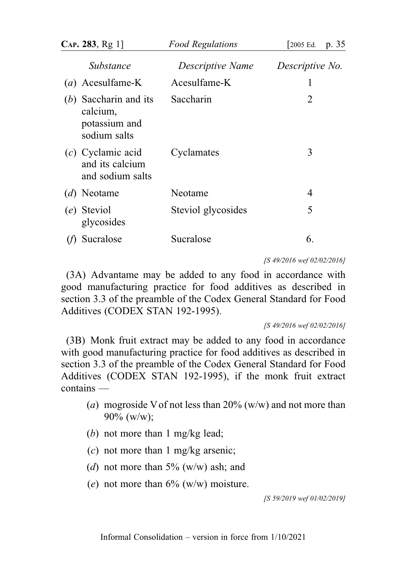|     | CAP. 283, Rg 1                                                       | <b>Food Regulations</b> | 2005 Ed.<br>p. 35 |
|-----|----------------------------------------------------------------------|-------------------------|-------------------|
|     | <i>Substance</i>                                                     | Descriptive Name        | Descriptive No.   |
|     | $(a)$ Acesulfame-K                                                   | Acesulfame-K            | 1                 |
|     | $(b)$ Saccharin and its<br>calcium,<br>potassium and<br>sodium salts | Saccharin               | 2                 |
|     | $(c)$ Cyclamic acid<br>and its calcium<br>and sodium salts           | Cyclamates              | 3                 |
| (d) | Neotame                                                              | Neotame                 | 4                 |
|     | (e) Steviol<br>glycosides                                            | Steviol glycosides      | 5                 |
|     | Sucralose                                                            | Sucralose               | 6.                |

[S 49/2016 wef 02/02/2016]

(3A) Advantame may be added to any food in accordance with good manufacturing practice for food additives as described in section 3.3 of the preamble of the Codex General Standard for Food Additives (CODEX STAN 192-1995).

[S 49/2016 wef 02/02/2016]

(3B) Monk fruit extract may be added to any food in accordance with good manufacturing practice for food additives as described in section 3.3 of the preamble of the Codex General Standard for Food Additives (CODEX STAN 192-1995), if the monk fruit extract contains —

- (a) mogroside V of not less than  $20\%$  (w/w) and not more than 90% (w/w);
- (b) not more than 1 mg/kg lead;
- $(c)$  not more than 1 mg/kg arsenic;
- (d) not more than  $5\%$  (w/w) ash; and
- (e) not more than  $6\%$  (w/w) moisture.

[S 59/2019 wef 01/02/2019]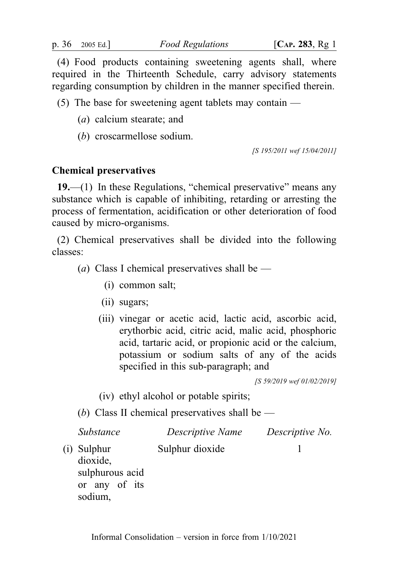(4) Food products containing sweetening agents shall, where required in the Thirteenth Schedule, carry advisory statements regarding consumption by children in the manner specified therein.

(5) The base for sweetening agent tablets may contain  $-$ 

- (a) calcium stearate; and
- (b) croscarmellose sodium.

[S 195/2011 wef 15/04/2011]

## Chemical preservatives

19.—(1) In these Regulations, "chemical preservative" means any substance which is capable of inhibiting, retarding or arresting the process of fermentation, acidification or other deterioration of food caused by micro-organisms.

(2) Chemical preservatives shall be divided into the following classes:

(*a*) Class I chemical preservatives shall be —

- (i) common salt;
- (ii) sugars;
- (iii) vinegar or acetic acid, lactic acid, ascorbic acid, erythorbic acid, citric acid, malic acid, phosphoric acid, tartaric acid, or propionic acid or the calcium, potassium or sodium salts of any of the acids specified in this sub-paragraph; and

[S 59/2019 wef 01/02/2019]

(iv) ethyl alcohol or potable spirits;

(b) Class II chemical preservatives shall be  $-$ 

|     | <i>Substance</i>                                                   | Descriptive Name | Descriptive No. |
|-----|--------------------------------------------------------------------|------------------|-----------------|
| (i) | Sulphur<br>dioxide.<br>sulphurous acid<br>or any of its<br>sodium, | Sulphur dioxide  |                 |
|     |                                                                    |                  |                 |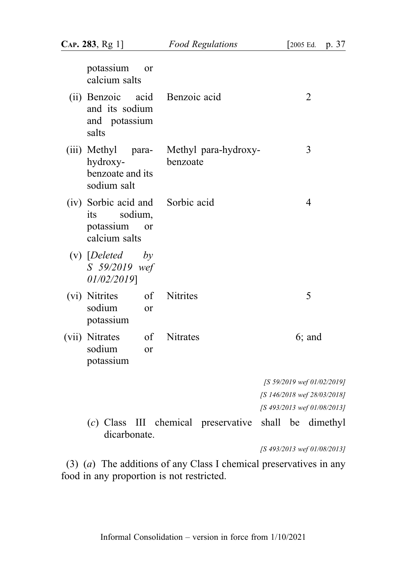| potassium<br>or<br>calcium salts                                                  |                                       |                             |
|-----------------------------------------------------------------------------------|---------------------------------------|-----------------------------|
| and its sodium<br>and potassium<br>salts                                          | (ii) Benzoic acid Benzoic acid        | 2                           |
| (iii) Methyl<br>para-<br>hydroxy-<br>benzoate and its<br>sodium salt              | Methyl para-hydroxy-<br>benzoate      | 3                           |
| (iv) Sorbic acid and<br>sodium,<br>its<br>potassium<br><b>or</b><br>calcium salts | Sorbic acid                           | $\overline{4}$              |
| $(v)$ [Deleted<br>by<br>S 59/2019 wef<br>01/02/2019]                              |                                       |                             |
| (vi) Nitrites of<br>sodium<br><b>or</b><br>potassium                              | <b>Nitrites</b>                       | 5                           |
| (vii) Nitrates<br>sodium<br>or<br>potassium                                       | of Nitrates                           | $6;$ and                    |
|                                                                                   |                                       | [S 59/2019 wef 01/02/2019]  |
|                                                                                   |                                       | [S 146/2018 wef 28/03/2018] |
|                                                                                   |                                       | [S 493/2013 wef 01/08/2013] |
| dicarbonate.                                                                      | $(c)$ Class III chemical preservative | shall be dimethyl           |

[S 493/2013 wef 01/08/2013]

(3) (a) The additions of any Class I chemical preservatives in any food in any proportion is not restricted.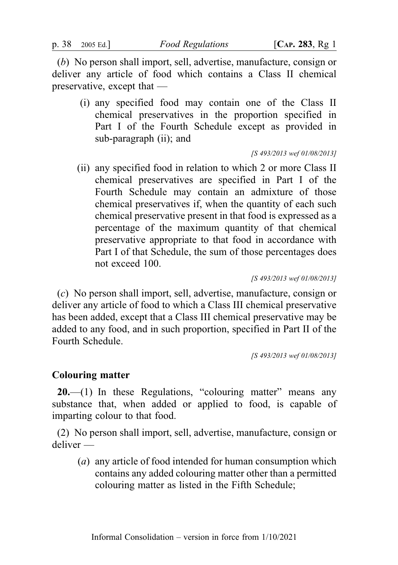(b) No person shall import, sell, advertise, manufacture, consign or deliver any article of food which contains a Class II chemical preservative, except that —

(i) any specified food may contain one of the Class II chemical preservatives in the proportion specified in Part I of the Fourth Schedule except as provided in sub-paragraph (ii); and

[S 493/2013 wef 01/08/2013]

(ii) any specified food in relation to which 2 or more Class II chemical preservatives are specified in Part I of the Fourth Schedule may contain an admixture of those chemical preservatives if, when the quantity of each such chemical preservative present in that food is expressed as a percentage of the maximum quantity of that chemical preservative appropriate to that food in accordance with Part I of that Schedule, the sum of those percentages does not exceed 100.

[S 493/2013 wef 01/08/2013]

(c) No person shall import, sell, advertise, manufacture, consign or deliver any article of food to which a Class III chemical preservative has been added, except that a Class III chemical preservative may be added to any food, and in such proportion, specified in Part II of the Fourth Schedule.

[S 493/2013 wef 01/08/2013]

## Colouring matter

 $20$ —(1) In these Regulations, "colouring matter" means any substance that, when added or applied to food, is capable of imparting colour to that food.

(2) No person shall import, sell, advertise, manufacture, consign or deliver —

(a) any article of food intended for human consumption which contains any added colouring matter other than a permitted colouring matter as listed in the Fifth Schedule;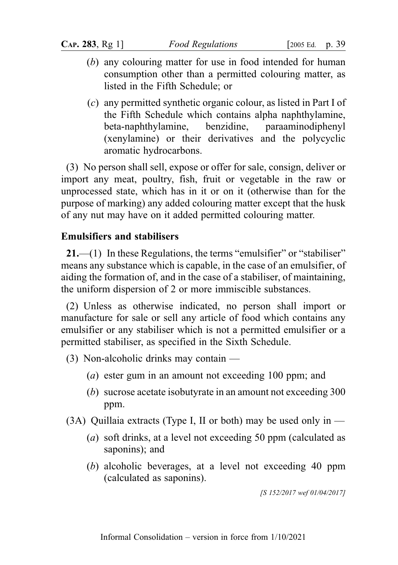- (b) any colouring matter for use in food intended for human consumption other than a permitted colouring matter, as listed in the Fifth Schedule; or
- (c) any permitted synthetic organic colour, as listed in Part I of the Fifth Schedule which contains alpha naphthylamine, beta-naphthylamine, benzidine, paraaminodiphenyl (xenylamine) or their derivatives and the polycyclic aromatic hydrocarbons.

(3) No person shall sell, expose or offer for sale, consign, deliver or import any meat, poultry, fish, fruit or vegetable in the raw or unprocessed state, which has in it or on it (otherwise than for the purpose of marking) any added colouring matter except that the husk of any nut may have on it added permitted colouring matter.

# Emulsifiers and stabilisers

21.—(1) In these Regulations, the terms "emulsifier" or "stabiliser" means any substance which is capable, in the case of an emulsifier, of aiding the formation of, and in the case of a stabiliser, of maintaining, the uniform dispersion of 2 or more immiscible substances.

(2) Unless as otherwise indicated, no person shall import or manufacture for sale or sell any article of food which contains any emulsifier or any stabiliser which is not a permitted emulsifier or a permitted stabiliser, as specified in the Sixth Schedule.

- (3) Non-alcoholic drinks may contain
	- (a) ester gum in an amount not exceeding 100 ppm; and
	- (b) sucrose acetate isobutyrate in an amount not exceeding 300 ppm.

 $(3A)$  Quillaia extracts (Type I, II or both) may be used only in —

- (a) soft drinks, at a level not exceeding 50 ppm (calculated as saponins); and
- (b) alcoholic beverages, at a level not exceeding 40 ppm (calculated as saponins).

[S 152/2017 wef 01/04/2017]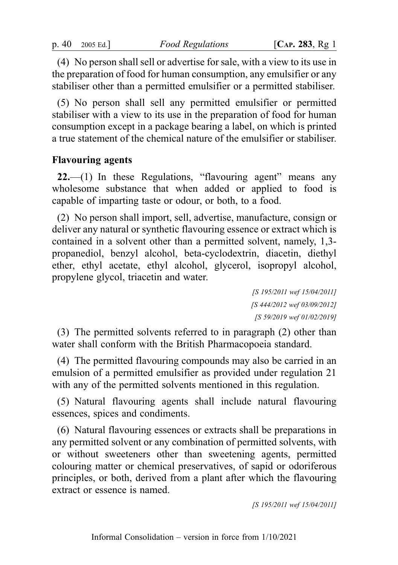(4) No person shall sell or advertise for sale, with a view to its use in the preparation of food for human consumption, any emulsifier or any stabiliser other than a permitted emulsifier or a permitted stabiliser.

(5) No person shall sell any permitted emulsifier or permitted stabiliser with a view to its use in the preparation of food for human consumption except in a package bearing a label, on which is printed a true statement of the chemical nature of the emulsifier or stabiliser.

## Flavouring agents

 $22$ —(1) In these Regulations, "flavouring agent" means any wholesome substance that when added or applied to food is capable of imparting taste or odour, or both, to a food.

(2) No person shall import, sell, advertise, manufacture, consign or deliver any natural or synthetic flavouring essence or extract which is contained in a solvent other than a permitted solvent, namely, 1,3 propanediol, benzyl alcohol, beta-cyclodextrin, diacetin, diethyl ether, ethyl acetate, ethyl alcohol, glycerol, isopropyl alcohol, propylene glycol, triacetin and water.

> [S 195/2011 wef 15/04/2011] [S 444/2012 wef 03/09/2012] [S 59/2019 wef 01/02/2019]

(3) The permitted solvents referred to in paragraph (2) other than water shall conform with the British Pharmacopoeia standard.

(4) The permitted flavouring compounds may also be carried in an emulsion of a permitted emulsifier as provided under regulation 21 with any of the permitted solvents mentioned in this regulation.

(5) Natural flavouring agents shall include natural flavouring essences, spices and condiments.

(6) Natural flavouring essences or extracts shall be preparations in any permitted solvent or any combination of permitted solvents, with or without sweeteners other than sweetening agents, permitted colouring matter or chemical preservatives, of sapid or odoriferous principles, or both, derived from a plant after which the flavouring extract or essence is named.

[S 195/2011 wef 15/04/2011]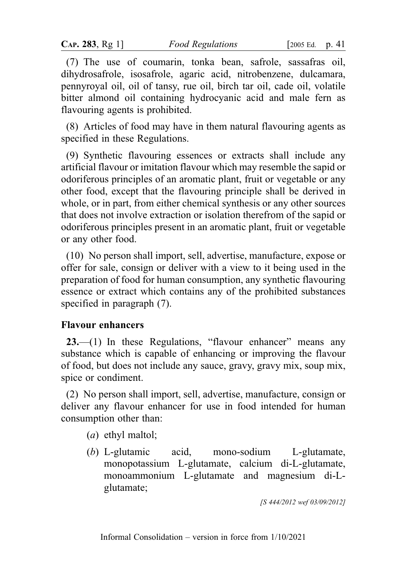(7) The use of coumarin, tonka bean, safrole, sassafras oil, dihydrosafrole, isosafrole, agaric acid, nitrobenzene, dulcamara, pennyroyal oil, oil of tansy, rue oil, birch tar oil, cade oil, volatile bitter almond oil containing hydrocyanic acid and male fern as flavouring agents is prohibited.

(8) Articles of food may have in them natural flavouring agents as specified in these Regulations.

(9) Synthetic flavouring essences or extracts shall include any artificial flavour or imitation flavour which may resemble the sapid or odoriferous principles of an aromatic plant, fruit or vegetable or any other food, except that the flavouring principle shall be derived in whole, or in part, from either chemical synthesis or any other sources that does not involve extraction or isolation therefrom of the sapid or odoriferous principles present in an aromatic plant, fruit or vegetable or any other food.

(10) No person shall import, sell, advertise, manufacture, expose or offer for sale, consign or deliver with a view to it being used in the preparation of food for human consumption, any synthetic flavouring essence or extract which contains any of the prohibited substances specified in paragraph (7).

#### Flavour enhancers

23.—(1) In these Regulations, "flavour enhancer" means any substance which is capable of enhancing or improving the flavour of food, but does not include any sauce, gravy, gravy mix, soup mix, spice or condiment.

(2) No person shall import, sell, advertise, manufacture, consign or deliver any flavour enhancer for use in food intended for human consumption other than:

- (a) ethyl maltol;
- (b) L-glutamic acid, mono-sodium L-glutamate, monopotassium L-glutamate, calcium di-L-glutamate, monoammonium L-glutamate and magnesium di-Lglutamate;

[S 444/2012 wef 03/09/2012]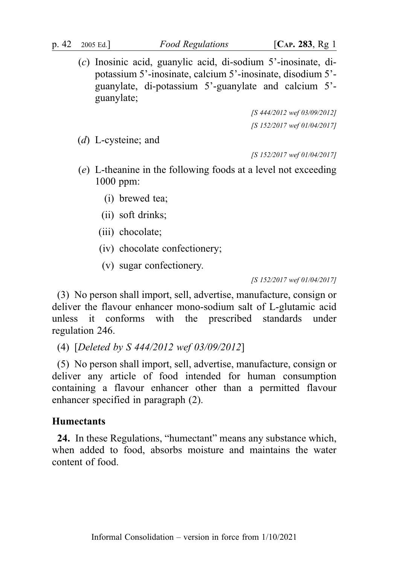(c) Inosinic acid, guanylic acid, di-sodium 5'-inosinate, dipotassium 5'-inosinate, calcium 5'-inosinate, disodium 5' guanylate, di-potassium 5'-guanylate and calcium 5' guanylate;

> [S 444/2012 wef 03/09/2012] [S 152/2017 wef 01/04/2017]

(d) L-cysteine; and

[S 152/2017 wef 01/04/2017]

- (e) L-theanine in the following foods at a level not exceeding 1000 ppm:
	- (i) brewed tea;
	- (ii) soft drinks;
	- (iii) chocolate;
	- (iv) chocolate confectionery;
	- (v) sugar confectionery.

[S 152/2017 wef 01/04/2017]

(3) No person shall import, sell, advertise, manufacture, consign or deliver the flavour enhancer mono-sodium salt of L-glutamic acid unless it conforms with the prescribed standards under regulation 246.

(4) [Deleted by S 444/2012 wef 03/09/2012]

(5) No person shall import, sell, advertise, manufacture, consign or deliver any article of food intended for human consumption containing a flavour enhancer other than a permitted flavour enhancer specified in paragraph (2).

#### **Humectants**

24. In these Regulations, "humectant" means any substance which, when added to food, absorbs moisture and maintains the water content of food.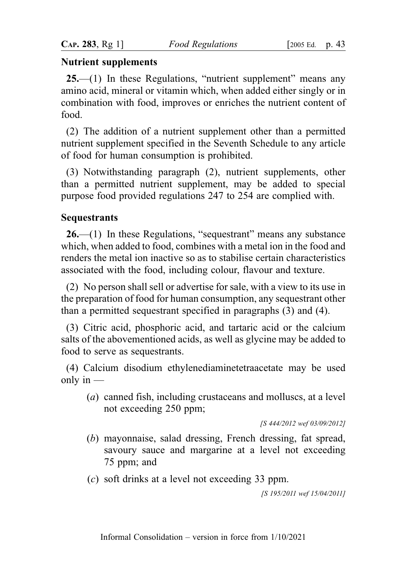#### Nutrient supplements

25.—(1) In these Regulations, "nutrient supplement" means any amino acid, mineral or vitamin which, when added either singly or in combination with food, improves or enriches the nutrient content of food.

(2) The addition of a nutrient supplement other than a permitted nutrient supplement specified in the Seventh Schedule to any article of food for human consumption is prohibited.

(3) Notwithstanding paragraph (2), nutrient supplements, other than a permitted nutrient supplement, may be added to special purpose food provided regulations 247 to 254 are complied with.

#### Sequestrants

26.—(1) In these Regulations, "sequestrant" means any substance which, when added to food, combines with a metal ion in the food and renders the metal ion inactive so as to stabilise certain characteristics associated with the food, including colour, flavour and texture.

(2) No person shall sell or advertise for sale, with a view to its use in the preparation of food for human consumption, any sequestrant other than a permitted sequestrant specified in paragraphs (3) and (4).

(3) Citric acid, phosphoric acid, and tartaric acid or the calcium salts of the abovementioned acids, as well as glycine may be added to food to serve as sequestrants.

(4) Calcium disodium ethylenediaminetetraacetate may be used only in  $-$ 

(a) canned fish, including crustaceans and molluscs, at a level not exceeding 250 ppm;

[S 444/2012 wef 03/09/2012]

- (b) mayonnaise, salad dressing, French dressing, fat spread, savoury sauce and margarine at a level not exceeding 75 ppm; and
- (c) soft drinks at a level not exceeding 33 ppm.

[S 195/2011 wef 15/04/2011]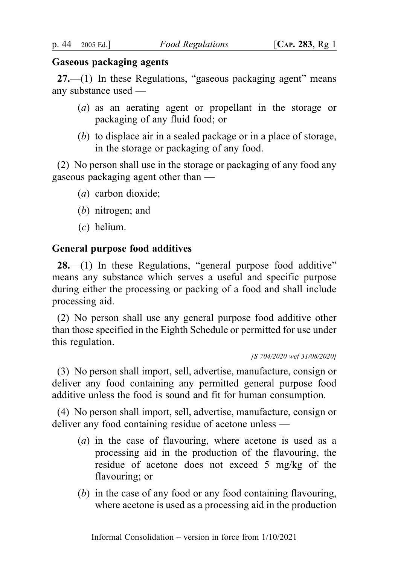#### Gaseous packaging agents

 $27.$ —(1) In these Regulations, "gaseous packaging agent" means any substance used —

- (a) as an aerating agent or propellant in the storage or packaging of any fluid food; or
- (b) to displace air in a sealed package or in a place of storage, in the storage or packaging of any food.

(2) No person shall use in the storage or packaging of any food any gaseous packaging agent other than —

- (a) carbon dioxide;
- (b) nitrogen; and
- (c) helium.

#### General purpose food additives

 $28$ —(1) In these Regulations, "general purpose food additive" means any substance which serves a useful and specific purpose during either the processing or packing of a food and shall include processing aid.

(2) No person shall use any general purpose food additive other than those specified in the Eighth Schedule or permitted for use under this regulation.

(3) No person shall import, sell, advertise, manufacture, consign or deliver any food containing any permitted general purpose food additive unless the food is sound and fit for human consumption.

(4) No person shall import, sell, advertise, manufacture, consign or deliver any food containing residue of acetone unless —

- (a) in the case of flavouring, where acetone is used as a processing aid in the production of the flavouring, the residue of acetone does not exceed 5 mg/kg of the flavouring; or
- (b) in the case of any food or any food containing flavouring, where acetone is used as a processing aid in the production

<sup>[</sup>S 704/2020 wef 31/08/2020]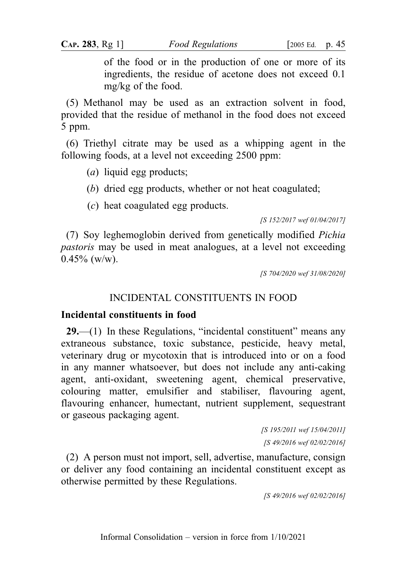of the food or in the production of one or more of its ingredients, the residue of acetone does not exceed 0.1 mg/kg of the food.

(5) Methanol may be used as an extraction solvent in food, provided that the residue of methanol in the food does not exceed 5 ppm.

(6) Triethyl citrate may be used as a whipping agent in the following foods, at a level not exceeding 2500 ppm:

(*a*) liquid egg products;

(b) dried egg products, whether or not heat coagulated;

(c) heat coagulated egg products.

[S 152/2017 wef 01/04/2017]

(7) Soy leghemoglobin derived from genetically modified Pichia pastoris may be used in meat analogues, at a level not exceeding  $0.45\%$  (w/w).

[S 704/2020 wef 31/08/2020]

# INCIDENTAL CONSTITUENTS IN FOOD

#### Incidental constituents in food

29.—(1) In these Regulations, "incidental constituent" means any extraneous substance, toxic substance, pesticide, heavy metal, veterinary drug or mycotoxin that is introduced into or on a food in any manner whatsoever, but does not include any anti-caking agent, anti-oxidant, sweetening agent, chemical preservative, colouring matter, emulsifier and stabiliser, flavouring agent, flavouring enhancer, humectant, nutrient supplement, sequestrant or gaseous packaging agent.

> [S 195/2011 wef 15/04/2011] [S 49/2016 wef 02/02/2016]

(2) A person must not import, sell, advertise, manufacture, consign or deliver any food containing an incidental constituent except as otherwise permitted by these Regulations.

[S 49/2016 wef 02/02/2016]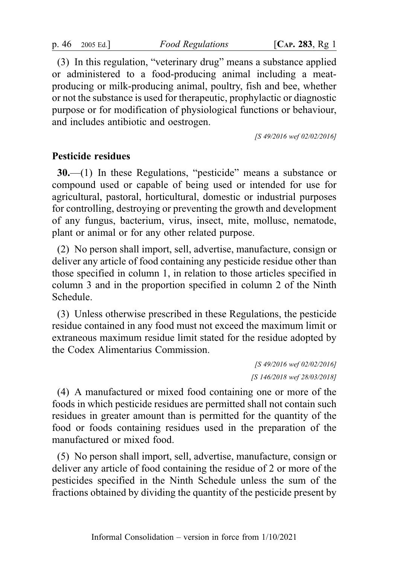p. 46 2005 Ed.]  $Food~Regulations$   $[Car. 283, Rg 1]$ 

(3) In this regulation, "veterinary drug" means a substance applied or administered to a food-producing animal including a meatproducing or milk-producing animal, poultry, fish and bee, whether or not the substance is used for therapeutic, prophylactic or diagnostic purpose or for modification of physiological functions or behaviour, and includes antibiotic and oestrogen.

[S 49/2016 wef 02/02/2016]

## Pesticide residues

30.—(1) In these Regulations, "pesticide" means a substance or compound used or capable of being used or intended for use for agricultural, pastoral, horticultural, domestic or industrial purposes for controlling, destroying or preventing the growth and development of any fungus, bacterium, virus, insect, mite, mollusc, nematode, plant or animal or for any other related purpose.

(2) No person shall import, sell, advertise, manufacture, consign or deliver any article of food containing any pesticide residue other than those specified in column 1, in relation to those articles specified in column 3 and in the proportion specified in column 2 of the Ninth Schedule.

(3) Unless otherwise prescribed in these Regulations, the pesticide residue contained in any food must not exceed the maximum limit or extraneous maximum residue limit stated for the residue adopted by the Codex Alimentarius Commission.

> [S 49/2016 wef 02/02/2016] [S 146/2018 wef 28/03/2018]

(4) A manufactured or mixed food containing one or more of the foods in which pesticide residues are permitted shall not contain such residues in greater amount than is permitted for the quantity of the food or foods containing residues used in the preparation of the manufactured or mixed food.

(5) No person shall import, sell, advertise, manufacture, consign or deliver any article of food containing the residue of 2 or more of the pesticides specified in the Ninth Schedule unless the sum of the fractions obtained by dividing the quantity of the pesticide present by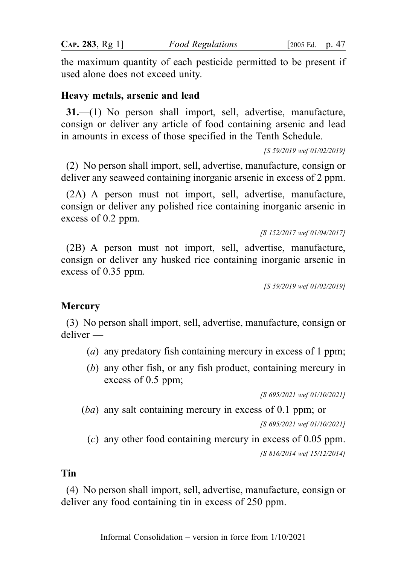the maximum quantity of each pesticide permitted to be present if used alone does not exceed unity.

#### Heavy metals, arsenic and lead

31.—(1) No person shall import, sell, advertise, manufacture, consign or deliver any article of food containing arsenic and lead in amounts in excess of those specified in the Tenth Schedule.

[S 59/2019 wef 01/02/2019]

(2) No person shall import, sell, advertise, manufacture, consign or deliver any seaweed containing inorganic arsenic in excess of 2 ppm.

(2A) A person must not import, sell, advertise, manufacture, consign or deliver any polished rice containing inorganic arsenic in excess of 0.2 ppm.

[S 152/2017 wef 01/04/2017]

(2B) A person must not import, sell, advertise, manufacture, consign or deliver any husked rice containing inorganic arsenic in excess of 0.35 ppm.

[S 59/2019 wef 01/02/2019]

## **Mercury**

(3) No person shall import, sell, advertise, manufacture, consign or deliver —

- (a) any predatory fish containing mercury in excess of 1 ppm;
- (b) any other fish, or any fish product, containing mercury in excess of 0.5 ppm;

[S 695/2021 wef 01/10/2021]

(ba) any salt containing mercury in excess of 0.1 ppm; or [S 695/2021 wef 01/10/2021]

(c) any other food containing mercury in excess of 0.05 ppm. [S 816/2014 wef 15/12/2014]

#### Tin

(4) No person shall import, sell, advertise, manufacture, consign or deliver any food containing tin in excess of 250 ppm.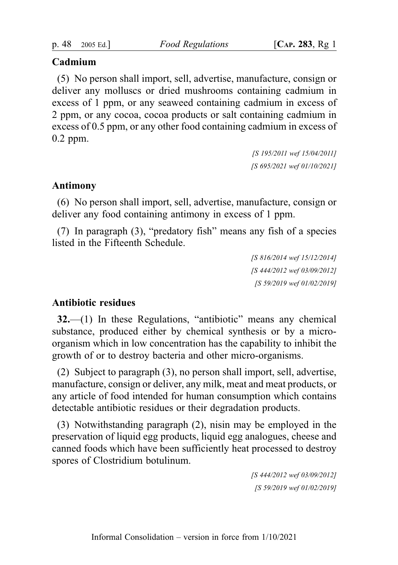# Cadmium

(5) No person shall import, sell, advertise, manufacture, consign or deliver any molluscs or dried mushrooms containing cadmium in excess of 1 ppm, or any seaweed containing cadmium in excess of 2 ppm, or any cocoa, cocoa products or salt containing cadmium in excess of 0.5 ppm, or any other food containing cadmium in excess of 0.2 ppm.

> [S 195/2011 wef 15/04/2011] [S 695/2021 wef 01/10/2021]

# Antimony

(6) No person shall import, sell, advertise, manufacture, consign or deliver any food containing antimony in excess of 1 ppm.

(7) In paragraph (3), "predatory fish" means any fish of a species listed in the Fifteenth Schedule.

> [S 816/2014 wef 15/12/2014] [S 444/2012 wef 03/09/2012] [S 59/2019 wef 01/02/2019]

# Antibiotic residues

32.—(1) In these Regulations, "antibiotic" means any chemical substance, produced either by chemical synthesis or by a microorganism which in low concentration has the capability to inhibit the growth of or to destroy bacteria and other micro-organisms.

(2) Subject to paragraph (3), no person shall import, sell, advertise, manufacture, consign or deliver, any milk, meat and meat products, or any article of food intended for human consumption which contains detectable antibiotic residues or their degradation products.

(3) Notwithstanding paragraph (2), nisin may be employed in the preservation of liquid egg products, liquid egg analogues, cheese and canned foods which have been sufficiently heat processed to destroy spores of Clostridium botulinum.

> [S 444/2012 wef 03/09/2012] [S 59/2019 wef 01/02/2019]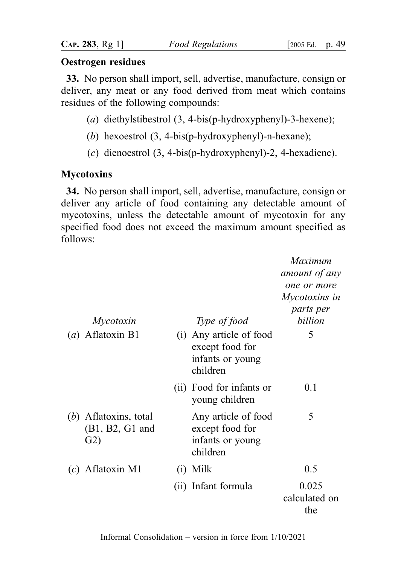#### Oestrogen residues

33. No person shall import, sell, advertise, manufacture, consign or deliver, any meat or any food derived from meat which contains residues of the following compounds:

- (a) diethylstibestrol (3, 4-bis(p-hydroxyphenyl)-3-hexene);
- (b) hexoestrol (3, 4-bis(p-hydroxyphenyl)-n-hexane);
- (c) dienoestrol (3, 4-bis(p-hydroxyphenyl)-2, 4-hexadiene).

# **Mycotoxins**

34. No person shall import, sell, advertise, manufacture, consign or deliver any article of food containing any detectable amount of mycotoxins, unless the detectable amount of mycotoxin for any specified food does not exceed the maximum amount specified as follows:

| Mycotoxin                                           |     | Type of food                                                               | Maximum<br>amount of any<br>one or more<br>Mycotoxins in<br>parts per<br>billion |
|-----------------------------------------------------|-----|----------------------------------------------------------------------------|----------------------------------------------------------------------------------|
| $(a)$ Aflatoxin B1                                  |     | (i) Any article of food<br>except food for<br>infants or young<br>children | 5                                                                                |
|                                                     |     | (ii) Food for infants or<br>young children                                 | 0.1                                                                              |
| $(b)$ Aflatoxins, total<br>$(B1, B2, G1$ and<br>G2) |     | Any article of food<br>except food for<br>infants or young<br>children     | 5                                                                                |
| $(c)$ Aflatoxin M1                                  | (i) | Milk                                                                       | 0.5                                                                              |
|                                                     |     | (ii) Infant formula                                                        | 0.025<br>calculated on<br>the                                                    |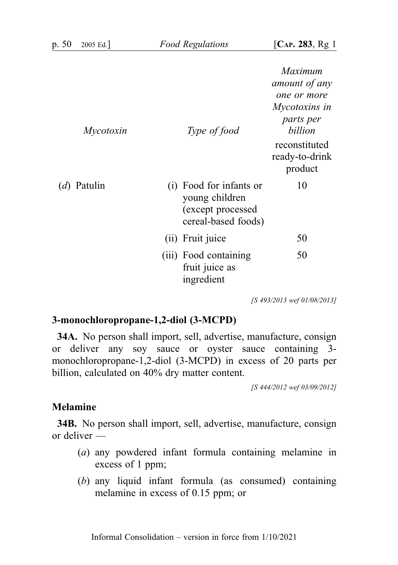| Mycotoxin            | Type of food                                                                          | Maximum<br>amount of any<br>one or more<br>Mycotoxins in<br><i>parts per</i><br>billion<br>reconstituted<br>ready-to-drink<br>product |
|----------------------|---------------------------------------------------------------------------------------|---------------------------------------------------------------------------------------------------------------------------------------|
| ( <i>d</i> ) Patulin | (i) Food for infants or<br>young children<br>(except processed<br>cereal-based foods) | 10                                                                                                                                    |
|                      | (ii) Fruit juice                                                                      | 50                                                                                                                                    |
|                      | (iii) Food containing<br>fruit juice as<br>ingredient                                 | 50                                                                                                                                    |

[S 493/2013 wef 01/08/2013]

## 3-monochloropropane-1,2-diol (3-MCPD)

34A. No person shall import, sell, advertise, manufacture, consign or deliver any soy sauce or oyster sauce containing 3 monochloropropane-1,2-diol (3-MCPD) in excess of 20 parts per billion, calculated on 40% dry matter content.

[S 444/2012 wef 03/09/2012]

#### Melamine

34B. No person shall import, sell, advertise, manufacture, consign or deliver —

- (a) any powdered infant formula containing melamine in excess of 1 ppm;
- (b) any liquid infant formula (as consumed) containing melamine in excess of 0.15 ppm; or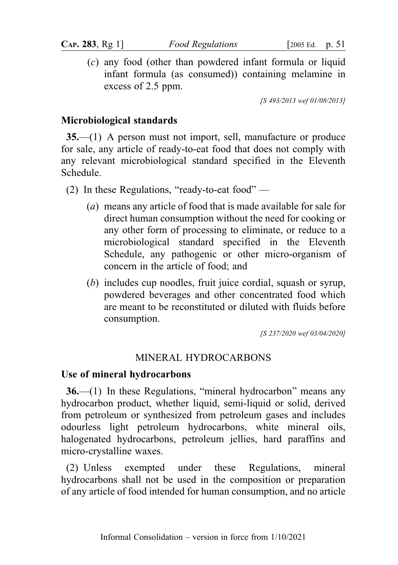(c) any food (other than powdered infant formula or liquid infant formula (as consumed)) containing melamine in excess of 2.5 ppm.

[S 493/2013 wef 01/08/2013]

# Microbiological standards

35.—(1) A person must not import, sell, manufacture or produce for sale, any article of ready-to-eat food that does not comply with any relevant microbiological standard specified in the Eleventh Schedule.

- (2) In these Regulations, "ready-to-eat food"
	- (a) means any article of food that is made available for sale for direct human consumption without the need for cooking or any other form of processing to eliminate, or reduce to a microbiological standard specified in the Eleventh Schedule, any pathogenic or other micro-organism of concern in the article of food; and
	- (b) includes cup noodles, fruit juice cordial, squash or syrup, powdered beverages and other concentrated food which are meant to be reconstituted or diluted with fluids before consumption.

[S 237/2020 wef 03/04/2020]

# MINERAL HYDROCARBONS

## Use of mineral hydrocarbons

36.—(1) In these Regulations, "mineral hydrocarbon" means any hydrocarbon product, whether liquid, semi-liquid or solid, derived from petroleum or synthesized from petroleum gases and includes odourless light petroleum hydrocarbons, white mineral oils, halogenated hydrocarbons, petroleum jellies, hard paraffins and micro-crystalline waxes.

(2) Unless exempted under these Regulations, mineral hydrocarbons shall not be used in the composition or preparation of any article of food intended for human consumption, and no article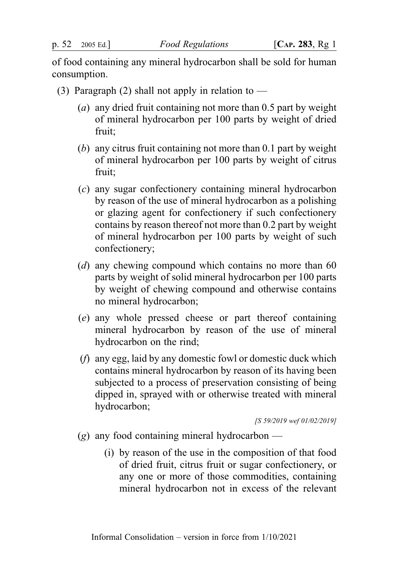of food containing any mineral hydrocarbon shall be sold for human consumption.

- (3) Paragraph (2) shall not apply in relation to  $-$ 
	- (a) any dried fruit containing not more than 0.5 part by weight of mineral hydrocarbon per 100 parts by weight of dried fruit;
	- (b) any citrus fruit containing not more than 0.1 part by weight of mineral hydrocarbon per 100 parts by weight of citrus fruit;
	- (c) any sugar confectionery containing mineral hydrocarbon by reason of the use of mineral hydrocarbon as a polishing or glazing agent for confectionery if such confectionery contains by reason thereof not more than 0.2 part by weight of mineral hydrocarbon per 100 parts by weight of such confectionery;
	- (d) any chewing compound which contains no more than  $60$ parts by weight of solid mineral hydrocarbon per 100 parts by weight of chewing compound and otherwise contains no mineral hydrocarbon;
	- (e) any whole pressed cheese or part thereof containing mineral hydrocarbon by reason of the use of mineral hydrocarbon on the rind;
	- (f) any egg, laid by any domestic fowl or domestic duck which contains mineral hydrocarbon by reason of its having been subjected to a process of preservation consisting of being dipped in, sprayed with or otherwise treated with mineral hydrocarbon;

[S 59/2019 wef 01/02/2019]

- (g) any food containing mineral hydrocarbon
	- (i) by reason of the use in the composition of that food of dried fruit, citrus fruit or sugar confectionery, or any one or more of those commodities, containing mineral hydrocarbon not in excess of the relevant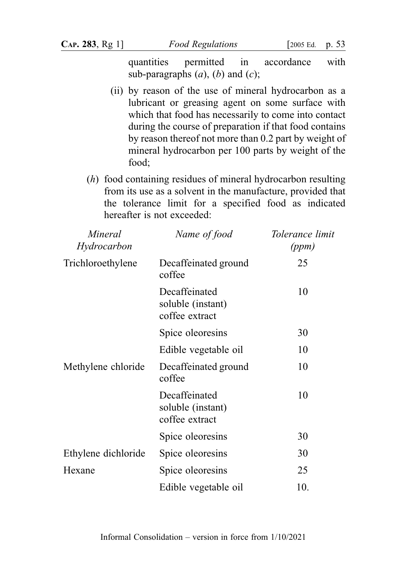quantities permitted in accordance with sub-paragraphs  $(a)$ ,  $(b)$  and  $(c)$ ;

- (ii) by reason of the use of mineral hydrocarbon as a lubricant or greasing agent on some surface with which that food has necessarily to come into contact during the course of preparation if that food contains by reason thereof not more than 0.2 part by weight of mineral hydrocarbon per 100 parts by weight of the food;
- (h) food containing residues of mineral hydrocarbon resulting from its use as a solvent in the manufacture, provided that the tolerance limit for a specified food as indicated hereafter is not exceeded:

| Mineral<br>Hydrocarbon | Name of food                                         | Tolerance limit<br>(ppm) |
|------------------------|------------------------------------------------------|--------------------------|
| Trichloroethylene      | Decaffeinated ground<br>coffee                       | 25                       |
|                        | Decaffeinated<br>soluble (instant)<br>coffee extract | 10                       |
|                        | Spice oleoresins                                     | 30                       |
|                        | Edible vegetable oil                                 | 10                       |
| Methylene chloride     | Decaffeinated ground<br>coffee                       | 10                       |
|                        | Decaffeinated<br>soluble (instant)<br>coffee extract | 10                       |
|                        | Spice oleoresins                                     | 30                       |
| Ethylene dichloride    | Spice oleoresins                                     | 30                       |
| Hexane                 | Spice oleoresins                                     | 25                       |
|                        | Edible vegetable oil                                 | 10.                      |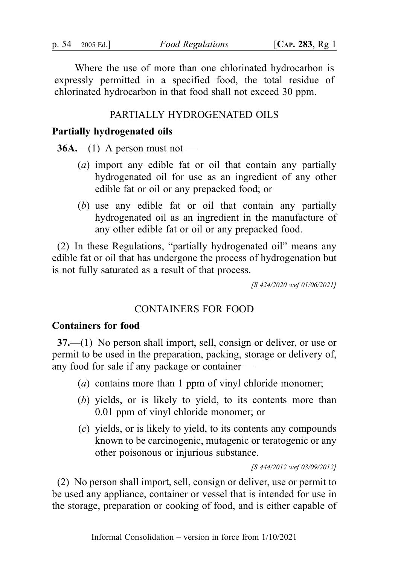Where the use of more than one chlorinated hydrocarbon is expressly permitted in a specified food, the total residue of chlorinated hydrocarbon in that food shall not exceed 30 ppm.

#### PARTIALLY HYDROGENATED OILS

#### Partially hydrogenated oils

 $36A$ .—(1) A person must not —

- (a) import any edible fat or oil that contain any partially hydrogenated oil for use as an ingredient of any other edible fat or oil or any prepacked food; or
- (b) use any edible fat or oil that contain any partially hydrogenated oil as an ingredient in the manufacture of any other edible fat or oil or any prepacked food.

(2) In these Regulations, "partially hydrogenated oil" means any edible fat or oil that has undergone the process of hydrogenation but is not fully saturated as a result of that process.

[S 424/2020 wef 01/06/2021]

#### CONTAINERS FOR FOOD

#### Containers for food

37.—(1) No person shall import, sell, consign or deliver, or use or permit to be used in the preparation, packing, storage or delivery of, any food for sale if any package or container —

- (a) contains more than 1 ppm of vinyl chloride monomer;
- (b) yields, or is likely to yield, to its contents more than 0.01 ppm of vinyl chloride monomer; or
- (c) yields, or is likely to yield, to its contents any compounds known to be carcinogenic, mutagenic or teratogenic or any other poisonous or injurious substance.

[S 444/2012 wef 03/09/2012]

(2) No person shall import, sell, consign or deliver, use or permit to be used any appliance, container or vessel that is intended for use in the storage, preparation or cooking of food, and is either capable of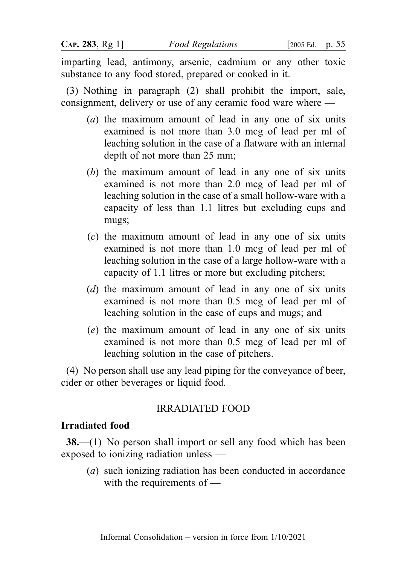imparting lead, antimony, arsenic, cadmium or any other toxic substance to any food stored, prepared or cooked in it.

(3) Nothing in paragraph (2) shall prohibit the import, sale, consignment, delivery or use of any ceramic food ware where —

- (a) the maximum amount of lead in any one of six units examined is not more than 3.0 mcg of lead per ml of leaching solution in the case of a flatware with an internal depth of not more than 25 mm;
- (b) the maximum amount of lead in any one of six units examined is not more than 2.0 mcg of lead per ml of leaching solution in the case of a small hollow-ware with a capacity of less than 1.1 litres but excluding cups and mugs;
- (c) the maximum amount of lead in any one of six units examined is not more than 1.0 mcg of lead per ml of leaching solution in the case of a large hollow-ware with a capacity of 1.1 litres or more but excluding pitchers;
- (d) the maximum amount of lead in any one of six units examined is not more than 0.5 mcg of lead per ml of leaching solution in the case of cups and mugs; and
- (e) the maximum amount of lead in any one of six units examined is not more than 0.5 mcg of lead per ml of leaching solution in the case of pitchers.

(4) No person shall use any lead piping for the conveyance of beer, cider or other beverages or liquid food.

# IRRADIATED FOOD

## Irradiated food

38.—(1) No person shall import or sell any food which has been exposed to ionizing radiation unless —

(a) such ionizing radiation has been conducted in accordance with the requirements of —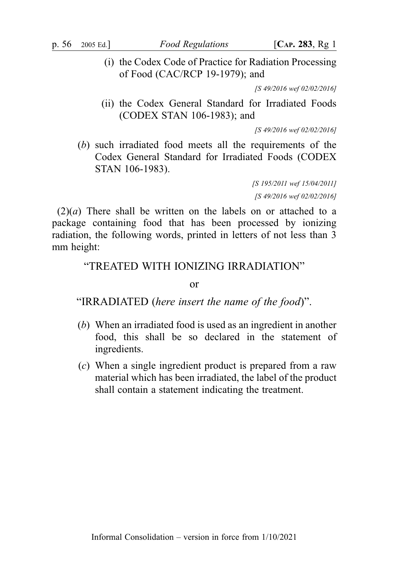(i) the Codex Code of Practice for Radiation Processing of Food (CAC/RCP 19-1979); and

[S 49/2016 wef 02/02/2016]

(ii) the Codex General Standard for Irradiated Foods (CODEX STAN 106-1983); and

[S 49/2016 wef 02/02/2016]

(b) such irradiated food meets all the requirements of the Codex General Standard for Irradiated Foods (CODEX STAN 106-1983).

> [S 195/2011 wef 15/04/2011] [S 49/2016 wef 02/02/2016]

 $(2)(a)$  There shall be written on the labels on or attached to a package containing food that has been processed by ionizing radiation, the following words, printed in letters of not less than 3 mm height:

# "TREATED WITH IONIZING IRRADIATION"

or

"IRRADIATED (here insert the name of the food)".

- (b) When an irradiated food is used as an ingredient in another food, this shall be so declared in the statement of ingredients.
- (c) When a single ingredient product is prepared from a raw material which has been irradiated, the label of the product shall contain a statement indicating the treatment.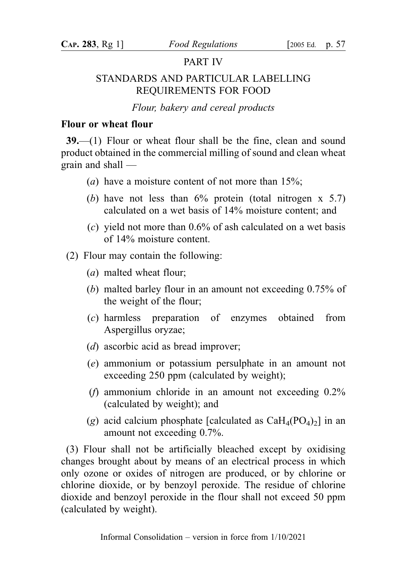## PART IV

# STANDARDS AND PARTICULAR LABELLING REQUIREMENTS FOR FOOD

Flour, bakery and cereal products

#### Flour or wheat flour

39.—(1) Flour or wheat flour shall be the fine, clean and sound product obtained in the commercial milling of sound and clean wheat grain and shall —

- (*a*) have a moisture content of not more than  $15\%$ ;
- (b) have not less than  $6\%$  protein (total nitrogen x 5.7) calculated on a wet basis of 14% moisture content; and
- (c) yield not more than  $0.6\%$  of ash calculated on a wet basis of 14% moisture content.
- (2) Flour may contain the following:
	- (a) malted wheat flour;
	- (b) malted barley flour in an amount not exceeding 0.75% of the weight of the flour;
	- (c) harmless preparation of enzymes obtained from Aspergillus oryzae;
	- (d) ascorbic acid as bread improver;
	- (e) ammonium or potassium persulphate in an amount not exceeding 250 ppm (calculated by weight);
	- (*f*) ammonium chloride in an amount not exceeding  $0.2\%$ (calculated by weight); and
	- (g) acid calcium phosphate [calculated as  $CaH_4(PO_4)_2$ ] in an amount not exceeding 0.7%.

(3) Flour shall not be artificially bleached except by oxidising changes brought about by means of an electrical process in which only ozone or oxides of nitrogen are produced, or by chlorine or chlorine dioxide, or by benzoyl peroxide. The residue of chlorine dioxide and benzoyl peroxide in the flour shall not exceed 50 ppm (calculated by weight).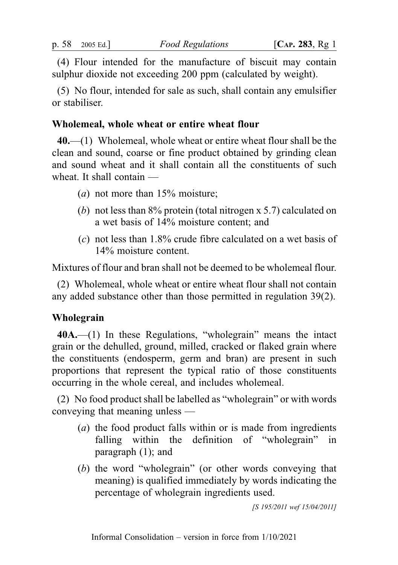(4) Flour intended for the manufacture of biscuit may contain sulphur dioxide not exceeding 200 ppm (calculated by weight).

(5) No flour, intended for sale as such, shall contain any emulsifier or stabiliser.

## Wholemeal, whole wheat or entire wheat flour

 $40$ ,—(1) Wholemeal, whole wheat or entire wheat flour shall be the clean and sound, coarse or fine product obtained by grinding clean and sound wheat and it shall contain all the constituents of such wheat. It shall contain —

- (*a*) not more than  $15%$  moisture;
- (b) not less than 8% protein (total nitrogen x 5.7) calculated on a wet basis of 14% moisture content; and
- (c) not less than 1.8% crude fibre calculated on a wet basis of 14% moisture content.

Mixtures of flour and bran shall not be deemed to be wholemeal flour.

(2) Wholemeal, whole wheat or entire wheat flour shall not contain any added substance other than those permitted in regulation 39(2).

# Wholegrain

40A.—(1) In these Regulations, "wholegrain" means the intact grain or the dehulled, ground, milled, cracked or flaked grain where the constituents (endosperm, germ and bran) are present in such proportions that represent the typical ratio of those constituents occurring in the whole cereal, and includes wholemeal.

(2) No food product shall be labelled as "wholegrain" or with words conveying that meaning unless —

- (a) the food product falls within or is made from ingredients falling within the definition of "wholegrain" in paragraph (1); and
- (b) the word "wholegrain" (or other words conveying that meaning) is qualified immediately by words indicating the percentage of wholegrain ingredients used.

[S 195/2011 wef 15/04/2011]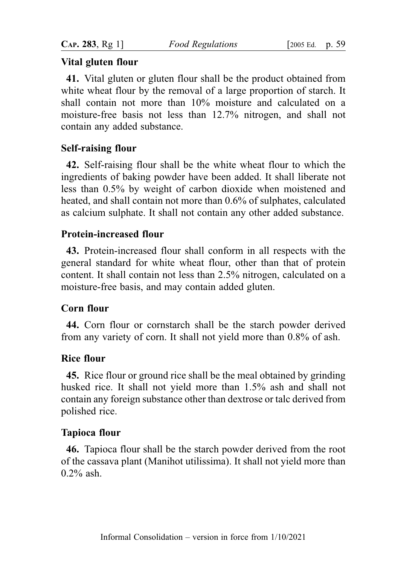# Vital gluten flour

41. Vital gluten or gluten flour shall be the product obtained from white wheat flour by the removal of a large proportion of starch. It shall contain not more than 10% moisture and calculated on a moisture-free basis not less than 12.7% nitrogen, and shall not contain any added substance.

# Self-raising flour

42. Self-raising flour shall be the white wheat flour to which the ingredients of baking powder have been added. It shall liberate not less than 0.5% by weight of carbon dioxide when moistened and heated, and shall contain not more than 0.6% of sulphates, calculated as calcium sulphate. It shall not contain any other added substance.

# Protein-increased flour

43. Protein-increased flour shall conform in all respects with the general standard for white wheat flour, other than that of protein content. It shall contain not less than 2.5% nitrogen, calculated on a moisture-free basis, and may contain added gluten.

# Corn flour

44. Corn flour or cornstarch shall be the starch powder derived from any variety of corn. It shall not yield more than 0.8% of ash.

# Rice flour

45. Rice flour or ground rice shall be the meal obtained by grinding husked rice. It shall not yield more than 1.5% ash and shall not contain any foreign substance other than dextrose or talc derived from polished rice.

# Tapioca flour

46. Tapioca flour shall be the starch powder derived from the root of the cassava plant (Manihot utilissima). It shall not yield more than 0.2% ash.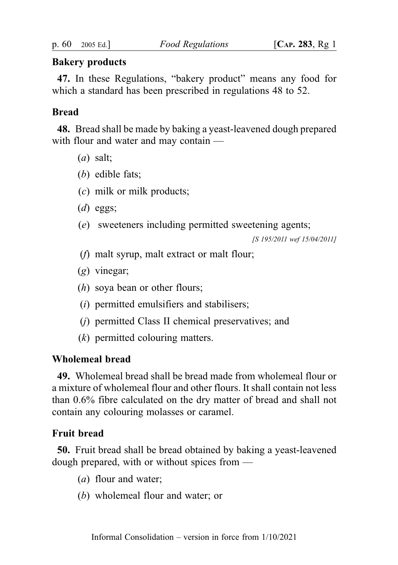## Bakery products

47. In these Regulations, "bakery product" means any food for which a standard has been prescribed in regulations 48 to 52.

# **Bread**

48. Bread shall be made by baking a yeast-leavened dough prepared with flour and water and may contain —

- (a) salt;
- (b) edible fats;
- (c) milk or milk products;
- $(d)$  eggs;
- (e) sweeteners including permitted sweetening agents;

[S 195/2011 wef 15/04/2011]

- (f) malt syrup, malt extract or malt flour;
- (g) vinegar;
- (h) soya bean or other flours;
- (i) permitted emulsifiers and stabilisers;
- (j) permitted Class II chemical preservatives; and
- (k) permitted colouring matters.

## Wholemeal bread

49. Wholemeal bread shall be bread made from wholemeal flour or a mixture of wholemeal flour and other flours. It shall contain not less than 0.6% fibre calculated on the dry matter of bread and shall not contain any colouring molasses or caramel.

# Fruit bread

50. Fruit bread shall be bread obtained by baking a yeast-leavened dough prepared, with or without spices from —

- (a) flour and water;
- (b) wholemeal flour and water; or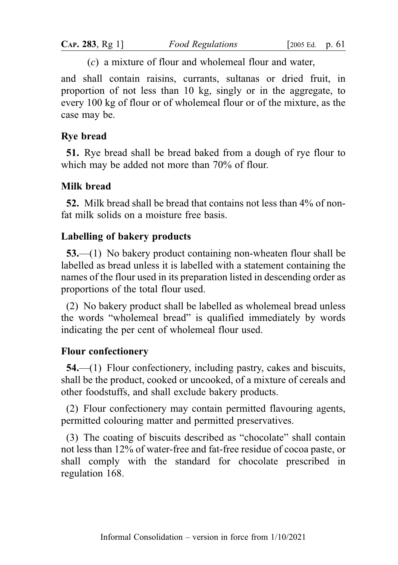(c) a mixture of flour and wholemeal flour and water,

and shall contain raisins, currants, sultanas or dried fruit, in proportion of not less than 10 kg, singly or in the aggregate, to every 100 kg of flour or of wholemeal flour or of the mixture, as the case may be.

## Rye bread

51. Rye bread shall be bread baked from a dough of rye flour to which may be added not more than 70% of flour.

# Milk bread

52. Milk bread shall be bread that contains not less than 4% of nonfat milk solids on a moisture free basis.

## Labelling of bakery products

53.—(1) No bakery product containing non-wheaten flour shall be labelled as bread unless it is labelled with a statement containing the names of the flour used in its preparation listed in descending order as proportions of the total flour used.

(2) No bakery product shall be labelled as wholemeal bread unless the words "wholemeal bread" is qualified immediately by words indicating the per cent of wholemeal flour used.

## Flour confectionery

54.—(1) Flour confectionery, including pastry, cakes and biscuits, shall be the product, cooked or uncooked, of a mixture of cereals and other foodstuffs, and shall exclude bakery products.

(2) Flour confectionery may contain permitted flavouring agents, permitted colouring matter and permitted preservatives.

(3) The coating of biscuits described as "chocolate" shall contain not less than 12% of water-free and fat-free residue of cocoa paste, or shall comply with the standard for chocolate prescribed in regulation 168.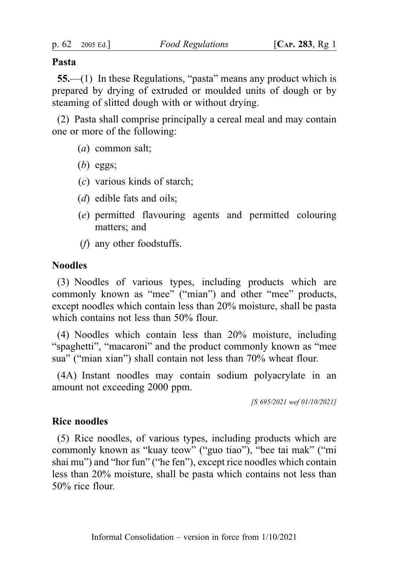#### Pasta

55.—(1) In these Regulations, "pasta" means any product which is prepared by drying of extruded or moulded units of dough or by steaming of slitted dough with or without drying.

(2) Pasta shall comprise principally a cereal meal and may contain one or more of the following:

- (a) common salt;
- $(b)$  eggs;
- (c) various kinds of starch;
- $(d)$  edible fats and oils;
- (e) permitted flavouring agents and permitted colouring matters; and
- (f) any other foodstuffs.

## Noodles

(3) Noodles of various types, including products which are commonly known as "mee" ("mian") and other "mee" products, except noodles which contain less than 20% moisture, shall be pasta which contains not less than 50% flour.

(4) Noodles which contain less than 20% moisture, including "spaghetti", "macaroni" and the product commonly known as "mee sua" ("mian xian") shall contain not less than 70% wheat flour.

(4A) Instant noodles may contain sodium polyacrylate in an amount not exceeding 2000 ppm.

[S 695/2021 wef 01/10/2021]

## Rice noodles

(5) Rice noodles, of various types, including products which are commonly known as "kuay teow" ("guo tiao"), "bee tai mak" ("mi shai mu") and "hor fun" ("he fen"), except rice noodles which contain less than 20% moisture, shall be pasta which contains not less than 50% rice flour.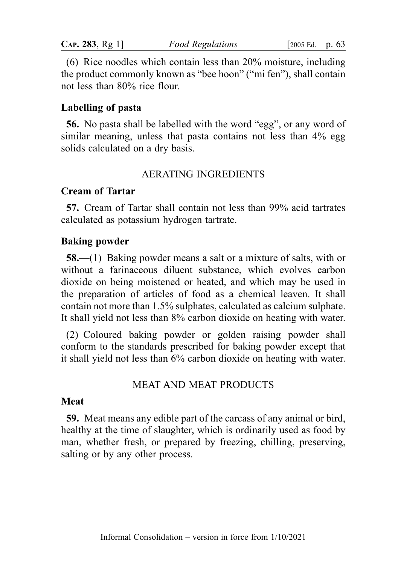| CAP. 283, Rg 1] | <b>Food Regulations</b> | 2005 |
|-----------------|-------------------------|------|
|-----------------|-------------------------|------|

(6) Rice noodles which contain less than 20% moisture, including the product commonly known as "bee hoon" ("mi fen"), shall contain not less than 80% rice flour.

Ed. p.  $63$ 

## Labelling of pasta

56. No pasta shall be labelled with the word "egg", or any word of similar meaning, unless that pasta contains not less than 4% egg solids calculated on a dry basis.

#### AERATING INGREDIENTS

#### Cream of Tartar

57. Cream of Tartar shall contain not less than 99% acid tartrates calculated as potassium hydrogen tartrate.

#### Baking powder

58.—(1) Baking powder means a salt or a mixture of salts, with or without a farinaceous diluent substance, which evolves carbon dioxide on being moistened or heated, and which may be used in the preparation of articles of food as a chemical leaven. It shall contain not more than 1.5% sulphates, calculated as calcium sulphate. It shall yield not less than 8% carbon dioxide on heating with water.

(2) Coloured baking powder or golden raising powder shall conform to the standards prescribed for baking powder except that it shall yield not less than 6% carbon dioxide on heating with water.

## MEAT AND MEAT PRODUCTS

#### Meat

59. Meat means any edible part of the carcass of any animal or bird, healthy at the time of slaughter, which is ordinarily used as food by man, whether fresh, or prepared by freezing, chilling, preserving, salting or by any other process.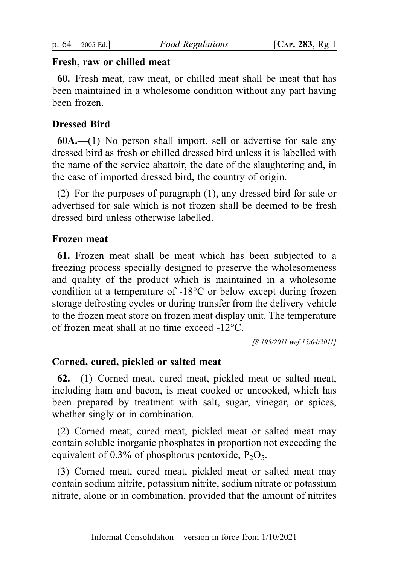## Fresh, raw or chilled meat

60. Fresh meat, raw meat, or chilled meat shall be meat that has been maintained in a wholesome condition without any part having been frozen.

# Dressed Bird

60A.—(1) No person shall import, sell or advertise for sale any dressed bird as fresh or chilled dressed bird unless it is labelled with the name of the service abattoir, the date of the slaughtering and, in the case of imported dressed bird, the country of origin.

(2) For the purposes of paragraph (1), any dressed bird for sale or advertised for sale which is not frozen shall be deemed to be fresh dressed bird unless otherwise labelled.

## Frozen meat

61. Frozen meat shall be meat which has been subjected to a freezing process specially designed to preserve the wholesomeness and quality of the product which is maintained in a wholesome condition at a temperature of -18°C or below except during frozen storage defrosting cycles or during transfer from the delivery vehicle to the frozen meat store on frozen meat display unit. The temperature of frozen meat shall at no time exceed -12°C.

[S 195/2011 wef 15/04/2011]

## Corned, cured, pickled or salted meat

62.—(1) Corned meat, cured meat, pickled meat or salted meat, including ham and bacon, is meat cooked or uncooked, which has been prepared by treatment with salt, sugar, vinegar, or spices, whether singly or in combination.

(2) Corned meat, cured meat, pickled meat or salted meat may contain soluble inorganic phosphates in proportion not exceeding the equivalent of 0.3% of phosphorus pentoxide,  $P_2O_5$ .

(3) Corned meat, cured meat, pickled meat or salted meat may contain sodium nitrite, potassium nitrite, sodium nitrate or potassium nitrate, alone or in combination, provided that the amount of nitrites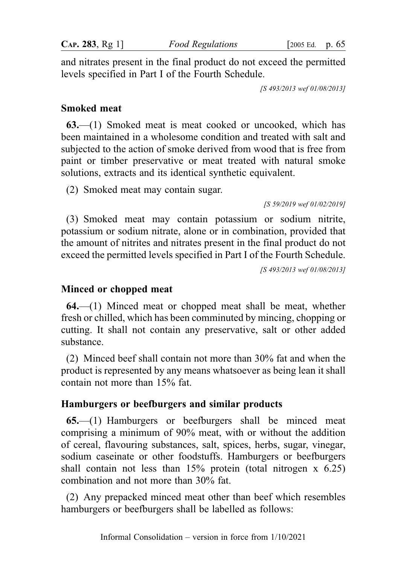CAP. 283, Rg 1] Food Regulations [2005 Ed. p. 65

and nitrates present in the final product do not exceed the permitted levels specified in Part I of the Fourth Schedule.

[S 493/2013 wef 01/08/2013]

## Smoked meat

63.—(1) Smoked meat is meat cooked or uncooked, which has been maintained in a wholesome condition and treated with salt and subjected to the action of smoke derived from wood that is free from paint or timber preservative or meat treated with natural smoke solutions, extracts and its identical synthetic equivalent.

(2) Smoked meat may contain sugar.

[S 59/2019 wef 01/02/2019]

(3) Smoked meat may contain potassium or sodium nitrite, potassium or sodium nitrate, alone or in combination, provided that the amount of nitrites and nitrates present in the final product do not exceed the permitted levels specified in Part I of the Fourth Schedule.

[S 493/2013 wef 01/08/2013]

# Minced or chopped meat

64.—(1) Minced meat or chopped meat shall be meat, whether fresh or chilled, which has been comminuted by mincing, chopping or cutting. It shall not contain any preservative, salt or other added substance.

(2) Minced beef shall contain not more than 30% fat and when the product is represented by any means whatsoever as being lean it shall contain not more than 15% fat.

# Hamburgers or beefburgers and similar products

65.—(1) Hamburgers or beefburgers shall be minced meat comprising a minimum of 90% meat, with or without the addition of cereal, flavouring substances, salt, spices, herbs, sugar, vinegar, sodium caseinate or other foodstuffs. Hamburgers or beefburgers shall contain not less than  $15%$  protein (total nitrogen x 6.25) combination and not more than 30% fat.

(2) Any prepacked minced meat other than beef which resembles hamburgers or beefburgers shall be labelled as follows: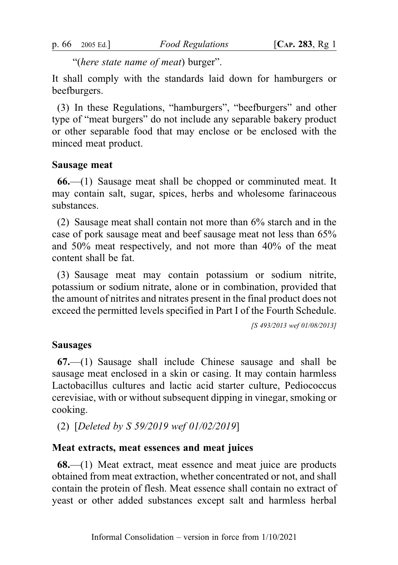"(here state name of meat) burger".

It shall comply with the standards laid down for hamburgers or beefburgers.

(3) In these Regulations, "hamburgers", "beefburgers" and other type of "meat burgers" do not include any separable bakery product or other separable food that may enclose or be enclosed with the minced meat product.

# Sausage meat

66.—(1) Sausage meat shall be chopped or comminuted meat. It may contain salt, sugar, spices, herbs and wholesome farinaceous substances.

(2) Sausage meat shall contain not more than 6% starch and in the case of pork sausage meat and beef sausage meat not less than 65% and 50% meat respectively, and not more than 40% of the meat content shall be fat.

(3) Sausage meat may contain potassium or sodium nitrite, potassium or sodium nitrate, alone or in combination, provided that the amount of nitrites and nitrates present in the final product does not exceed the permitted levels specified in Part I of the Fourth Schedule.

[S 493/2013 wef 01/08/2013]

#### Sausages

67.—(1) Sausage shall include Chinese sausage and shall be sausage meat enclosed in a skin or casing. It may contain harmless Lactobacillus cultures and lactic acid starter culture, Pediococcus cerevisiae, with or without subsequent dipping in vinegar, smoking or cooking.

(2) [Deleted by S 59/2019 wef 01/02/2019]

## Meat extracts, meat essences and meat juices

68.—(1) Meat extract, meat essence and meat juice are products obtained from meat extraction, whether concentrated or not, and shall contain the protein of flesh. Meat essence shall contain no extract of yeast or other added substances except salt and harmless herbal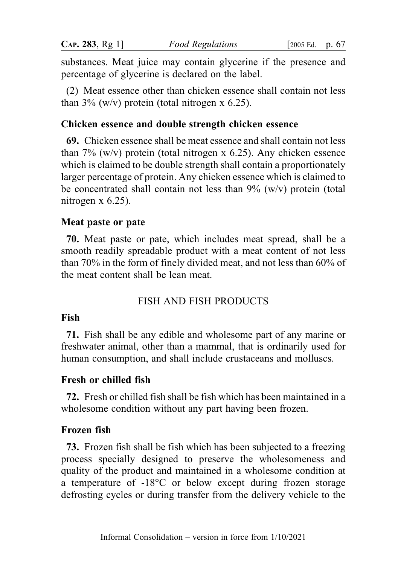substances. Meat juice may contain glycerine if the presence and percentage of glycerine is declared on the label.

(2) Meat essence other than chicken essence shall contain not less than  $3\%$  (w/v) protein (total nitrogen x 6.25).

## Chicken essence and double strength chicken essence

69. Chicken essence shall be meat essence and shall contain not less than  $7\%$  (w/v) protein (total nitrogen x 6.25). Any chicken essence which is claimed to be double strength shall contain a proportionately larger percentage of protein. Any chicken essence which is claimed to be concentrated shall contain not less than  $9\%$  (w/v) protein (total nitrogen x 6.25).

## Meat paste or pate

70. Meat paste or pate, which includes meat spread, shall be a smooth readily spreadable product with a meat content of not less than 70% in the form of finely divided meat, and not less than 60% of the meat content shall be lean meat.

# FISH AND FISH PRODUCTS

## Fish

71. Fish shall be any edible and wholesome part of any marine or freshwater animal, other than a mammal, that is ordinarily used for human consumption, and shall include crustaceans and molluscs.

## Fresh or chilled fish

72. Fresh or chilled fish shall be fish which has been maintained in a wholesome condition without any part having been frozen.

## Frozen fish

73. Frozen fish shall be fish which has been subjected to a freezing process specially designed to preserve the wholesomeness and quality of the product and maintained in a wholesome condition at a temperature of -18°C or below except during frozen storage defrosting cycles or during transfer from the delivery vehicle to the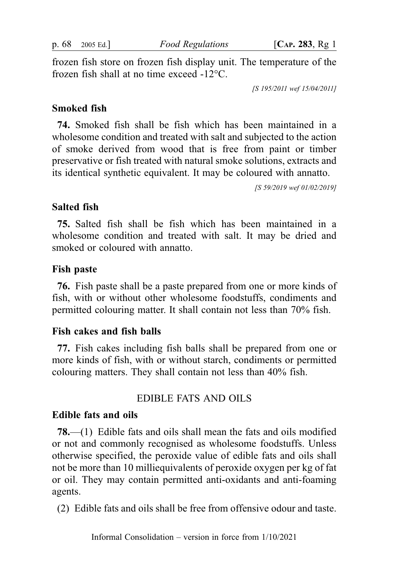p. 68 2005 Ed.] Food Regulations [CAP. 283, Rg 1]

frozen fish store on frozen fish display unit. The temperature of the frozen fish shall at no time exceed -12°C.

[S 195/2011 wef 15/04/2011]

#### Smoked fish

74. Smoked fish shall be fish which has been maintained in a wholesome condition and treated with salt and subjected to the action of smoke derived from wood that is free from paint or timber preservative or fish treated with natural smoke solutions, extracts and its identical synthetic equivalent. It may be coloured with annatto.

[S 59/2019 wef 01/02/2019]

#### Salted fish

75. Salted fish shall be fish which has been maintained in a wholesome condition and treated with salt. It may be dried and smoked or coloured with annatto.

#### Fish paste

76. Fish paste shall be a paste prepared from one or more kinds of fish, with or without other wholesome foodstuffs, condiments and permitted colouring matter. It shall contain not less than 70% fish.

#### Fish cakes and fish balls

77. Fish cakes including fish balls shall be prepared from one or more kinds of fish, with or without starch, condiments or permitted colouring matters. They shall contain not less than 40% fish.

## EDIBLE FATS AND OILS

#### Edible fats and oils

78.—(1) Edible fats and oils shall mean the fats and oils modified or not and commonly recognised as wholesome foodstuffs. Unless otherwise specified, the peroxide value of edible fats and oils shall not be more than 10 milliequivalents of peroxide oxygen per kg of fat or oil. They may contain permitted anti-oxidants and anti-foaming agents.

(2) Edible fats and oils shall be free from offensive odour and taste.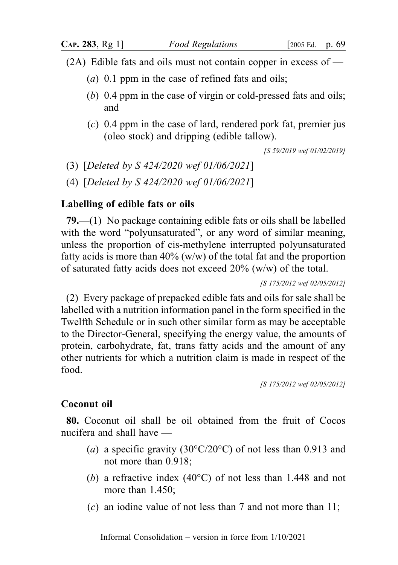- (2A) Edible fats and oils must not contain copper in excess of
	- (a)  $0.1$  ppm in the case of refined fats and oils;
	- (b) 0.4 ppm in the case of virgin or cold-pressed fats and oils; and
	- $(c)$  0.4 ppm in the case of lard, rendered pork fat, premier jus (oleo stock) and dripping (edible tallow).

[S 59/2019 wef 01/02/2019]

(3) [Deleted by S 424/2020 wef 01/06/2021]

(4) [Deleted by S 424/2020 wef 01/06/2021]

#### Labelling of edible fats or oils

79.—(1) No package containing edible fats or oils shall be labelled with the word "polyunsaturated", or any word of similar meaning, unless the proportion of cis-methylene interrupted polyunsaturated fatty acids is more than  $40\%$  (w/w) of the total fat and the proportion of saturated fatty acids does not exceed 20% (w/w) of the total.

[S 175/2012 wef 02/05/2012]

(2) Every package of prepacked edible fats and oils for sale shall be labelled with a nutrition information panel in the form specified in the Twelfth Schedule or in such other similar form as may be acceptable to the Director-General, specifying the energy value, the amounts of protein, carbohydrate, fat, trans fatty acids and the amount of any other nutrients for which a nutrition claim is made in respect of the food.

[S 175/2012 wef 02/05/2012]

#### Coconut oil

80. Coconut oil shall be oil obtained from the fruit of Cocos nucifera and shall have —

- (a) a specific gravity (30 $\degree$ C/20 $\degree$ C) of not less than 0.913 and not more than 0.918;
- (b) a refractive index (40°C) of not less than 1.448 and not more than 1.450;
- (c) an iodine value of not less than 7 and not more than 11;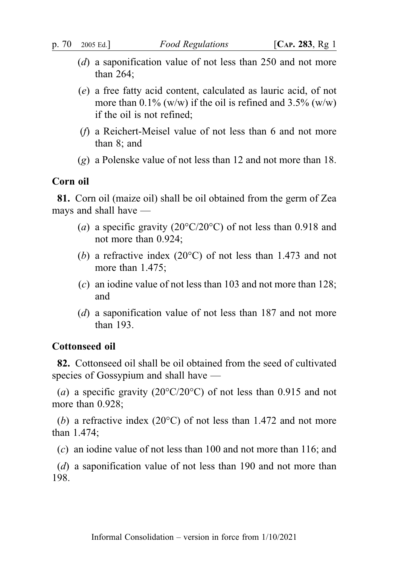- (d) a saponification value of not less than 250 and not more than 264;
- (e) a free fatty acid content, calculated as lauric acid, of not more than  $0.1\%$  (w/w) if the oil is refined and  $3.5\%$  (w/w) if the oil is not refined;
- (f) a Reichert-Meisel value of not less than 6 and not more than 8; and
- $(g)$  a Polenske value of not less than 12 and not more than 18.

#### Corn oil

81. Corn oil (maize oil) shall be oil obtained from the germ of Zea mays and shall have —

- (a) a specific gravity (20 $\degree$ C/20 $\degree$ C) of not less than 0.918 and not more than 0.924;
- (b) a refractive index (20°C) of not less than 1.473 and not more than 1.475;
- (c) an iodine value of not less than 103 and not more than 128; and
- (d) a saponification value of not less than 187 and not more than 193.

#### Cottonseed oil

82. Cottonseed oil shall be oil obtained from the seed of cultivated species of Gossypium and shall have —

(a) a specific gravity (20 $\textdegree$ C/20 $\textdegree$ C) of not less than 0.915 and not more than 0.928;

(b) a refractive index (20 $^{\circ}$ C) of not less than 1.472 and not more than 1.474;

(c) an iodine value of not less than 100 and not more than 116; and

(d) a saponification value of not less than 190 and not more than 198.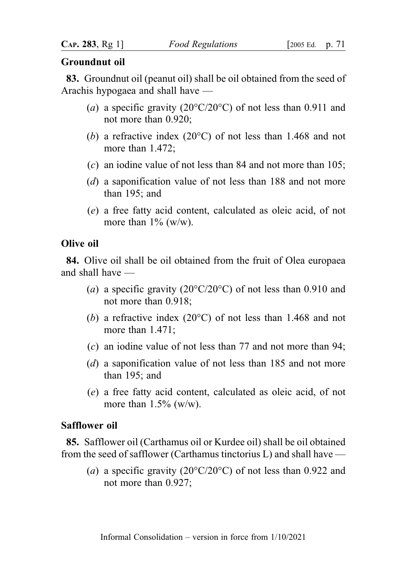#### Groundnut oil

83. Groundnut oil (peanut oil) shall be oil obtained from the seed of Arachis hypogaea and shall have —

- (a) a specific gravity (20 $\degree$ C/20 $\degree$ C) of not less than 0.911 and not more than 0.920;
- (b) a refractive index (20°C) of not less than 1.468 and not more than 1.472;
- (c) an iodine value of not less than 84 and not more than 105;
- (d) a saponification value of not less than 188 and not more than 195; and
- (e) a free fatty acid content, calculated as oleic acid, of not more than  $1\%$  (w/w).

## Olive oil

84. Olive oil shall be oil obtained from the fruit of Olea europaea and shall have —

- (a) a specific gravity (20 $\degree$ C/20 $\degree$ C) of not less than 0.910 and not more than 0.918;
- (b) a refractive index (20°C) of not less than 1.468 and not more than 1.471;
- (c) an iodine value of not less than 77 and not more than 94;
- (d) a saponification value of not less than 185 and not more than 195; and
- (e) a free fatty acid content, calculated as oleic acid, of not more than  $1.5\%$  (w/w).

## Safflower oil

85. Safflower oil (Carthamus oil or Kurdee oil) shall be oil obtained from the seed of safflower (Carthamus tinctorius L) and shall have —

(a) a specific gravity (20 $\degree$ C/20 $\degree$ C) of not less than 0.922 and not more than 0.927;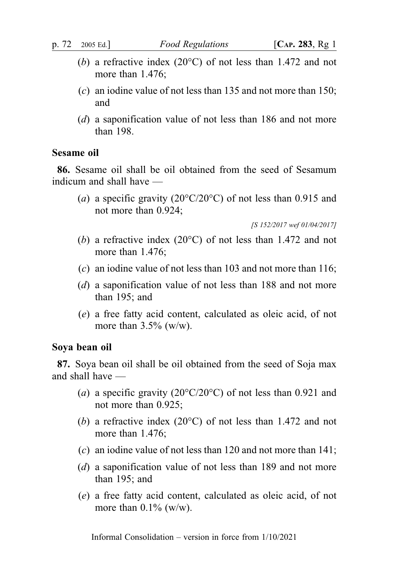- (b) a refractive index (20°C) of not less than 1.472 and not more than 1.476;
- (c) an iodine value of not less than 135 and not more than 150; and
- (d) a saponification value of not less than 186 and not more than 198.

#### Sesame oil

86. Sesame oil shall be oil obtained from the seed of Sesamum indicum and shall have —

(a) a specific gravity (20 $\degree$ C/20 $\degree$ C) of not less than 0.915 and not more than 0.924;

[S 152/2017 wef 01/04/2017]

- (b) a refractive index (20°C) of not less than 1.472 and not more than 1.476;
- (c) an iodine value of not less than 103 and not more than 116;
- (d) a saponification value of not less than 188 and not more than 195; and
- (e) a free fatty acid content, calculated as oleic acid, of not more than  $3.5\%$  (w/w).

## Soya bean oil

87. Soya bean oil shall be oil obtained from the seed of Soja max and shall have —

- (a) a specific gravity (20 $^{\circ}$ C/20 $^{\circ}$ C) of not less than 0.921 and not more than 0.925;
- (b) a refractive index (20°C) of not less than 1.472 and not more than 1.476;
- (c) an iodine value of not less than 120 and not more than 141;
- (d) a saponification value of not less than 189 and not more than 195; and
- (e) a free fatty acid content, calculated as oleic acid, of not more than  $0.1\%$  (w/w).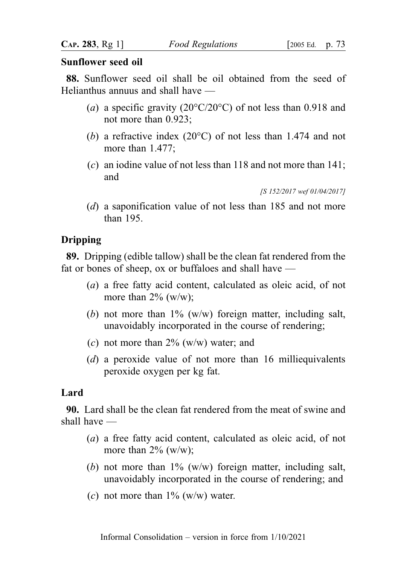### Sunflower seed oil

88. Sunflower seed oil shall be oil obtained from the seed of Helianthus annuus and shall have —

- (a) a specific gravity (20 $\degree$ C/20 $\degree$ C) of not less than 0.918 and not more than 0.923;
- (b) a refractive index (20°C) of not less than 1.474 and not more than 1.477;
- (c) an iodine value of not less than 118 and not more than 141; and

[S 152/2017 wef 01/04/2017]

(d) a saponification value of not less than 185 and not more than 195.

# Dripping

89. Dripping (edible tallow) shall be the clean fat rendered from the fat or bones of sheep, ox or buffaloes and shall have —

- (a) a free fatty acid content, calculated as oleic acid, of not more than  $2\%$  (w/w);
- (b) not more than  $1\%$  (w/w) foreign matter, including salt, unavoidably incorporated in the course of rendering;
- (c) not more than  $2\%$  (w/w) water; and
- (d) a peroxide value of not more than 16 milliequivalents peroxide oxygen per kg fat.

# Lard

90. Lard shall be the clean fat rendered from the meat of swine and shall have —

- (a) a free fatty acid content, calculated as oleic acid, of not more than  $2\%$  (w/w);
- (b) not more than  $1\%$  (w/w) foreign matter, including salt, unavoidably incorporated in the course of rendering; and
- (c) not more than  $1\%$  (w/w) water.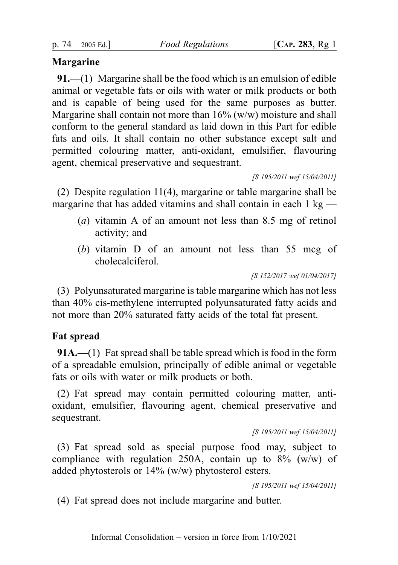## Margarine

91.—(1) Margarine shall be the food which is an emulsion of edible animal or vegetable fats or oils with water or milk products or both and is capable of being used for the same purposes as butter. Margarine shall contain not more than  $16\%$  (w/w) moisture and shall conform to the general standard as laid down in this Part for edible fats and oils. It shall contain no other substance except salt and permitted colouring matter, anti-oxidant, emulsifier, flavouring agent, chemical preservative and sequestrant.

[S 195/2011 wef 15/04/2011]

(2) Despite regulation 11(4), margarine or table margarine shall be margarine that has added vitamins and shall contain in each  $1 \text{ kg}$  —

- (a) vitamin A of an amount not less than 8.5 mg of retinol activity; and
- (b) vitamin D of an amount not less than 55 mcg of cholecalciferol.

[S 152/2017 wef 01/04/2017]

(3) Polyunsaturated margarine is table margarine which has not less than 40% cis-methylene interrupted polyunsaturated fatty acids and not more than 20% saturated fatty acids of the total fat present.

# Fat spread

91A.—(1) Fat spread shall be table spread which is food in the form of a spreadable emulsion, principally of edible animal or vegetable fats or oils with water or milk products or both.

(2) Fat spread may contain permitted colouring matter, antioxidant, emulsifier, flavouring agent, chemical preservative and sequestrant.

[S 195/2011 wef 15/04/2011]

(3) Fat spread sold as special purpose food may, subject to compliance with regulation 250A, contain up to  $8\%$  (w/w) of added phytosterols or 14% (w/w) phytosterol esters.

[S 195/2011 wef 15/04/2011]

(4) Fat spread does not include margarine and butter.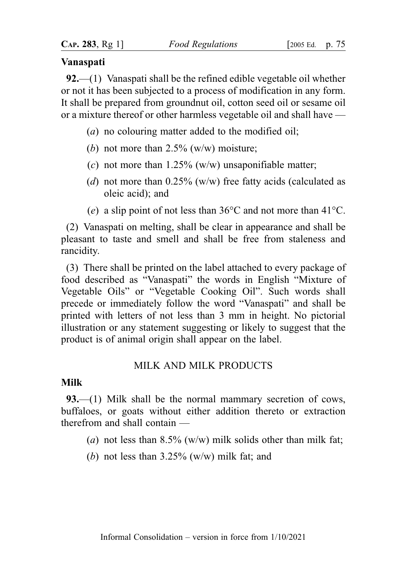### Vanaspati

92.—(1) Vanaspati shall be the refined edible vegetable oil whether or not it has been subjected to a process of modification in any form. It shall be prepared from groundnut oil, cotton seed oil or sesame oil or a mixture thereof or other harmless vegetable oil and shall have —

- (a) no colouring matter added to the modified oil;
- (b) not more than  $2.5\%$  (w/w) moisture;
- (c) not more than  $1.25\%$  (w/w) unsaponifiable matter;
- (d) not more than  $0.25\%$  (w/w) free fatty acids (calculated as oleic acid); and
- (e) a slip point of not less than  $36^{\circ}$ C and not more than  $41^{\circ}$ C.

(2) Vanaspati on melting, shall be clear in appearance and shall be pleasant to taste and smell and shall be free from staleness and rancidity.

(3) There shall be printed on the label attached to every package of food described as "Vanaspati" the words in English "Mixture of Vegetable Oils" or "Vegetable Cooking Oil". Such words shall precede or immediately follow the word "Vanaspati" and shall be printed with letters of not less than 3 mm in height. No pictorial illustration or any statement suggesting or likely to suggest that the product is of animal origin shall appear on the label.

## MILK AND MILK PRODUCTS

### Milk

93.—(1) Milk shall be the normal mammary secretion of cows, buffaloes, or goats without either addition thereto or extraction therefrom and shall contain —

- (a) not less than  $8.5\%$  (w/w) milk solids other than milk fat;
- (b) not less than  $3.25\%$  (w/w) milk fat; and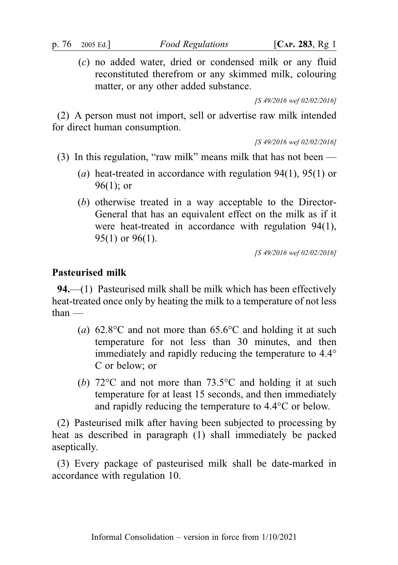(c) no added water, dried or condensed milk or any fluid reconstituted therefrom or any skimmed milk, colouring matter, or any other added substance.

[S 49/2016 wef 02/02/2016]

(2) A person must not import, sell or advertise raw milk intended for direct human consumption.

[S 49/2016 wef 02/02/2016]

- (3) In this regulation, "raw milk" means milk that has not been
	- (a) heat-treated in accordance with regulation  $94(1)$ ,  $95(1)$  or 96(1); or
	- (b) otherwise treated in a way acceptable to the Director-General that has an equivalent effect on the milk as if it were heat-treated in accordance with regulation 94(1), 95(1) or 96(1).

[S 49/2016 wef 02/02/2016]

## Pasteurised milk

94.—(1) Pasteurised milk shall be milk which has been effectively heat-treated once only by heating the milk to a temperature of not less than —

- (a)  $62.8^{\circ}$ C and not more than  $65.6^{\circ}$ C and holding it at such temperature for not less than 30 minutes, and then immediately and rapidly reducing the temperature to 4.4° C or below; or
- (b) 72°C and not more than 73.5°C and holding it at such temperature for at least 15 seconds, and then immediately and rapidly reducing the temperature to 4.4°C or below.

(2) Pasteurised milk after having been subjected to processing by heat as described in paragraph (1) shall immediately be packed aseptically.

(3) Every package of pasteurised milk shall be date-marked in accordance with regulation 10.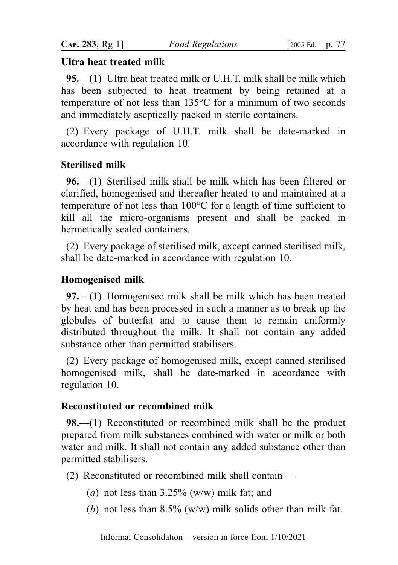## Ultra heat treated milk

95.—(1) Ultra heat treated milk or U.H.T. milk shall be milk which has been subjected to heat treatment by being retained at a temperature of not less than 135°C for a minimum of two seconds and immediately aseptically packed in sterile containers.

(2) Every package of U.H.T. milk shall be date-marked in accordance with regulation 10.

## Sterilised milk

96.—(1) Sterilised milk shall be milk which has been filtered or clarified, homogenised and thereafter heated to and maintained at a temperature of not less than 100°C for a length of time sufficient to kill all the micro-organisms present and shall be packed in hermetically sealed containers.

(2) Every package of sterilised milk, except canned sterilised milk, shall be date-marked in accordance with regulation 10.

### Homogenised milk

97.—(1) Homogenised milk shall be milk which has been treated by heat and has been processed in such a manner as to break up the globules of butterfat and to cause them to remain uniformly distributed throughout the milk. It shall not contain any added substance other than permitted stabilisers.

(2) Every package of homogenised milk, except canned sterilised homogenised milk, shall be date-marked in accordance with regulation 10.

#### Reconstituted or recombined milk

98.—(1) Reconstituted or recombined milk shall be the product prepared from milk substances combined with water or milk or both water and milk. It shall not contain any added substance other than permitted stabilisers.

- (2) Reconstituted or recombined milk shall contain
	- (a) not less than  $3.25\%$  (w/w) milk fat; and
	- (b) not less than  $8.5\%$  (w/w) milk solids other than milk fat.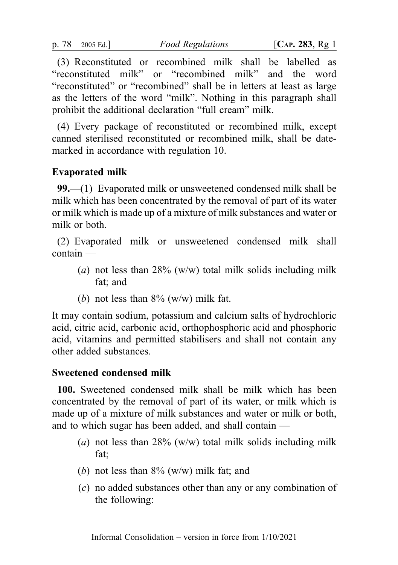(3) Reconstituted or recombined milk shall be labelled as "reconstituted milk" or "recombined milk" and the word "reconstituted" or "recombined" shall be in letters at least as large as the letters of the word "milk". Nothing in this paragraph shall prohibit the additional declaration "full cream" milk.

(4) Every package of reconstituted or recombined milk, except canned sterilised reconstituted or recombined milk, shall be datemarked in accordance with regulation 10.

## Evaporated milk

99.—(1) Evaporated milk or unsweetened condensed milk shall be milk which has been concentrated by the removal of part of its water or milk which is made up of a mixture of milk substances and water or milk or both.

(2) Evaporated milk or unsweetened condensed milk shall contain —

- (a) not less than  $28\%$  (w/w) total milk solids including milk fat; and
- (b) not less than  $8\%$  (w/w) milk fat.

It may contain sodium, potassium and calcium salts of hydrochloric acid, citric acid, carbonic acid, orthophosphoric acid and phosphoric acid, vitamins and permitted stabilisers and shall not contain any other added substances.

### Sweetened condensed milk

100. Sweetened condensed milk shall be milk which has been concentrated by the removal of part of its water, or milk which is made up of a mixture of milk substances and water or milk or both, and to which sugar has been added, and shall contain —

- (a) not less than  $28\%$  (w/w) total milk solids including milk fat;
- (b) not less than  $8\%$  (w/w) milk fat; and
- (c) no added substances other than any or any combination of the following: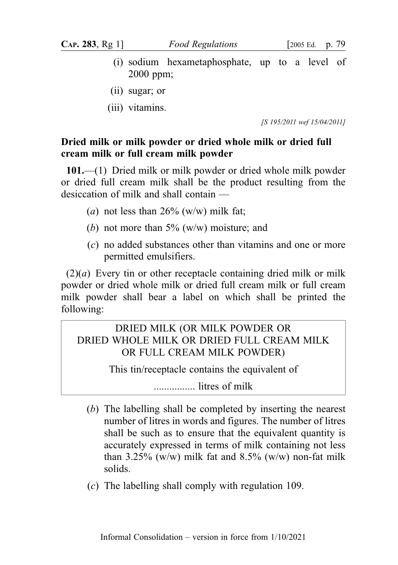- (i) sodium hexametaphosphate, up to a level of 2000 ppm;
- (ii) sugar; or
- (iii) vitamins.

[S 195/2011 wef 15/04/2011]

# Dried milk or milk powder or dried whole milk or dried full cream milk or full cream milk powder

101.—(1) Dried milk or milk powder or dried whole milk powder or dried full cream milk shall be the product resulting from the desiccation of milk and shall contain —

- (a) not less than  $26\%$  (w/w) milk fat;
- (b) not more than  $5\%$  (w/w) moisture; and
- (c) no added substances other than vitamins and one or more permitted emulsifiers.

 $(2)(a)$  Every tin or other receptacle containing dried milk or milk powder or dried whole milk or dried full cream milk or full cream milk powder shall bear a label on which shall be printed the following:

# DRIED MILK (OR MILK POWDER OR DRIED WHOLE MILK OR DRIED FULL CREAM MILK OR FULL CREAM MILK POWDER)

This tin/receptacle contains the equivalent of

................ litres of milk

- (b) The labelling shall be completed by inserting the nearest number of litres in words and figures. The number of litres shall be such as to ensure that the equivalent quantity is accurately expressed in terms of milk containing not less than 3.25% (w/w) milk fat and 8.5% (w/w) non-fat milk solids.
- (c) The labelling shall comply with regulation 109.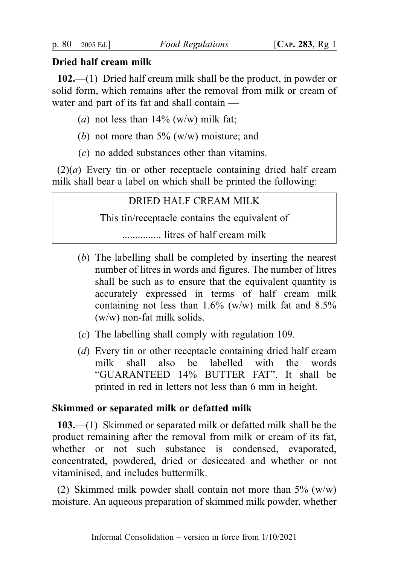## Dried half cream milk

102.—(1) Dried half cream milk shall be the product, in powder or solid form, which remains after the removal from milk or cream of water and part of its fat and shall contain —

- (a) not less than  $14\%$  (w/w) milk fat;
- (b) not more than  $5\%$  (w/w) moisture; and
- (c) no added substances other than vitamins.

 $(2)(a)$  Every tin or other receptacle containing dried half cream milk shall bear a label on which shall be printed the following:

# DRIED HALF CREAM MILK

This tin/receptacle contains the equivalent of

............... litres of half cream milk

- (b) The labelling shall be completed by inserting the nearest number of litres in words and figures. The number of litres shall be such as to ensure that the equivalent quantity is accurately expressed in terms of half cream milk containing not less than  $1.6\%$  (w/w) milk fat and  $8.5\%$ (w/w) non-fat milk solids.
- (c) The labelling shall comply with regulation 109.
- (d) Every tin or other receptacle containing dried half cream milk shall also be labelled with the words "GUARANTEED 14% BUTTER FAT". It shall be printed in red in letters not less than 6 mm in height.

## Skimmed or separated milk or defatted milk

103.—(1) Skimmed or separated milk or defatted milk shall be the product remaining after the removal from milk or cream of its fat, whether or not such substance is condensed, evaporated, concentrated, powdered, dried or desiccated and whether or not vitaminised, and includes buttermilk.

(2) Skimmed milk powder shall contain not more than  $5\%$  (w/w) moisture. An aqueous preparation of skimmed milk powder, whether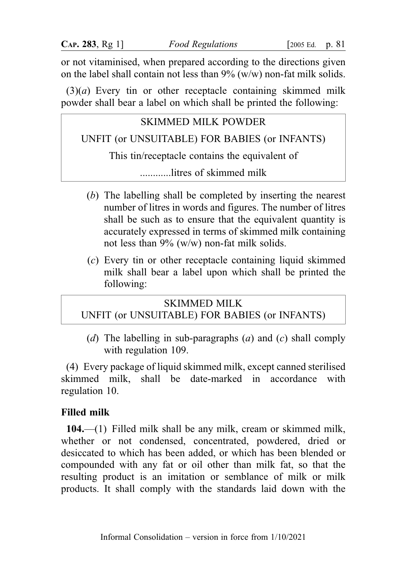or not vitaminised, when prepared according to the directions given on the label shall contain not less than  $9\%$  (w/w) non-fat milk solids.

 $(3)(a)$  Every tin or other receptacle containing skimmed milk powder shall bear a label on which shall be printed the following:

# SKIMMED MILK POWDER

UNFIT (or UNSUITABLE) FOR BABIES (or INFANTS)

This tin/receptacle contains the equivalent of

............litres of skimmed milk

- (b) The labelling shall be completed by inserting the nearest number of litres in words and figures. The number of litres shall be such as to ensure that the equivalent quantity is accurately expressed in terms of skimmed milk containing not less than 9% (w/w) non-fat milk solids.
- (c) Every tin or other receptacle containing liquid skimmed milk shall bear a label upon which shall be printed the following:

# SKIMMED MILK

# UNFIT (or UNSUITABLE) FOR BABIES (or INFANTS)

(d) The labelling in sub-paragraphs (a) and (c) shall comply with regulation 109.

(4) Every package of liquid skimmed milk, except canned sterilised skimmed milk, shall be date-marked in accordance with regulation 10.

# Filled milk

104.—(1) Filled milk shall be any milk, cream or skimmed milk, whether or not condensed, concentrated, powdered, dried or desiccated to which has been added, or which has been blended or compounded with any fat or oil other than milk fat, so that the resulting product is an imitation or semblance of milk or milk products. It shall comply with the standards laid down with the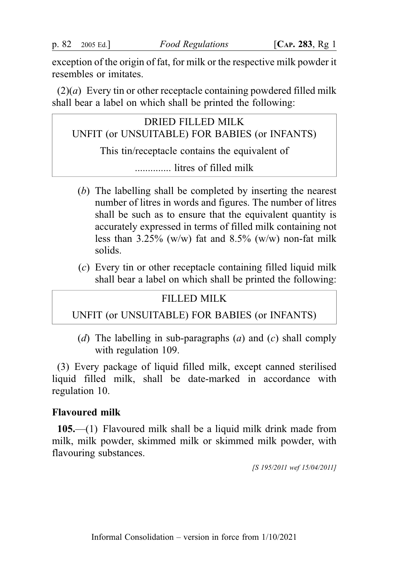exception of the origin of fat, for milk or the respective milk powder it resembles or imitates.

 $(2)(a)$  Every tin or other receptacle containing powdered filled milk shall bear a label on which shall be printed the following:

DRIED FILLED MILK UNFIT (or UNSUITABLE) FOR BABIES (or INFANTS) This tin/receptacle contains the equivalent of .............. litres of filled milk

- (b) The labelling shall be completed by inserting the nearest number of litres in words and figures. The number of litres shall be such as to ensure that the equivalent quantity is accurately expressed in terms of filled milk containing not less than  $3.25\%$  (w/w) fat and  $8.5\%$  (w/w) non-fat milk solids.
- (c) Every tin or other receptacle containing filled liquid milk shall bear a label on which shall be printed the following:

# FILLED MILK

UNFIT (or UNSUITABLE) FOR BABIES (or INFANTS)

(d) The labelling in sub-paragraphs (a) and (c) shall comply with regulation 109.

(3) Every package of liquid filled milk, except canned sterilised liquid filled milk, shall be date-marked in accordance with regulation 10.

# Flavoured milk

105.—(1) Flavoured milk shall be a liquid milk drink made from milk, milk powder, skimmed milk or skimmed milk powder, with flavouring substances.

[S 195/2011 wef 15/04/2011]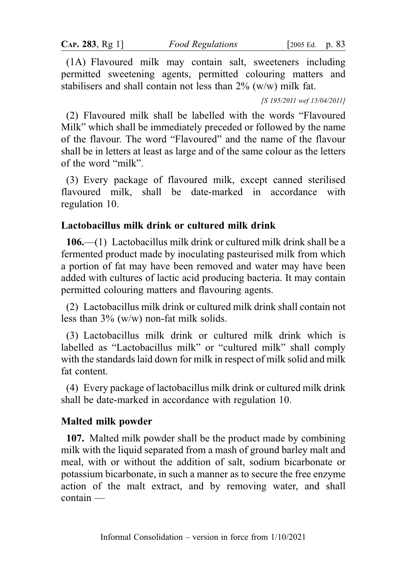(1A) Flavoured milk may contain salt, sweeteners including permitted sweetening agents, permitted colouring matters and stabilisers and shall contain not less than  $2\%$  (w/w) milk fat.

[S 195/2011 wef 15/04/2011]

(2) Flavoured milk shall be labelled with the words "Flavoured Milk" which shall be immediately preceded or followed by the name of the flavour. The word "Flavoured" and the name of the flavour shall be in letters at least as large and of the same colour as the letters of the word "milk".

(3) Every package of flavoured milk, except canned sterilised flavoured milk, shall be date-marked in accordance with regulation 10.

## Lactobacillus milk drink or cultured milk drink

106.—(1) Lactobacillus milk drink or cultured milk drink shall be a fermented product made by inoculating pasteurised milk from which a portion of fat may have been removed and water may have been added with cultures of lactic acid producing bacteria. It may contain permitted colouring matters and flavouring agents.

(2) Lactobacillus milk drink or cultured milk drink shall contain not less than  $3\%$  (w/w) non-fat milk solids.

(3) Lactobacillus milk drink or cultured milk drink which is labelled as "Lactobacillus milk" or "cultured milk" shall comply with the standards laid down for milk in respect of milk solid and milk fat content.

(4) Every package of lactobacillus milk drink or cultured milk drink shall be date-marked in accordance with regulation 10.

# Malted milk powder

107. Malted milk powder shall be the product made by combining milk with the liquid separated from a mash of ground barley malt and meal, with or without the addition of salt, sodium bicarbonate or potassium bicarbonate, in such a manner as to secure the free enzyme action of the malt extract, and by removing water, and shall contain —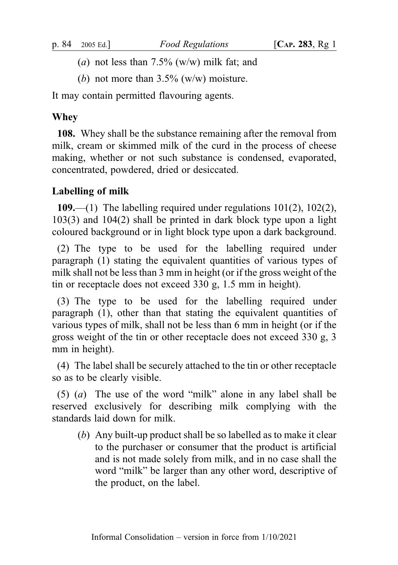- (a) not less than  $7.5\%$  (w/w) milk fat; and
- (b) not more than  $3.5\%$  (w/w) moisture.

It may contain permitted flavouring agents.

# **Whey**

108. Whey shall be the substance remaining after the removal from milk, cream or skimmed milk of the curd in the process of cheese making, whether or not such substance is condensed, evaporated, concentrated, powdered, dried or desiccated.

# Labelling of milk

109.—(1) The labelling required under regulations  $101(2)$ ,  $102(2)$ , 103(3) and 104(2) shall be printed in dark block type upon a light coloured background or in light block type upon a dark background.

(2) The type to be used for the labelling required under paragraph (1) stating the equivalent quantities of various types of milk shall not be less than 3 mm in height (or if the gross weight of the tin or receptacle does not exceed 330 g, 1.5 mm in height).

(3) The type to be used for the labelling required under paragraph (1), other than that stating the equivalent quantities of various types of milk, shall not be less than 6 mm in height (or if the gross weight of the tin or other receptacle does not exceed 330 g, 3 mm in height).

(4) The label shall be securely attached to the tin or other receptacle so as to be clearly visible.

(5) (a) The use of the word "milk" alone in any label shall be reserved exclusively for describing milk complying with the standards laid down for milk.

(b) Any built-up product shall be so labelled as to make it clear to the purchaser or consumer that the product is artificial and is not made solely from milk, and in no case shall the word "milk" be larger than any other word, descriptive of the product, on the label.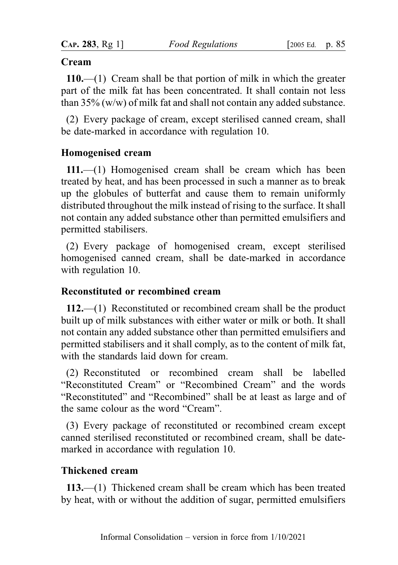#### Cream

110.—(1) Cream shall be that portion of milk in which the greater part of the milk fat has been concentrated. It shall contain not less than 35% (w/w) of milk fat and shall not contain any added substance.

(2) Every package of cream, except sterilised canned cream, shall be date-marked in accordance with regulation 10.

### Homogenised cream

111.—(1) Homogenised cream shall be cream which has been treated by heat, and has been processed in such a manner as to break up the globules of butterfat and cause them to remain uniformly distributed throughout the milk instead of rising to the surface. It shall not contain any added substance other than permitted emulsifiers and permitted stabilisers.

(2) Every package of homogenised cream, except sterilised homogenised canned cream, shall be date-marked in accordance with regulation 10.

## Reconstituted or recombined cream

112.—(1) Reconstituted or recombined cream shall be the product built up of milk substances with either water or milk or both. It shall not contain any added substance other than permitted emulsifiers and permitted stabilisers and it shall comply, as to the content of milk fat, with the standards laid down for cream.

(2) Reconstituted or recombined cream shall be labelled "Reconstituted Cream" or "Recombined Cream" and the words "Reconstituted" and "Recombined" shall be at least as large and of the same colour as the word "Cream".

(3) Every package of reconstituted or recombined cream except canned sterilised reconstituted or recombined cream, shall be datemarked in accordance with regulation 10.

## Thickened cream

113.—(1) Thickened cream shall be cream which has been treated by heat, with or without the addition of sugar, permitted emulsifiers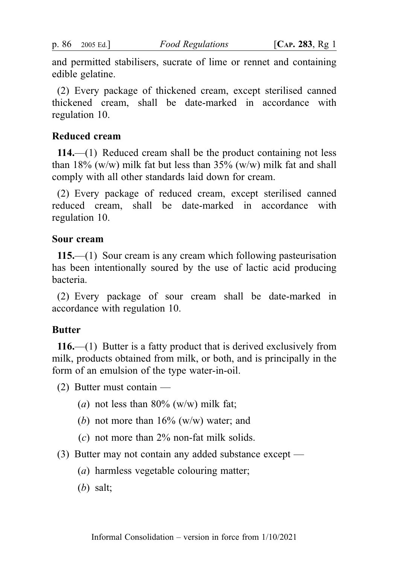and permitted stabilisers, sucrate of lime or rennet and containing edible gelatine.

(2) Every package of thickened cream, except sterilised canned thickened cream, shall be date-marked in accordance with regulation 10.

### Reduced cream

114.—(1) Reduced cream shall be the product containing not less than 18% (w/w) milk fat but less than  $35\%$  (w/w) milk fat and shall comply with all other standards laid down for cream.

(2) Every package of reduced cream, except sterilised canned reduced cream, shall be date-marked in accordance with regulation 10.

### Sour cream

115.—(1) Sour cream is any cream which following pasteurisation has been intentionally soured by the use of lactic acid producing bacteria.

(2) Every package of sour cream shall be date-marked in accordance with regulation 10.

## Butter

116.—(1) Butter is a fatty product that is derived exclusively from milk, products obtained from milk, or both, and is principally in the form of an emulsion of the type water-in-oil.

(2) Butter must contain —

- (a) not less than  $80\%$  (w/w) milk fat;
- (b) not more than  $16\%$  (w/w) water; and
- $(c)$  not more than 2% non-fat milk solids.
- (3) Butter may not contain any added substance except
	- (a) harmless vegetable colouring matter;
	- (b) salt;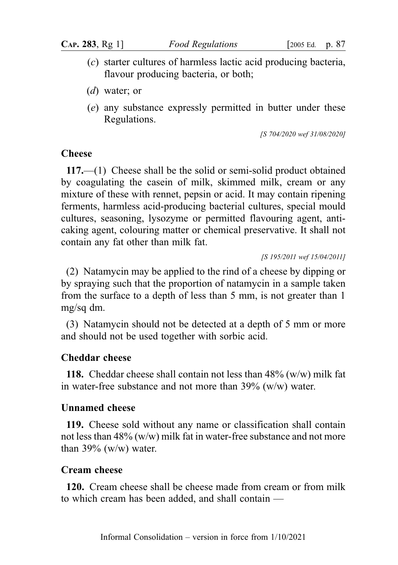- (c) starter cultures of harmless lactic acid producing bacteria, flavour producing bacteria, or both;
- (d) water; or
- (e) any substance expressly permitted in butter under these Regulations.

[S 704/2020 wef 31/08/2020]

### **Cheese**

117.—(1) Cheese shall be the solid or semi-solid product obtained by coagulating the casein of milk, skimmed milk, cream or any mixture of these with rennet, pepsin or acid. It may contain ripening ferments, harmless acid-producing bacterial cultures, special mould cultures, seasoning, lysozyme or permitted flavouring agent, anticaking agent, colouring matter or chemical preservative. It shall not contain any fat other than milk fat.

[S 195/2011 wef 15/04/2011]

(2) Natamycin may be applied to the rind of a cheese by dipping or by spraying such that the proportion of natamycin in a sample taken from the surface to a depth of less than 5 mm, is not greater than 1 mg/sq dm.

(3) Natamycin should not be detected at a depth of 5 mm or more and should not be used together with sorbic acid.

## Cheddar cheese

**118.** Cheddar cheese shall contain not less than  $48\%$  (w/w) milk fat in water-free substance and not more than 39% (w/w) water.

## Unnamed cheese

119. Cheese sold without any name or classification shall contain not less than 48% (w/w) milk fat in water-free substance and not more than  $39\%$  (w/w) water.

## Cream cheese

120. Cream cheese shall be cheese made from cream or from milk to which cream has been added, and shall contain —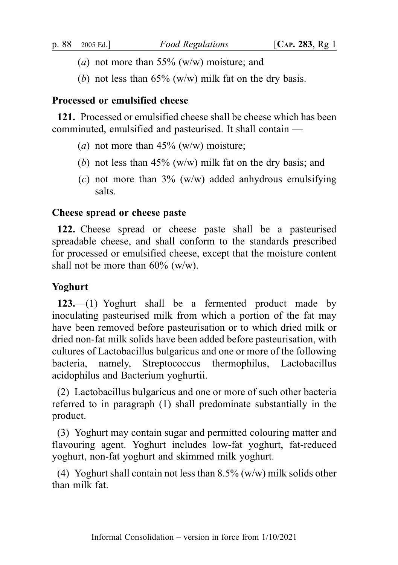- (*a*) not more than 55% ( $w/w$ ) moisture; and
- (b) not less than  $65\%$  (w/w) milk fat on the dry basis.

# Processed or emulsified cheese

121. Processed or emulsified cheese shall be cheese which has been comminuted, emulsified and pasteurised. It shall contain —

- (a) not more than  $45\%$  (w/w) moisture;
- (b) not less than  $45\%$  (w/w) milk fat on the dry basis; and
- (c) not more than  $3\%$  (w/w) added anhydrous emulsifying salts.

## Cheese spread or cheese paste

122. Cheese spread or cheese paste shall be a pasteurised spreadable cheese, and shall conform to the standards prescribed for processed or emulsified cheese, except that the moisture content shall not be more than  $60\%$  (w/w).

# Yoghurt

123.—(1) Yoghurt shall be a fermented product made by inoculating pasteurised milk from which a portion of the fat may have been removed before pasteurisation or to which dried milk or dried non-fat milk solids have been added before pasteurisation, with cultures of Lactobacillus bulgaricus and one or more of the following bacteria, namely, Streptococcus thermophilus, Lactobacillus acidophilus and Bacterium yoghurtii.

(2) Lactobacillus bulgaricus and one or more of such other bacteria referred to in paragraph (1) shall predominate substantially in the product.

(3) Yoghurt may contain sugar and permitted colouring matter and flavouring agent. Yoghurt includes low-fat yoghurt, fat-reduced yoghurt, non-fat yoghurt and skimmed milk yoghurt.

(4) Yoghurt shall contain not less than  $8.5\%$  (w/w) milk solids other than milk fat.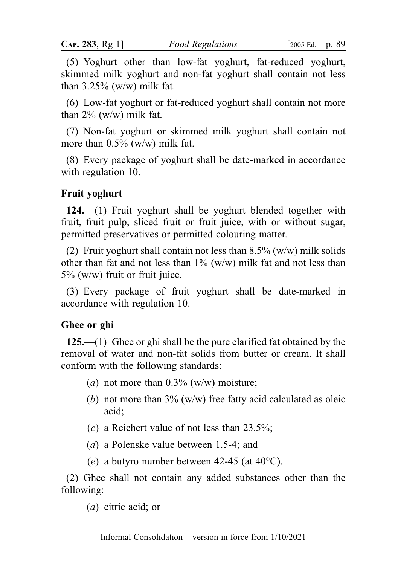(5) Yoghurt other than low-fat yoghurt, fat-reduced yoghurt, skimmed milk yoghurt and non-fat yoghurt shall contain not less than  $3.25\%$  (w/w) milk fat.

(6) Low-fat yoghurt or fat-reduced yoghurt shall contain not more than  $2\%$  (w/w) milk fat.

(7) Non-fat yoghurt or skimmed milk yoghurt shall contain not more than 0.5% (w/w) milk fat.

(8) Every package of yoghurt shall be date-marked in accordance with regulation 10.

### Fruit yoghurt

124.—(1) Fruit yoghurt shall be yoghurt blended together with fruit, fruit pulp, sliced fruit or fruit juice, with or without sugar, permitted preservatives or permitted colouring matter.

(2) Fruit yoghurt shall contain not less than  $8.5\%$  (w/w) milk solids other than fat and not less than  $1\%$  (w/w) milk fat and not less than 5% (w/w) fruit or fruit juice.

(3) Every package of fruit yoghurt shall be date-marked in accordance with regulation 10.

#### Ghee or ghi

125.—(1) Ghee or ghi shall be the pure clarified fat obtained by the removal of water and non-fat solids from butter or cream. It shall conform with the following standards:

- (a) not more than  $0.3\%$  (w/w) moisture;
- (b) not more than  $3\%$  (w/w) free fatty acid calculated as oleic acid;
- (c) a Reichert value of not less than 23.5%;
- (d) a Polenske value between 1.5-4; and
- (e) a butyro number between 42-45 (at  $40^{\circ}$ C).

(2) Ghee shall not contain any added substances other than the following:

(a) citric acid; or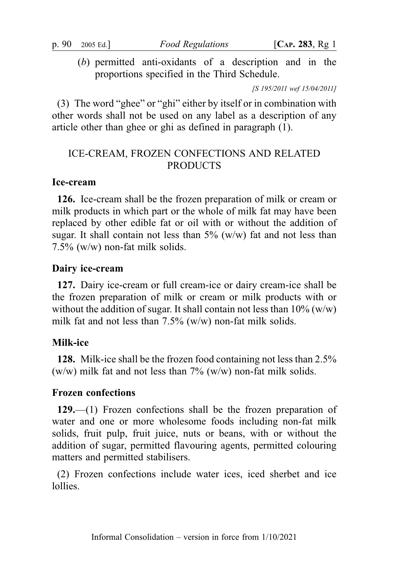(b) permitted anti-oxidants of a description and in the proportions specified in the Third Schedule.

[S 195/2011 wef 15/04/2011]

(3) The word "ghee" or "ghi" either by itself or in combination with other words shall not be used on any label as a description of any article other than ghee or ghi as defined in paragraph (1).

# ICE-CREAM, FROZEN CONFECTIONS AND RELATED PRODUCTS

### Ice-cream

126. Ice-cream shall be the frozen preparation of milk or cream or milk products in which part or the whole of milk fat may have been replaced by other edible fat or oil with or without the addition of sugar. It shall contain not less than  $5\%$  (w/w) fat and not less than 7.5% (w/w) non-fat milk solids.

### Dairy ice-cream

127. Dairy ice-cream or full cream-ice or dairy cream-ice shall be the frozen preparation of milk or cream or milk products with or without the addition of sugar. It shall contain not less than  $10\%$  (w/w) milk fat and not less than  $7.5\%$  (w/w) non-fat milk solids.

## Milk-ice

128. Milk-ice shall be the frozen food containing not less than 2.5% (w/w) milk fat and not less than  $7\%$  (w/w) non-fat milk solids.

#### Frozen confections

129.—(1) Frozen confections shall be the frozen preparation of water and one or more wholesome foods including non-fat milk solids, fruit pulp, fruit juice, nuts or beans, with or without the addition of sugar, permitted flavouring agents, permitted colouring matters and permitted stabilisers.

(2) Frozen confections include water ices, iced sherbet and ice lollies.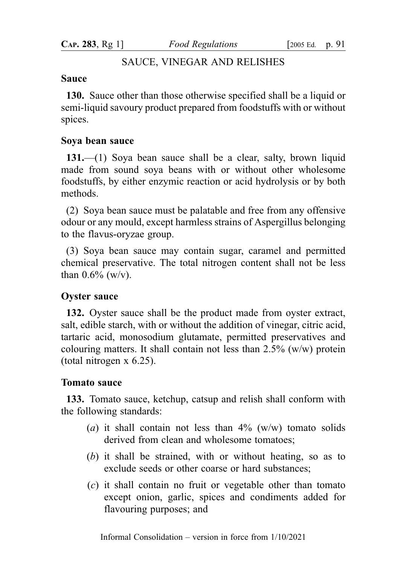CAP. 283, Rg 1] Food Regulations [2005 Ed. p. 91

## SAUCE, VINEGAR AND RELISHES

#### Sauce

130. Sauce other than those otherwise specified shall be a liquid or semi-liquid savoury product prepared from foodstuffs with or without spices.

### Soya bean sauce

131.—(1) Soya bean sauce shall be a clear, salty, brown liquid made from sound soya beans with or without other wholesome foodstuffs, by either enzymic reaction or acid hydrolysis or by both methods.

(2) Soya bean sauce must be palatable and free from any offensive odour or any mould, except harmless strains of Aspergillus belonging to the flavus-oryzae group.

(3) Soya bean sauce may contain sugar, caramel and permitted chemical preservative. The total nitrogen content shall not be less than  $0.6\%$  (w/v).

#### Oyster sauce

132. Oyster sauce shall be the product made from oyster extract, salt, edible starch, with or without the addition of vinegar, citric acid, tartaric acid, monosodium glutamate, permitted preservatives and colouring matters. It shall contain not less than  $2.5\%$  (w/w) protein (total nitrogen x 6.25).

### Tomato sauce

133. Tomato sauce, ketchup, catsup and relish shall conform with the following standards:

- (a) it shall contain not less than  $4\%$  (w/w) tomato solids derived from clean and wholesome tomatoes;
- (b) it shall be strained, with or without heating, so as to exclude seeds or other coarse or hard substances;
- (c) it shall contain no fruit or vegetable other than tomato except onion, garlic, spices and condiments added for flavouring purposes; and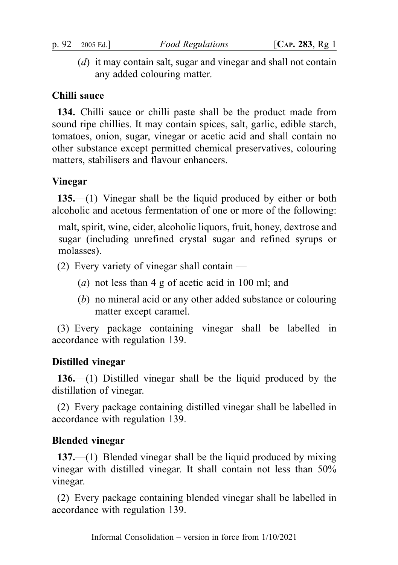(d) it may contain salt, sugar and vinegar and shall not contain any added colouring matter.

## Chilli sauce

134. Chilli sauce or chilli paste shall be the product made from sound ripe chillies. It may contain spices, salt, garlic, edible starch, tomatoes, onion, sugar, vinegar or acetic acid and shall contain no other substance except permitted chemical preservatives, colouring matters, stabilisers and flavour enhancers.

## Vinegar

135.—(1) Vinegar shall be the liquid produced by either or both alcoholic and acetous fermentation of one or more of the following:

malt, spirit, wine, cider, alcoholic liquors, fruit, honey, dextrose and sugar (including unrefined crystal sugar and refined syrups or molasses).

- (2) Every variety of vinegar shall contain
	- (a) not less than 4 g of acetic acid in 100 ml; and
	- (b) no mineral acid or any other added substance or colouring matter except caramel.

(3) Every package containing vinegar shall be labelled in accordance with regulation 139.

#### Distilled vinegar

136.—(1) Distilled vinegar shall be the liquid produced by the distillation of vinegar.

(2) Every package containing distilled vinegar shall be labelled in accordance with regulation 139.

#### Blended vinegar

137.—(1) Blended vinegar shall be the liquid produced by mixing vinegar with distilled vinegar. It shall contain not less than 50% vinegar.

(2) Every package containing blended vinegar shall be labelled in accordance with regulation 139.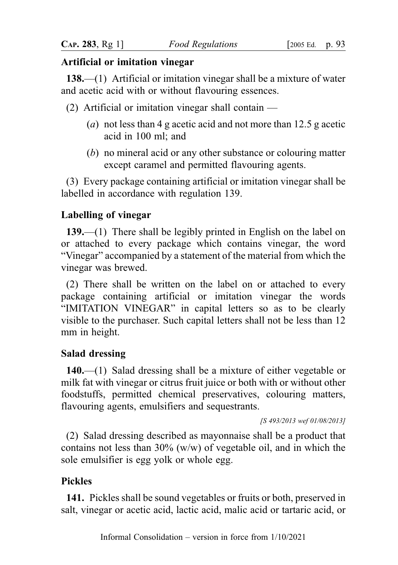### Artificial or imitation vinegar

138.—(1) Artificial or imitation vinegar shall be a mixture of water and acetic acid with or without flavouring essences.

- (2) Artificial or imitation vinegar shall contain  $-$ 
	- (a) not less than 4 g acetic acid and not more than 12.5 g acetic acid in 100 ml; and
	- (b) no mineral acid or any other substance or colouring matter except caramel and permitted flavouring agents.

(3) Every package containing artificial or imitation vinegar shall be labelled in accordance with regulation 139.

## Labelling of vinegar

139.—(1) There shall be legibly printed in English on the label on or attached to every package which contains vinegar, the word "Vinegar" accompanied by a statement of the material from which the vinegar was brewed.

(2) There shall be written on the label on or attached to every package containing artificial or imitation vinegar the words "IMITATION VINEGAR" in capital letters so as to be clearly visible to the purchaser. Such capital letters shall not be less than 12 mm in height.

## Salad dressing

140.—(1) Salad dressing shall be a mixture of either vegetable or milk fat with vinegar or citrus fruit juice or both with or without other foodstuffs, permitted chemical preservatives, colouring matters, flavouring agents, emulsifiers and sequestrants.

[S 493/2013 wef 01/08/2013]

(2) Salad dressing described as mayonnaise shall be a product that contains not less than 30% (w/w) of vegetable oil, and in which the sole emulsifier is egg yolk or whole egg.

## Pickles

141. Pickles shall be sound vegetables or fruits or both, preserved in salt, vinegar or acetic acid, lactic acid, malic acid or tartaric acid, or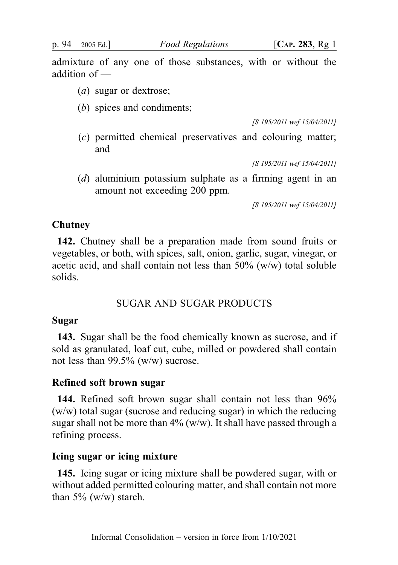p. 94 2005 Ed.] Food Regulations [CAP. 283, Rg 1]

admixture of any one of those substances, with or without the addition of —

- (a) sugar or dextrose;
- (b) spices and condiments:

[S 195/2011 wef 15/04/2011]

(c) permitted chemical preservatives and colouring matter; and

[S 195/2011 wef 15/04/2011]

(d) aluminium potassium sulphate as a firming agent in an amount not exceeding 200 ppm.

[S 195/2011 wef 15/04/2011]

#### Chutney

142. Chutney shall be a preparation made from sound fruits or vegetables, or both, with spices, salt, onion, garlic, sugar, vinegar, or acetic acid, and shall contain not less than 50% (w/w) total soluble solids.

## SUGAR AND SUGAR PRODUCTS

#### Sugar

143. Sugar shall be the food chemically known as sucrose, and if sold as granulated, loaf cut, cube, milled or powdered shall contain not less than 99.5% (w/w) sucrose.

#### Refined soft brown sugar

144. Refined soft brown sugar shall contain not less than 96% (w/w) total sugar (sucrose and reducing sugar) in which the reducing sugar shall not be more than  $4\%$  (w/w). It shall have passed through a refining process.

### Icing sugar or icing mixture

145. Icing sugar or icing mixture shall be powdered sugar, with or without added permitted colouring matter, and shall contain not more than  $5\%$  (w/w) starch.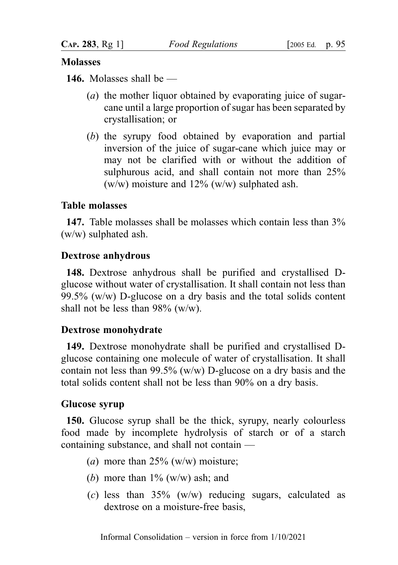## Molasses

146. Molasses shall be —

- (a) the mother liquor obtained by evaporating juice of sugarcane until a large proportion of sugar has been separated by crystallisation; or
- (b) the syrupy food obtained by evaporation and partial inversion of the juice of sugar-cane which juice may or may not be clarified with or without the addition of sulphurous acid, and shall contain not more than 25% (w/w) moisture and 12% (w/w) sulphated ash.

# Table molasses

147. Table molasses shall be molasses which contain less than 3% (w/w) sulphated ash.

# Dextrose anhydrous

148. Dextrose anhydrous shall be purified and crystallised Dglucose without water of crystallisation. It shall contain not less than 99.5% (w/w) D-glucose on a dry basis and the total solids content shall not be less than  $98\%$  (w/w).

# Dextrose monohydrate

149. Dextrose monohydrate shall be purified and crystallised Dglucose containing one molecule of water of crystallisation. It shall contain not less than 99.5% (w/w) D-glucose on a dry basis and the total solids content shall not be less than 90% on a dry basis.

## Glucose syrup

150. Glucose syrup shall be the thick, syrupy, nearly colourless food made by incomplete hydrolysis of starch or of a starch containing substance, and shall not contain —

- (a) more than  $25\%$  (w/w) moisture;
- (b) more than  $1\%$  (w/w) ash; and
- (c) less than  $35\%$  (w/w) reducing sugars, calculated as dextrose on a moisture-free basis,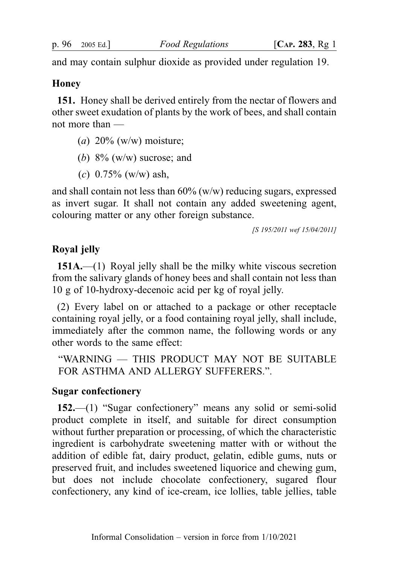and may contain sulphur dioxide as provided under regulation 19.

#### **Honey**

151. Honey shall be derived entirely from the nectar of flowers and other sweet exudation of plants by the work of bees, and shall contain not more than —

- (a)  $20\%$  (w/w) moisture;
- (b)  $8\%$  (w/w) sucrose; and
- (c)  $0.75\%$  (w/w) ash,

and shall contain not less than  $60\%$  (w/w) reducing sugars, expressed as invert sugar. It shall not contain any added sweetening agent, colouring matter or any other foreign substance.

[S 195/2011 wef 15/04/2011]

### Royal jelly

151A.—(1) Royal jelly shall be the milky white viscous secretion from the salivary glands of honey bees and shall contain not less than 10 g of 10-hydroxy-decenoic acid per kg of royal jelly.

(2) Every label on or attached to a package or other receptacle containing royal jelly, or a food containing royal jelly, shall include, immediately after the common name, the following words or any other words to the same effect:

"WARNING — THIS PRODUCT MAY NOT BE SUITABLE FOR ASTHMA AND ALLERGY SUFFERERS.".

#### Sugar confectionery

152.—(1) "Sugar confectionery" means any solid or semi-solid product complete in itself, and suitable for direct consumption without further preparation or processing, of which the characteristic ingredient is carbohydrate sweetening matter with or without the addition of edible fat, dairy product, gelatin, edible gums, nuts or preserved fruit, and includes sweetened liquorice and chewing gum, but does not include chocolate confectionery, sugared flour confectionery, any kind of ice-cream, ice lollies, table jellies, table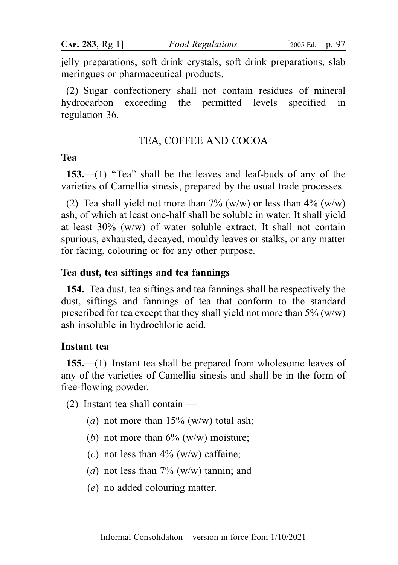jelly preparations, soft drink crystals, soft drink preparations, slab meringues or pharmaceutical products.

(2) Sugar confectionery shall not contain residues of mineral hydrocarbon exceeding the permitted levels specified in regulation 36.

#### TEA, COFFEE AND COCOA

### Tea

153.—(1) "Tea" shall be the leaves and leaf-buds of any of the varieties of Camellia sinesis, prepared by the usual trade processes.

(2) Tea shall yield not more than  $7\%$  (w/w) or less than  $4\%$  (w/w) ash, of which at least one-half shall be soluble in water. It shall yield at least 30% (w/w) of water soluble extract. It shall not contain spurious, exhausted, decayed, mouldy leaves or stalks, or any matter for facing, colouring or for any other purpose.

#### Tea dust, tea siftings and tea fannings

154. Tea dust, tea siftings and tea fannings shall be respectively the dust, siftings and fannings of tea that conform to the standard prescribed for tea except that they shall yield not more than  $5\%$  (w/w) ash insoluble in hydrochloric acid.

#### Instant tea

155.—(1) Instant tea shall be prepared from wholesome leaves of any of the varieties of Camellia sinesis and shall be in the form of free-flowing powder.

- (2) Instant tea shall contain
	- (a) not more than  $15\%$  (w/w) total ash;
	- (b) not more than  $6\%$  (w/w) moisture;
	- (c) not less than  $4\%$  (w/w) caffeine;
	- (d) not less than  $7\%$  (w/w) tannin; and
	- (e) no added colouring matter.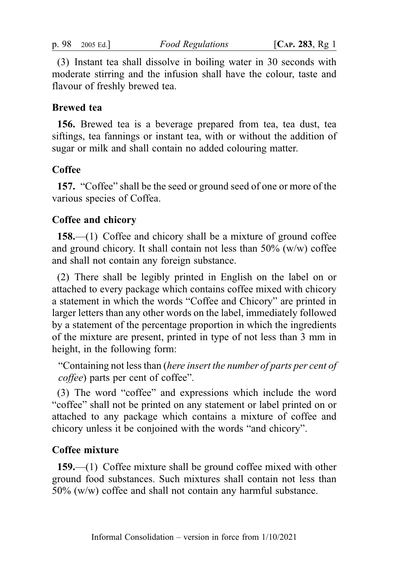(3) Instant tea shall dissolve in boiling water in 30 seconds with moderate stirring and the infusion shall have the colour, taste and flavour of freshly brewed tea.

### Brewed tea

156. Brewed tea is a beverage prepared from tea, tea dust, tea siftings, tea fannings or instant tea, with or without the addition of sugar or milk and shall contain no added colouring matter.

### **Coffee**

157. "Coffee" shall be the seed or ground seed of one or more of the various species of Coffea.

### Coffee and chicory

158.—(1) Coffee and chicory shall be a mixture of ground coffee and ground chicory. It shall contain not less than  $50\%$  (w/w) coffee and shall not contain any foreign substance.

(2) There shall be legibly printed in English on the label on or attached to every package which contains coffee mixed with chicory a statement in which the words "Coffee and Chicory" are printed in larger letters than any other words on the label, immediately followed by a statement of the percentage proportion in which the ingredients of the mixture are present, printed in type of not less than 3 mm in height, in the following form:

"Containing not less than (here insert the number of parts per cent of coffee) parts per cent of coffee".

(3) The word "coffee" and expressions which include the word "coffee" shall not be printed on any statement or label printed on or attached to any package which contains a mixture of coffee and chicory unless it be conjoined with the words "and chicory".

#### Coffee mixture

159.—(1) Coffee mixture shall be ground coffee mixed with other ground food substances. Such mixtures shall contain not less than 50% (w/w) coffee and shall not contain any harmful substance.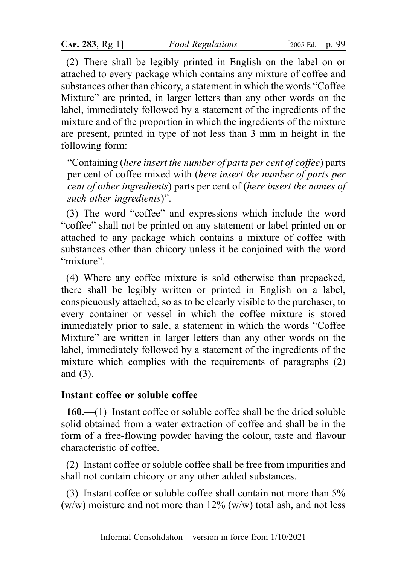(2) There shall be legibly printed in English on the label on or attached to every package which contains any mixture of coffee and substances other than chicory, a statement in which the words "Coffee Mixture" are printed, in larger letters than any other words on the label, immediately followed by a statement of the ingredients of the mixture and of the proportion in which the ingredients of the mixture are present, printed in type of not less than 3 mm in height in the following form:

"Containing (here insert the number of parts per cent of coffee) parts per cent of coffee mixed with (here insert the number of parts per cent of other ingredients) parts per cent of (here insert the names of such other ingredients)".

(3) The word "coffee" and expressions which include the word "coffee" shall not be printed on any statement or label printed on or attached to any package which contains a mixture of coffee with substances other than chicory unless it be conjoined with the word "mixture".

(4) Where any coffee mixture is sold otherwise than prepacked, there shall be legibly written or printed in English on a label, conspicuously attached, so as to be clearly visible to the purchaser, to every container or vessel in which the coffee mixture is stored immediately prior to sale, a statement in which the words "Coffee Mixture" are written in larger letters than any other words on the label, immediately followed by a statement of the ingredients of the mixture which complies with the requirements of paragraphs (2) and (3).

## Instant coffee or soluble coffee

160.—(1) Instant coffee or soluble coffee shall be the dried soluble solid obtained from a water extraction of coffee and shall be in the form of a free-flowing powder having the colour, taste and flavour characteristic of coffee.

(2) Instant coffee or soluble coffee shall be free from impurities and shall not contain chicory or any other added substances.

(3) Instant coffee or soluble coffee shall contain not more than 5% (w/w) moisture and not more than  $12\%$  (w/w) total ash, and not less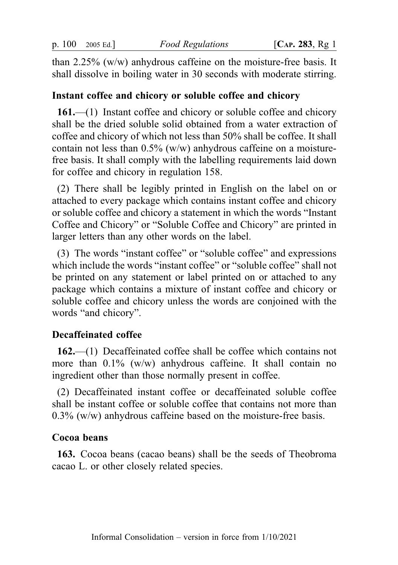than 2.25% (w/w) anhydrous caffeine on the moisture-free basis. It shall dissolve in boiling water in 30 seconds with moderate stirring.

#### Instant coffee and chicory or soluble coffee and chicory

161.—(1) Instant coffee and chicory or soluble coffee and chicory shall be the dried soluble solid obtained from a water extraction of coffee and chicory of which not less than 50% shall be coffee. It shall contain not less than 0.5% (w/w) anhydrous caffeine on a moisturefree basis. It shall comply with the labelling requirements laid down for coffee and chicory in regulation 158.

(2) There shall be legibly printed in English on the label on or attached to every package which contains instant coffee and chicory or soluble coffee and chicory a statement in which the words "Instant Coffee and Chicory" or "Soluble Coffee and Chicory" are printed in larger letters than any other words on the label.

(3) The words "instant coffee" or "soluble coffee" and expressions which include the words "instant coffee" or "soluble coffee" shall not be printed on any statement or label printed on or attached to any package which contains a mixture of instant coffee and chicory or soluble coffee and chicory unless the words are conjoined with the words "and chicory".

#### Decaffeinated coffee

162.—(1) Decaffeinated coffee shall be coffee which contains not more than  $0.1\%$  (w/w) anhydrous caffeine. It shall contain no ingredient other than those normally present in coffee.

(2) Decaffeinated instant coffee or decaffeinated soluble coffee shall be instant coffee or soluble coffee that contains not more than 0.3% (w/w) anhydrous caffeine based on the moisture-free basis.

#### Cocoa beans

163. Cocoa beans (cacao beans) shall be the seeds of Theobroma cacao L. or other closely related species.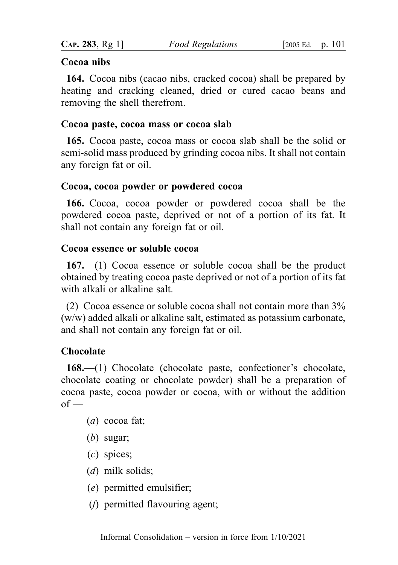## Cocoa nibs

164. Cocoa nibs (cacao nibs, cracked cocoa) shall be prepared by heating and cracking cleaned, dried or cured cacao beans and removing the shell therefrom.

### Cocoa paste, cocoa mass or cocoa slab

165. Cocoa paste, cocoa mass or cocoa slab shall be the solid or semi-solid mass produced by grinding cocoa nibs. It shall not contain any foreign fat or oil.

## Cocoa, cocoa powder or powdered cocoa

166. Cocoa, cocoa powder or powdered cocoa shall be the powdered cocoa paste, deprived or not of a portion of its fat. It shall not contain any foreign fat or oil.

### Cocoa essence or soluble cocoa

167.—(1) Cocoa essence or soluble cocoa shall be the product obtained by treating cocoa paste deprived or not of a portion of its fat with alkali or alkaline salt.

(2) Cocoa essence or soluble cocoa shall not contain more than 3% (w/w) added alkali or alkaline salt, estimated as potassium carbonate, and shall not contain any foreign fat or oil.

# **Chocolate**

168.—(1) Chocolate (chocolate paste, confectioner's chocolate, chocolate coating or chocolate powder) shall be a preparation of cocoa paste, cocoa powder or cocoa, with or without the addition  $of -$ 

- (a) cocoa fat;
- (b) sugar;
- (c) spices;
- (*d*) milk solids;
- (e) permitted emulsifier;
- (f) permitted flavouring agent;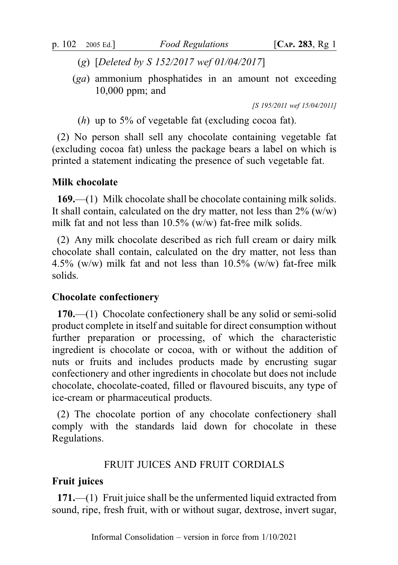- (g) [Deleted by S 152/2017 wef 01/04/2017]
- (ga) ammonium phosphatides in an amount not exceeding 10,000 ppm; and

[S 195/2011 wef 15/04/2011]

(h) up to 5% of vegetable fat (excluding cocoa fat).

(2) No person shall sell any chocolate containing vegetable fat (excluding cocoa fat) unless the package bears a label on which is printed a statement indicating the presence of such vegetable fat.

#### Milk chocolate

169.—(1) Milk chocolate shall be chocolate containing milk solids. It shall contain, calculated on the dry matter, not less than  $2\%$  (w/w) milk fat and not less than 10.5% (w/w) fat-free milk solids.

(2) Any milk chocolate described as rich full cream or dairy milk chocolate shall contain, calculated on the dry matter, not less than 4.5% (w/w) milk fat and not less than  $10.5\%$  (w/w) fat-free milk solids.

#### Chocolate confectionery

170.—(1) Chocolate confectionery shall be any solid or semi-solid product complete in itself and suitable for direct consumption without further preparation or processing, of which the characteristic ingredient is chocolate or cocoa, with or without the addition of nuts or fruits and includes products made by encrusting sugar confectionery and other ingredients in chocolate but does not include chocolate, chocolate-coated, filled or flavoured biscuits, any type of ice-cream or pharmaceutical products.

(2) The chocolate portion of any chocolate confectionery shall comply with the standards laid down for chocolate in these Regulations.

#### FRUIT JUICES AND FRUIT CORDIALS

#### Fruit juices

171.—(1) Fruit juice shall be the unfermented liquid extracted from sound, ripe, fresh fruit, with or without sugar, dextrose, invert sugar,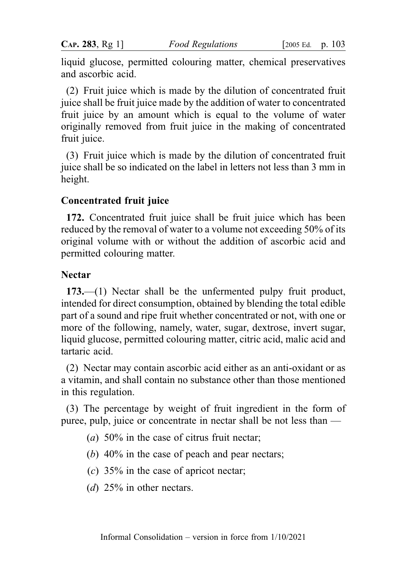liquid glucose, permitted colouring matter, chemical preservatives and ascorbic acid.

(2) Fruit juice which is made by the dilution of concentrated fruit juice shall be fruit juice made by the addition of water to concentrated fruit juice by an amount which is equal to the volume of water originally removed from fruit juice in the making of concentrated fruit juice.

(3) Fruit juice which is made by the dilution of concentrated fruit juice shall be so indicated on the label in letters not less than 3 mm in height.

### Concentrated fruit juice

172. Concentrated fruit juice shall be fruit juice which has been reduced by the removal of water to a volume not exceeding 50% of its original volume with or without the addition of ascorbic acid and permitted colouring matter.

## Nectar

173.—(1) Nectar shall be the unfermented pulpy fruit product, intended for direct consumption, obtained by blending the total edible part of a sound and ripe fruit whether concentrated or not, with one or more of the following, namely, water, sugar, dextrose, invert sugar, liquid glucose, permitted colouring matter, citric acid, malic acid and tartaric acid.

(2) Nectar may contain ascorbic acid either as an anti-oxidant or as a vitamin, and shall contain no substance other than those mentioned in this regulation.

(3) The percentage by weight of fruit ingredient in the form of puree, pulp, juice or concentrate in nectar shall be not less than —

- (a)  $50\%$  in the case of citrus fruit nectar;
- (b) 40% in the case of peach and pear nectars;
- $(c)$  35% in the case of apricot nectar;
- (d)  $25\%$  in other nectars.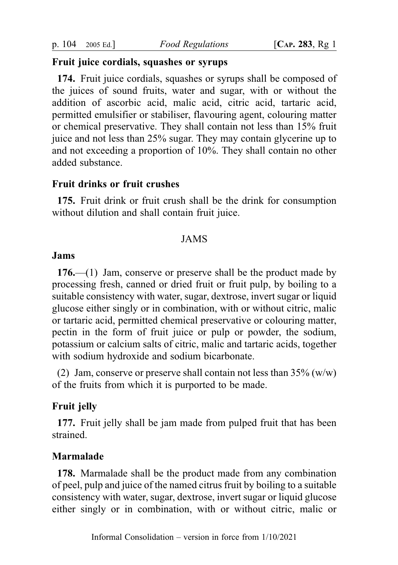#### Fruit juice cordials, squashes or syrups

174. Fruit juice cordials, squashes or syrups shall be composed of the juices of sound fruits, water and sugar, with or without the addition of ascorbic acid, malic acid, citric acid, tartaric acid, permitted emulsifier or stabiliser, flavouring agent, colouring matter or chemical preservative. They shall contain not less than 15% fruit juice and not less than 25% sugar. They may contain glycerine up to and not exceeding a proportion of 10%. They shall contain no other added substance.

### Fruit drinks or fruit crushes

175. Fruit drink or fruit crush shall be the drink for consumption without dilution and shall contain fruit juice.

### JAMS

#### Jams

176.—(1) Jam, conserve or preserve shall be the product made by processing fresh, canned or dried fruit or fruit pulp, by boiling to a suitable consistency with water, sugar, dextrose, invert sugar or liquid glucose either singly or in combination, with or without citric, malic or tartaric acid, permitted chemical preservative or colouring matter, pectin in the form of fruit juice or pulp or powder, the sodium, potassium or calcium salts of citric, malic and tartaric acids, together with sodium hydroxide and sodium bicarbonate.

(2) Jam, conserve or preserve shall contain not less than  $35\%$  (w/w) of the fruits from which it is purported to be made.

#### Fruit jelly

177. Fruit jelly shall be jam made from pulped fruit that has been strained.

#### Marmalade

178. Marmalade shall be the product made from any combination of peel, pulp and juice of the named citrus fruit by boiling to a suitable consistency with water, sugar, dextrose, invert sugar or liquid glucose either singly or in combination, with or without citric, malic or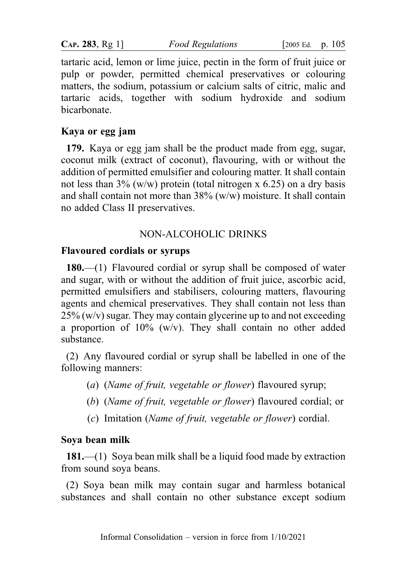**CAP. 283, Rg 1]** Food Regulations [2005 Ed. p. 105]

tartaric acid, lemon or lime juice, pectin in the form of fruit juice or pulp or powder, permitted chemical preservatives or colouring matters, the sodium, potassium or calcium salts of citric, malic and tartaric acids, together with sodium hydroxide and sodium bicarbonate.

## Kaya or egg jam

179. Kaya or egg jam shall be the product made from egg, sugar, coconut milk (extract of coconut), flavouring, with or without the addition of permitted emulsifier and colouring matter. It shall contain not less than  $3\%$  (w/w) protein (total nitrogen x 6.25) on a dry basis and shall contain not more than  $38\%$  (w/w) moisture. It shall contain no added Class II preservatives.

# NON-ALCOHOLIC DRINKS

## Flavoured cordials or syrups

180.—(1) Flavoured cordial or syrup shall be composed of water and sugar, with or without the addition of fruit juice, ascorbic acid, permitted emulsifiers and stabilisers, colouring matters, flavouring agents and chemical preservatives. They shall contain not less than  $25\%$  (w/v) sugar. They may contain glycerine up to and not exceeding a proportion of 10% (w/v). They shall contain no other added substance.

(2) Any flavoured cordial or syrup shall be labelled in one of the following manners:

- (a) (Name of fruit, vegetable or flower) flavoured syrup;
- (b) (Name of fruit, vegetable or flower) flavoured cordial; or
- (c) Imitation (Name of fruit, vegetable or flower) cordial.

# Soya bean milk

181.—(1) Soya bean milk shall be a liquid food made by extraction from sound soya beans.

(2) Soya bean milk may contain sugar and harmless botanical substances and shall contain no other substance except sodium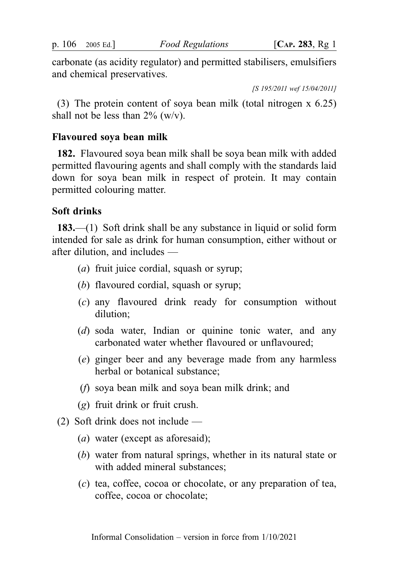carbonate (as acidity regulator) and permitted stabilisers, emulsifiers and chemical preservatives.

[S 195/2011 wef 15/04/2011]

(3) The protein content of soya bean milk (total nitrogen x 6.25) shall not be less than  $2\%$  (w/v).

#### Flavoured soya bean milk

182. Flavoured soya bean milk shall be soya bean milk with added permitted flavouring agents and shall comply with the standards laid down for soya bean milk in respect of protein. It may contain permitted colouring matter.

#### Soft drinks

183.—(1) Soft drink shall be any substance in liquid or solid form intended for sale as drink for human consumption, either without or after dilution, and includes —

- (a) fruit juice cordial, squash or syrup;
- (b) flavoured cordial, squash or syrup;
- (c) any flavoured drink ready for consumption without dilution;
- (d) soda water, Indian or quinine tonic water, and any carbonated water whether flavoured or unflavoured;
- (e) ginger beer and any beverage made from any harmless herbal or botanical substance;
- (f) soya bean milk and soya bean milk drink; and
- (g) fruit drink or fruit crush.
- (2) Soft drink does not include
	- (a) water (except as aforesaid);
	- (b) water from natural springs, whether in its natural state or with added mineral substances;
	- (c) tea, coffee, cocoa or chocolate, or any preparation of tea, coffee, cocoa or chocolate;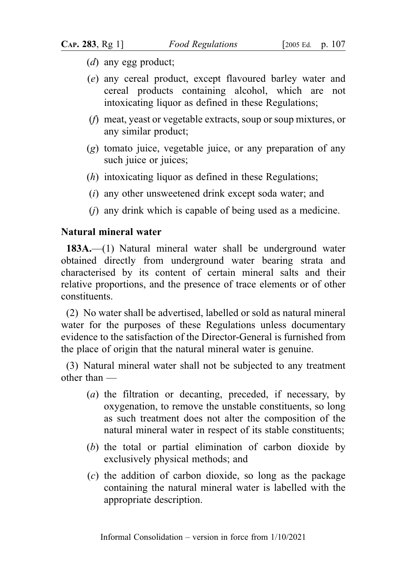- (d) any egg product;
- (e) any cereal product, except flavoured barley water and cereal products containing alcohol, which are not intoxicating liquor as defined in these Regulations;
- (f) meat, yeast or vegetable extracts, soup or soup mixtures, or any similar product;
- (g) tomato juice, vegetable juice, or any preparation of any such juice or juices;
- (h) intoxicating liquor as defined in these Regulations;
- (i) any other unsweetened drink except soda water; and
- $(i)$  any drink which is capable of being used as a medicine.

## Natural mineral water

183A.—(1) Natural mineral water shall be underground water obtained directly from underground water bearing strata and characterised by its content of certain mineral salts and their relative proportions, and the presence of trace elements or of other constituents.

(2) No water shall be advertised, labelled or sold as natural mineral water for the purposes of these Regulations unless documentary evidence to the satisfaction of the Director-General is furnished from the place of origin that the natural mineral water is genuine.

(3) Natural mineral water shall not be subjected to any treatment other than —

- (a) the filtration or decanting, preceded, if necessary, by oxygenation, to remove the unstable constituents, so long as such treatment does not alter the composition of the natural mineral water in respect of its stable constituents;
- (b) the total or partial elimination of carbon dioxide by exclusively physical methods; and
- (c) the addition of carbon dioxide, so long as the package containing the natural mineral water is labelled with the appropriate description.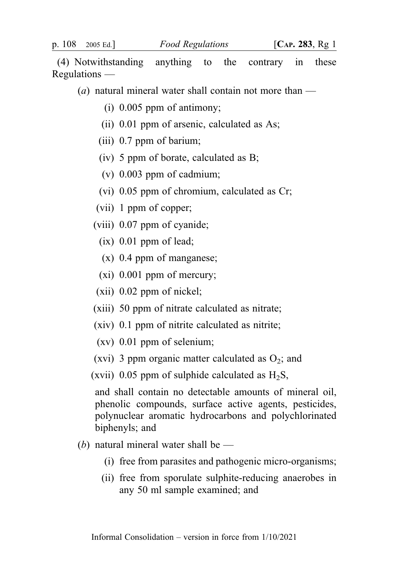(4) Notwithstanding anything to the contrary in these Regulations —

(a) natural mineral water shall contain not more than  $-$ 

- (i) 0.005 ppm of antimony;
- (ii) 0.01 ppm of arsenic, calculated as As;
- (iii) 0.7 ppm of barium;
- (iv) 5 ppm of borate, calculated as B;
- (v) 0.003 ppm of cadmium;
- (vi) 0.05 ppm of chromium, calculated as Cr;
- (vii) 1 ppm of copper;
- (viii) 0.07 ppm of cyanide;
	- $(ix)$  0.01 ppm of lead;
	- (x) 0.4 ppm of manganese;
	- $(xi)$  0.001 ppm of mercury;
- (xii) 0.02 ppm of nickel;
- (xiii) 50 ppm of nitrate calculated as nitrate;
- (xiv) 0.1 ppm of nitrite calculated as nitrite;
- (xv) 0.01 ppm of selenium;
- (xvi) 3 ppm organic matter calculated as  $O_2$ ; and
- (xvii) 0.05 ppm of sulphide calculated as  $H_2S$ ,

and shall contain no detectable amounts of mineral oil, phenolic compounds, surface active agents, pesticides, polynuclear aromatic hydrocarbons and polychlorinated biphenyls; and

- (b) natural mineral water shall be  $-$ 
	- (i) free from parasites and pathogenic micro-organisms;
	- (ii) free from sporulate sulphite-reducing anaerobes in any 50 ml sample examined; and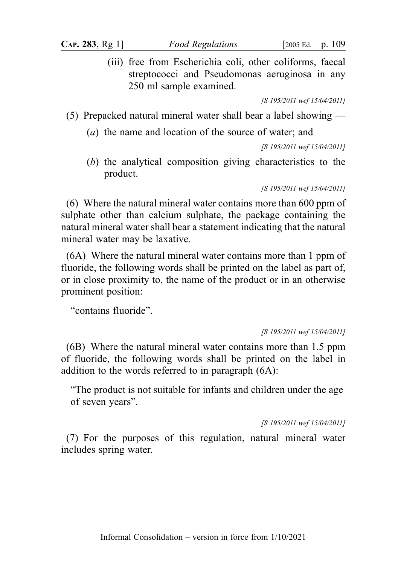(iii) free from Escherichia coli, other coliforms, faecal streptococci and Pseudomonas aeruginosa in any 250 ml sample examined.

[S 195/2011 wef 15/04/2011]

- (5) Prepacked natural mineral water shall bear a label showing
	- (a) the name and location of the source of water; and

[S 195/2011 wef 15/04/2011]

(b) the analytical composition giving characteristics to the product.

[S 195/2011 wef 15/04/2011]

(6) Where the natural mineral water contains more than 600 ppm of sulphate other than calcium sulphate, the package containing the natural mineral water shall bear a statement indicating that the natural mineral water may be laxative.

(6A) Where the natural mineral water contains more than 1 ppm of fluoride, the following words shall be printed on the label as part of, or in close proximity to, the name of the product or in an otherwise prominent position:

"contains fluoride".

#### [S 195/2011 wef 15/04/2011]

(6B) Where the natural mineral water contains more than 1.5 ppm of fluoride, the following words shall be printed on the label in addition to the words referred to in paragraph (6A):

"The product is not suitable for infants and children under the age of seven years".

[S 195/2011 wef 15/04/2011]

(7) For the purposes of this regulation, natural mineral water includes spring water.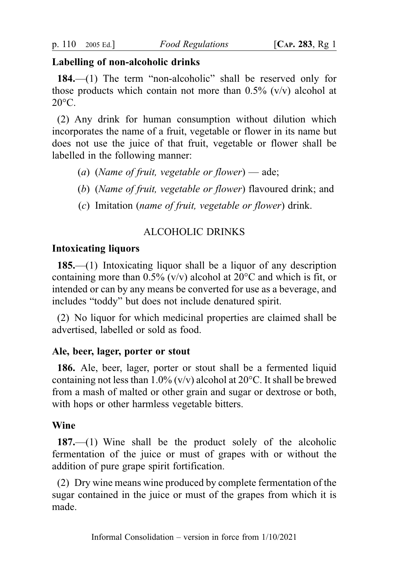### Labelling of non-alcoholic drinks

184.—(1) The term "non-alcoholic" shall be reserved only for those products which contain not more than  $0.5\%$  (v/v) alcohol at  $20^{\circ}$ C.

(2) Any drink for human consumption without dilution which incorporates the name of a fruit, vegetable or flower in its name but does not use the juice of that fruit, vegetable or flower shall be labelled in the following manner:

- (a) (Name of fruit, vegetable or flower) ade;
- (b) (Name of fruit, vegetable or flower) flavoured drink; and
- (c) Imitation (name of fruit, vegetable or flower) drink.

# ALCOHOLIC DRINKS

### Intoxicating liquors

185.—(1) Intoxicating liquor shall be a liquor of any description containing more than  $0.5\%$  (v/v) alcohol at  $20^{\circ}$ C and which is fit, or intended or can by any means be converted for use as a beverage, and includes "toddy" but does not include denatured spirit.

(2) No liquor for which medicinal properties are claimed shall be advertised, labelled or sold as food.

### Ale, beer, lager, porter or stout

186. Ale, beer, lager, porter or stout shall be a fermented liquid containing not less than  $1.0\%$  (v/v) alcohol at 20 $\degree$ C. It shall be brewed from a mash of malted or other grain and sugar or dextrose or both, with hops or other harmless vegetable bitters.

### Wine

187.—(1) Wine shall be the product solely of the alcoholic fermentation of the juice or must of grapes with or without the addition of pure grape spirit fortification.

(2) Dry wine means wine produced by complete fermentation of the sugar contained in the juice or must of the grapes from which it is made.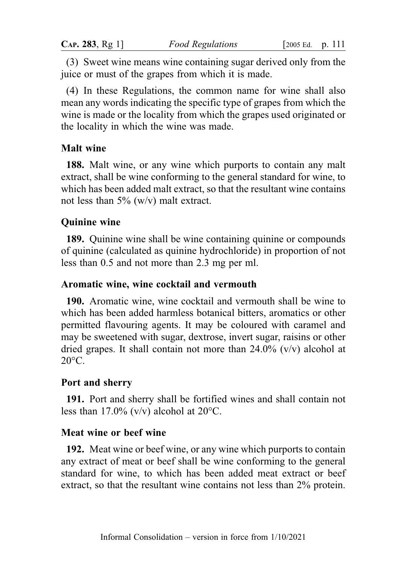(3) Sweet wine means wine containing sugar derived only from the juice or must of the grapes from which it is made.

(4) In these Regulations, the common name for wine shall also mean any words indicating the specific type of grapes from which the wine is made or the locality from which the grapes used originated or the locality in which the wine was made.

## Malt wine

188. Malt wine, or any wine which purports to contain any malt extract, shall be wine conforming to the general standard for wine, to which has been added malt extract, so that the resultant wine contains not less than  $5\%$  (w/v) malt extract.

## Quinine wine

189. Quinine wine shall be wine containing quinine or compounds of quinine (calculated as quinine hydrochloride) in proportion of not less than 0.5 and not more than 2.3 mg per ml.

### Aromatic wine, wine cocktail and vermouth

190. Aromatic wine, wine cocktail and vermouth shall be wine to which has been added harmless botanical bitters, aromatics or other permitted flavouring agents. It may be coloured with caramel and may be sweetened with sugar, dextrose, invert sugar, raisins or other dried grapes. It shall contain not more than  $24.0\%$  (v/v) alcohol at  $20^{\circ}$ C.

## Port and sherry

191. Port and sherry shall be fortified wines and shall contain not less than 17.0%  $(v/v)$  alcohol at 20 $^{\circ}$ C.

## Meat wine or beef wine

192. Meat wine or beef wine, or any wine which purports to contain any extract of meat or beef shall be wine conforming to the general standard for wine, to which has been added meat extract or beef extract, so that the resultant wine contains not less than 2% protein.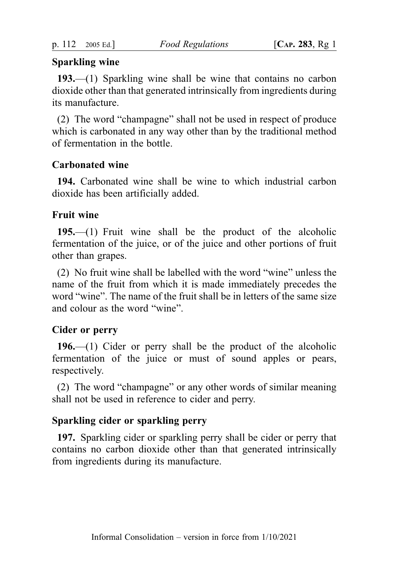# Sparkling wine

193.—(1) Sparkling wine shall be wine that contains no carbon dioxide other than that generated intrinsically from ingredients during its manufacture.

(2) The word "champagne" shall not be used in respect of produce which is carbonated in any way other than by the traditional method of fermentation in the bottle.

# Carbonated wine

194. Carbonated wine shall be wine to which industrial carbon dioxide has been artificially added.

# Fruit wine

195.—(1) Fruit wine shall be the product of the alcoholic fermentation of the juice, or of the juice and other portions of fruit other than grapes.

(2) No fruit wine shall be labelled with the word "wine" unless the name of the fruit from which it is made immediately precedes the word "wine". The name of the fruit shall be in letters of the same size and colour as the word "wine".

# Cider or perry

196.—(1) Cider or perry shall be the product of the alcoholic fermentation of the juice or must of sound apples or pears, respectively.

(2) The word "champagne" or any other words of similar meaning shall not be used in reference to cider and perry.

# Sparkling cider or sparkling perry

197. Sparkling cider or sparkling perry shall be cider or perry that contains no carbon dioxide other than that generated intrinsically from ingredients during its manufacture.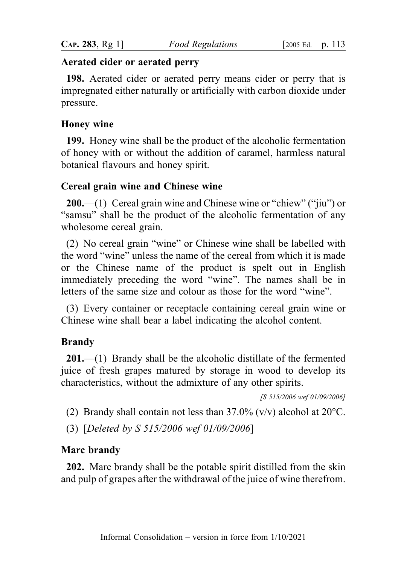### Aerated cider or aerated perry

198. Aerated cider or aerated perry means cider or perry that is impregnated either naturally or artificially with carbon dioxide under pressure.

## Honey wine

199. Honey wine shall be the product of the alcoholic fermentation of honey with or without the addition of caramel, harmless natural botanical flavours and honey spirit.

## Cereal grain wine and Chinese wine

200.—(1) Cereal grain wine and Chinese wine or "chiew" ("jiu") or "samsu" shall be the product of the alcoholic fermentation of any wholesome cereal grain.

(2) No cereal grain "wine" or Chinese wine shall be labelled with the word "wine" unless the name of the cereal from which it is made or the Chinese name of the product is spelt out in English immediately preceding the word "wine". The names shall be in letters of the same size and colour as those for the word "wine".

(3) Every container or receptacle containing cereal grain wine or Chinese wine shall bear a label indicating the alcohol content.

# Brandy

201.—(1) Brandy shall be the alcoholic distillate of the fermented juice of fresh grapes matured by storage in wood to develop its characteristics, without the admixture of any other spirits.

[S 515/2006 wef 01/09/2006]

(2) Brandy shall contain not less than  $37.0\%$  (v/v) alcohol at  $20^{\circ}$ C.

(3) [Deleted by S 515/2006 wef 01/09/2006]

## Marc brandy

202. Marc brandy shall be the potable spirit distilled from the skin and pulp of grapes after the withdrawal of the juice of wine therefrom.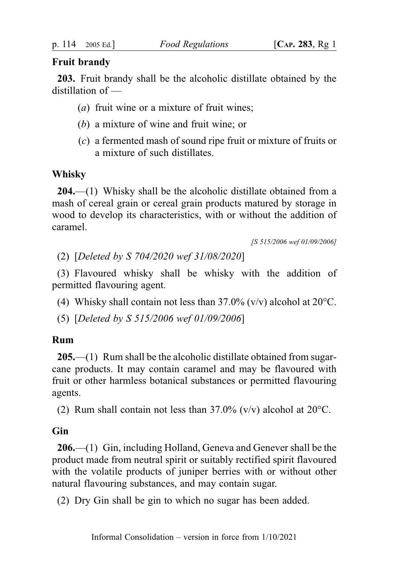## Fruit brandy

203. Fruit brandy shall be the alcoholic distillate obtained by the distillation of —

- (*a*) fruit wine or a mixture of fruit wines;
- (b) a mixture of wine and fruit wine; or
- (c) a fermented mash of sound ripe fruit or mixture of fruits or a mixture of such distillates.

## Whisky

204.—(1) Whisky shall be the alcoholic distillate obtained from a mash of cereal grain or cereal grain products matured by storage in wood to develop its characteristics, with or without the addition of caramel.

[S 515/2006 wef 01/09/2006]

(2) [Deleted by S 704/2020 wef 31/08/2020]

(3) Flavoured whisky shall be whisky with the addition of permitted flavouring agent.

(4) Whisky shall contain not less than  $37.0\%$  (v/v) alcohol at  $20^{\circ}$ C.

(5) [Deleted by S 515/2006 wef 01/09/2006]

### Rum

205.—(1) Rum shall be the alcoholic distillate obtained from sugarcane products. It may contain caramel and may be flavoured with fruit or other harmless botanical substances or permitted flavouring agents.

(2) Rum shall contain not less than  $37.0\%$  (v/v) alcohol at  $20^{\circ}$ C.

## **Gin**

206.—(1) Gin, including Holland, Geneva and Genever shall be the product made from neutral spirit or suitably rectified spirit flavoured with the volatile products of juniper berries with or without other natural flavouring substances, and may contain sugar.

(2) Dry Gin shall be gin to which no sugar has been added.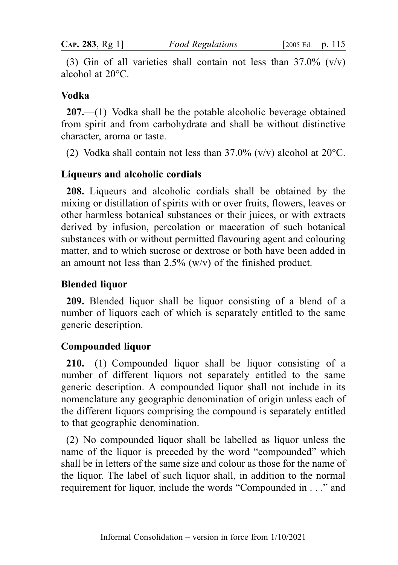(3) Gin of all varieties shall contain not less than  $37.0\%$  (v/v) alcohol at 20°C.

### Vodka

207.—(1) Vodka shall be the potable alcoholic beverage obtained from spirit and from carbohydrate and shall be without distinctive character, aroma or taste.

(2) Vodka shall contain not less than  $37.0\%$  (v/v) alcohol at  $20^{\circ}$ C.

### Liqueurs and alcoholic cordials

208. Liqueurs and alcoholic cordials shall be obtained by the mixing or distillation of spirits with or over fruits, flowers, leaves or other harmless botanical substances or their juices, or with extracts derived by infusion, percolation or maceration of such botanical substances with or without permitted flavouring agent and colouring matter, and to which sucrose or dextrose or both have been added in an amount not less than  $2.5\%$  (w/v) of the finished product.

### Blended liquor

209. Blended liquor shall be liquor consisting of a blend of a number of liquors each of which is separately entitled to the same generic description.

### Compounded liquor

210.—(1) Compounded liquor shall be liquor consisting of a number of different liquors not separately entitled to the same generic description. A compounded liquor shall not include in its nomenclature any geographic denomination of origin unless each of the different liquors comprising the compound is separately entitled to that geographic denomination.

(2) No compounded liquor shall be labelled as liquor unless the name of the liquor is preceded by the word "compounded" which shall be in letters of the same size and colour as those for the name of the liquor. The label of such liquor shall, in addition to the normal requirement for liquor, include the words "Compounded in . . ." and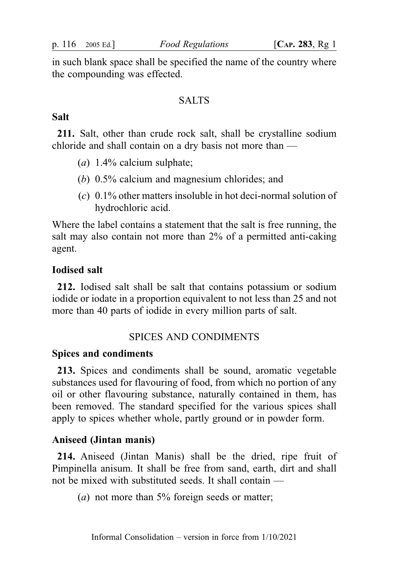in such blank space shall be specified the name of the country where the compounding was effected.

### SALTS<sub>s</sub>

### Salt

211. Salt, other than crude rock salt, shall be crystalline sodium chloride and shall contain on a dry basis not more than —

- (a)  $1.4\%$  calcium sulphate;
- (b) 0.5% calcium and magnesium chlorides; and
- (c) 0.1% other matters insoluble in hot deci-normal solution of hydrochloric acid.

Where the label contains a statement that the salt is free running, the salt may also contain not more than 2% of a permitted anti-caking agent.

### Iodised salt

212. Iodised salt shall be salt that contains potassium or sodium iodide or iodate in a proportion equivalent to not less than 25 and not more than 40 parts of iodide in every million parts of salt.

### SPICES AND CONDIMENTS

#### Spices and condiments

213. Spices and condiments shall be sound, aromatic vegetable substances used for flavouring of food, from which no portion of any oil or other flavouring substance, naturally contained in them, has been removed. The standard specified for the various spices shall apply to spices whether whole, partly ground or in powder form.

#### Aniseed (Jintan manis)

214. Aniseed (Jintan Manis) shall be the dried, ripe fruit of Pimpinella anisum. It shall be free from sand, earth, dirt and shall not be mixed with substituted seeds. It shall contain —

(*a*) not more than 5% foreign seeds or matter;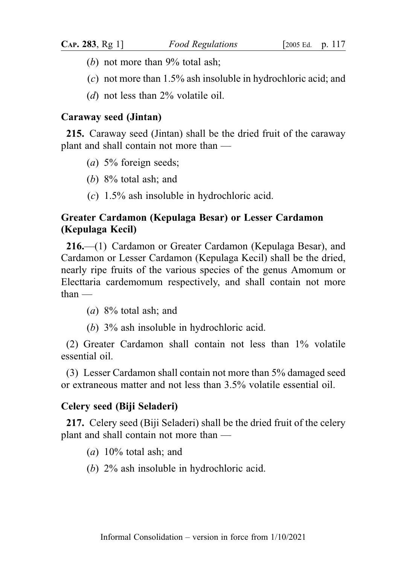- (b) not more than  $9\%$  total ash;
- (c) not more than 1.5% ash insoluble in hydrochloric acid; and
- (d) not less than  $2\%$  volatile oil.

## Caraway seed (Jintan)

215. Caraway seed (Jintan) shall be the dried fruit of the caraway plant and shall contain not more than —

- (*a*) 5% foreign seeds;
- (b) 8% total ash; and
- (c) 1.5% ash insoluble in hydrochloric acid.

# Greater Cardamon (Kepulaga Besar) or Lesser Cardamon (Kepulaga Kecil)

216.—(1) Cardamon or Greater Cardamon (Kepulaga Besar), and Cardamon or Lesser Cardamon (Kepulaga Kecil) shall be the dried, nearly ripe fruits of the various species of the genus Amomum or Electtaria cardemomum respectively, and shall contain not more than —

(*a*)  $8\%$  total ash; and

(b) 3% ash insoluble in hydrochloric acid.

(2) Greater Cardamon shall contain not less than 1% volatile essential oil.

(3) Lesser Cardamon shall contain not more than 5% damaged seed or extraneous matter and not less than 3.5% volatile essential oil.

### Celery seed (Biji Seladeri)

217. Celery seed (Biji Seladeri) shall be the dried fruit of the celery plant and shall contain not more than —

(a)  $10\%$  total ash; and

(b) 2% ash insoluble in hydrochloric acid.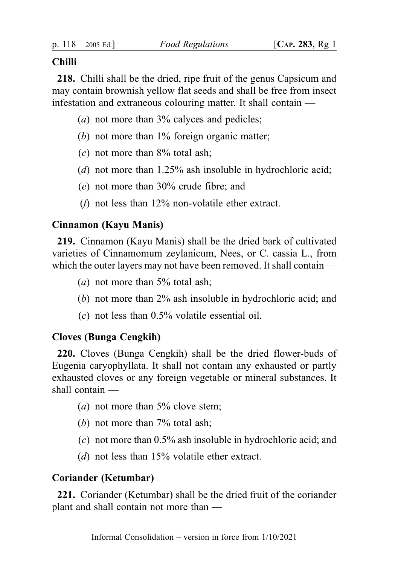## Chilli

218. Chilli shall be the dried, ripe fruit of the genus Capsicum and may contain brownish yellow flat seeds and shall be free from insect infestation and extraneous colouring matter. It shall contain —

- (*a*) not more than 3% calyces and pedicles;
- (b) not more than 1% foreign organic matter;
- $(c)$  not more than  $8\%$  total ash;
- (d) not more than 1.25% ash insoluble in hydrochloric acid;
- (e) not more than 30% crude fibre; and
- ( $f$ ) not less than 12% non-volatile ether extract.

# Cinnamon (Kayu Manis)

219. Cinnamon (Kayu Manis) shall be the dried bark of cultivated varieties of Cinnamomum zeylanicum, Nees, or C. cassia L., from which the outer layers may not have been removed. It shall contain —

- (*a*) not more than  $5\%$  total ash;
- (b) not more than 2% ash insoluble in hydrochloric acid; and
- $(c)$  not less than 0.5% volatile essential oil.

# Cloves (Bunga Cengkih)

220. Cloves (Bunga Cengkih) shall be the dried flower-buds of Eugenia caryophyllata. It shall not contain any exhausted or partly exhausted cloves or any foreign vegetable or mineral substances. It shall contain —

- (*a*) not more than  $5\%$  clove stem;
- (b) not more than  $7\%$  total ash;
- (c) not more than 0.5% ash insoluble in hydrochloric acid; and
- (d) not less than 15% volatile ether extract.

# Coriander (Ketumbar)

221. Coriander (Ketumbar) shall be the dried fruit of the coriander plant and shall contain not more than —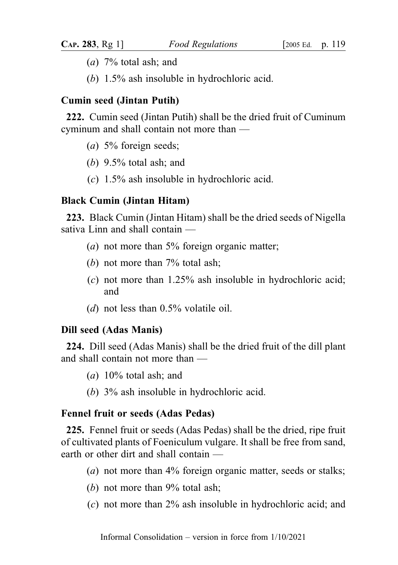- (a)  $7\%$  total ash; and
- (b) 1.5% ash insoluble in hydrochloric acid.

### Cumin seed (Jintan Putih)

222. Cumin seed (Jintan Putih) shall be the dried fruit of Cuminum cyminum and shall contain not more than —

- (a) 5% foreign seeds;
- (b)  $9.5\%$  total ash; and
- (c) 1.5% ash insoluble in hydrochloric acid.

### Black Cumin (Jintan Hitam)

223. Black Cumin (Jintan Hitam) shall be the dried seeds of Nigella sativa Linn and shall contain —

- (*a*) not more than  $5\%$  foreign organic matter;
- (b) not more than  $7\%$  total ash;
- (c) not more than 1.25% ash insoluble in hydrochloric acid; and
- (d) not less than  $0.5\%$  volatile oil.

### Dill seed (Adas Manis)

224. Dill seed (Adas Manis) shall be the dried fruit of the dill plant and shall contain not more than —

- $(a)$  10% total ash; and
- (b) 3% ash insoluble in hydrochloric acid.

#### Fennel fruit or seeds (Adas Pedas)

225. Fennel fruit or seeds (Adas Pedas) shall be the dried, ripe fruit of cultivated plants of Foeniculum vulgare. It shall be free from sand, earth or other dirt and shall contain —

- (*a*) not more than 4% foreign organic matter, seeds or stalks;
- (b) not more than 9% total ash;
- (c) not more than 2% ash insoluble in hydrochloric acid; and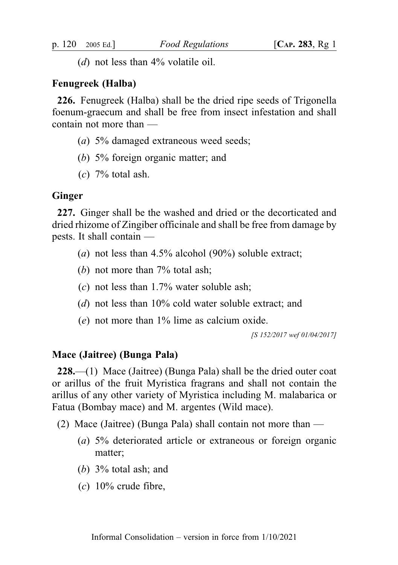(d) not less than  $4\%$  volatile oil.

### Fenugreek (Halba)

226. Fenugreek (Halba) shall be the dried ripe seeds of Trigonella foenum-graecum and shall be free from insect infestation and shall contain not more than —

- (*a*) 5% damaged extraneous weed seeds;
- (b) 5% foreign organic matter; and
- $(c)$  7% total ash.

### Ginger

227. Ginger shall be the washed and dried or the decorticated and dried rhizome of Zingiber officinale and shall be free from damage by pests. It shall contain —

- (a) not less than  $4.5\%$  alcohol (90%) soluble extract;
- (b) not more than 7% total ash;
- $(c)$  not less than 1.7% water soluble ash;
- (d) not less than 10% cold water soluble extract; and
- (e) not more than 1% lime as calcium oxide.

[S 152/2017 wef 01/04/2017]

## Mace (Jaitree) (Bunga Pala)

228.—(1) Mace (Jaitree) (Bunga Pala) shall be the dried outer coat or arillus of the fruit Myristica fragrans and shall not contain the arillus of any other variety of Myristica including M. malabarica or Fatua (Bombay mace) and M. argentes (Wild mace).

- (2) Mace (Jaitree) (Bunga Pala) shall contain not more than
	- (a) 5% deteriorated article or extraneous or foreign organic matter;
	- (b) 3% total ash; and
	- $(c)$  10% crude fibre,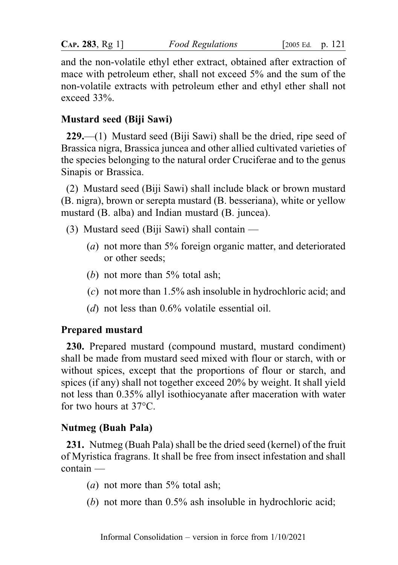| CAP. 283, Rg 1 |  | Food |
|----------------|--|------|
|                |  |      |

and the non-volatile ethyl ether extract, obtained after extraction of mace with petroleum ether, shall not exceed 5% and the sum of the non-volatile extracts with petroleum ether and ethyl ether shall not exceed 33%.

# Mustard seed (Biji Sawi)

229.—(1) Mustard seed (Biji Sawi) shall be the dried, ripe seed of Brassica nigra, Brassica juncea and other allied cultivated varieties of the species belonging to the natural order Cruciferae and to the genus Sinapis or Brassica.

(2) Mustard seed (Biji Sawi) shall include black or brown mustard (B. nigra), brown or serepta mustard (B. besseriana), white or yellow mustard (B. alba) and Indian mustard (B. juncea).

- (3) Mustard seed (Biji Sawi) shall contain
	- (a) not more than 5% foreign organic matter, and deteriorated or other seeds;
	- (b) not more than  $5\%$  total ash;
	- (c) not more than 1.5% ash insoluble in hydrochloric acid; and
	- (d) not less than 0.6% volatile essential oil.

# Prepared mustard

230. Prepared mustard (compound mustard, mustard condiment) shall be made from mustard seed mixed with flour or starch, with or without spices, except that the proportions of flour or starch, and spices (if any) shall not together exceed 20% by weight. It shall yield not less than 0.35% allyl isothiocyanate after maceration with water for two hours at 37°C.

# Nutmeg (Buah Pala)

231. Nutmeg (Buah Pala) shall be the dried seed (kernel) of the fruit of Myristica fragrans. It shall be free from insect infestation and shall contain —

- (*a*) not more than  $5\%$  total ash;
- (b) not more than 0.5% ash insoluble in hydrochloric acid;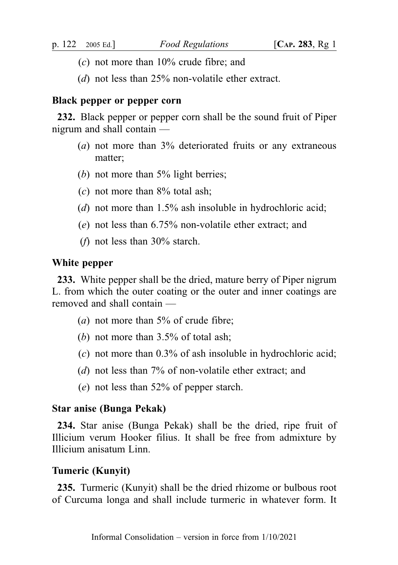- $(c)$  not more than  $10\%$  crude fibre; and
- (*d*) not less than 25% non-volatile ether extract.

### Black pepper or pepper corn

232. Black pepper or pepper corn shall be the sound fruit of Piper nigrum and shall contain —

- (a) not more than 3% deteriorated fruits or any extraneous matter;
- (b) not more than  $5\%$  light berries;
- $(c)$  not more than  $8\%$  total ash;
- (d) not more than 1.5% ash insoluble in hydrochloric acid;
- (e) not less than 6.75% non-volatile ether extract; and
- (*f*) not less than  $30\%$  starch.

### White pepper

233. White pepper shall be the dried, mature berry of Piper nigrum L. from which the outer coating or the outer and inner coatings are removed and shall contain —

- (*a*) not more than  $5\%$  of crude fibre;
- (b) not more than 3.5% of total ash;
- (c) not more than 0.3% of ash insoluble in hydrochloric acid;
- (d) not less than 7% of non-volatile ether extract; and
- (e) not less than 52% of pepper starch.

### Star anise (Bunga Pekak)

234. Star anise (Bunga Pekak) shall be the dried, ripe fruit of Illicium verum Hooker filius. It shall be free from admixture by Illicium anisatum Linn.

### Tumeric (Kunyit)

235. Turmeric (Kunyit) shall be the dried rhizome or bulbous root of Curcuma longa and shall include turmeric in whatever form. It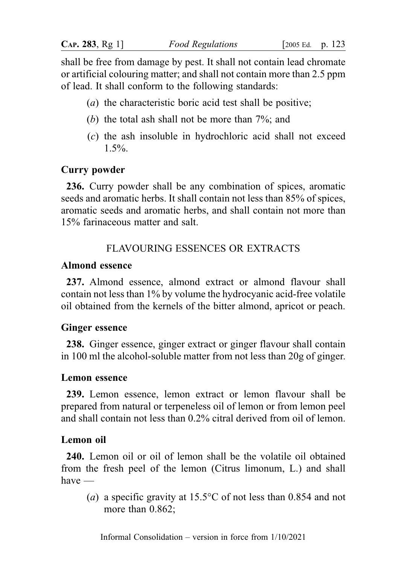shall be free from damage by pest. It shall not contain lead chromate or artificial colouring matter; and shall not contain more than 2.5 ppm of lead. It shall conform to the following standards:

- (a) the characteristic boric acid test shall be positive;
- (b) the total ash shall not be more than 7%; and
- (c) the ash insoluble in hydrochloric acid shall not exceed  $1.5\%$

## Curry powder

236. Curry powder shall be any combination of spices, aromatic seeds and aromatic herbs. It shall contain not less than 85% of spices, aromatic seeds and aromatic herbs, and shall contain not more than 15% farinaceous matter and salt.

## FLAVOURING ESSENCES OR EXTRACTS

### Almond essence

237. Almond essence, almond extract or almond flavour shall contain not less than 1% by volume the hydrocyanic acid-free volatile oil obtained from the kernels of the bitter almond, apricot or peach.

## Ginger essence

238. Ginger essence, ginger extract or ginger flavour shall contain in 100 ml the alcohol-soluble matter from not less than 20g of ginger.

### Lemon essence

239. Lemon essence, lemon extract or lemon flavour shall be prepared from natural or terpeneless oil of lemon or from lemon peel and shall contain not less than 0.2% citral derived from oil of lemon.

## Lemon oil

240. Lemon oil or oil of lemon shall be the volatile oil obtained from the fresh peel of the lemon (Citrus limonum, L.) and shall have —

(a) a specific gravity at 15.5°C of not less than 0.854 and not more than  $0.862$ ;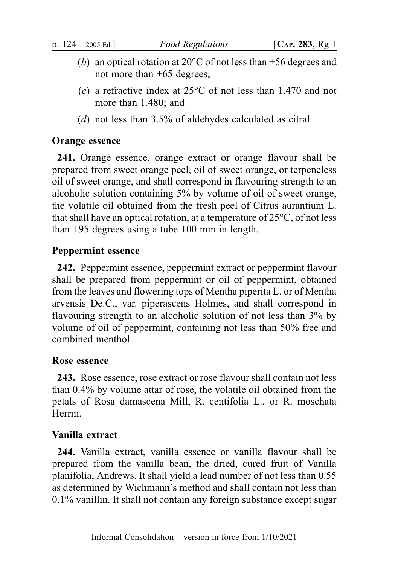- (b) an optical rotation at  $20^{\circ}$ C of not less than +56 degrees and not more than +65 degrees;
- (c) a refractive index at  $25^{\circ}$ C of not less than 1.470 and not more than 1.480; and
- (d) not less than 3.5% of aldehydes calculated as citral.

## Orange essence

241. Orange essence, orange extract or orange flavour shall be prepared from sweet orange peel, oil of sweet orange, or terpeneless oil of sweet orange, and shall correspond in flavouring strength to an alcoholic solution containing 5% by volume of oil of sweet orange, the volatile oil obtained from the fresh peel of Citrus aurantium L. that shall have an optical rotation, at a temperature of  $25^{\circ}$ C, of not less than +95 degrees using a tube 100 mm in length.

## Peppermint essence

242. Peppermint essence, peppermint extract or peppermint flavour shall be prepared from peppermint or oil of peppermint, obtained from the leaves and flowering tops of Mentha piperita L. or of Mentha arvensis De.C., var. piperascens Holmes, and shall correspond in flavouring strength to an alcoholic solution of not less than 3% by volume of oil of peppermint, containing not less than 50% free and combined menthol.

## Rose essence

243. Rose essence, rose extract or rose flavour shall contain not less than 0.4% by volume attar of rose, the volatile oil obtained from the petals of Rosa damascena Mill, R. centifolia L., or R. moschata Herrm.

# Vanilla extract

244. Vanilla extract, vanilla essence or vanilla flavour shall be prepared from the vanilla bean, the dried, cured fruit of Vanilla planifolia, Andrews. It shall yield a lead number of not less than 0.55 as determined by Wichmann's method and shall contain not less than 0.1% vanillin. It shall not contain any foreign substance except sugar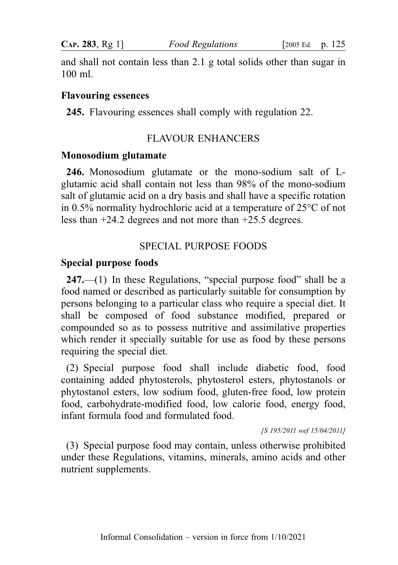and shall not contain less than 2.1 g total solids other than sugar in 100 ml.

#### Flavouring essences

245. Flavouring essences shall comply with regulation 22.

## FLAVOUR ENHANCERS

#### Monosodium glutamate

246. Monosodium glutamate or the mono-sodium salt of Lglutamic acid shall contain not less than 98% of the mono-sodium salt of glutamic acid on a dry basis and shall have a specific rotation in 0.5% normality hydrochloric acid at a temperature of 25°C of not less than +24.2 degrees and not more than +25.5 degrees.

## SPECIAL PURPOSE FOODS

### Special purpose foods

247.—(1) In these Regulations, "special purpose food" shall be a food named or described as particularly suitable for consumption by persons belonging to a particular class who require a special diet. It shall be composed of food substance modified, prepared or compounded so as to possess nutritive and assimilative properties which render it specially suitable for use as food by these persons requiring the special diet.

(2) Special purpose food shall include diabetic food, food containing added phytosterols, phytosterol esters, phytostanols or phytostanol esters, low sodium food, gluten-free food, low protein food, carbohydrate-modified food, low calorie food, energy food, infant formula food and formulated food.

[S 195/2011 wef 15/04/2011]

(3) Special purpose food may contain, unless otherwise prohibited under these Regulations, vitamins, minerals, amino acids and other nutrient supplements.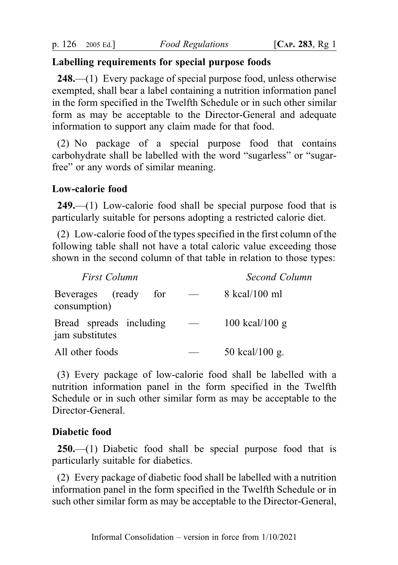## Labelling requirements for special purpose foods

248.—(1) Every package of special purpose food, unless otherwise exempted, shall bear a label containing a nutrition information panel in the form specified in the Twelfth Schedule or in such other similar form as may be acceptable to the Director-General and adequate information to support any claim made for that food.

(2) No package of a special purpose food that contains carbohydrate shall be labelled with the word "sugarless" or "sugarfree" or any words of similar meaning.

### Low-calorie food

249.—(1) Low-calorie food shall be special purpose food that is particularly suitable for persons adopting a restricted calorie diet.

(2) Low-calorie food of the types specified in the first column of the following table shall not have a total caloric value exceeding those shown in the second column of that table in relation to those types:

| <b>First Column</b>                        | Second Column       |
|--------------------------------------------|---------------------|
| Beverages (ready<br>for<br>consumption)    | 8 kcal/100 ml       |
| Bread spreads including<br>jam substitutes | $100$ kcal/ $100$ g |
| All other foods                            | 50 kcal/100 g.      |

(3) Every package of low-calorie food shall be labelled with a nutrition information panel in the form specified in the Twelfth Schedule or in such other similar form as may be acceptable to the Director-General.

## Diabetic food

250.—(1) Diabetic food shall be special purpose food that is particularly suitable for diabetics.

(2) Every package of diabetic food shall be labelled with a nutrition information panel in the form specified in the Twelfth Schedule or in such other similar form as may be acceptable to the Director-General,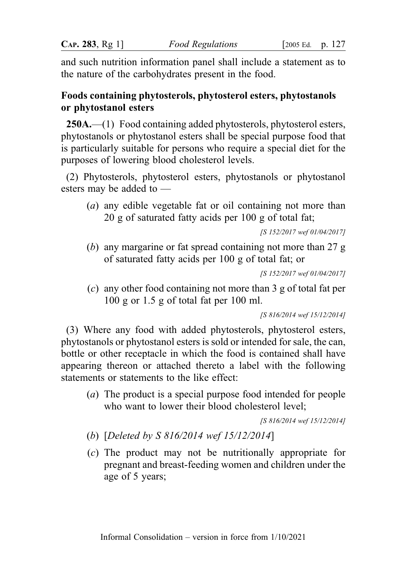and such nutrition information panel shall include a statement as to the nature of the carbohydrates present in the food.

# Foods containing phytosterols, phytosterol esters, phytostanols or phytostanol esters

250A.—(1) Food containing added phytosterols, phytosterol esters, phytostanols or phytostanol esters shall be special purpose food that is particularly suitable for persons who require a special diet for the purposes of lowering blood cholesterol levels.

(2) Phytosterols, phytosterol esters, phytostanols or phytostanol esters may be added to —

(a) any edible vegetable fat or oil containing not more than 20 g of saturated fatty acids per 100 g of total fat;

[S 152/2017 wef 01/04/2017]

(b) any margarine or fat spread containing not more than 27 g of saturated fatty acids per 100 g of total fat; or

```
[S 152/2017 wef 01/04/2017]
```
(c) any other food containing not more than 3 g of total fat per 100 g or 1.5 g of total fat per 100 ml.

[S 816/2014 wef 15/12/2014]

(3) Where any food with added phytosterols, phytosterol esters, phytostanols or phytostanol esters is sold or intended for sale, the can, bottle or other receptacle in which the food is contained shall have appearing thereon or attached thereto a label with the following statements or statements to the like effect:

(a) The product is a special purpose food intended for people who want to lower their blood cholesterol level;

[S 816/2014 wef 15/12/2014]

- (b) [Deleted by S 816/2014 wef 15/12/2014]
- (c) The product may not be nutritionally appropriate for pregnant and breast-feeding women and children under the age of 5 years;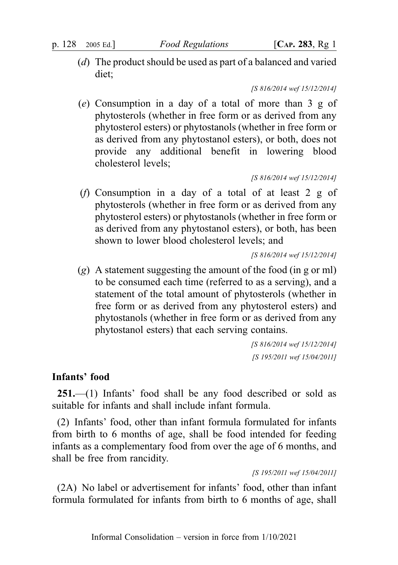(d) The product should be used as part of a balanced and varied diet;

[S 816/2014 wef 15/12/2014]

(e) Consumption in a day of a total of more than 3 g of phytosterols (whether in free form or as derived from any phytosterol esters) or phytostanols (whether in free form or as derived from any phytostanol esters), or both, does not provide any additional benefit in lowering blood cholesterol levels;

[S 816/2014 wef 15/12/2014]

(f) Consumption in a day of a total of at least 2 g of phytosterols (whether in free form or as derived from any phytosterol esters) or phytostanols (whether in free form or as derived from any phytostanol esters), or both, has been shown to lower blood cholesterol levels; and

[S 816/2014 wef 15/12/2014]

 $(g)$  A statement suggesting the amount of the food (in g or ml) to be consumed each time (referred to as a serving), and a statement of the total amount of phytosterols (whether in free form or as derived from any phytosterol esters) and phytostanols (whether in free form or as derived from any phytostanol esters) that each serving contains.

> [S 816/2014 wef 15/12/2014] [S 195/2011 wef 15/04/2011]

## Infants' food

251.—(1) Infants' food shall be any food described or sold as suitable for infants and shall include infant formula.

(2) Infants' food, other than infant formula formulated for infants from birth to 6 months of age, shall be food intended for feeding infants as a complementary food from over the age of 6 months, and shall be free from rancidity.

[S 195/2011 wef 15/04/2011]

(2A) No label or advertisement for infants' food, other than infant formula formulated for infants from birth to 6 months of age, shall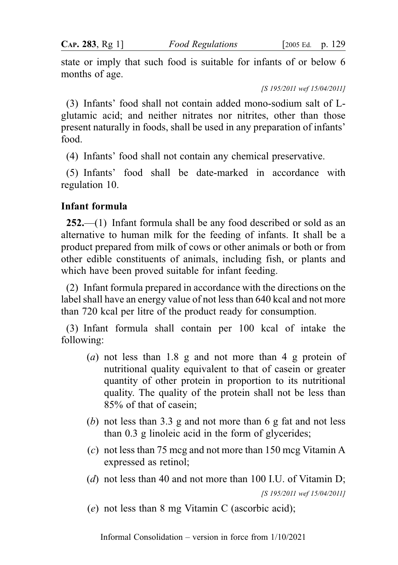state or imply that such food is suitable for infants of or below 6 months of age.

[S 195/2011 wef 15/04/2011]

(3) Infants' food shall not contain added mono-sodium salt of Lglutamic acid; and neither nitrates nor nitrites, other than those present naturally in foods, shall be used in any preparation of infants' food.

(4) Infants' food shall not contain any chemical preservative.

(5) Infants' food shall be date-marked in accordance with regulation 10.

# Infant formula

252.—(1) Infant formula shall be any food described or sold as an alternative to human milk for the feeding of infants. It shall be a product prepared from milk of cows or other animals or both or from other edible constituents of animals, including fish, or plants and which have been proved suitable for infant feeding.

(2) Infant formula prepared in accordance with the directions on the label shall have an energy value of not less than 640 kcal and not more than 720 kcal per litre of the product ready for consumption.

(3) Infant formula shall contain per 100 kcal of intake the following:

- (a) not less than 1.8 g and not more than 4 g protein of nutritional quality equivalent to that of casein or greater quantity of other protein in proportion to its nutritional quality. The quality of the protein shall not be less than 85% of that of casein;
- (b) not less than 3.3 g and not more than 6 g fat and not less than 0.3 g linoleic acid in the form of glycerides;
- (c) not less than 75 mcg and not more than 150 mcg Vitamin A expressed as retinol;
- (d) not less than 40 and not more than 100 I.U. of Vitamin D; [S 195/2011 wef 15/04/2011]
- (e) not less than 8 mg Vitamin C (ascorbic acid);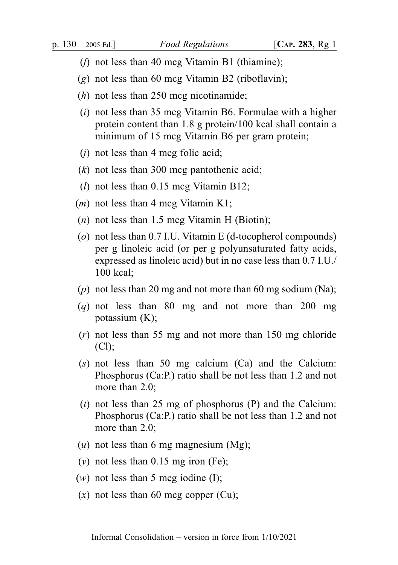- (*f*) not less than 40 mcg Vitamin B1 (thiamine);
- (g) not less than 60 mcg Vitamin B2 (riboflavin);
- $(h)$  not less than 250 mcg nicotinamide;
- (i) not less than 35 mcg Vitamin B6. Formulae with a higher protein content than 1.8 g protein/100 kcal shall contain a minimum of 15 mcg Vitamin B6 per gram protein;
- $(i)$  not less than 4 mcg folic acid;
- $(k)$  not less than 300 mcg pantothenic acid;
- $(l)$  not less than 0.15 mcg Vitamin B12;
- $(m)$  not less than 4 mcg Vitamin K1;
- $(n)$  not less than 1.5 mcg Vitamin H (Biotin);
- (o) not less than 0.7 I.U. Vitamin E (d-tocopherol compounds) per g linoleic acid (or per g polyunsaturated fatty acids, expressed as linoleic acid) but in no case less than 0.7 I.U./ 100 kcal;
- (p) not less than 20 mg and not more than 60 mg sodium (Na);
- $(q)$  not less than 80 mg and not more than 200 mg potassium (K);
- (r) not less than 55 mg and not more than 150 mg chloride  $(Cl);$
- $(s)$  not less than 50 mg calcium  $(Ca)$  and the Calcium: Phosphorus (Ca:P.) ratio shall be not less than 1.2 and not more than 2.0:
- (t) not less than 25 mg of phosphorus  $(P)$  and the Calcium: Phosphorus (Ca:P.) ratio shall be not less than 1.2 and not more than 2.0;
- $(u)$  not less than 6 mg magnesium (Mg);
- (v) not less than  $0.15$  mg iron (Fe);
- $(w)$  not less than 5 mcg iodine (I);
- $(x)$  not less than 60 mcg copper (Cu);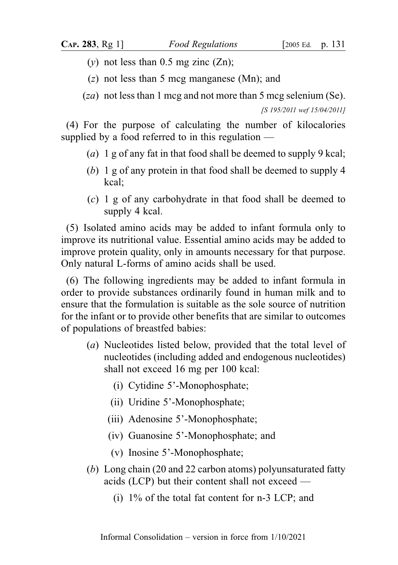(y) not less than  $0.5$  mg zinc  $(Zn)$ ;

(z) not less than 5 mcg manganese (Mn); and

 $(za)$  not less than 1 mcg and not more than 5 mcg selenium (Se).

[S 195/2011 wef 15/04/2011]

(4) For the purpose of calculating the number of kilocalories supplied by a food referred to in this regulation —

- (a) 1 g of any fat in that food shall be deemed to supply 9 kcal;
- (b) 1 g of any protein in that food shall be deemed to supply 4 kcal;
- (c) 1 g of any carbohydrate in that food shall be deemed to supply 4 kcal.

(5) Isolated amino acids may be added to infant formula only to improve its nutritional value. Essential amino acids may be added to improve protein quality, only in amounts necessary for that purpose. Only natural L-forms of amino acids shall be used.

(6) The following ingredients may be added to infant formula in order to provide substances ordinarily found in human milk and to ensure that the formulation is suitable as the sole source of nutrition for the infant or to provide other benefits that are similar to outcomes of populations of breastfed babies:

- (a) Nucleotides listed below, provided that the total level of nucleotides (including added and endogenous nucleotides) shall not exceed 16 mg per 100 kcal:
	- (i) Cytidine 5'-Monophosphate;
	- (ii) Uridine 5'-Monophosphate;
	- (iii) Adenosine 5'-Monophosphate;
	- (iv) Guanosine 5'-Monophosphate; and
	- (v) Inosine 5'-Monophosphate;
- (b) Long chain (20 and 22 carbon atoms) polyunsaturated fatty acids (LCP) but their content shall not exceed —
	- (i) 1% of the total fat content for n-3 LCP; and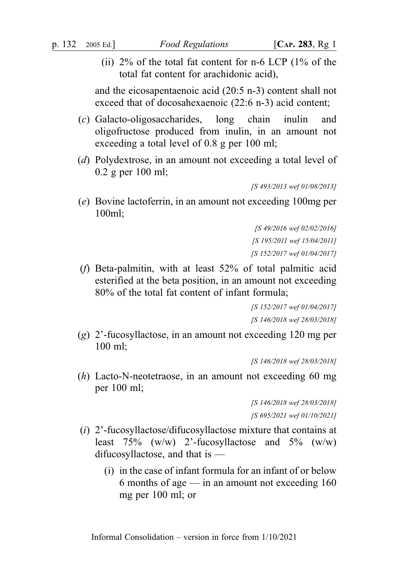(ii) 2% of the total fat content for n-6 LCP (1% of the total fat content for arachidonic acid),

and the eicosapentaenoic acid (20:5 n-3) content shall not exceed that of docosahexaenoic (22:6 n-3) acid content;

- (c) Galacto-oligosaccharides, long chain inulin and oligofructose produced from inulin, in an amount not exceeding a total level of 0.8 g per 100 ml;
- (d) Polydextrose, in an amount not exceeding a total level of 0.2 g per 100 ml;

[S 493/2013 wef 01/08/2013]

(e) Bovine lactoferrin, in an amount not exceeding 100mg per 100ml;

> [S 49/2016 wef 02/02/2016] [S 195/2011 wef 15/04/2011] [S 152/2017 wef 01/04/2017]

(f) Beta-palmitin, with at least 52% of total palmitic acid esterified at the beta position, in an amount not exceeding 80% of the total fat content of infant formula;

> [S 152/2017 wef 01/04/2017] [S 146/2018 wef 28/03/2018]

(g) 2'-fucosyllactose, in an amount not exceeding 120 mg per 100 ml;

[S 146/2018 wef 28/03/2018]

(h) Lacto-N-neotetraose, in an amount not exceeding 60 mg per 100 ml;

> [S 146/2018 wef 28/03/2018] [S 695/2021 wef 01/10/2021]

- (i) 2'-fucosyllactose/difucosyllactose mixture that contains at least  $75\%$  (w/w) 2'-fucosyllactose and  $5\%$  (w/w) difucosyllactose, and that is —
	- (i) in the case of infant formula for an infant of or below 6 months of age — in an amount not exceeding 160 mg per 100 ml; or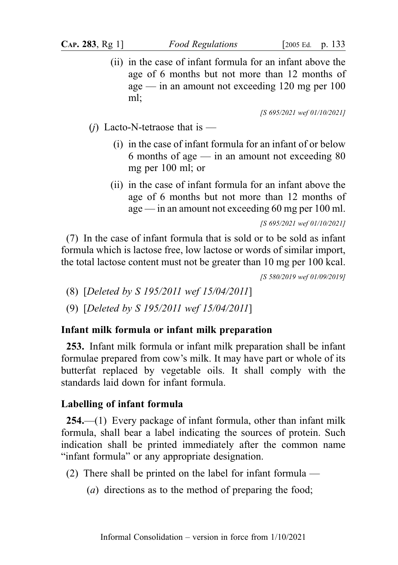(ii) in the case of infant formula for an infant above the age of 6 months but not more than 12 months of age — in an amount not exceeding 120 mg per 100 ml;

[S 695/2021 wef 01/10/2021]

- (*j*) Lacto-N-tetraose that is
	- (i) in the case of infant formula for an infant of or below 6 months of age — in an amount not exceeding  $80$ mg per 100 ml; or
	- (ii) in the case of infant formula for an infant above the age of 6 months but not more than 12 months of age — in an amount not exceeding 60 mg per 100 ml.

[S 695/2021 wef 01/10/2021]

(7) In the case of infant formula that is sold or to be sold as infant formula which is lactose free, low lactose or words of similar import, the total lactose content must not be greater than 10 mg per 100 kcal.

[S 580/2019 wef 01/09/2019]

- (8) [Deleted by S 195/2011 wef 15/04/2011]
- (9) [Deleted by S 195/2011 wef 15/04/2011]

### Infant milk formula or infant milk preparation

253. Infant milk formula or infant milk preparation shall be infant formulae prepared from cow's milk. It may have part or whole of its butterfat replaced by vegetable oils. It shall comply with the standards laid down for infant formula.

### Labelling of infant formula

254.—(1) Every package of infant formula, other than infant milk formula, shall bear a label indicating the sources of protein. Such indication shall be printed immediately after the common name "infant formula" or any appropriate designation.

- (2) There shall be printed on the label for infant formula
	- (a) directions as to the method of preparing the food;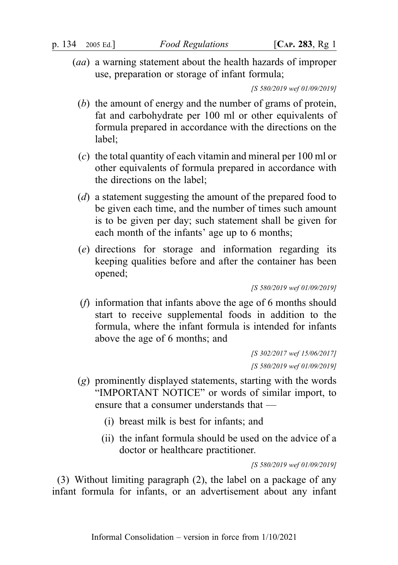(aa) a warning statement about the health hazards of improper use, preparation or storage of infant formula;

[S 580/2019 wef 01/09/2019]

- (b) the amount of energy and the number of grams of protein, fat and carbohydrate per 100 ml or other equivalents of formula prepared in accordance with the directions on the label;
- (c) the total quantity of each vitamin and mineral per 100 ml or other equivalents of formula prepared in accordance with the directions on the label;
- (d) a statement suggesting the amount of the prepared food to be given each time, and the number of times such amount is to be given per day; such statement shall be given for each month of the infants' age up to 6 months;
- (e) directions for storage and information regarding its keeping qualities before and after the container has been opened;

[S 580/2019 wef 01/09/2019]

(f) information that infants above the age of 6 months should start to receive supplemental foods in addition to the formula, where the infant formula is intended for infants above the age of 6 months; and

> [S 302/2017 wef 15/06/2017] [S 580/2019 wef 01/09/2019]

- (g) prominently displayed statements, starting with the words "IMPORTANT NOTICE" or words of similar import, to ensure that a consumer understands that —
	- (i) breast milk is best for infants; and
	- (ii) the infant formula should be used on the advice of a doctor or healthcare practitioner.

[S 580/2019 wef 01/09/2019]

(3) Without limiting paragraph (2), the label on a package of any infant formula for infants, or an advertisement about any infant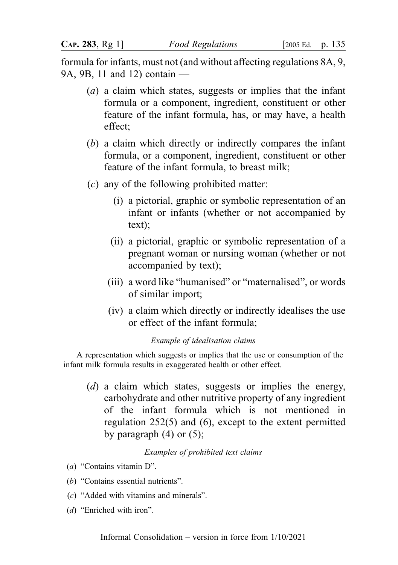formula for infants, must not (and without affecting regulations 8A, 9, 9A, 9B, 11 and 12) contain —

- (a) a claim which states, suggests or implies that the infant formula or a component, ingredient, constituent or other feature of the infant formula, has, or may have, a health effect;
- (b) a claim which directly or indirectly compares the infant formula, or a component, ingredient, constituent or other feature of the infant formula, to breast milk;
- (c) any of the following prohibited matter:
	- (i) a pictorial, graphic or symbolic representation of an infant or infants (whether or not accompanied by text);
	- (ii) a pictorial, graphic or symbolic representation of a pregnant woman or nursing woman (whether or not accompanied by text);
	- (iii) a word like "humanised" or "maternalised", or words of similar import;
	- (iv) a claim which directly or indirectly idealises the use or effect of the infant formula;

#### Example of idealisation claims

A representation which suggests or implies that the use or consumption of the infant milk formula results in exaggerated health or other effect.

(d) a claim which states, suggests or implies the energy, carbohydrate and other nutritive property of any ingredient of the infant formula which is not mentioned in regulation 252(5) and (6), except to the extent permitted by paragraph  $(4)$  or  $(5)$ ;

#### Examples of prohibited text claims

- (a) "Contains vitamin D".
- (b) "Contains essential nutrients".
- (c) "Added with vitamins and minerals".
- (d) "Enriched with iron".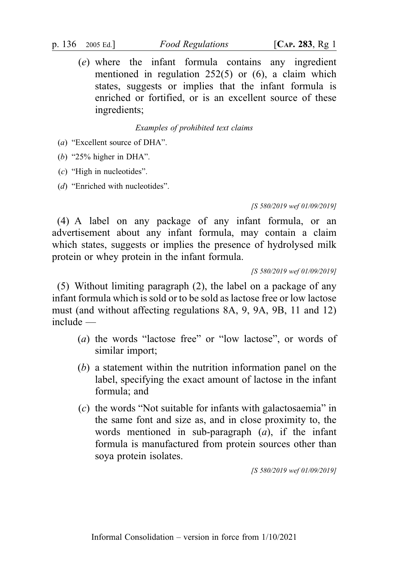(e) where the infant formula contains any ingredient mentioned in regulation 252(5) or (6), a claim which states, suggests or implies that the infant formula is enriched or fortified, or is an excellent source of these ingredients;

Examples of prohibited text claims

(a) "Excellent source of DHA".

(b) "25% higher in DHA".

(c) "High in nucleotides".

(d) "Enriched with nucleotides".

[S 580/2019 wef 01/09/2019]

(4) A label on any package of any infant formula, or an advertisement about any infant formula, may contain a claim which states, suggests or implies the presence of hydrolysed milk protein or whey protein in the infant formula.

[S 580/2019 wef 01/09/2019]

(5) Without limiting paragraph (2), the label on a package of any infant formula which is sold or to be sold as lactose free or low lactose must (and without affecting regulations 8A, 9, 9A, 9B, 11 and 12) include —

- (a) the words "lactose free" or "low lactose", or words of similar import;
- (b) a statement within the nutrition information panel on the label, specifying the exact amount of lactose in the infant formula; and
- $(c)$  the words "Not suitable for infants with galactosaemia" in the same font and size as, and in close proximity to, the words mentioned in sub-paragraph  $(a)$ , if the infant formula is manufactured from protein sources other than soya protein isolates.

[S 580/2019 wef 01/09/2019]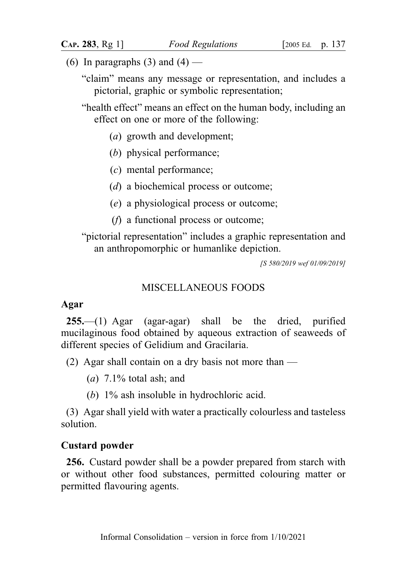- (6) In paragraphs (3) and (4)
	- "claim" means any message or representation, and includes a pictorial, graphic or symbolic representation;
	- "health effect" means an effect on the human body, including an effect on one or more of the following:
		- (a) growth and development;
		- (b) physical performance;
		- (c) mental performance;
		- (d) a biochemical process or outcome;
		- (e) a physiological process or outcome;
		- (f) a functional process or outcome;

"pictorial representation" includes a graphic representation and an anthropomorphic or humanlike depiction.

[S 580/2019 wef 01/09/2019]

### MISCELLANEOUS FOODS

#### Agar

255.—(1) Agar (agar-agar) shall be the dried, purified mucilaginous food obtained by aqueous extraction of seaweeds of different species of Gelidium and Gracilaria.

(2) Agar shall contain on a dry basis not more than —

- (*a*)  $7.1\%$  total ash; and
- (b) 1% ash insoluble in hydrochloric acid.

(3) Agar shall yield with water a practically colourless and tasteless solution.

### Custard powder

256. Custard powder shall be a powder prepared from starch with or without other food substances, permitted colouring matter or permitted flavouring agents.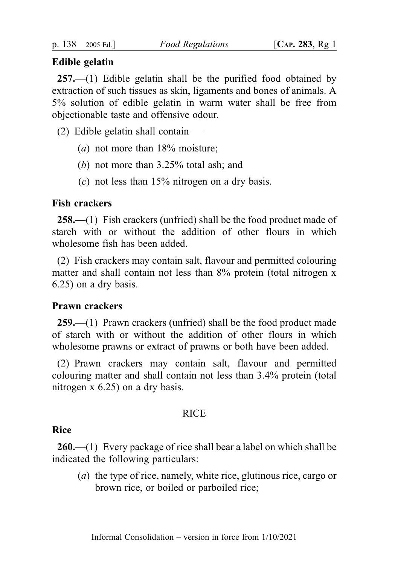### Edible gelatin

257.—(1) Edible gelatin shall be the purified food obtained by extraction of such tissues as skin, ligaments and bones of animals. A 5% solution of edible gelatin in warm water shall be free from objectionable taste and offensive odour.

- $(2)$  Edible gelatin shall contain
	- (*a*) not more than  $18\%$  moisture;
	- (b) not more than 3.25% total ash; and
	- (c) not less than 15% nitrogen on a dry basis.

## Fish crackers

258.—(1) Fish crackers (unfried) shall be the food product made of starch with or without the addition of other flours in which wholesome fish has been added.

(2) Fish crackers may contain salt, flavour and permitted colouring matter and shall contain not less than 8% protein (total nitrogen x 6.25) on a dry basis.

## Prawn crackers

259.—(1) Prawn crackers (unfried) shall be the food product made of starch with or without the addition of other flours in which wholesome prawns or extract of prawns or both have been added.

(2) Prawn crackers may contain salt, flavour and permitted colouring matter and shall contain not less than 3.4% protein (total nitrogen x 6.25) on a dry basis.

#### **RICE**

#### Rice

260.—(1) Every package of rice shall bear a label on which shall be indicated the following particulars:

(a) the type of rice, namely, white rice, glutinous rice, cargo or brown rice, or boiled or parboiled rice;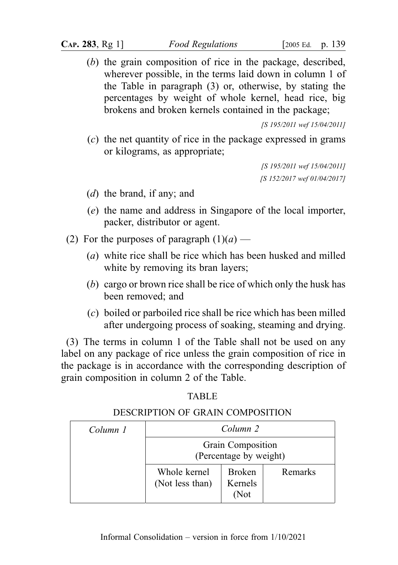(b) the grain composition of rice in the package, described, wherever possible, in the terms laid down in column 1 of the Table in paragraph (3) or, otherwise, by stating the percentages by weight of whole kernel, head rice, big brokens and broken kernels contained in the package;

[S 195/2011 wef 15/04/2011]

(c) the net quantity of rice in the package expressed in grams or kilograms, as appropriate;

> [S 195/2011 wef 15/04/2011] [S 152/2017 wef 01/04/2017]

- (d) the brand, if any; and
- (e) the name and address in Singapore of the local importer, packer, distributor or agent.
- (2) For the purposes of paragraph  $(1)(a)$ 
	- (a) white rice shall be rice which has been husked and milled white by removing its bran layers;
	- (b) cargo or brown rice shall be rice of which only the husk has been removed; and
	- (c) boiled or parboiled rice shall be rice which has been milled after undergoing process of soaking, steaming and drying.

(3) The terms in column 1 of the Table shall not be used on any label on any package of rice unless the grain composition of rice in the package is in accordance with the corresponding description of grain composition in column 2 of the Table.

TABLE **TABLE** 

## DESCRIPTION OF GRAIN COMPOSITION

| Column 1 | Column 2<br>Grain Composition<br>(Percentage by weight) |                                  |         |
|----------|---------------------------------------------------------|----------------------------------|---------|
|          |                                                         |                                  |         |
|          | Whole kernel<br>(Not less than)                         | <b>Broken</b><br>Kernels<br>(Not | Remarks |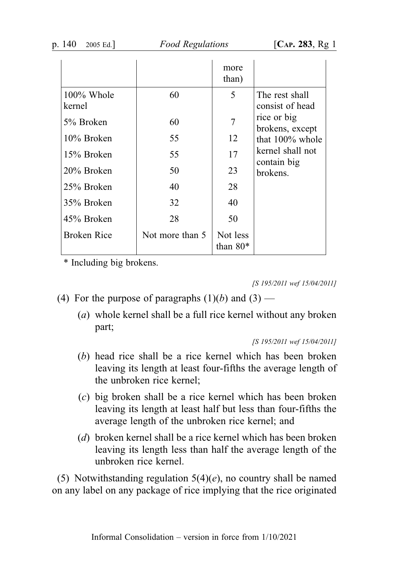Food Regulations [CAP. 283, Rg 1]

|                      |                 | more<br>than)          |                                   |
|----------------------|-----------------|------------------------|-----------------------------------|
| 100% Whole<br>kernel | 60              | 5                      | The rest shall<br>consist of head |
| 5% Broken            | 60              | 7                      | rice or big<br>brokens, except    |
| 10% Broken           | 55              | 12                     | that 100% whole                   |
| 15% Broken           | 55              | 17                     | kernel shall not<br>contain big   |
| 20% Broken           | 50              | 23                     | brokens.                          |
| 25% Broken           | 40              | 28                     |                                   |
| 35% Broken           | 32              | 40                     |                                   |
| 45% Broken           | 28              | 50                     |                                   |
| <b>Broken Rice</b>   | Not more than 5 | Not less<br>than $80*$ |                                   |

\* Including big brokens.

[S 195/2011 wef 15/04/2011]

- (4) For the purpose of paragraphs  $(1)(b)$  and  $(3)$ 
	- (a) whole kernel shall be a full rice kernel without any broken part;

[S 195/2011 wef 15/04/2011]

- (b) head rice shall be a rice kernel which has been broken leaving its length at least four-fifths the average length of the unbroken rice kernel;
- (c) big broken shall be a rice kernel which has been broken leaving its length at least half but less than four-fifths the average length of the unbroken rice kernel; and
- (d) broken kernel shall be a rice kernel which has been broken leaving its length less than half the average length of the unbroken rice kernel.

(5) Notwithstanding regulation  $5(4)(e)$ , no country shall be named on any label on any package of rice implying that the rice originated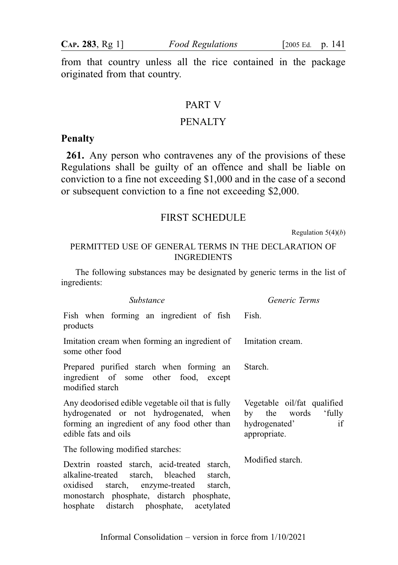from that country unless all the rice contained in the package originated from that country.

#### PART V

### PENALTY

## Penalty

261. Any person who contravenes any of the provisions of these Regulations shall be guilty of an offence and shall be liable on conviction to a fine not exceeding \$1,000 and in the case of a second or subsequent conviction to a fine not exceeding \$2,000.

### FIRST SCHEDULE

Regulation  $5(4)(b)$ 

### PERMITTED USE OF GENERAL TERMS IN THE DECLARATION OF INGREDIENTS

The following substances may be designated by generic terms in the list of ingredients:

| Substance                                                                                                                                                                                                                          | Generic Terms                                                                             |  |
|------------------------------------------------------------------------------------------------------------------------------------------------------------------------------------------------------------------------------------|-------------------------------------------------------------------------------------------|--|
| Fish when forming an ingredient of fish Fish.<br>products                                                                                                                                                                          |                                                                                           |  |
| Imitation cream when forming an ingredient of Imitation cream.<br>some other food                                                                                                                                                  |                                                                                           |  |
| Prepared purified starch when forming an<br>ingredient of some other food, except<br>modified starch                                                                                                                               | Starch.                                                                                   |  |
| Any deodorised edible vegetable oil that is fully<br>hydrogenated or not hydrogenated, when<br>forming an ingredient of any food other than<br>edible fats and oils                                                                | Vegetable oil/fat qualified<br>by the words 'fully<br>if<br>hydrogenated'<br>appropriate. |  |
| The following modified starches:                                                                                                                                                                                                   |                                                                                           |  |
| Dextrin roasted starch, acid-treated starch,<br>alkaline-treated starch, bleached<br>starch,<br>oxidised starch, enzyme-treated<br>starch.<br>monostarch phosphate, distarch phosphate,<br>hosphate distarch phosphate, acetylated | Modified starch.                                                                          |  |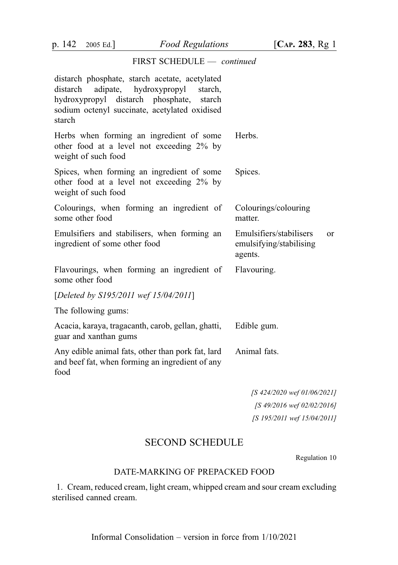#### FIRST SCHEDULE — continued

| distarch phosphate, starch acetate, acetylated<br>distarch<br>adipate,<br>hydroxypropyl<br>starch.<br>hydroxypropyl distarch phosphate,<br>starch<br>sodium octenyl succinate, acetylated oxidised<br>starch |                                                                     |
|--------------------------------------------------------------------------------------------------------------------------------------------------------------------------------------------------------------|---------------------------------------------------------------------|
| Herbs when forming an ingredient of some<br>other food at a level not exceeding 2% by<br>weight of such food                                                                                                 | Herbs.                                                              |
| Spices, when forming an ingredient of some<br>other food at a level not exceeding 2% by<br>weight of such food                                                                                               | Spices.                                                             |
| Colourings, when forming an ingredient of<br>some other food                                                                                                                                                 | Colourings/colouring<br>matter.                                     |
| Emulsifiers and stabilisers, when forming an<br>ingredient of some other food                                                                                                                                | Emulsifiers/stabilisers<br>0r<br>emulsifying/stabilising<br>agents. |
| Flavourings, when forming an ingredient of<br>some other food                                                                                                                                                | Flavouring.                                                         |
| [Deleted by S195/2011 wef 15/04/2011]                                                                                                                                                                        |                                                                     |
| The following gums:                                                                                                                                                                                          |                                                                     |
| Acacia, karaya, tragacanth, carob, gellan, ghatti,<br>guar and xanthan gums                                                                                                                                  | Edible gum.                                                         |
| Any edible animal fats, other than pork fat, lard<br>and beef fat, when forming an ingredient of any<br>food                                                                                                 | Animal fats.                                                        |
|                                                                                                                                                                                                              |                                                                     |

[S 424/2020 wef 01/06/2021] [S 49/2016 wef 02/02/2016] [S 195/2011 wef 15/04/2011]

# SECOND SCHEDULE

Regulation 10

#### DATE-MARKING OF PREPACKED FOOD

1. Cream, reduced cream, light cream, whipped cream and sour cream excluding sterilised canned cream.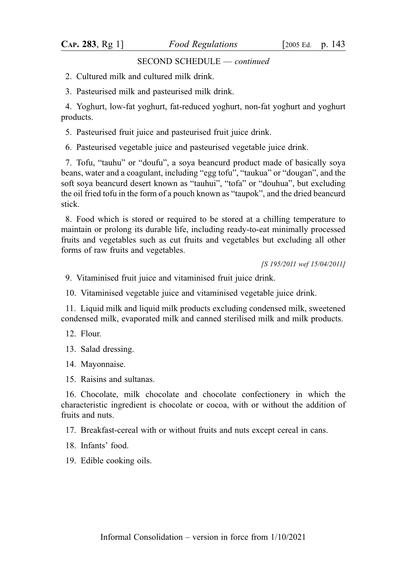#### SECOND SCHEDULE — continued

- 2. Cultured milk and cultured milk drink.
- 3. Pasteurised milk and pasteurised milk drink.

4. Yoghurt, low-fat yoghurt, fat-reduced yoghurt, non-fat yoghurt and yoghurt products.

5. Pasteurised fruit juice and pasteurised fruit juice drink.

6. Pasteurised vegetable juice and pasteurised vegetable juice drink.

7. Tofu, "tauhu" or "doufu", a soya beancurd product made of basically soya beans, water and a coagulant, including "egg tofu", "taukua" or "dougan", and the soft soya beancurd desert known as "tauhui", "tofa" or "douhua", but excluding the oil fried tofu in the form of a pouch known as "taupok", and the dried beancurd stick.

8. Food which is stored or required to be stored at a chilling temperature to maintain or prolong its durable life, including ready-to-eat minimally processed fruits and vegetables such as cut fruits and vegetables but excluding all other forms of raw fruits and vegetables.

[S 195/2011 wef 15/04/2011]

9. Vitaminised fruit juice and vitaminised fruit juice drink.

10. Vitaminised vegetable juice and vitaminised vegetable juice drink.

11. Liquid milk and liquid milk products excluding condensed milk, sweetened condensed milk, evaporated milk and canned sterilised milk and milk products.

12. Flour.

13. Salad dressing.

14. Mayonnaise.

15. Raisins and sultanas.

16. Chocolate, milk chocolate and chocolate confectionery in which the characteristic ingredient is chocolate or cocoa, with or without the addition of fruits and nuts.

17. Breakfast-cereal with or without fruits and nuts except cereal in cans.

18. Infants' food.

19. Edible cooking oils.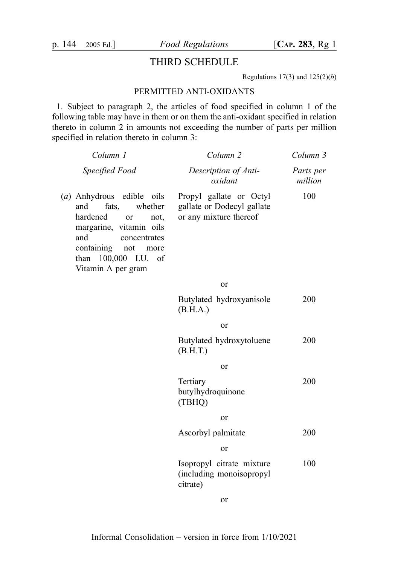## THIRD SCHEDULE

Regulations  $17(3)$  and  $125(2)(b)$ 

#### PERMITTED ANTI-OXIDANTS

1. Subject to paragraph 2, the articles of food specified in column 1 of the following table may have in them or on them the anti-oxidant specified in relation thereto in column 2 in amounts not exceeding the number of parts per million specified in relation thereto in column 3:

| Column 1                                                                                                                                                                                                       | Column <sub>2</sub>                                                             | Column 3             |
|----------------------------------------------------------------------------------------------------------------------------------------------------------------------------------------------------------------|---------------------------------------------------------------------------------|----------------------|
| Specified Food                                                                                                                                                                                                 | Description of Anti-<br>oxidant                                                 | Parts per<br>million |
| (a) Anhydrous edible oils<br>and<br>fats,<br>whether<br>hardened<br>or<br>not.<br>margarine, vitamin oils<br>and<br>concentrates<br>containing<br>not<br>more<br>than 100,000 I.U.<br>of<br>Vitamin A per gram | Propyl gallate or Octyl<br>gallate or Dodecyl gallate<br>or any mixture thereof | 100                  |
|                                                                                                                                                                                                                | or                                                                              |                      |
|                                                                                                                                                                                                                | Butylated hydroxyanisole<br>(B.H.A.)                                            | 200                  |
|                                                                                                                                                                                                                | or                                                                              |                      |
|                                                                                                                                                                                                                | Butylated hydroxytoluene<br>(B.H.T.)                                            | 200                  |
|                                                                                                                                                                                                                | or                                                                              |                      |
|                                                                                                                                                                                                                | Tertiary<br>butylhydroquinone<br>(TBHQ)                                         | 200                  |
|                                                                                                                                                                                                                | or                                                                              |                      |
|                                                                                                                                                                                                                | Ascorbyl palmitate                                                              | 200                  |
|                                                                                                                                                                                                                | or                                                                              |                      |
|                                                                                                                                                                                                                | Isopropyl citrate mixture<br>(including monoisopropyl<br>citrate)               | 100                  |
|                                                                                                                                                                                                                | or                                                                              |                      |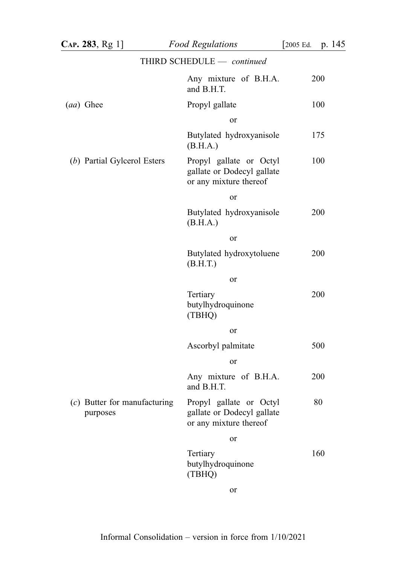| $CAP. 283, Rg 1$ ]                         | <b>Food Regulations</b>                                                         | p. 145<br>[2005 Ed. |
|--------------------------------------------|---------------------------------------------------------------------------------|---------------------|
|                                            | THIRD SCHEDULE - continued                                                      |                     |
|                                            | Any mixture of B.H.A.<br>and B.H.T.                                             | 200                 |
| (aa) Ghee                                  | Propyl gallate                                                                  | 100                 |
|                                            | or                                                                              |                     |
|                                            | Butylated hydroxyanisole<br>(B.H.A.)                                            | 175                 |
| (b) Partial Gylcerol Esters                | Propyl gallate or Octyl<br>gallate or Dodecyl gallate<br>or any mixture thereof | 100                 |
|                                            | or                                                                              |                     |
|                                            | Butylated hydroxyanisole<br>(B.H.A.)                                            | 200                 |
|                                            | or                                                                              |                     |
|                                            | Butylated hydroxytoluene<br>(B.H.T.)                                            | 200                 |
|                                            | or                                                                              |                     |
|                                            | Tertiary<br>butylhydroquinone<br>(TBHQ)                                         | 200                 |
|                                            | or                                                                              |                     |
|                                            | Ascorbyl palmitate                                                              | 500                 |
|                                            | <b>or</b>                                                                       |                     |
|                                            | Any mixture of B.H.A.<br>and B.H.T.                                             | 200                 |
| $(c)$ Butter for manufacturing<br>purposes | Propyl gallate or Octyl<br>gallate or Dodecyl gallate<br>or any mixture thereof | 80                  |
|                                            | or                                                                              |                     |
|                                            | Tertiary<br>butylhydroquinone<br>(TBHQ)                                         | 160                 |
|                                            | or                                                                              |                     |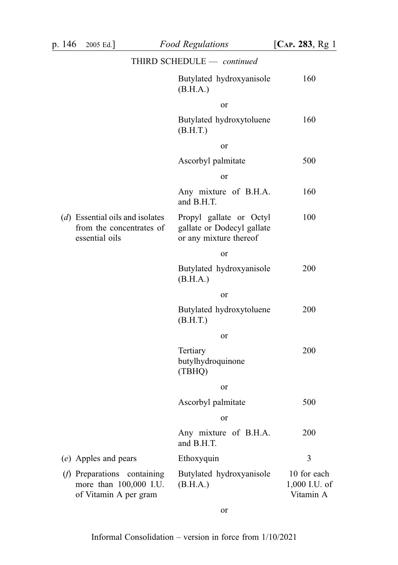|                                                                                 | THIRD SCHEDULE - continued                                                      |                                           |
|---------------------------------------------------------------------------------|---------------------------------------------------------------------------------|-------------------------------------------|
|                                                                                 | Butylated hydroxyanisole<br>(B.H.A.)                                            | 160                                       |
|                                                                                 | or                                                                              |                                           |
|                                                                                 | Butylated hydroxytoluene<br>(B.H.T.)                                            | 160                                       |
|                                                                                 | or                                                                              |                                           |
|                                                                                 | Ascorbyl palmitate                                                              | 500                                       |
|                                                                                 | or                                                                              |                                           |
|                                                                                 | Any mixture of B.H.A.<br>and B.H.T.                                             | 160                                       |
| $(d)$ Essential oils and isolates<br>from the concentrates of<br>essential oils | Propyl gallate or Octyl<br>gallate or Dodecyl gallate<br>or any mixture thereof | 100                                       |
|                                                                                 | or                                                                              |                                           |
|                                                                                 | Butylated hydroxyanisole<br>(B.H.A.)                                            | 200                                       |
|                                                                                 | or                                                                              |                                           |
|                                                                                 | Butylated hydroxytoluene<br>(B.H.T.)                                            | 200                                       |
|                                                                                 | or                                                                              |                                           |
|                                                                                 | Tertiary<br>butylhydroquinone<br>(TBHQ)                                         | 200                                       |
|                                                                                 | or                                                                              |                                           |
|                                                                                 | Ascorbyl palmitate                                                              | 500                                       |
|                                                                                 | or                                                                              |                                           |
|                                                                                 | Any mixture of B.H.A.<br>and B.H.T.                                             | 200                                       |
| (e) Apples and pears                                                            | Ethoxyquin                                                                      | 3                                         |
| (f) Preparations containing<br>more than 100,000 I.U.<br>of Vitamin A per gram  | Butylated hydroxyanisole<br>(B.H.A.)                                            | 10 for each<br>1,000 I.U. of<br>Vitamin A |

or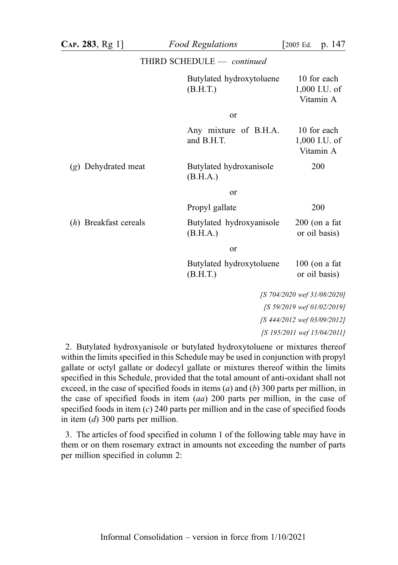|                       | THIRD SCHEDULE - continued           |                                           |
|-----------------------|--------------------------------------|-------------------------------------------|
|                       | Butylated hydroxytoluene<br>(B.H.T.) | 10 for each<br>1,000 I.U. of<br>Vitamin A |
|                       | or                                   |                                           |
|                       | Any mixture of B.H.A.<br>and B.H.T.  | 10 for each<br>1,000 I.U. of<br>Vitamin A |
| (g) Dehydrated meat   | Butylated hydroxanisole<br>(B.H.A.)  | 200                                       |
|                       | or                                   |                                           |
|                       | Propyl gallate                       | 200                                       |
| (h) Breakfast cereals | Butylated hydroxyanisole<br>(B.H.A.) | $200$ (on a fat<br>or oil basis)          |
|                       | or                                   |                                           |
|                       | Butylated hydroxytoluene<br>(B.H.T.) | $100$ (on a fat<br>or oil basis)          |
|                       |                                      | [S 704/2020 wef 31/08/2020]               |
|                       |                                      | [S 59/2019 wef 01/02/2019]                |
|                       |                                      | [S 444/2012 wef 03/09/2012]               |
|                       |                                      | [S 195/2011 wef 15/04/2011]               |

2. Butylated hydroxyanisole or butylated hydroxytoluene or mixtures thereof within the limits specified in this Schedule may be used in conjunction with propyl gallate or octyl gallate or dodecyl gallate or mixtures thereof within the limits specified in this Schedule, provided that the total amount of anti-oxidant shall not exceed, in the case of specified foods in items  $(a)$  and  $(b)$  300 parts per million, in the case of specified foods in item  $(aa)$  200 parts per million, in the case of specified foods in item  $(c)$  240 parts per million and in the case of specified foods in item (d) 300 parts per million.

3. The articles of food specified in column 1 of the following table may have in them or on them rosemary extract in amounts not exceeding the number of parts per million specified in column 2: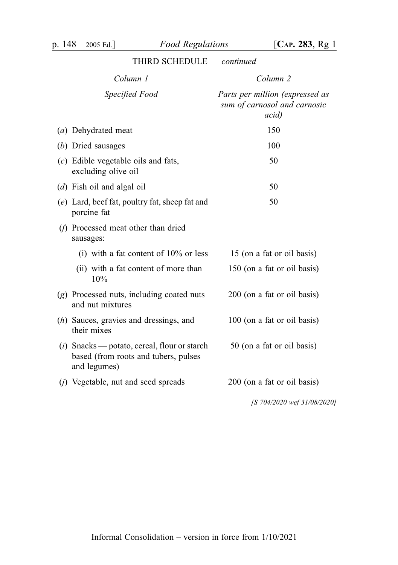# THIRD SCHEDULE — continued

| Column 1                                                                                               | Column 2                                                                         |
|--------------------------------------------------------------------------------------------------------|----------------------------------------------------------------------------------|
| Specified Food                                                                                         | Parts per million (expressed as<br>sum of carnosol and carnosic<br><i>acid</i> ) |
| (a) Dehydrated meat                                                                                    | 150                                                                              |
| (b) Dried sausages                                                                                     | 100                                                                              |
| $(c)$ Edible vegetable oils and fats,<br>excluding olive oil                                           | 50                                                                               |
| $(d)$ Fish oil and algal oil                                                                           | 50                                                                               |
| (e) Lard, beef fat, poultry fat, sheep fat and<br>porcine fat                                          | 50                                                                               |
| (f) Processed meat other than dried<br>sausages:                                                       |                                                                                  |
| (i) with a fat content of $10\%$ or less                                                               | 15 (on a fat or oil basis)                                                       |
| (ii) with a fat content of more than<br>10%                                                            | 150 (on a fat or oil basis)                                                      |
| (g) Processed nuts, including coated nuts<br>and nut mixtures                                          | 200 (on a fat or oil basis)                                                      |
| $(h)$ Sauces, gravies and dressings, and<br>their mixes                                                | 100 (on a fat or oil basis)                                                      |
| $(i)$ Snacks — potato, cereal, flour or starch<br>based (from roots and tubers, pulses<br>and legumes) | 50 (on a fat or oil basis)                                                       |
| ( <i>j</i> ) Vegetable, nut and seed spreads                                                           | 200 (on a fat or oil basis)                                                      |
|                                                                                                        | [S 704/2020 wef 31/08/2020]                                                      |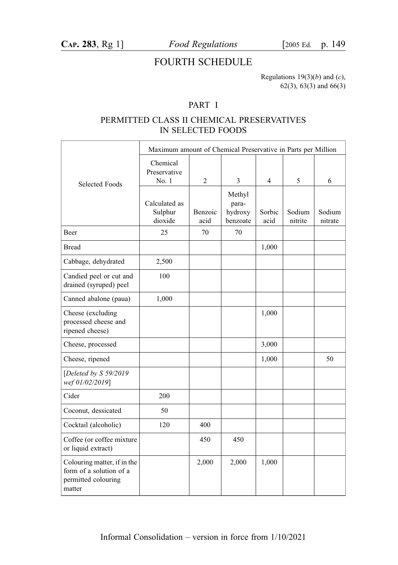# FOURTH SCHEDULE

Regulations  $19(3)(b)$  and  $(c)$ , 62(3), 63(3) and 66(3)

### PART I

### PERMITTED CLASS II CHEMICAL PRESERVATIVES IN SELECTED FOODS

|                                                                                         | Maximum amount of Chemical Preservative in Parts per Million |                 |                                        |                |                   |                   |
|-----------------------------------------------------------------------------------------|--------------------------------------------------------------|-----------------|----------------------------------------|----------------|-------------------|-------------------|
| <b>Selected Foods</b>                                                                   | Chemical<br>Preservative<br>No.1                             | $\overline{2}$  | 3                                      | 4              | 5                 | 6                 |
|                                                                                         | Calculated as<br>Sulphur<br>dioxide                          | Benzoic<br>acid | Methyl<br>para-<br>hydroxy<br>benzoate | Sorbic<br>acid | Sodium<br>nitrite | Sodium<br>nitrate |
| Beer                                                                                    | 25                                                           | 70              | 70                                     |                |                   |                   |
| <b>Bread</b>                                                                            |                                                              |                 |                                        | 1,000          |                   |                   |
| Cabbage, dehydrated                                                                     | 2,500                                                        |                 |                                        |                |                   |                   |
| Candied peel or cut and<br>drained (syruped) peel                                       | 100                                                          |                 |                                        |                |                   |                   |
| Canned abalone (paua)                                                                   | 1,000                                                        |                 |                                        |                |                   |                   |
| Cheese (excluding<br>processed cheese and<br>ripened cheese)                            |                                                              |                 |                                        | 1,000          |                   |                   |
| Cheese, processed                                                                       |                                                              |                 |                                        | 3,000          |                   |                   |
| Cheese, ripened                                                                         |                                                              |                 |                                        | 1,000          |                   | 50                |
| [Deleted by S 59/2019<br>wef 01/02/2019]                                                |                                                              |                 |                                        |                |                   |                   |
| Cider                                                                                   | 200                                                          |                 |                                        |                |                   |                   |
| Coconut, dessicated                                                                     | 50                                                           |                 |                                        |                |                   |                   |
| Cocktail (alcoholic)                                                                    | 120                                                          | 400             |                                        |                |                   |                   |
| Coffee (or coffee mixture<br>or liquid extract)                                         |                                                              | 450             | 450                                    |                |                   |                   |
| Colouring matter, if in the<br>form of a solution of a<br>permitted colouring<br>matter |                                                              | 2,000           | 2,000                                  | 1,000          |                   |                   |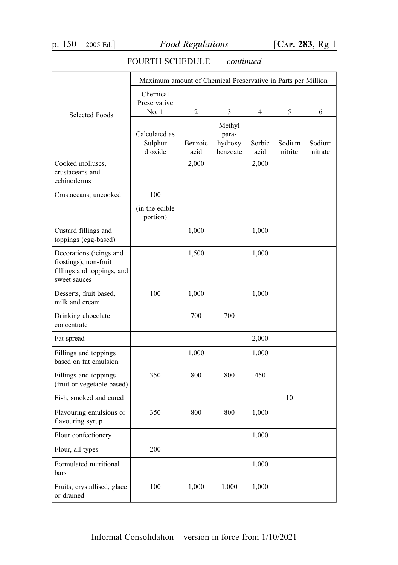|                             | Maximum amount of Chemical Preservative in Parts per Million |         |                  |        |         |         |
|-----------------------------|--------------------------------------------------------------|---------|------------------|--------|---------|---------|
|                             |                                                              |         |                  |        |         |         |
|                             | Chemical                                                     |         |                  |        |         |         |
|                             | Preservative<br>No. 1                                        | 2       | 3                | 4      | 5       | 6       |
| <b>Selected Foods</b>       |                                                              |         |                  |        |         |         |
|                             | Calculated as                                                |         | Methyl           |        |         |         |
|                             | Sulphur                                                      | Benzoic | para-<br>hydroxy | Sorbic | Sodium  | Sodium  |
|                             | dioxide                                                      | acid    | benzoate         | acid   | nitrite | nitrate |
| Cooked molluscs,            |                                                              | 2,000   |                  | 2,000  |         |         |
| crustaceans and             |                                                              |         |                  |        |         |         |
| echinoderms                 |                                                              |         |                  |        |         |         |
| Crustaceans, uncooked       | 100                                                          |         |                  |        |         |         |
|                             | (in the edible)                                              |         |                  |        |         |         |
|                             | portion)                                                     |         |                  |        |         |         |
| Custard fillings and        |                                                              | 1,000   |                  | 1,000  |         |         |
| toppings (egg-based)        |                                                              |         |                  |        |         |         |
| Decorations (icings and     |                                                              | 1,500   |                  | 1,000  |         |         |
| frostings), non-fruit       |                                                              |         |                  |        |         |         |
| fillings and toppings, and  |                                                              |         |                  |        |         |         |
| sweet sauces                |                                                              |         |                  |        |         |         |
| Desserts, fruit based,      | 100                                                          | 1,000   |                  | 1,000  |         |         |
| milk and cream              |                                                              |         |                  |        |         |         |
| Drinking chocolate          |                                                              | 700     | 700              |        |         |         |
| concentrate                 |                                                              |         |                  |        |         |         |
| Fat spread                  |                                                              |         |                  | 2,000  |         |         |
| Fillings and toppings       |                                                              | 1,000   |                  | 1,000  |         |         |
| based on fat emulsion       |                                                              |         |                  |        |         |         |
| Fillings and toppings       | 350                                                          | 800     | 800              | 450    |         |         |
| (fruit or vegetable based)  |                                                              |         |                  |        |         |         |
| Fish, smoked and cured      |                                                              |         |                  |        | 10      |         |
| Flavouring emulsions or     | 350                                                          | 800     | 800              | 1,000  |         |         |
| flavouring syrup            |                                                              |         |                  |        |         |         |
| Flour confectionery         |                                                              |         |                  | 1,000  |         |         |
| Flour, all types            | 200                                                          |         |                  |        |         |         |
| Formulated nutritional      |                                                              |         |                  | 1,000  |         |         |
| bars                        |                                                              |         |                  |        |         |         |
| Fruits, crystallised, glace | 100                                                          | 1,000   | 1,000            | 1,000  |         |         |
| or drained                  |                                                              |         |                  |        |         |         |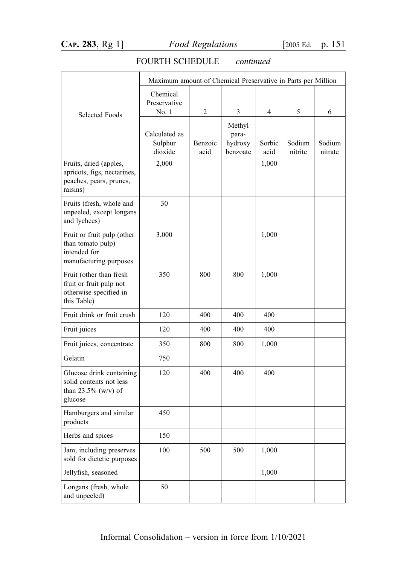|                                                                                              | Maximum amount of Chemical Preservative in Parts per Million |                 |                                        |                |                   |                   |
|----------------------------------------------------------------------------------------------|--------------------------------------------------------------|-----------------|----------------------------------------|----------------|-------------------|-------------------|
| <b>Selected Foods</b>                                                                        | Chemical<br>Preservative<br>No. 1                            | 2               | 3                                      | 4              | 5                 | 6                 |
|                                                                                              | Calculated as<br>Sulphur<br>dioxide                          | Benzoic<br>acid | Methyl<br>para-<br>hydroxy<br>benzoate | Sorbic<br>acid | Sodium<br>nitrite | Sodium<br>nitrate |
| Fruits, dried (apples,<br>apricots, figs, nectarines,<br>peaches, pears, prunes,<br>raisins) | 2,000                                                        |                 |                                        | 1,000          |                   |                   |
| Fruits (fresh, whole and<br>unpeeled, except longans<br>and lychees)                         | 30                                                           |                 |                                        |                |                   |                   |
| Fruit or fruit pulp (other<br>than tomato pulp)<br>intended for<br>manufacturing purposes    | 3,000                                                        |                 |                                        | 1,000          |                   |                   |
| Fruit (other than fresh<br>fruit or fruit pulp not<br>otherwise specified in<br>this Table)  | 350                                                          | 800             | 800                                    | 1,000          |                   |                   |
| Fruit drink or fruit crush                                                                   | 120                                                          | 400             | 400                                    | 400            |                   |                   |
| Fruit juices                                                                                 | 120                                                          | 400             | 400                                    | 400            |                   |                   |
| Fruit juices, concentrate                                                                    | 350                                                          | 800             | 800                                    | 1,000          |                   |                   |
| Gelatin                                                                                      | 750                                                          |                 |                                        |                |                   |                   |
| Glucose drink containing<br>solid contents not less<br>than $23.5\%$ (w/v) of<br>glucose     | 120                                                          | 400             | 400                                    | 400            |                   |                   |
| Hamburgers and similar<br>products                                                           | 450                                                          |                 |                                        |                |                   |                   |
| Herbs and spices                                                                             | 150                                                          |                 |                                        |                |                   |                   |
| Jam, including preserves<br>sold for dietetic purposes                                       | 100                                                          | 500             | 500                                    | 1,000          |                   |                   |
| Jellyfish, seasoned                                                                          |                                                              |                 |                                        | 1,000          |                   |                   |
| Longans (fresh, whole<br>and unpeeled)                                                       | 50                                                           |                 |                                        |                |                   |                   |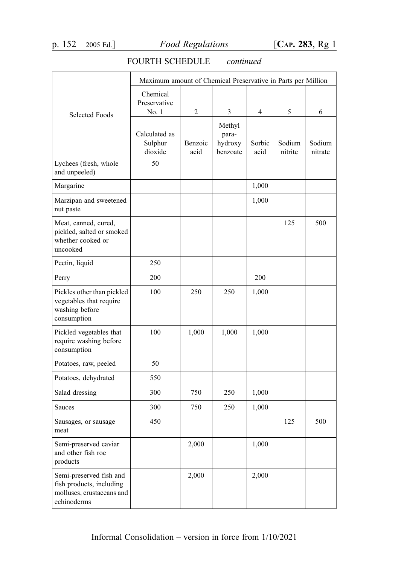|                                                                                                 | Maximum amount of Chemical Preservative in Parts per Million |                 |                                        |                |                   |                   |
|-------------------------------------------------------------------------------------------------|--------------------------------------------------------------|-----------------|----------------------------------------|----------------|-------------------|-------------------|
| <b>Selected Foods</b>                                                                           | Chemical<br>Preservative<br>No.1                             | $\overline{2}$  | 3                                      | 4              | 5                 | 6                 |
|                                                                                                 | Calculated as<br>Sulphur<br>dioxide                          | Benzoic<br>acid | Methyl<br>para-<br>hydroxy<br>benzoate | Sorbic<br>acid | Sodium<br>nitrite | Sodium<br>nitrate |
| Lychees (fresh, whole<br>and unpeeled)                                                          | 50                                                           |                 |                                        |                |                   |                   |
| Margarine                                                                                       |                                                              |                 |                                        | 1,000          |                   |                   |
| Marzipan and sweetened<br>nut paste                                                             |                                                              |                 |                                        | 1,000          |                   |                   |
| Meat, canned, cured,<br>pickled, salted or smoked<br>whether cooked or<br>uncooked              |                                                              |                 |                                        |                | 125               | 500               |
| Pectin, liquid                                                                                  | 250                                                          |                 |                                        |                |                   |                   |
| Perry                                                                                           | 200                                                          |                 |                                        | 200            |                   |                   |
| Pickles other than pickled<br>vegetables that require<br>washing before<br>consumption          | 100                                                          | 250             | 250                                    | 1,000          |                   |                   |
| Pickled vegetables that<br>require washing before<br>consumption                                | 100                                                          | 1,000           | 1,000                                  | 1,000          |                   |                   |
| Potatoes, raw, peeled                                                                           | 50                                                           |                 |                                        |                |                   |                   |
| Potatoes, dehydrated                                                                            | 550                                                          |                 |                                        |                |                   |                   |
| Salad dressing                                                                                  | 300                                                          | 750             | 250                                    | 1,000          |                   |                   |
| Sauces                                                                                          | 300                                                          | 750             | 250                                    | 1,000          |                   |                   |
| Sausages, or sausage<br>meat                                                                    | 450                                                          |                 |                                        |                | 125               | 500               |
| Semi-preserved caviar<br>and other fish roe<br>products                                         |                                                              | 2,000           |                                        | 1,000          |                   |                   |
| Semi-preserved fish and<br>fish products, including<br>molluscs, crustaceans and<br>echinoderms |                                                              | 2,000           |                                        | 2,000          |                   |                   |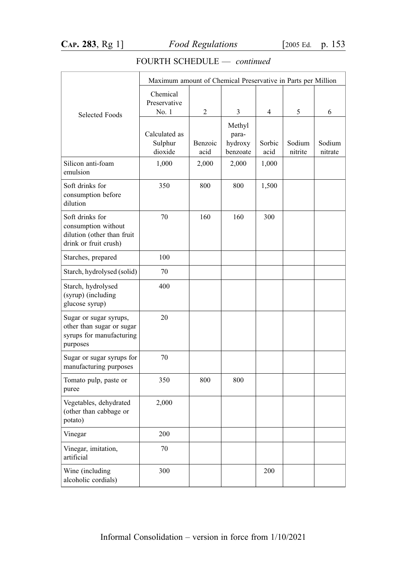|                                                                                               | Maximum amount of Chemical Preservative in Parts per Million |                 |                                        |                |                   |                   |
|-----------------------------------------------------------------------------------------------|--------------------------------------------------------------|-----------------|----------------------------------------|----------------|-------------------|-------------------|
| <b>Selected Foods</b>                                                                         | Chemical<br>Preservative<br>No. 1                            | $\overline{c}$  | 3                                      | $\overline{4}$ | 5                 | 6                 |
|                                                                                               | Calculated as<br>Sulphur<br>dioxide                          | Benzoic<br>acid | Methyl<br>para-<br>hydroxy<br>benzoate | Sorbic<br>acid | Sodium<br>nitrite | Sodium<br>nitrate |
| Silicon anti-foam<br>emulsion                                                                 | 1,000                                                        | 2,000           | 2,000                                  | 1,000          |                   |                   |
| Soft drinks for<br>consumption before<br>dilution                                             | 350                                                          | 800             | 800                                    | 1,500          |                   |                   |
| Soft drinks for<br>consumption without<br>dilution (other than fruit<br>drink or fruit crush) | 70                                                           | 160             | 160                                    | 300            |                   |                   |
| Starches, prepared                                                                            | 100                                                          |                 |                                        |                |                   |                   |
| Starch, hydrolysed (solid)                                                                    | 70                                                           |                 |                                        |                |                   |                   |
| Starch, hydrolysed<br>(syrup) (including<br>glucose syrup)                                    | 400                                                          |                 |                                        |                |                   |                   |
| Sugar or sugar syrups,<br>other than sugar or sugar<br>syrups for manufacturing<br>purposes   | 20                                                           |                 |                                        |                |                   |                   |
| Sugar or sugar syrups for<br>manufacturing purposes                                           | 70                                                           |                 |                                        |                |                   |                   |
| Tomato pulp, paste or<br>puree                                                                | 350                                                          | 800             | 800                                    |                |                   |                   |
| Vegetables, dehydrated<br>(other than cabbage or<br>potato)                                   | 2,000                                                        |                 |                                        |                |                   |                   |
| Vinegar                                                                                       | 200                                                          |                 |                                        |                |                   |                   |
| Vinegar, imitation,<br>artificial                                                             | 70                                                           |                 |                                        |                |                   |                   |
| Wine (including<br>alcoholic cordials)                                                        | 300                                                          |                 |                                        | 200            |                   |                   |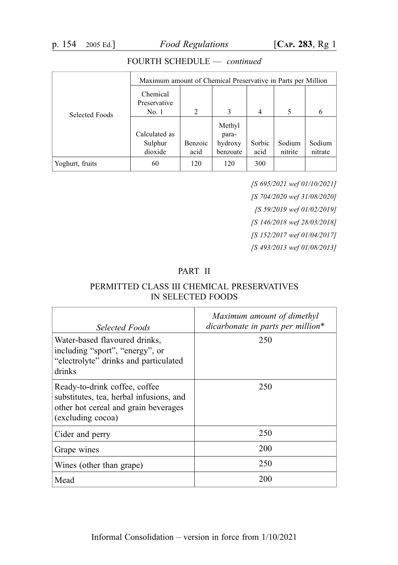|                 | Maximum amount of Chemical Preservative in Parts per Million |         |                  |                |         |         |
|-----------------|--------------------------------------------------------------|---------|------------------|----------------|---------|---------|
| Selected Foods  | Chemical<br>Preservative<br>No. 1                            | 2       | 3                | $\overline{4}$ | 5       | 6       |
|                 | Calculated as                                                |         | Methyl           |                |         |         |
|                 | Sulphur                                                      | Benzoic | para-<br>hydroxy | Sorbic         | Sodium  | Sodium  |
|                 | dioxide                                                      | acid    | benzoate         | acid           | nitrite | nitrate |
| Yoghurt, fruits | 60                                                           | 120     | 120              | 300            |         |         |

[S 695/2021 wef 01/10/2021] [S 704/2020 wef 31/08/2020] [S 59/2019 wef 01/02/2019] [S 146/2018 wef 28/03/2018] [S 152/2017 wef 01/04/2017] [S 493/2013 wef 01/08/2013]

#### PART II

### PERMITTED CLASS III CHEMICAL PRESERVATIVES IN SELECTED FOODS

| Selected Foods                                                                                                                        | Maximum amount of dimethyl<br>dicarbonate in parts per million* |
|---------------------------------------------------------------------------------------------------------------------------------------|-----------------------------------------------------------------|
| Water-based flavoured drinks,<br>including "sport", "energy", or<br>"electrolyte" drinks and particulated<br>drinks                   | 250                                                             |
| Ready-to-drink coffee, coffee<br>substitutes, tea, herbal infusions, and<br>other hot cereal and grain beverages<br>(excluding cocoa) | 250                                                             |
| Cider and perry                                                                                                                       | 250                                                             |
| Grape wines                                                                                                                           | 200                                                             |
| Wines (other than grape)                                                                                                              | 250                                                             |
| Mead                                                                                                                                  | 200                                                             |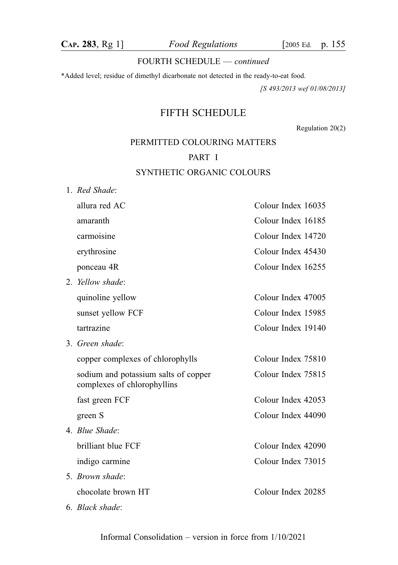\*Added level; residue of dimethyl dicarbonate not detected in the ready-to-eat food.

[S 493/2013 wef 01/08/2013]

# FIFTH SCHEDULE

Regulation 20(2)

# PERMITTED COLOURING MATTERS

### PART I

### SYNTHETIC ORGANIC COLOURS

1. Red Shade:

| allura red AC                                                       | Colour Index 16035 |
|---------------------------------------------------------------------|--------------------|
| amaranth                                                            | Colour Index 16185 |
| carmoisine                                                          | Colour Index 14720 |
| erythrosine                                                         | Colour Index 45430 |
| ponceau 4R                                                          | Colour Index 16255 |
| 2. Yellow shade:                                                    |                    |
| quinoline yellow                                                    | Colour Index 47005 |
| sunset yellow FCF                                                   | Colour Index 15985 |
| tartrazine                                                          | Colour Index 19140 |
| 3. Green shade:                                                     |                    |
| copper complexes of chlorophylls                                    | Colour Index 75810 |
| sodium and potassium salts of copper<br>complexes of chlorophyllins | Colour Index 75815 |
| fast green FCF                                                      | Colour Index 42053 |
| green S                                                             | Colour Index 44090 |
| 4. Blue Shade:                                                      |                    |
| brilliant blue FCF                                                  | Colour Index 42090 |
| indigo carmine                                                      | Colour Index 73015 |
| 5. Brown shade:                                                     |                    |
| chocolate brown HT                                                  | Colour Index 20285 |
| 6. Black shade:                                                     |                    |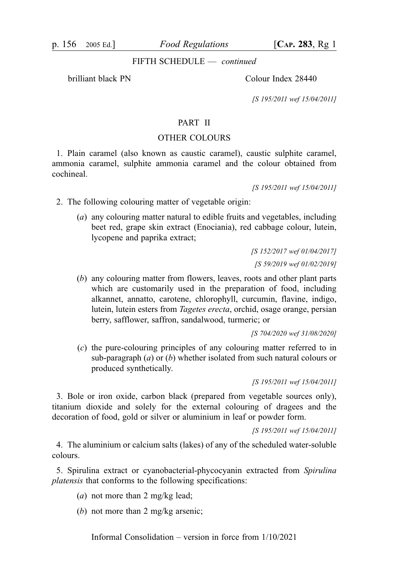p. 156 2005 Ed.] Food Regulations [CAP. 283, Rg 1]

FIFTH SCHEDULE — continued

brilliant black PN Colour Index 28440

[S 195/2011 wef 15/04/2011]

#### PART II

#### OTHER COLOURS

1. Plain caramel (also known as caustic caramel), caustic sulphite caramel, ammonia caramel, sulphite ammonia caramel and the colour obtained from cochineal.

[S 195/2011 wef 15/04/2011]

2. The following colouring matter of vegetable origin:

(a) any colouring matter natural to edible fruits and vegetables, including beet red, grape skin extract (Enociania), red cabbage colour, lutein, lycopene and paprika extract;

> [S 152/2017 wef 01/04/2017] [S 59/2019 wef 01/02/2019]

(b) any colouring matter from flowers, leaves, roots and other plant parts which are customarily used in the preparation of food, including alkannet, annatto, carotene, chlorophyll, curcumin, flavine, indigo, lutein, lutein esters from Tagetes erecta, orchid, osage orange, persian berry, safflower, saffron, sandalwood, turmeric; or

[S 704/2020 wef 31/08/2020]

(c) the pure-colouring principles of any colouring matter referred to in sub-paragraph  $(a)$  or  $(b)$  whether isolated from such natural colours or produced synthetically.

[S 195/2011 wef 15/04/2011]

3. Bole or iron oxide, carbon black (prepared from vegetable sources only), titanium dioxide and solely for the external colouring of dragees and the decoration of food, gold or silver or aluminium in leaf or powder form.

[S 195/2011 wef 15/04/2011]

4. The aluminium or calcium salts (lakes) of any of the scheduled water-soluble colours.

5. Spirulina extract or cyanobacterial-phycocyanin extracted from Spirulina platensis that conforms to the following specifications:

- (a) not more than 2 mg/kg lead;
- (b) not more than 2 mg/kg arsenic:

Informal Consolidation – version in force from 1/10/2021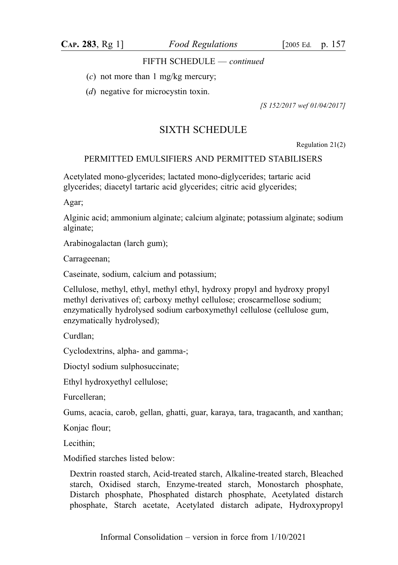CAP. 283, Rg 1] Food Regulations [2005 Ed. p. 157

#### FIFTH SCHEDULE — continued

- $(c)$  not more than 1 mg/kg mercury;
- (d) negative for microcystin toxin.

[S 152/2017 wef 01/04/2017]

# SIXTH SCHEDULE

Regulation 21(2)

#### PERMITTED EMULSIFIERS AND PERMITTED STABILISERS

Acetylated mono-glycerides; lactated mono-diglycerides; tartaric acid glycerides; diacetyl tartaric acid glycerides; citric acid glycerides;

Agar;

Alginic acid; ammonium alginate; calcium alginate; potassium alginate; sodium alginate;

Arabinogalactan (larch gum);

Carrageenan;

Caseinate, sodium, calcium and potassium;

Cellulose, methyl, ethyl, methyl ethyl, hydroxy propyl and hydroxy propyl methyl derivatives of; carboxy methyl cellulose; croscarmellose sodium; enzymatically hydrolysed sodium carboxymethyl cellulose (cellulose gum, enzymatically hydrolysed);

Curdlan;

Cyclodextrins, alpha- and gamma-;

Dioctyl sodium sulphosuccinate;

Ethyl hydroxyethyl cellulose;

Furcelleran;

Gums, acacia, carob, gellan, ghatti, guar, karaya, tara, tragacanth, and xanthan;

Konjac flour;

Lecithin<sup>.</sup>

Modified starches listed below:

Dextrin roasted starch, Acid-treated starch, Alkaline-treated starch, Bleached starch, Oxidised starch, Enzyme-treated starch, Monostarch phosphate, Distarch phosphate, Phosphated distarch phosphate, Acetylated distarch phosphate, Starch acetate, Acetylated distarch adipate, Hydroxypropyl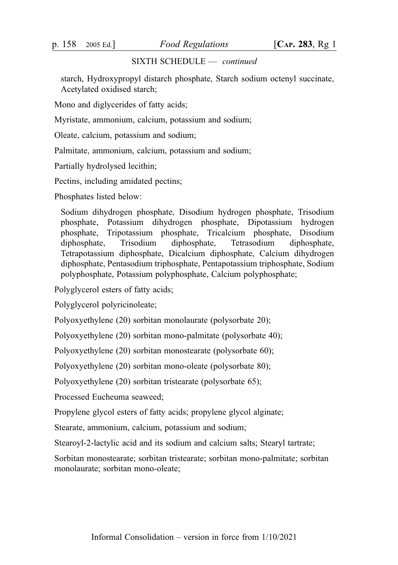starch, Hydroxypropyl distarch phosphate, Starch sodium octenyl succinate, Acetylated oxidised starch;

Mono and diglycerides of fatty acids;

Myristate, ammonium, calcium, potassium and sodium;

Oleate, calcium, potassium and sodium;

Palmitate, ammonium, calcium, potassium and sodium;

Partially hydrolysed lecithin;

Pectins, including amidated pectins;

Phosphates listed below:

Sodium dihydrogen phosphate, Disodium hydrogen phosphate, Trisodium phosphate, Potassium dihydrogen phosphate, Dipotassium hydrogen phosphate, Tripotassium phosphate, Tricalcium phosphate, Disodium diphosphate, Trisodium diphosphate, Tetrasodium diphosphate, Tetrapotassium diphosphate, Dicalcium diphosphate, Calcium dihydrogen diphosphate, Pentasodium triphosphate, Pentapotassium triphosphate, Sodium polyphosphate, Potassium polyphosphate, Calcium polyphosphate;

Polyglycerol esters of fatty acids;

Polyglycerol polyricinoleate;

Polyoxyethylene (20) sorbitan monolaurate (polysorbate 20);

Polyoxyethylene (20) sorbitan mono-palmitate (polysorbate 40);

Polyoxyethylene (20) sorbitan monostearate (polysorbate 60);

Polyoxyethylene (20) sorbitan mono-oleate (polysorbate 80);

Polyoxyethylene (20) sorbitan tristearate (polysorbate 65);

Processed Eucheuma seaweed;

Propylene glycol esters of fatty acids; propylene glycol alginate;

Stearate, ammonium, calcium, potassium and sodium;

Stearoyl-2-lactylic acid and its sodium and calcium salts; Stearyl tartrate;

Sorbitan monostearate; sorbitan tristearate; sorbitan mono-palmitate; sorbitan monolaurate; sorbitan mono-oleate;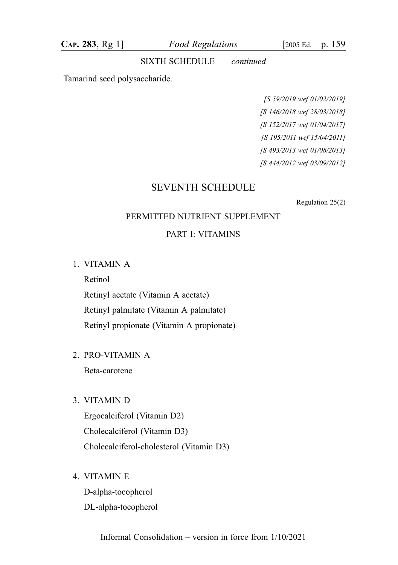CAP. 283, Rg 1] Food Regulations [2005 Ed. p. 159

#### SIXTH SCHEDULE — continued

Tamarind seed polysaccharide.

[S 59/2019 wef 01/02/2019] [S 146/2018 wef 28/03/2018] [S 152/2017 wef 01/04/2017] [S 195/2011 wef 15/04/2011] [S 493/2013 wef 01/08/2013] [S 444/2012 wef 03/09/2012]

### SEVENTH SCHEDULE

Regulation 25(2)

#### PERMITTED NUTRIENT SUPPLEMENT

#### PART I: VITAMINS

1. VITAMIN A

Retinol

Retinyl acetate (Vitamin A acetate) Retinyl palmitate (Vitamin A palmitate) Retinyl propionate (Vitamin A propionate)

2. PRO-VITAMIN A

Beta-carotene

3. VITAMIN D

Ergocalciferol (Vitamin D2) Cholecalciferol (Vitamin D3) Cholecalciferol-cholesterol (Vitamin D3)

4. VITAMIN E

D-alpha-tocopherol DL-alpha-tocopherol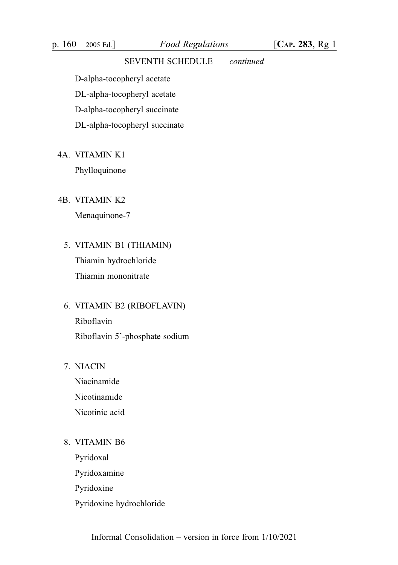D-alpha-tocopheryl acetate

DL-alpha-tocopheryl acetate

D-alpha-tocopheryl succinate

DL-alpha-tocopheryl succinate

4A. VITAMIN K1

Phylloquinone

4B. VITAMIN K2

Menaquinone-7

- 5. VITAMIN B1 (THIAMIN) Thiamin hydrochloride Thiamin mononitrate
- 6. VITAMIN B2 (RIBOFLAVIN) Riboflavin Riboflavin 5'-phosphate sodium
- 7. NIACIN

Niacinamide Nicotinamide Nicotinic acid

8. VITAMIN B6

Pyridoxal Pyridoxamine Pyridoxine Pyridoxine hydrochloride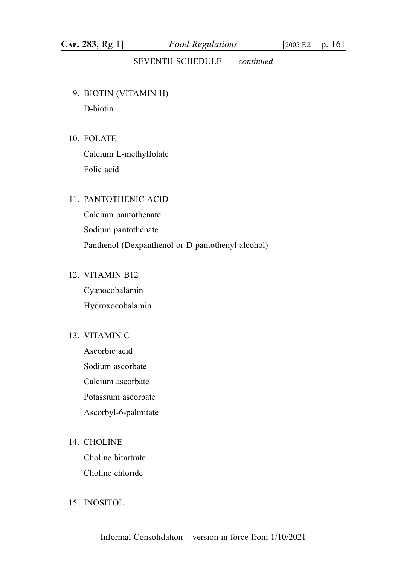- 9. BIOTIN (VITAMIN H) D-biotin
- 10. FOLATE Calcium L-methylfolate Folic acid

### 11. PANTOTHENIC ACID

Calcium pantothenate Sodium pantothenate Panthenol (Dexpanthenol or D-pantothenyl alcohol)

### 12. VITAMIN B12

Cyanocobalamin Hydroxocobalamin

### 13. VITAMIN C

Ascorbic acid Sodium ascorbate Calcium ascorbate Potassium ascorbate Ascorbyl-6-palmitate

### 14. CHOLINE

Choline bitartrate Choline chloride

### 15. INOSITOL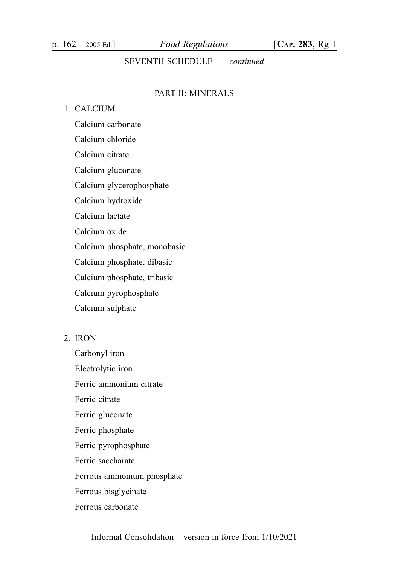### PART II: MINERALS

### 1. CALCIUM

Calcium carbonate Calcium chloride Calcium citrate Calcium gluconate Calcium glycerophosphate Calcium hydroxide Calcium lactate Calcium oxide Calcium phosphate, monobasic Calcium phosphate, dibasic Calcium phosphate, tribasic Calcium pyrophosphate Calcium sulphate

#### 2. IRON

Carbonyl iron Electrolytic iron Ferric ammonium citrate Ferric citrate Ferric gluconate Ferric phosphate Ferric pyrophosphate Ferric saccharate Ferrous ammonium phosphate Ferrous bisglycinate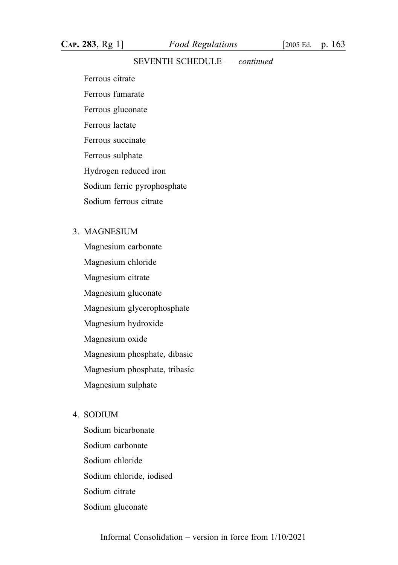Ferrous citrate

Ferrous fumarate

Ferrous gluconate

Ferrous lactate

Ferrous succinate

Ferrous sulphate

Hydrogen reduced iron

Sodium ferric pyrophosphate

Sodium ferrous citrate

### 3. MAGNESIUM

Magnesium carbonate Magnesium chloride Magnesium citrate Magnesium gluconate Magnesium glycerophosphate Magnesium hydroxide Magnesium oxide Magnesium phosphate, dibasic Magnesium phosphate, tribasic Magnesium sulphate

#### 4. SODIUM

Sodium bicarbonate Sodium carbonate Sodium chloride Sodium chloride, iodised Sodium citrate Sodium gluconate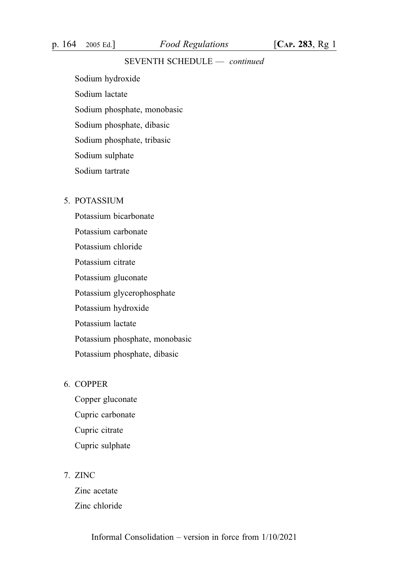Sodium hydroxide Sodium lactate Sodium phosphate, monobasic Sodium phosphate, dibasic Sodium phosphate, tribasic

Sodium sulphate

Sodium tartrate

### 5. POTASSIUM

Potassium bicarbonate Potassium carbonate Potassium chloride Potassium citrate Potassium gluconate Potassium glycerophosphate Potassium hydroxide Potassium lactate Potassium phosphate, monobasic Potassium phosphate, dibasic

### 6. COPPER

Copper gluconate Cupric carbonate Cupric citrate Cupric sulphate

#### 7. ZINC

Zinc acetate Zinc chloride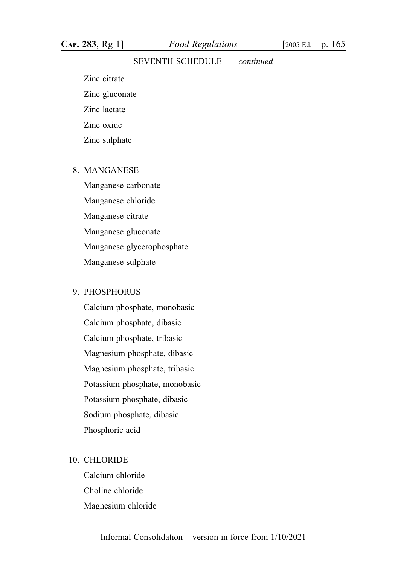Zinc citrate Zinc gluconate Zinc lactate Zinc oxide

Zinc sulphate

### 8. MANGANESE

Manganese carbonate Manganese chloride Manganese citrate Manganese gluconate Manganese glycerophosphate Manganese sulphate

### 9. PHOSPHORUS

Calcium phosphate, monobasic Calcium phosphate, dibasic Calcium phosphate, tribasic Magnesium phosphate, dibasic Magnesium phosphate, tribasic Potassium phosphate, monobasic Potassium phosphate, dibasic Sodium phosphate, dibasic Phosphoric acid

#### 10. CHLORIDE

Calcium chloride Choline chloride Magnesium chloride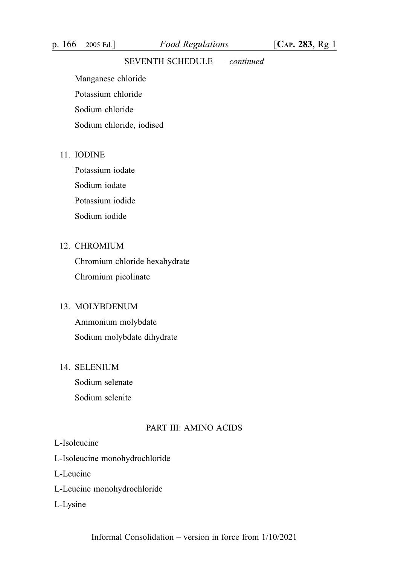p. 166 2005 Ed.] Food Regulations [CAP. 283, Rg 1]

### SEVENTH SCHEDULE — continued

Manganese chloride Potassium chloride Sodium chloride Sodium chloride, iodised

### 11. IODINE

Potassium iodate Sodium iodate Potassium iodide Sodium iodide

### 12. CHROMIUM

Chromium chloride hexahydrate Chromium picolinate

#### 13. MOLYBDENUM

Ammonium molybdate Sodium molybdate dihydrate

### 14. SELENIUM

Sodium selenate Sodium selenite

### PART III: AMINO ACIDS

#### L-Isoleucine

L-Isoleucine monohydrochloride

L-Leucine

- L-Leucine monohydrochloride
- L-Lysine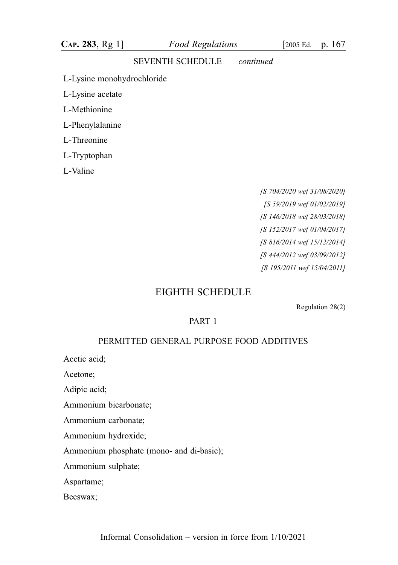L-Lysine monohydrochloride

L-Lysine acetate

L-Methionine

L-Phenylalanine

L-Threonine

L-Tryptophan

L-Valine

[S 704/2020 wef 31/08/2020] [S 59/2019 wef 01/02/2019] [S 146/2018 wef 28/03/2018] [S 152/2017 wef 01/04/2017] [S 816/2014 wef 15/12/2014] [S 444/2012 wef 03/09/2012] [S 195/2011 wef 15/04/2011]

# EIGHTH SCHEDULE

Regulation 28(2)

### PART 1

#### PERMITTED GENERAL PURPOSE FOOD ADDITIVES

Acetic acid;

Acetone;

Adipic acid;

Ammonium bicarbonate;

Ammonium carbonate;

Ammonium hydroxide;

Ammonium phosphate (mono- and di-basic);

Ammonium sulphate;

Aspartame;

Beeswax;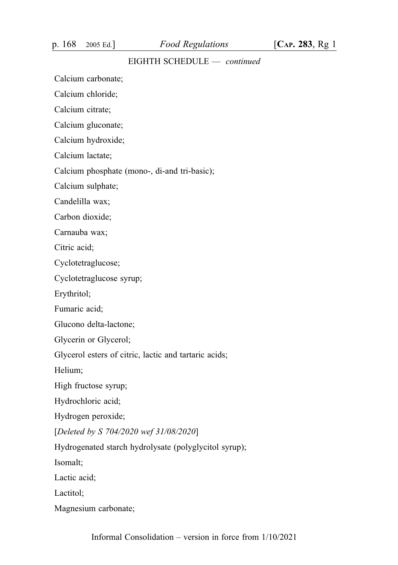p. 168 2005 Ed.] Food Regulations [CAP. 283, Rg 1]

### EIGHTH SCHEDULE — continued

Calcium carbonate;

Calcium chloride;

Calcium citrate;

Calcium gluconate;

Calcium hydroxide;

Calcium lactate;

Calcium phosphate (mono-, di-and tri-basic);

Calcium sulphate;

Candelilla wax;

Carbon dioxide;

Carnauba wax;

Citric acid;

Cyclotetraglucose;

Cyclotetraglucose syrup;

Erythritol;

Fumaric acid;

Glucono delta-lactone;

Glycerin or Glycerol;

Glycerol esters of citric, lactic and tartaric acids;

Helium;

High fructose syrup;

Hydrochloric acid;

Hydrogen peroxide;

[Deleted by S 704/2020 wef 31/08/2020]

Hydrogenated starch hydrolysate (polyglycitol syrup);

Isomalt;

Lactic acid;

Lactitol;

Magnesium carbonate;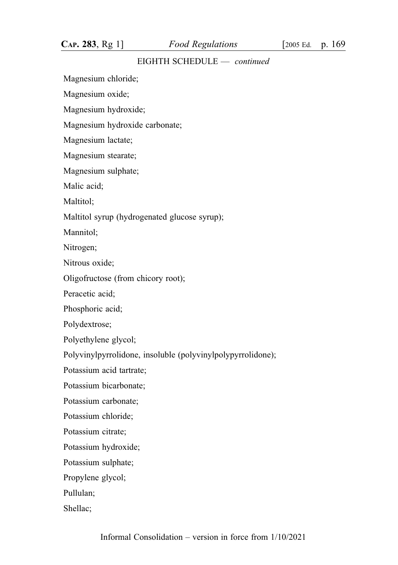Magnesium chloride;

Magnesium oxide;

Magnesium hydroxide;

Magnesium hydroxide carbonate;

Magnesium lactate;

Magnesium stearate;

Magnesium sulphate;

Malic acid;

Maltitol:

Maltitol syrup (hydrogenated glucose syrup);

Mannitol;

Nitrogen;

Nitrous oxide;

Oligofructose (from chicory root);

Peracetic acid;

Phosphoric acid;

Polydextrose;

Polyethylene glycol;

Polyvinylpyrrolidone, insoluble (polyvinylpolypyrrolidone);

Potassium acid tartrate;

Potassium bicarbonate;

Potassium carbonate;

Potassium chloride;

Potassium citrate;

Potassium hydroxide;

Potassium sulphate;

Propylene glycol;

Pullulan;

Shellac;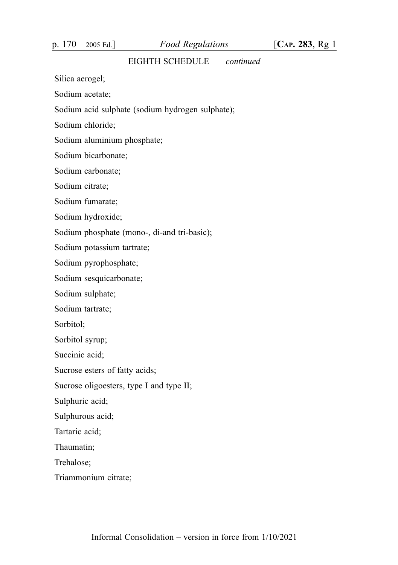p. 170 2005 Ed.] Food Regulations [CAP. 283, Rg 1]

### EIGHTH SCHEDULE — continued

Silica aerogel;

Sodium acetate;

Sodium acid sulphate (sodium hydrogen sulphate);

Sodium chloride;

Sodium aluminium phosphate;

Sodium bicarbonate;

Sodium carbonate;

Sodium citrate;

Sodium fumarate;

Sodium hydroxide;

Sodium phosphate (mono-, di-and tri-basic);

Sodium potassium tartrate;

Sodium pyrophosphate;

Sodium sesquicarbonate;

Sodium sulphate;

Sodium tartrate;

Sorbitol;

Sorbitol syrup;

Succinic acid;

Sucrose esters of fatty acids;

Sucrose oligoesters, type I and type II;

Sulphuric acid;

Sulphurous acid;

Tartaric acid;

Thaumatin;

Trehalose;

Triammonium citrate;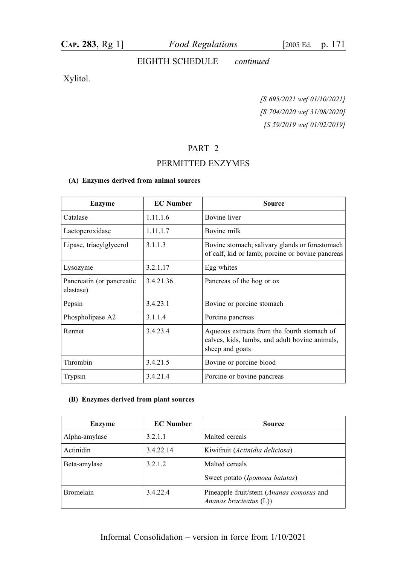### Xylitol.

[S 695/2021 wef 01/10/2021] [S 704/2020 wef 31/08/2020] [S 59/2019 wef 01/02/2019]

### PART 2

### PERMITTED ENZYMES

#### (A) Enzymes derived from animal sources

| <b>Enzyme</b>                          | <b>EC</b> Number | <b>Source</b>                                                                                                    |
|----------------------------------------|------------------|------------------------------------------------------------------------------------------------------------------|
| Catalase                               | 1.11.1.6         | Bovine liver                                                                                                     |
| Lactoperoxidase                        | 1.11.1.7         | Bovine milk                                                                                                      |
| Lipase, triacylglycerol                | 3.1.1.3          | Bovine stomach; salivary glands or forestomach<br>of calf, kid or lamb; porcine or bovine pancreas               |
| Lysozyme                               | 3.2.1.17         | Egg whites                                                                                                       |
| Pancreatin (or pancreatic<br>elastase) | 3.4.21.36        | Pancreas of the hog or ox                                                                                        |
| Pepsin                                 | 3.4.23.1         | Bovine or porcine stomach                                                                                        |
| Phospholipase A2                       | 3.1.1.4          | Porcine pancreas                                                                                                 |
| Rennet                                 | 3.4.23.4         | Aqueous extracts from the fourth stomach of<br>calves, kids, lambs, and adult bovine animals,<br>sheep and goats |
| Thrombin                               | 3.4.21.5         | Bovine or porcine blood                                                                                          |
| Trypsin                                | 3.4.21.4         | Porcine or bovine pancreas                                                                                       |

#### (B) Enzymes derived from plant sources

| Enzyme           | <b>EC</b> Number | <b>Source</b>                                                               |
|------------------|------------------|-----------------------------------------------------------------------------|
| Alpha-amylase    | 3.2.1.1          | Malted cereals                                                              |
| Actinidin        | 3.4.22.14        | Kiwifruit (Actinidia deliciosa)                                             |
| Beta-amylase     | 3.2.1.2          | Malted cereals                                                              |
|                  |                  | Sweet potato ( <i>Ipomoea batatas</i> )                                     |
| <b>Bromelain</b> | 3.4.22.4         | Pineapple fruit/stem ( <i>Ananas comosus</i> and<br>Ananas bracteatus $(L)$ |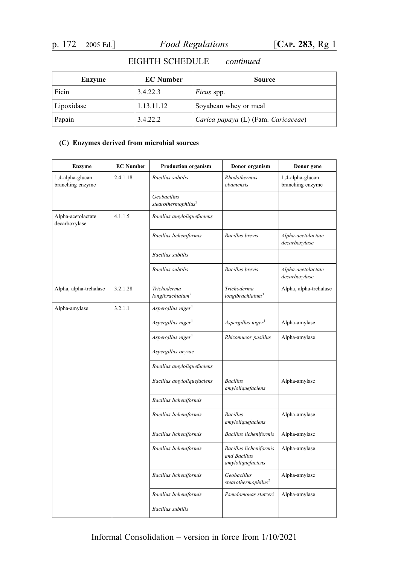| Enzyme     | <b>EC</b> Number | Source                              |
|------------|------------------|-------------------------------------|
| Ficin      | 3.4.22.3         | <i>Ficus</i> spp.                   |
| Lipoxidase | 1.13.11.12       | Soyabean whey or meal               |
| Papain     | 3.4.22.2         | Carica papaya (L) (Fam. Caricaceae) |

#### (C) Enzymes derived from microbial sources

| <b>Enzyme</b>                        | <b>EC</b> Number | <b>Production organism</b>                  | Donor organism                                              | Donor gene                           |
|--------------------------------------|------------------|---------------------------------------------|-------------------------------------------------------------|--------------------------------------|
| 1,4-alpha-glucan<br>branching enzyme | 2.4.1.18         | <b>Bacillus</b> subtilis                    | Rhodothermus<br>obamensis                                   | 1,4-alpha-glucan<br>branching enzyme |
|                                      |                  | Geobacillus<br>stearothermophilus $2$       |                                                             |                                      |
| Alpha-acetolactate<br>decarboxylase  | 4.1.1.5          | Bacillus amyloliquefaciens                  |                                                             |                                      |
|                                      |                  | Bacillus licheniformis                      | <b>Bacillus</b> brevis                                      | Alpha-acetolactate<br>decarboxylase  |
|                                      |                  | <b>Bacillus</b> subtilis                    |                                                             |                                      |
|                                      |                  | <b>Bacillus</b> subtilis                    | <b>Bacillus</b> brevis                                      | Alpha-acetolactate<br>decarboxylase  |
| Alpha, alpha-trehalase               | 3.2.1.28         | Trichoderma<br>longibrachiatum <sup>3</sup> | Trichoderma<br>longibrachiatum <sup>3</sup>                 | Alpha, alpha-trehalase               |
| Alpha-amylase                        | 3.2.1.1          | Aspergillus niger <sup>1</sup>              |                                                             |                                      |
|                                      |                  | Aspergillus niger <sup>1</sup>              | Aspergillus niger <sup>1</sup>                              | Alpha-amylase                        |
|                                      |                  | $A$ spergillus niger $1$                    | Rhizomucor pusillus                                         | Alpha-amylase                        |
|                                      |                  | Aspergillus oryzae                          |                                                             |                                      |
|                                      |                  | Bacillus amyloliquefaciens                  |                                                             |                                      |
|                                      |                  | Bacillus amyloliquefaciens                  | <b>Bacillus</b><br>amyloliquefaciens                        | Alpha-amylase                        |
|                                      |                  | Bacillus licheniformis                      |                                                             |                                      |
|                                      |                  | Bacillus licheniformis                      | <b>Bacillus</b><br>amyloliquefaciens                        | Alpha-amylase                        |
|                                      |                  | Bacillus licheniformis                      | Bacillus licheniformis                                      | Alpha-amylase                        |
|                                      |                  | Bacillus licheniformis                      | Bacillus licheniformis<br>and Bacillus<br>amyloliquefaciens | Alpha-amylase                        |
|                                      |                  | Bacillus licheniformis                      | Geobacillus<br>$ste a rothermophilus^2$                     | Alpha-amylase                        |
|                                      |                  | Bacillus licheniformis                      | Pseudomonas stutzeri                                        | Alpha-amylase                        |
|                                      |                  | <b>Bacillus</b> subtilis                    |                                                             |                                      |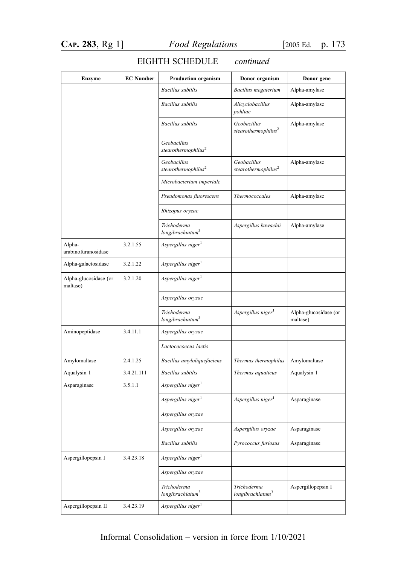| <b>Enzyme</b>                     | <b>EC Number</b> | <b>Production organism</b>                     | Donor organism                                 | Donor gene                        |
|-----------------------------------|------------------|------------------------------------------------|------------------------------------------------|-----------------------------------|
|                                   |                  | <b>Bacillus</b> subtilis                       | Bacillus megaterium                            | Alpha-amylase                     |
|                                   |                  | <b>Bacillus</b> subtilis                       | Alicyclobacillus<br>pohliae                    | Alpha-amylase                     |
|                                   |                  | <b>Bacillus</b> subtilis                       | Geobacillus<br>stearothermophilus <sup>2</sup> | Alpha-amylase                     |
|                                   |                  | Geobacillus<br>stearothermophilus $^2$         |                                                |                                   |
|                                   |                  | Geobacillus<br>stearothermophilus <sup>2</sup> | Geobacillus<br>stearothermophilus <sup>2</sup> | Alpha-amylase                     |
|                                   |                  | Microbacterium imperiale                       |                                                |                                   |
|                                   |                  | Pseudomonas fluorescens                        | Thermococcales                                 | Alpha-amylase                     |
|                                   |                  | Rhizopus oryzae                                |                                                |                                   |
|                                   |                  | Trichoderma<br>longibrachiatum <sup>3</sup>    | Aspergillus kawachii                           | Alpha-amylase                     |
| Alpha-<br>arabinofuranosidase     | 3.2.1.55         | Aspergillus niger <sup>1</sup>                 |                                                |                                   |
| Alpha-galactosidase               | 3.2.1.22         | Aspergillus niger <sup>1</sup>                 |                                                |                                   |
| Alpha-glucosidase (or<br>maltase) | 3.2.1.20         | Aspergillus niger <sup>1</sup>                 |                                                |                                   |
|                                   |                  | Aspergillus oryzae                             |                                                |                                   |
|                                   |                  | Trichoderma<br>longibrachiatum <sup>3</sup>    | Aspergillus niger                              | Alpha-glucosidase (or<br>maltase) |
| Aminopeptidase                    | 3.4.11.1         | Aspergillus oryzae                             |                                                |                                   |
|                                   |                  | Lactocococcus lactis                           |                                                |                                   |
| Amylomaltase                      | 2.4.1.25         | Bacillus amyloliquefaciens                     | Thermus thermophilus                           | Amylomaltase                      |
| Aqualysin 1                       | 3.4.21.111       | <b>Bacillus</b> subtilis                       | Thermus aquaticus                              | Aqualysin 1                       |
| Asparaginase                      | 3.5.1.1          | Aspergillus niger <sup>1</sup>                 |                                                |                                   |
|                                   |                  | Aspergillus niger <sup>1</sup>                 | $A$ spergillus niger $1$                       | Asparaginase                      |
|                                   |                  | Aspergillus oryzae                             |                                                |                                   |
|                                   |                  | Aspergillus oryzae                             | Aspergillus oryzae                             | Asparaginase                      |
|                                   |                  | <b>Bacillus</b> subtilis                       | Pyrococcus furiosus                            | Asparaginase                      |
| Aspergillopepsin I                | 3.4.23.18        | Aspergillus niger <sup>1</sup>                 |                                                |                                   |
|                                   |                  | Aspergillus oryzae                             |                                                |                                   |
|                                   |                  | Trichoderma<br>longibrachiatum <sup>3</sup>    | Trichoderma<br>longibrachiatum <sup>3</sup>    | Aspergillopepsin I                |
| Aspergillopepsin II               | 3.4.23.19        | Aspergillus niger <sup>1</sup>                 |                                                |                                   |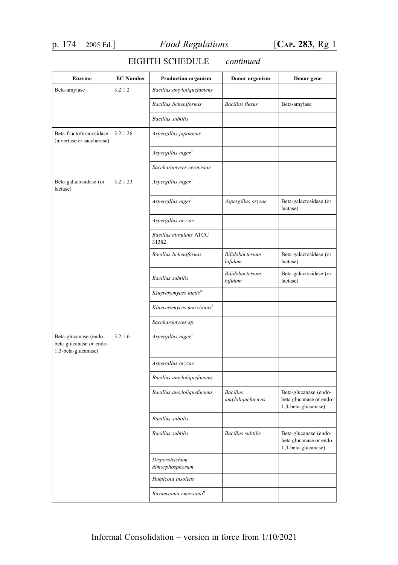| <b>Enzyme</b>                                                           | <b>EC</b> Number | <b>Production organism</b>              | Donor organism                       | Donor gene                                                              |
|-------------------------------------------------------------------------|------------------|-----------------------------------------|--------------------------------------|-------------------------------------------------------------------------|
| Beta-amylase                                                            | 3.2.1.2          | Bacillus amyloliquefaciens              |                                      |                                                                         |
|                                                                         |                  | Bacillus licheniformis                  | <b>Bacillus</b> flexus               | Beta-amylase                                                            |
|                                                                         |                  | <b>Bacillus</b> subtilis                |                                      |                                                                         |
| Beta-fructofuranosidase<br>(invertase or saccharase)                    | 3.2.1.26         | Aspergillus japonicus                   |                                      |                                                                         |
|                                                                         |                  | Aspergillus niger <sup>1</sup>          |                                      |                                                                         |
|                                                                         |                  | Saccharomyces cerevisiae                |                                      |                                                                         |
| Beta-galactosidase (or<br>lactase)                                      | 3.2.1.23         | Aspergillus niger <sup>1</sup>          |                                      |                                                                         |
|                                                                         |                  | Aspergillus niger <sup>1</sup>          | Aspergillus oryzae                   | Beta-galactosidase (or<br>lactase)                                      |
|                                                                         |                  | Aspergillus oryzae                      |                                      |                                                                         |
|                                                                         |                  | <b>Bacillus circulans ATCC</b><br>31382 |                                      |                                                                         |
|                                                                         |                  | Bacillus licheniformis                  | Bifidobacterium<br>bifidum           | Beta-galactosidase (or<br>lactase)                                      |
|                                                                         |                  | <b>Bacillus</b> subtilis                | Bifidobacterium<br>bifidum           | Beta-galactosidase (or<br>lactase)                                      |
|                                                                         |                  | Kluyveromyces lactis <sup>4</sup>       |                                      |                                                                         |
|                                                                         |                  | Kluyveromyces marxianus <sup>5</sup>    |                                      |                                                                         |
|                                                                         |                  | Saccharomyces sp.                       |                                      |                                                                         |
| Beta-glucanase (endo-<br>beta glucanase or endo-<br>1,3-beta-glucanase) | 3.2.1.6          | Aspergillus niger <sup>1</sup>          |                                      |                                                                         |
|                                                                         |                  | Aspergillus oryzae                      |                                      |                                                                         |
|                                                                         |                  | Bacillus amyloliquefaciens              |                                      |                                                                         |
|                                                                         |                  | Bacillus amyloliquefaciens              | <b>Bacillus</b><br>amyloliquefaciens | Beta-glucanase (endo-<br>beta glucanase or endo-<br>1,3-beta-glucanase) |
|                                                                         |                  | <b>Bacillus</b> subtilis                |                                      |                                                                         |
|                                                                         |                  | <b>Bacillus</b> subtilis                | <b>Bacillus</b> subtilis             | Beta-glucanase (endo-<br>beta glucanase or endo-<br>1,3-beta-glucanase) |
|                                                                         |                  | Disporotrichum<br>dimorphosphorum       |                                      |                                                                         |
|                                                                         |                  | Humicola insolens                       |                                      |                                                                         |
|                                                                         |                  | Rasamsonia emersonii <sup>6</sup>       |                                      |                                                                         |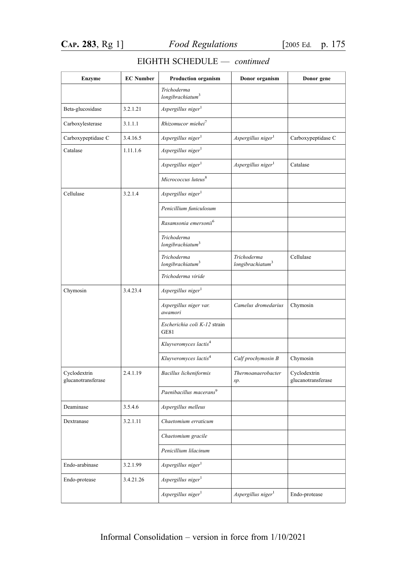|  | EIGHTH SCHEDULE | continued |
|--|-----------------|-----------|
|--|-----------------|-----------|

| <b>Enzyme</b>                      | <b>EC Number</b> | Production organism                         | Donor organism                              | Donor gene                         |
|------------------------------------|------------------|---------------------------------------------|---------------------------------------------|------------------------------------|
|                                    |                  | Trichoderma<br>longibrachiatum <sup>3</sup> |                                             |                                    |
| Beta-glucosidase                   | 3.2.1.21         | Aspergillus niger <sup>1</sup>              |                                             |                                    |
| Carboxylesterase                   | 3.1.1.1          | Rhizomucor miehei <sup>7</sup>              |                                             |                                    |
| Carboxypeptidase C                 | 3.4.16.5         | Aspergillus niger <sup>1</sup>              | Aspergillus niger <sup>1</sup>              | Carboxypeptidase C                 |
| Catalase                           | 1.11.1.6         | Aspergillus niger <sup>1</sup>              |                                             |                                    |
|                                    |                  | Aspergillus niger <sup>1</sup>              | Aspergillus niger <sup>1</sup>              | Catalase                           |
|                                    |                  | Micrococcus luteus <sup>8</sup>             |                                             |                                    |
| Cellulase                          | 3.2.1.4          | Aspergillus niger <sup>1</sup>              |                                             |                                    |
|                                    |                  | Penicillium funiculosum                     |                                             |                                    |
|                                    |                  | Rasamsonia emersonii <sup>6</sup>           |                                             |                                    |
|                                    |                  | Trichoderma<br>longibrachiatum <sup>3</sup> |                                             |                                    |
|                                    |                  | Trichoderma<br>longibrachiatum <sup>3</sup> | Trichoderma<br>longibrachiatum <sup>3</sup> | Cellulase                          |
|                                    |                  | Trichoderma viride                          |                                             |                                    |
| Chymosin                           | 3.4.23.4         | Aspergillus niger <sup>1</sup>              |                                             |                                    |
|                                    |                  | Aspergillus niger var.<br>awamori           | Camelus dromedarius                         | Chymosin                           |
|                                    |                  | Escherichia coli K-12 strain<br><b>GE81</b> |                                             |                                    |
|                                    |                  | Kluyveromyces lactis <sup>4</sup>           |                                             |                                    |
|                                    |                  | Kluyveromyces lactis <sup>4</sup>           | Calf prochymosin B                          | Chymosin                           |
| Cyclodextrin<br>glucanotransferase | 2.4.1.19         | Bacillus licheniformis                      | Thermoanaerobacter<br>sp.                   | Cyclodextrin<br>glucanotransferase |
|                                    |                  | Paenibacillus macerans <sup>9</sup>         |                                             |                                    |
| Deaminase                          | 3.5.4.6          | Aspergillus melleus                         |                                             |                                    |
| Dextranase                         | 3.2.1.11         | Chaetomium erraticum                        |                                             |                                    |
|                                    |                  | Chaetomium gracile                          |                                             |                                    |
|                                    |                  | Penicillium lilacinum                       |                                             |                                    |
| Endo-arabinase                     | 3.2.1.99         | Aspergillus niger <sup>1</sup>              |                                             |                                    |
| Endo-protease                      | 3.4.21.26        | Aspergillus niger <sup>1</sup>              |                                             |                                    |
|                                    |                  | Aspergillus niger <sup>1</sup>              | Aspergillus niger <sup>1</sup>              | Endo-protease                      |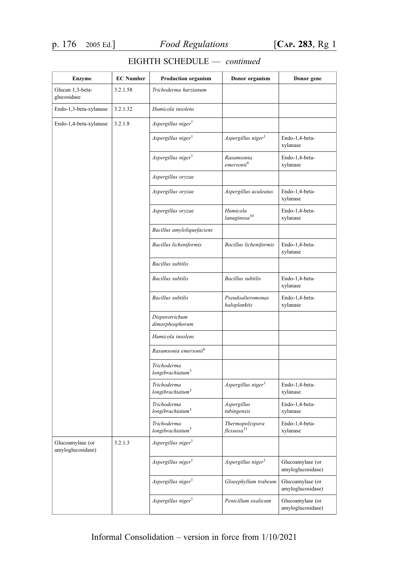| <b>Enzyme</b>                         | <b>EC</b> Number | <b>Production organism</b>                  | Donor organism                                     | Donor gene                            |
|---------------------------------------|------------------|---------------------------------------------|----------------------------------------------------|---------------------------------------|
| Glucan 1,3-beta-<br>glucosidase       | 3.2.1.58         | Trichoderma harzianum                       |                                                    |                                       |
| Endo-1,3-beta-xylanase                | 3.2.1.32         | Humicola insolens                           |                                                    |                                       |
| Endo-1,4-beta-xylanase                | 3.2.1.8          | Aspergillus niger <sup>1</sup>              |                                                    |                                       |
|                                       |                  | Aspergillus niger <sup>1</sup>              | Aspergillus niger <sup>1</sup>                     | Endo-1,4-beta-<br>xylanase            |
|                                       |                  | Aspergillus niger <sup>1</sup>              | Rasamsonia<br>emersonii <sup>6</sup>               | Endo-1,4-beta-<br>xylanase            |
|                                       |                  | Aspergillus oryzae                          |                                                    |                                       |
|                                       |                  | Aspergillus oryzae                          | Aspergillus aculeatus                              | Endo-1,4-beta-<br>xylanase            |
|                                       |                  | Aspergillus oryzae                          | Humicola<br>lanuginosa <sup>10</sup>               | Endo-1,4-beta-<br>xylanase            |
|                                       |                  | Bacillus amyloliquefaciens                  |                                                    |                                       |
|                                       |                  | Bacillus licheniformis                      | Bacillus licheniformis                             | Endo-1,4-beta-<br>xylanase            |
|                                       |                  | <b>Bacillus</b> subtilis                    |                                                    |                                       |
|                                       |                  | <b>Bacillus</b> subtilis                    | <b>Bacillus</b> subtilis                           | Endo-1,4-beta-<br>xylanase            |
|                                       |                  | <b>Bacillus</b> subtilis                    | Pseudoalteromonas<br>haloplanktis                  | Endo-1,4-beta-<br>xylanase            |
|                                       |                  | Disporotrichum<br>dimorphosphorum           |                                                    |                                       |
|                                       |                  | Humicola insolens                           |                                                    |                                       |
|                                       |                  | Rasamsonia emersonii <sup>6</sup>           |                                                    |                                       |
|                                       |                  | Trichoderma<br>longibrachiatum <sup>3</sup> |                                                    |                                       |
|                                       |                  | Trichoderma<br>longibrachiatum <sup>3</sup> | Aspergillus niger <sup>1</sup>                     | Endo-1,4-beta-<br>xylanase            |
|                                       |                  | Trichoderma<br>longibrachiatum <sup>3</sup> | Aspergillus<br>tubingensis                         | Endo-1,4-beta-<br>xylanase            |
|                                       |                  | Trichoderma<br>longibrachiatum <sup>3</sup> | Thermopolyspora<br>$\hat{f}$ lexuosa <sup>11</sup> | Endo-1,4-beta-<br>xylanase            |
| Glucoamylase (or<br>amyloglucosidase) | 3.2.1.3          | Aspergillus niger <sup>1</sup>              |                                                    |                                       |
|                                       |                  | Aspergillus niger <sup>1</sup>              | Aspergillus niger <sup>1</sup>                     | Glucoamylase (or<br>amyloglucosidase) |
|                                       |                  | Aspergillus niger $^1$                      | Gloeephyllum trabeum                               | Glucoamylase (or<br>amyloglucosidase) |
|                                       |                  | Aspergillus niger <sup>1</sup>              | Penicillum oxalicum                                | Glucoamylase (or<br>amyloglucosidase) |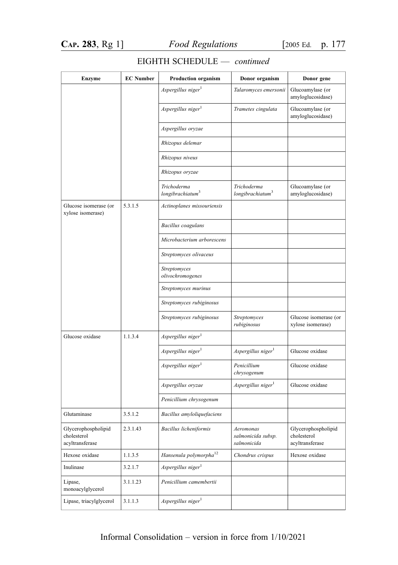| <b>Enzyme</b>                                         | <b>EC Number</b> | <b>Production organism</b>                  | Donor organism                                 | Donor gene                                            |
|-------------------------------------------------------|------------------|---------------------------------------------|------------------------------------------------|-------------------------------------------------------|
|                                                       |                  | Aspergillus niger <sup>1</sup>              | Talaromyces emersonii                          | Glucoamylase (or<br>amyloglucosidase)                 |
|                                                       |                  | Aspergillus niger <sup>1</sup>              | Trametes cingulata                             | Glucoamylase (or<br>amyloglucosidase)                 |
|                                                       |                  | Aspergillus oryzae                          |                                                |                                                       |
|                                                       |                  | Rhizopus delemar                            |                                                |                                                       |
|                                                       |                  | Rhizopus niveus                             |                                                |                                                       |
|                                                       |                  | Rhizopus oryzae                             |                                                |                                                       |
|                                                       |                  | Trichoderma<br>longibrachiatum <sup>3</sup> | Trichoderma<br>longibrachiatum <sup>3</sup>    | Glucoamylase (or<br>amyloglucosidase)                 |
| Glucose isomerase (or<br>xylose isomerase)            | 5.3.1.5          | Actinoplanes missouriensis                  |                                                |                                                       |
|                                                       |                  | Bacillus coagulans                          |                                                |                                                       |
|                                                       |                  | Microbacterium arborescens                  |                                                |                                                       |
|                                                       |                  | Streptomyces olivaceus                      |                                                |                                                       |
|                                                       |                  | Streptomyces<br>olivochromogenes            |                                                |                                                       |
|                                                       |                  | Streptomyces murinus                        |                                                |                                                       |
|                                                       |                  | Streptomyces rubiginosus                    |                                                |                                                       |
|                                                       |                  | Streptomyces rubiginosus                    | Streptomyces<br>rubiginosus                    | Glucose isomerase (or<br>xylose isomerase)            |
| Glucose oxidase                                       | 1.1.3.4          | Aspergillus niger <sup>1</sup>              |                                                |                                                       |
|                                                       |                  | Aspergillus niger <sup>1</sup>              | Aspergillus niger <sup>1</sup>                 | Glucose oxidase                                       |
|                                                       |                  | Aspergillus niger <sup>1</sup>              | Penicillium<br>chrysogenum                     | Glucose oxidase                                       |
|                                                       |                  | Aspergillus oryzae                          | Aspergillus niger <sup>1</sup>                 | Glucose oxidase                                       |
|                                                       |                  | Penicillium chrysogenum                     |                                                |                                                       |
| Glutaminase                                           | 3.5.1.2          | Bacillus amyloliquefaciens                  |                                                |                                                       |
| Glycerophospholipid<br>cholesterol<br>acyltransferase | 2.3.1.43         | Bacillus licheniformis                      | Aeromonas<br>salmonicida subsp.<br>salmonicida | Glycerophospholipid<br>cholesterol<br>acyltransferase |
| Hexose oxidase                                        | 1.1.3.5          | Hansenula polymorpha <sup>12</sup>          | Chondrus crispus                               | Hexose oxidase                                        |
| Inulinase                                             | 3.2.1.7          | Aspergillus niger <sup>1</sup>              |                                                |                                                       |
| Lipase,<br>monoacylglycerol                           | 3.1.1.23         | Penicillium camembertii                     |                                                |                                                       |
| Lipase, triacylglycerol                               | 3.1.1.3          | Aspergillus niger <sup>1</sup>              |                                                |                                                       |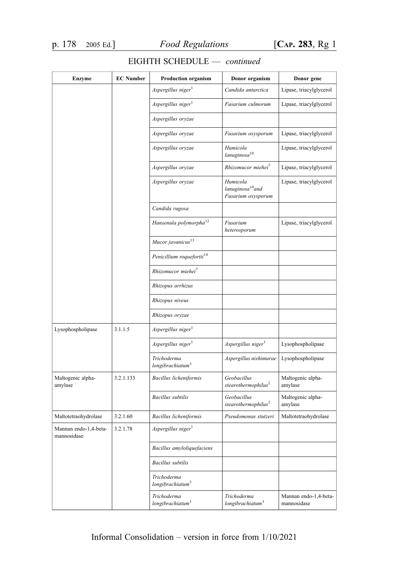| <b>Enzyme</b>                        | <b>EC</b> Number | <b>Production organism</b>                  | Donor organism                                                 | Donor gene                           |
|--------------------------------------|------------------|---------------------------------------------|----------------------------------------------------------------|--------------------------------------|
|                                      |                  | Aspergillus niger <sup>1</sup>              | Candida antarctica                                             | Lipase, triacylglycerol              |
|                                      |                  | $A$ spergillus niger $1$                    | Fusarium culmorum                                              | Lipase, triacylglycerol              |
|                                      |                  | Aspergillus oryzae                          |                                                                |                                      |
|                                      |                  | Aspergillus oryzae                          | Fusarium oxysporum                                             | Lipase, triacylglycerol              |
|                                      |                  | Aspergillus oryzae                          | Humicola<br>lanuginosa <sup>10</sup>                           | Lipase, triacylglycerol              |
|                                      |                  | Aspergillus oryzae                          | Rhizomucor miehei <sup>7</sup>                                 | Lipase, triacylglycerol              |
|                                      |                  | Aspergillus oryzae                          | Humicola<br>lanuginosa <sup>10</sup> and<br>Fusarium oxysporum | Lipase, triacylglycerol              |
|                                      |                  | Candida rugosa                              |                                                                |                                      |
|                                      |                  | Hansenula polymorpha <sup>12</sup>          | Fusarium<br>heterosporum                                       | Lipase, triacylglycerol              |
|                                      |                  | Mucor javanicus <sup>13</sup>               |                                                                |                                      |
|                                      |                  | Penicillium roquefortii <sup>14</sup>       |                                                                |                                      |
|                                      |                  | Rhizomucor miehei <sup>7</sup>              |                                                                |                                      |
|                                      |                  | Rhizopus arrhizus                           |                                                                |                                      |
|                                      |                  | Rhizopus niveus                             |                                                                |                                      |
|                                      |                  | Rhizopus oryzae                             |                                                                |                                      |
| Lysophospholipase                    | 3.1.1.5          | Aspergillus niger <sup>1</sup>              |                                                                |                                      |
|                                      |                  | $A$ spergillus niger $^{1}$                 | Aspergillus niger <sup>1</sup>                                 | Lysophospholipase                    |
|                                      |                  | Trichoderma<br>longibrachiatum <sup>3</sup> | Aspergillus nishimurae                                         | Lysophospholipase                    |
| Maltogenic alpha-<br>amylase         | 3.2.1.133        | Bacillus licheniformis                      | Geobacillus<br>stearothermophilus <sup>2</sup>                 | Maltogenic alpha-<br>amylase         |
|                                      |                  | <b>Bacillus</b> subtilis                    | Geobacillus<br>$ste a rothermophilus^2$                        | Maltogenic alpha-<br>amylase         |
| Maltotetraohydrolase                 | 3.2.1.60         | Bacillus licheniformis                      | Pseudomonas stutzeri                                           | Maltotetraohydrolase                 |
| Mannan endo-1,4-beta-<br>mannosidase | 3.2.1.78         | $A$ spergillus niger <sup>1</sup>           |                                                                |                                      |
|                                      |                  | Bacillus amyloliquefaciens                  |                                                                |                                      |
|                                      |                  | <b>Bacillus</b> subtilis                    |                                                                |                                      |
|                                      |                  | Trichoderma<br>longibrachiatum <sup>3</sup> |                                                                |                                      |
|                                      |                  | Trichoderma<br>longibrachiatum <sup>3</sup> | Trichoderma<br>longibrachiatum <sup>3</sup>                    | Mannan endo-1,4-beta-<br>mannosidase |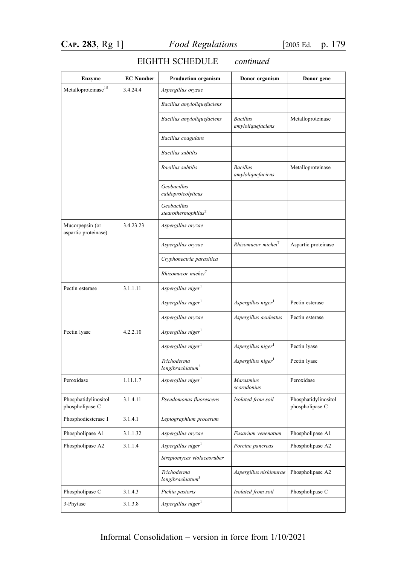| <b>Enzyme</b>                           | <b>EC Number</b> | <b>Production organism</b>                     | Donor organism                       | Donor gene                              |
|-----------------------------------------|------------------|------------------------------------------------|--------------------------------------|-----------------------------------------|
| Metalloproteinase <sup>15</sup>         | 3.4.24.4         | Aspergillus oryzae                             |                                      |                                         |
|                                         |                  | Bacillus amyloliquefaciens                     |                                      |                                         |
|                                         |                  | Bacillus amyloliquefaciens                     | <b>Bacillus</b><br>amyloliquefaciens | Metalloproteinase                       |
|                                         |                  | Bacillus coagulans                             |                                      |                                         |
|                                         |                  | <b>Bacillus</b> subtilis                       |                                      |                                         |
|                                         |                  | <b>Bacillus</b> subtilis                       | <b>Bacillus</b><br>amyloliquefaciens | Metalloproteinase                       |
|                                         |                  | Geobacillus<br>caldoproteolyticus              |                                      |                                         |
|                                         |                  | Geobacillus<br>stearothermophilus <sup>2</sup> |                                      |                                         |
| Mucorpepsin (or<br>aspartic proteinase) | 3.4.23.23        | Aspergillus oryzae                             |                                      |                                         |
|                                         |                  | Aspergillus oryzae                             | Rhizomucor miehei <sup>7</sup>       | Aspartic proteinase                     |
|                                         |                  | Cryphonectria parasitica                       |                                      |                                         |
|                                         |                  | Rhizomucor miehei <sup>7</sup>                 |                                      |                                         |
| Pectin esterase                         | 3.1.1.11         | Aspergillus niger                              |                                      |                                         |
|                                         |                  | Aspergillus niger <sup>1</sup>                 | Aspergillus niger                    | Pectin esterase                         |
|                                         |                  | Aspergillus oryzae                             | Aspergillus aculeatus                | Pectin esterase                         |
| Pectin lyase                            | 4.2.2.10         | Aspergillus niger <sup>1</sup>                 |                                      |                                         |
|                                         |                  | Aspergillus niger <sup>1</sup>                 | Aspergillus niger <sup>1</sup>       | Pectin lyase                            |
|                                         |                  | Trichoderma<br>longibrachiatum <sup>3</sup>    | Aspergillus niger <sup>1</sup>       | Pectin lyase                            |
| Peroxidase                              | 1.11.1.7         | Aspergillus niger <sup>1</sup>                 | Marasmius<br>scorodonius             | Peroxidase                              |
| Phosphatidylinositol<br>phospholipase C | 3.1.4.11         | Pseudomonas fluorescens                        | Isolated from soil                   | Phosphatidylinositol<br>phospholipase C |
| Phosphodiesterase I                     | 3.1.4.1          | Leptographium procerum                         |                                      |                                         |
| Phospholipase A1                        | 3.1.1.32         | Aspergillus oryzae                             | Fusarium venenatum                   | Phospholipase A1                        |
| Phospholipase A2                        | 3.1.1.4          | Aspergillus niger <sup>1</sup>                 | Porcine pancreas                     | Phospholipase A2                        |
|                                         |                  | Streptomyces violaceoruber                     |                                      |                                         |
|                                         |                  | Trichoderma<br>longibrachiatum <sup>3</sup>    | Aspergillus nishimurae               | Phospholipase A2                        |
| Phospholipase C                         | 3.1.4.3          | Pichia pastoris                                | Isolated from soil                   | Phospholipase C                         |
| 3-Phytase                               | 3.1.3.8          | Aspergillus niger <sup>1</sup>                 |                                      |                                         |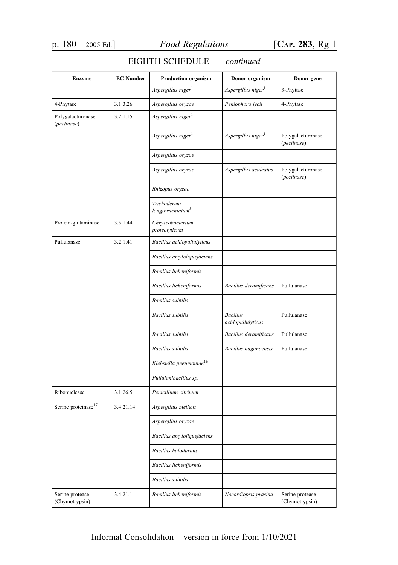| <b>Enzyme</b>                     | <b>EC Number</b> | <b>Production organism</b>                  | Donor organism                       | Donor gene                        |
|-----------------------------------|------------------|---------------------------------------------|--------------------------------------|-----------------------------------|
|                                   |                  | Aspergillus niger $^1$                      | Aspergillus niger <sup>1</sup>       | 3-Phytase                         |
| 4-Phytase                         | 3.1.3.26         | Aspergillus oryzae                          | Peniophora lycii                     | 4-Phytase                         |
| Polygalacturonase<br>(pectinase)  | 3.2.1.15         | Aspergillus niger <sup>1</sup>              |                                      |                                   |
|                                   |                  | Aspergillus niger <sup>1</sup>              | Aspergillus niger $^1$               | Polygalacturonase<br>(pectinase)  |
|                                   |                  | Aspergillus oryzae                          |                                      |                                   |
|                                   |                  | Aspergillus oryzae                          | Aspergillus aculeatus                | Polygalacturonase<br>(pectinase)  |
|                                   |                  | Rhizopus oryzae                             |                                      |                                   |
|                                   |                  | Trichoderma<br>longibrachiatum <sup>3</sup> |                                      |                                   |
| Protein-glutaminase               | 3.5.1.44         | Chryseobacterium<br>proteolyticum           |                                      |                                   |
| Pullulanase                       | 3.2.1.41         | Bacillus acidopullulyticus                  |                                      |                                   |
|                                   |                  | Bacillus amyloliquefaciens                  |                                      |                                   |
|                                   |                  | Bacillus licheniformis                      |                                      |                                   |
|                                   |                  | Bacillus licheniformis                      | Bacillus deramificans                | Pullulanase                       |
|                                   |                  | <b>Bacillus</b> subtilis                    |                                      |                                   |
|                                   |                  | <b>Bacillus</b> subtilis                    | <b>Bacillus</b><br>acidopullulyticus | Pullulanase                       |
|                                   |                  | <b>Bacillus</b> subtilis                    | Bacillus deramificans                | Pullulanase                       |
|                                   |                  | <b>Bacillus</b> subtilis                    | Bacillus naganoensis                 | Pullulanase                       |
|                                   |                  | Klebsiella pneumoniae $^{16}$               |                                      |                                   |
|                                   |                  | Pullulanibacillus sp.                       |                                      |                                   |
| Ribonuclease                      | 3.1.26.5         | Penicillium citrinum                        |                                      |                                   |
| Serine proteinase <sup>17</sup>   | 3.4.21.14        | Aspergillus melleus                         |                                      |                                   |
|                                   |                  | Aspergillus oryzae                          |                                      |                                   |
|                                   |                  | Bacillus amyloliquefaciens                  |                                      |                                   |
|                                   |                  | <b>Bacillus</b> halodurans                  |                                      |                                   |
|                                   |                  | Bacillus licheniformis                      |                                      |                                   |
|                                   |                  | <b>Bacillus</b> subtilis                    |                                      |                                   |
| Serine protease<br>(Chymotrypsin) | 3.4.21.1         | <b>Bacillus</b> licheniformis               | Nocardiopsis prasina                 | Serine protease<br>(Chymotrypsin) |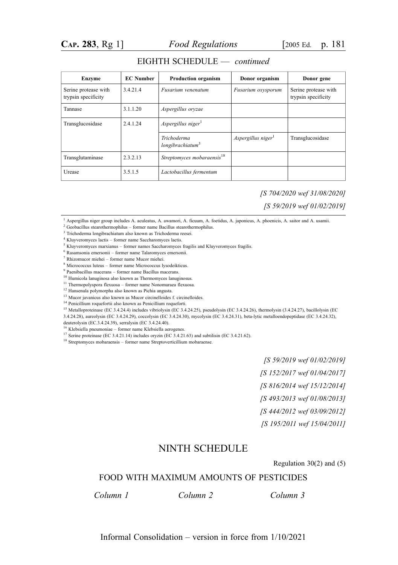| <b>Enzyme</b>                               | <b>EC</b> Number | <b>Production organism</b>                  | Donor organism     | Donor gene                                  |
|---------------------------------------------|------------------|---------------------------------------------|--------------------|---------------------------------------------|
| Serine protease with<br>trypsin specificity | 3.4.21.4         | Fusarium venenatum                          | Fusarium oxysporum | Serine protease with<br>trypsin specificity |
| Tannase                                     | 3.1.1.20         | Aspergillus oryzae                          |                    |                                             |
| Transglucosidase                            | 2.4.1.24         | Aspergillus niger <sup>1</sup>              |                    |                                             |
|                                             |                  | Trichoderma<br>longibrachiatum <sup>3</sup> | Aspergillus niger  | Transglucosidase                            |
| Transglutaminase                            | 2.3.2.13         | Streptomyces mobaraensis <sup>18</sup>      |                    |                                             |
| Urease                                      | 3.5.1.5          | Lactobacillus fermentum                     |                    |                                             |

#### EIGHTH SCHEDULE — continued

[S 704/2020 wef 31/08/2020]

[S 59/2019 wef 01/02/2019]

- <sup>2</sup> Geobacillus stearothermophilus former name Bacillus stearothermophilus.
- <sup>3</sup> Trichoderma longibrachiatum also known as Trichoderma reesei.
- <sup>4</sup> Kluyveromyces lactis former name Saccharomyces lactis.
- <sup>5</sup> Kluyveromyces marxianus former names Saccharomyces fragilis and Kluyveromyces fragilis.
- <sup>6</sup> Rasamsonia emersonii former name Talaromyces emersonii.
- <sup>7</sup> Rhizomucor miehei former name Mucor miehei.
- <sup>8</sup> Micrococcus luteus former name Micrococcus lysodeikticus.
- <sup>9</sup> Paenibacillus macerans former name Bacillus macerans.

<sup>10</sup> Humicola lanuginosa also known as Thermomyces lanuginosus.

 $^{11}$  Thermopolyspora flexuosa – former name Nonomuraea flexuosa.

<sup>12</sup> Hansenula polymorpha also known as Pichia angusta.

<sup>13</sup> Mucor javanicus also known as Mucor circinelloides f. circinelloides.

<sup>14</sup> Penicillium roquefortii also known as Penicillium roqueforti.

<sup>15</sup> Metalloproteinase (EC 3.4.24.4) includes vibriolysin (EC 3.4.24.25), pseudolysin (EC 3.4.24.26), thermolysin (3.4.24.27), bacillolysin (EC

3.4.24.28), aureolysin (EC 3.4.24.29), coccolysin (EC 3.4.24.30), mycolysin (EC 3.4.24.31), beta-lytic metalloendopeptidase (EC 3.4.24.32),

deuterolysin (EC.3.4.24.39), serralysin (EC 3.4.24.40).

<sup>17</sup> Serine proteinase (EC 3.4.21.14) includes oryzin (EC 3.4.21.63) and subtilisin (EC 3.4.21.62).

<sup>18</sup> Streptomyces mobaraensis – former name Streptoverticillium mobaraense.

[S 59/2019 wef 01/02/2019]

[S 152/2017 wef 01/04/2017]

[S 816/2014 wef 15/12/2014]

[S 493/2013 wef 01/08/2013]

[S 444/2012 wef 03/09/2012]

[S 195/2011 wef 15/04/2011]

## NINTH SCHEDULE

Regulation 30(2) and (5)

## FOOD WITH MAXIMUM AMOUNTS OF PESTICIDES

Column 1 . Column 2 . Column 3

<sup>&</sup>lt;sup>1</sup> Aspergillus niger group includes A. aculeatus, A. awamori, A. ficuum, A. foetidus, A. japonicus, A. phoenicis, A. saitor and A. usamii.

<sup>16</sup> Klebsiella pneumoniae – former name Klebsiella aerogenes.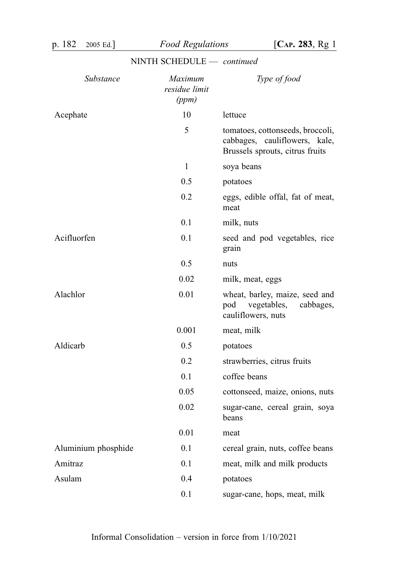| p. 182      | 2005 Ed.]           | <b>Food Regulations</b>           | [ $CAP. 283, Rg1$ ]                                                                                  |
|-------------|---------------------|-----------------------------------|------------------------------------------------------------------------------------------------------|
|             |                     | NINTH SCHEDULE - continued        |                                                                                                      |
|             | Substance           | Maximum<br>residue limit<br>(ppm) | Type of food                                                                                         |
| Acephate    |                     | 10                                | lettuce                                                                                              |
|             |                     | 5                                 | tomatoes, cottonseeds, broccoli,<br>cabbages, cauliflowers, kale,<br>Brussels sprouts, citrus fruits |
|             |                     | $\mathbf{1}$                      | soya beans                                                                                           |
|             |                     | 0.5                               | potatoes                                                                                             |
|             |                     | 0.2                               | eggs, edible offal, fat of meat,<br>meat                                                             |
|             |                     | 0.1                               | milk, nuts                                                                                           |
| Acifluorfen |                     | 0.1                               | seed and pod vegetables, rice<br>grain                                                               |
|             |                     | 0.5                               | nuts                                                                                                 |
|             |                     | 0.02                              | milk, meat, eggs                                                                                     |
| Alachlor    |                     | 0.01                              | wheat, barley, maize, seed and<br>pod vegetables, cabbages,<br>cauliflowers, nuts                    |
|             |                     | 0.001                             | meat, milk                                                                                           |
| Aldicarb    |                     | 0.5                               | potatoes                                                                                             |
|             |                     | 0.2                               | strawberries, citrus fruits                                                                          |
|             |                     | 0.1                               | coffee beans                                                                                         |
|             |                     | 0.05                              | cottonseed, maize, onions, nuts                                                                      |
|             |                     | 0.02                              | sugar-cane, cereal grain, soya<br>beans                                                              |
|             |                     | 0.01                              | meat                                                                                                 |
|             | Aluminium phosphide | 0.1                               | cereal grain, nuts, coffee beans                                                                     |
| Amitraz     |                     | 0.1                               | meat, milk and milk products                                                                         |
| Asulam      |                     | 0.4                               | potatoes                                                                                             |
|             |                     | 0.1                               | sugar-cane, hops, meat, milk                                                                         |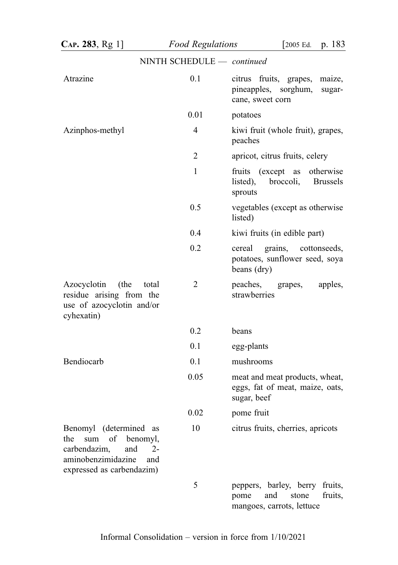| CAP. 283, Rg 1]                                                                                                                                    | <b>Food Regulations</b>    | p. 183<br>$\sqrt{2005}$ Ed.                                                                       |
|----------------------------------------------------------------------------------------------------------------------------------------------------|----------------------------|---------------------------------------------------------------------------------------------------|
|                                                                                                                                                    | NINTH SCHEDULE - continued |                                                                                                   |
| Atrazine                                                                                                                                           | 0.1                        | citrus fruits, grapes,<br>maize,<br>pineapples, sorghum,<br>sugar-<br>cane, sweet corn            |
|                                                                                                                                                    | 0.01                       | potatoes                                                                                          |
| Azinphos-methyl                                                                                                                                    | 4                          | kiwi fruit (whole fruit), grapes,<br>peaches                                                      |
|                                                                                                                                                    | 2                          | apricot, citrus fruits, celery                                                                    |
|                                                                                                                                                    | $\mathbf{1}$               | fruits (except as otherwise<br>listed), broccoli,<br><b>Brussels</b><br>sprouts                   |
|                                                                                                                                                    | 0.5                        | vegetables (except as otherwise<br>listed)                                                        |
|                                                                                                                                                    | 0.4                        | kiwi fruits (in edible part)                                                                      |
|                                                                                                                                                    | 0.2                        | grains, cottonseeds,<br>cereal<br>potatoes, sunflower seed, soya<br>beans (dry)                   |
| (the<br>Azocyclotin<br>total<br>residue arising from the<br>use of azocyclotin and/or<br>cyhexatin)                                                | 2                          | peaches,<br>grapes,<br>apples,<br>strawberries                                                    |
|                                                                                                                                                    | 0.2                        | beans                                                                                             |
|                                                                                                                                                    | 0.1                        | egg-plants                                                                                        |
| Bendiocarb                                                                                                                                         | 0.1                        | mushrooms                                                                                         |
|                                                                                                                                                    | 0.05                       | meat and meat products, wheat,<br>eggs, fat of meat, maize, oats,<br>sugar, beef                  |
|                                                                                                                                                    | 0.02                       | pome fruit                                                                                        |
| Benomyl (determined<br>as<br>sum<br>of<br>benomyl,<br>the<br>carbendazim,<br>and<br>$2-$<br>aminobenzimidazine<br>and<br>expressed as carbendazim) | 10                         | citrus fruits, cherries, apricots                                                                 |
|                                                                                                                                                    | 5                          | peppers, barley, berry<br>fruits,<br>and<br>fruits,<br>pome<br>stone<br>mangoes, carrots, lettuce |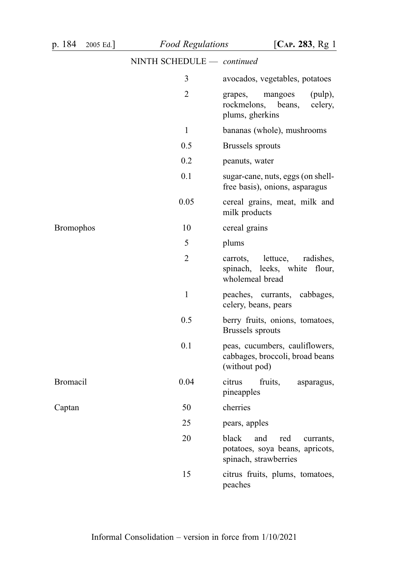| p. 184<br>2005 Ed. | <b>Food Regulations</b>    | [ $CAP. 283, Rg1$                                                                            |
|--------------------|----------------------------|----------------------------------------------------------------------------------------------|
|                    | NINTH SCHEDULE - continued |                                                                                              |
|                    | 3                          | avocados, vegetables, potatoes                                                               |
|                    | 2                          | mangoes<br>(pulp),<br>grapes,<br>rockmelons, beans,<br>celery,<br>plums, gherkins            |
|                    | $\mathbf{1}$               | bananas (whole), mushrooms                                                                   |
|                    | 0.5                        | Brussels sprouts                                                                             |
|                    | 0.2                        | peanuts, water                                                                               |
|                    | 0.1                        | sugar-cane, nuts, eggs (on shell-<br>free basis), onions, asparagus                          |
|                    | 0.05                       | cereal grains, meat, milk and<br>milk products                                               |
| <b>Bromophos</b>   | 10                         | cereal grains                                                                                |
|                    | 5                          | plums                                                                                        |
|                    | $\overline{2}$             | lettuce,<br>radishes,<br>carrots,<br>spinach, leeks, white flour,<br>wholemeal bread         |
|                    | 1                          | peaches, currants, cabbages,<br>celery, beans, pears                                         |
|                    | 0.5                        | berry fruits, onions, tomatoes,<br>Brussels sprouts                                          |
|                    | 0.1                        | peas, cucumbers, cauliflowers,<br>cabbages, broccoli, broad beans<br>(without pod)           |
| <b>Bromacil</b>    | 0.04                       | citrus<br>fruits,<br>asparagus,<br>pineapples                                                |
| Captan             | 50                         | cherries                                                                                     |
|                    | 25                         | pears, apples                                                                                |
|                    | 20                         | black<br>and<br>red<br>currants,<br>potatoes, soya beans, apricots,<br>spinach, strawberries |
|                    | 15                         | citrus fruits, plums, tomatoes,<br>peaches                                                   |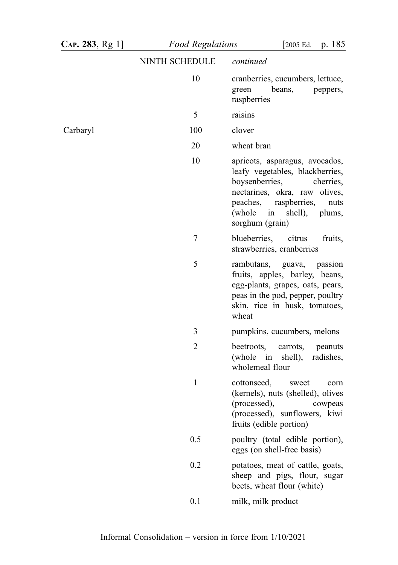| CAP. 283, Rg 1] | <b>Food Regulations</b>    | p. 185<br>[2005 Ed.                                                                                                                                                                                                     |
|-----------------|----------------------------|-------------------------------------------------------------------------------------------------------------------------------------------------------------------------------------------------------------------------|
|                 | NINTH SCHEDULE - continued |                                                                                                                                                                                                                         |
|                 | 10                         | cranberries, cucumbers, lettuce,<br>beans,<br>green<br>peppers,<br>raspberries                                                                                                                                          |
|                 | 5                          | raisins                                                                                                                                                                                                                 |
| Carbaryl        | 100                        | clover                                                                                                                                                                                                                  |
|                 | 20                         | wheat bran                                                                                                                                                                                                              |
|                 | 10                         | apricots, asparagus, avocados,<br>leafy vegetables, blackberries,<br>boysenberries,<br>cherries,<br>nectarines, okra, raw olives,<br>peaches, raspberries,<br>nuts<br>(whole<br>in shell),<br>plums,<br>sorghum (grain) |
|                 | 7                          | blueberries,<br>citrus<br>fruits,<br>strawberries, cranberries                                                                                                                                                          |
|                 | 5                          | rambutans, guava, passion<br>fruits, apples, barley, beans,<br>egg-plants, grapes, oats, pears,<br>peas in the pod, pepper, poultry<br>skin, rice in husk, tomatoes,<br>wheat                                           |
|                 | 3                          | pumpkins, cucumbers, melons                                                                                                                                                                                             |
|                 | $\overline{2}$             | beetroots,<br>carrots,<br>peanuts<br>(whole in shell),<br>radishes,<br>wholemeal flour                                                                                                                                  |
|                 | $\mathbf 1$                | cottonseed,<br>sweet<br>corn<br>(kernels), nuts (shelled), olives<br>(processed),<br>cowpeas<br>(processed), sunflowers, kiwi<br>fruits (edible portion)                                                                |
|                 | 0.5                        | poultry (total edible portion),<br>eggs (on shell-free basis)                                                                                                                                                           |
|                 | 0.2                        | potatoes, meat of cattle, goats,<br>sheep and pigs, flour, sugar<br>beets, wheat flour (white)                                                                                                                          |
|                 | 0.1                        | milk, milk product                                                                                                                                                                                                      |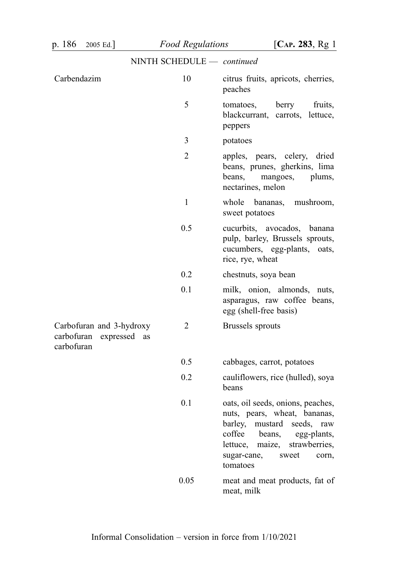| p. 186<br>2005 Ed.                                                | <b>Food Regulations</b>    | [ $CAP. 283, Rg1$ ]                                                                                                                                                                                                             |
|-------------------------------------------------------------------|----------------------------|---------------------------------------------------------------------------------------------------------------------------------------------------------------------------------------------------------------------------------|
|                                                                   | NINTH SCHEDULE - continued |                                                                                                                                                                                                                                 |
| Carbendazim                                                       | 10                         | citrus fruits, apricots, cherries,<br>peaches                                                                                                                                                                                   |
|                                                                   | 5                          | berry<br>tomatoes,<br>fruits,<br>blackcurrant, carrots, lettuce,<br>peppers                                                                                                                                                     |
|                                                                   | 3                          | potatoes                                                                                                                                                                                                                        |
|                                                                   | $\overline{2}$             | apples, pears, celery, dried<br>beans, prunes, gherkins, lima<br>beans,<br>mangoes,<br>plums,<br>nectarines, melon                                                                                                              |
|                                                                   | $\mathbf{1}$               | whole bananas, mushroom,<br>sweet potatoes                                                                                                                                                                                      |
|                                                                   | 0.5                        | cucurbits, avocados, banana<br>pulp, barley, Brussels sprouts,<br>cucumbers, egg-plants, oats,<br>rice, rye, wheat                                                                                                              |
|                                                                   | 0.2                        | chestnuts, soya bean                                                                                                                                                                                                            |
|                                                                   | 0.1                        | milk, onion, almonds, nuts,<br>asparagus, raw coffee beans,<br>egg (shell-free basis)                                                                                                                                           |
| Carbofuran and 3-hydroxy<br>carbofuran expressed as<br>carbofuran | 2                          | Brussels sprouts                                                                                                                                                                                                                |
|                                                                   | 0.5                        | cabbages, carrot, potatoes                                                                                                                                                                                                      |
|                                                                   | 0.2                        | cauliflowers, rice (hulled), soya<br>beans                                                                                                                                                                                      |
|                                                                   | 0.1                        | oats, oil seeds, onions, peaches,<br>nuts, pears, wheat, bananas,<br>barley,<br>mustard<br>seeds,<br>raw<br>coffee<br>beans,<br>egg-plants,<br>lettuce,<br>maize,<br>strawberries,<br>sugar-cane,<br>sweet<br>corn,<br>tomatoes |
|                                                                   | 0.05                       | meat and meat products, fat of<br>meat, milk                                                                                                                                                                                    |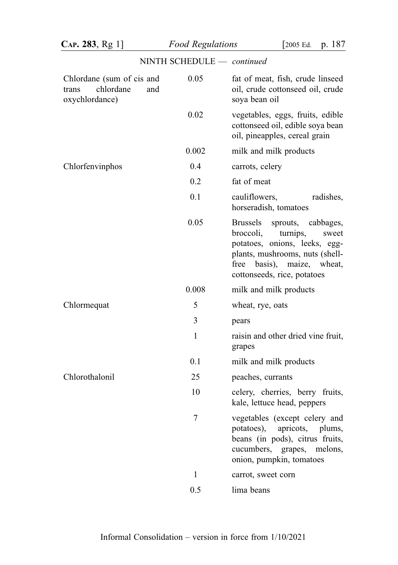| CAP. 283, Rg 1]                                                          | <b>Food Regulations</b>    | p. 187<br>[2005 Ed.                                                                                                                                                                               |
|--------------------------------------------------------------------------|----------------------------|---------------------------------------------------------------------------------------------------------------------------------------------------------------------------------------------------|
|                                                                          | NINTH SCHEDULE - continued |                                                                                                                                                                                                   |
| Chlordane (sum of cis and<br>chlordane<br>trans<br>and<br>oxychlordance) | 0.05                       | fat of meat, fish, crude linseed<br>oil, crude cottonseed oil, crude<br>soya bean oil                                                                                                             |
|                                                                          | 0.02                       | vegetables, eggs, fruits, edible<br>cottonseed oil, edible soya bean<br>oil, pineapples, cereal grain                                                                                             |
|                                                                          | 0.002                      | milk and milk products                                                                                                                                                                            |
| Chlorfenvinphos                                                          | 0.4                        | carrots, celery                                                                                                                                                                                   |
|                                                                          | 0.2                        | fat of meat                                                                                                                                                                                       |
|                                                                          | 0.1                        | cauliflowers,<br>radishes,<br>horseradish, tomatoes                                                                                                                                               |
|                                                                          | 0.05                       | Brussels<br>sprouts, cabbages,<br>broccoli,<br>turnips,<br>sweet<br>potatoes, onions, leeks, egg-<br>plants, mushrooms, nuts (shell-<br>free basis), maize, wheat,<br>cottonseeds, rice, potatoes |
|                                                                          | 0.008                      | milk and milk products                                                                                                                                                                            |
| Chlormequat                                                              | 5                          | wheat, rye, oats                                                                                                                                                                                  |
|                                                                          | 3                          | pears                                                                                                                                                                                             |
|                                                                          | $\mathbf{1}$               | raisin and other dried vine fruit,<br>grapes                                                                                                                                                      |
|                                                                          | 0.1                        | milk and milk products                                                                                                                                                                            |
| Chlorothalonil                                                           | 25                         | peaches, currants                                                                                                                                                                                 |
|                                                                          | 10                         | celery, cherries, berry<br>fruits,<br>kale, lettuce head, peppers                                                                                                                                 |
|                                                                          | 7                          | vegetables (except celery and<br>apricots,<br>potatoes),<br>plums,<br>beans (in pods), citrus fruits,<br>cucumbers, grapes,<br>melons,<br>onion, pumpkin, tomatoes                                |
|                                                                          | $\mathbf{1}$               | carrot, sweet corn                                                                                                                                                                                |
|                                                                          | 0.5                        | lima beans                                                                                                                                                                                        |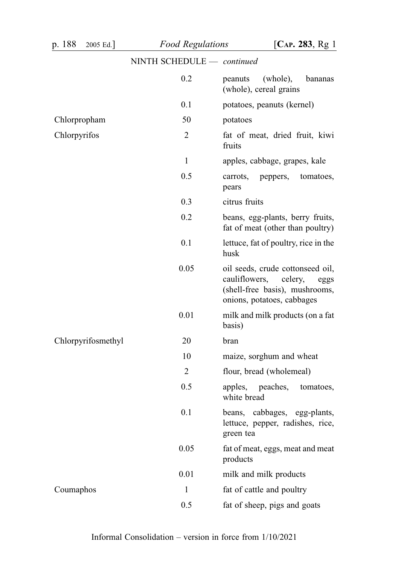| p. 188<br>2005 Ed. | <b>Food Regulations</b>    | [ $CAP. 283, Rg1$ ]                                                                                                                  |
|--------------------|----------------------------|--------------------------------------------------------------------------------------------------------------------------------------|
|                    | NINTH SCHEDULE - continued |                                                                                                                                      |
|                    | 0.2                        | peanuts<br>(whole),<br>bananas<br>(whole), cereal grains                                                                             |
|                    | 0.1                        | potatoes, peanuts (kernel)                                                                                                           |
| Chlorpropham       | 50                         | potatoes                                                                                                                             |
| Chlorpyrifos       | $\overline{2}$             | fat of meat, dried fruit, kiwi<br>fruits                                                                                             |
|                    | 1                          | apples, cabbage, grapes, kale                                                                                                        |
|                    | 0.5                        | tomatoes,<br>carrots,<br>peppers,<br>pears                                                                                           |
|                    | 0.3                        | citrus fruits                                                                                                                        |
|                    | 0.2                        | beans, egg-plants, berry fruits,<br>fat of meat (other than poultry)                                                                 |
|                    | 0.1                        | lettuce, fat of poultry, rice in the<br>husk                                                                                         |
|                    | 0.05                       | oil seeds, crude cottonseed oil,<br>cauliflowers,<br>celery,<br>eggs<br>(shell-free basis), mushrooms,<br>onions, potatoes, cabbages |
|                    | 0.01                       | milk and milk products (on a fat<br>basis)                                                                                           |
| Chlorpyrifosmethyl | 20                         | bran                                                                                                                                 |
|                    | 10                         | maize, sorghum and wheat                                                                                                             |
|                    | $\overline{c}$             | flour, bread (wholemeal)                                                                                                             |
|                    | 0.5                        | peaches,<br>apples,<br>tomatoes,<br>white bread                                                                                      |
|                    | 0.1                        | cabbages, egg-plants,<br>beans,<br>lettuce, pepper, radishes, rice,<br>green tea                                                     |
|                    | 0.05                       | fat of meat, eggs, meat and meat<br>products                                                                                         |
|                    | 0.01                       | milk and milk products                                                                                                               |
| Coumaphos          | 1                          | fat of cattle and poultry                                                                                                            |
|                    | 0.5                        | fat of sheep, pigs and goats                                                                                                         |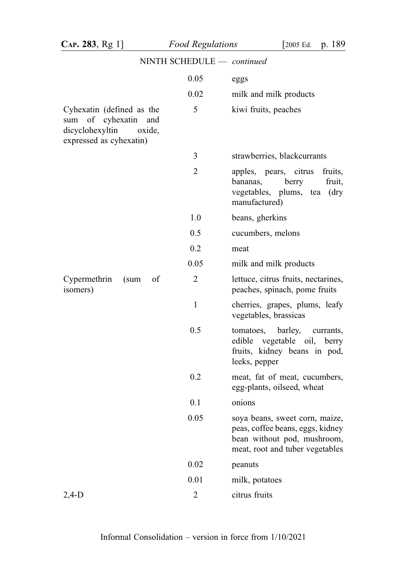| CAP. 283, Rg 1]                                                                                              | <b>Food Regulations</b>    | p. 189<br>[2005 Ed.                                                                                                                  |
|--------------------------------------------------------------------------------------------------------------|----------------------------|--------------------------------------------------------------------------------------------------------------------------------------|
|                                                                                                              | NINTH SCHEDULE - continued |                                                                                                                                      |
|                                                                                                              | 0.05                       | eggs                                                                                                                                 |
|                                                                                                              | 0.02                       | milk and milk products                                                                                                               |
| Cyhexatin (defined as the<br>of cyhexatin and<br>sum<br>dicyclohexyltin<br>oxide,<br>expressed as cyhexatin) | 5                          | kiwi fruits, peaches                                                                                                                 |
|                                                                                                              | 3                          | strawberries, blackcurrants                                                                                                          |
|                                                                                                              | $\overline{2}$             | apples, pears, citrus<br>fruits,<br>bananas,<br>berry<br>fruit,<br>vegetables, plums, tea (dry<br>manufactured)                      |
|                                                                                                              | 1.0                        | beans, gherkins                                                                                                                      |
|                                                                                                              | 0.5                        | cucumbers, melons                                                                                                                    |
|                                                                                                              | 0.2                        | meat                                                                                                                                 |
|                                                                                                              | 0.05                       | milk and milk products                                                                                                               |
| Cypermethrin<br>of<br>(sum<br>isomers)                                                                       | $\overline{2}$             | lettuce, citrus fruits, nectarines,<br>peaches, spinach, pome fruits                                                                 |
|                                                                                                              | 1                          | cherries, grapes, plums, leafy<br>vegetables, brassicas                                                                              |
|                                                                                                              | 0.5                        | tomatoes, barley,<br>currants,<br>edible vegetable oil, berry<br>fruits, kidney beans in pod,<br>leeks, pepper                       |
|                                                                                                              | 0.2                        | meat, fat of meat, cucumbers,<br>egg-plants, oilseed, wheat                                                                          |
|                                                                                                              | 0.1                        | onions                                                                                                                               |
|                                                                                                              | 0.05                       | soya beans, sweet corn, maize,<br>peas, coffee beans, eggs, kidney<br>bean without pod, mushroom,<br>meat, root and tuber vegetables |
|                                                                                                              | 0.02                       | peanuts                                                                                                                              |
|                                                                                                              | 0.01                       | milk, potatoes                                                                                                                       |
| $2,4-D$                                                                                                      | $\overline{2}$             | citrus fruits                                                                                                                        |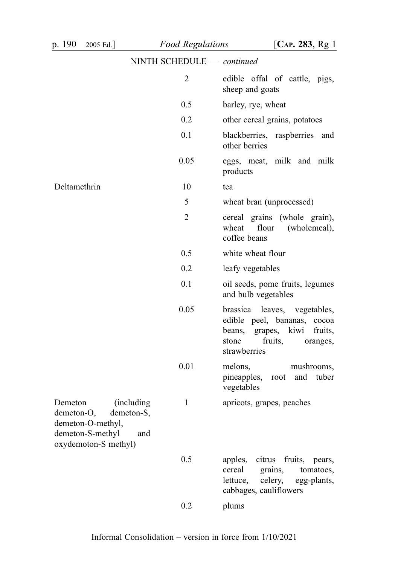| p. 190<br>2005 Ed.]                                                                                                       | <b>Food Regulations</b>    | [ $CAP. 283, Rg1$ ]                                                                                                                                 |
|---------------------------------------------------------------------------------------------------------------------------|----------------------------|-----------------------------------------------------------------------------------------------------------------------------------------------------|
|                                                                                                                           | NINTH SCHEDULE - continued |                                                                                                                                                     |
|                                                                                                                           | $\overline{2}$             | edible offal of cattle, pigs,<br>sheep and goats                                                                                                    |
|                                                                                                                           | 0.5                        | barley, rye, wheat                                                                                                                                  |
|                                                                                                                           | 0.2                        | other cereal grains, potatoes                                                                                                                       |
|                                                                                                                           | 0.1                        | blackberries, raspberries<br>and<br>other berries                                                                                                   |
|                                                                                                                           | 0.05                       | eggs, meat, milk and milk<br>products                                                                                                               |
| Deltamethrin                                                                                                              | 10                         | tea                                                                                                                                                 |
|                                                                                                                           | 5                          | wheat bran (unprocessed)                                                                                                                            |
|                                                                                                                           | $\overline{2}$             | cereal grains (whole grain),<br>wheat<br>flour<br>(wholemeal),<br>coffee beans                                                                      |
|                                                                                                                           | 0.5                        | white wheat flour                                                                                                                                   |
|                                                                                                                           | 0.2                        | leafy vegetables                                                                                                                                    |
|                                                                                                                           | 0.1                        | oil seeds, pome fruits, legumes<br>and bulb vegetables                                                                                              |
|                                                                                                                           | 0.05                       | brassica leaves, vegetables,<br>edible peel, bananas, cocoa<br>beans,<br>kiwi<br>grapes,<br>fruits,<br>fruits,<br>stone<br>oranges,<br>strawberries |
|                                                                                                                           | 0.01                       | melons,<br>mushrooms,<br>pineapples,<br>and<br>tuber<br>root<br>vegetables                                                                          |
| Demeton<br>(including<br>demeton-O,<br>demeton-S,<br>demeton-O-methyl,<br>demeton-S-methyl<br>and<br>oxydemoton-S methyl) | $\mathbf{1}$               | apricots, grapes, peaches                                                                                                                           |
|                                                                                                                           | 0.5                        | citrus<br>fruits, pears,<br>apples,<br>cereal<br>grains,<br>tomatoes,<br>celery,<br>lettuce,<br>egg-plants,<br>cabbages, cauliflowers               |
|                                                                                                                           | 0.2                        | plums                                                                                                                                               |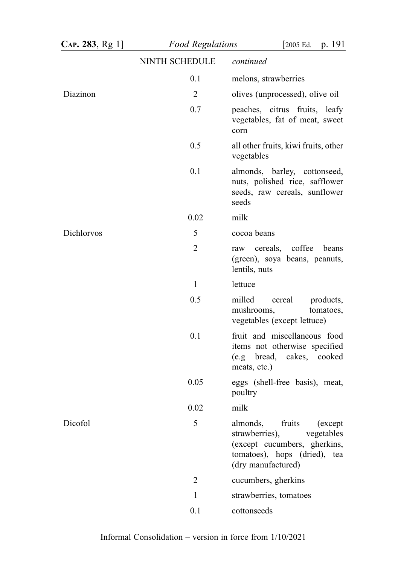| $CAP. 283, Rg 1$ ] | <b>Food Regulations</b>    | p. 191<br>[2005 Ed.                                                                                                                                 |
|--------------------|----------------------------|-----------------------------------------------------------------------------------------------------------------------------------------------------|
|                    | NINTH SCHEDULE - continued |                                                                                                                                                     |
|                    | 0.1                        | melons, strawberries                                                                                                                                |
| Diazinon           | $\overline{2}$             | olives (unprocessed), olive oil                                                                                                                     |
|                    | 0.7                        | peaches, citrus fruits, leafy<br>vegetables, fat of meat, sweet<br>corn                                                                             |
|                    | 0.5                        | all other fruits, kiwi fruits, other<br>vegetables                                                                                                  |
|                    | 0.1                        | almonds, barley, cottonseed,<br>nuts, polished rice, safflower<br>seeds, raw cereals, sunflower<br>seeds                                            |
|                    | 0.02                       | milk                                                                                                                                                |
| Dichlorvos         | 5                          | cocoa beans                                                                                                                                         |
|                    | $\overline{2}$             | cereals, coffee<br>beans<br>raw<br>(green), soya beans, peanuts,<br>lentils, nuts                                                                   |
|                    | $\mathbf{1}$               | lettuce                                                                                                                                             |
|                    | 0.5                        | milled<br>cereal<br>products,<br>mushrooms,<br>tomatoes,<br>vegetables (except lettuce)                                                             |
|                    | 0.1                        | fruit and miscellaneous food<br>items not otherwise specified<br>(e.g bread,<br>cakes, cooked<br>meats, etc.)                                       |
|                    | 0.05                       | eggs (shell-free basis), meat,<br>poultry                                                                                                           |
|                    | 0.02                       | milk                                                                                                                                                |
| Dicofol            | 5                          | almonds,<br>fruits<br>(except<br>strawberries),<br>vegetables<br>(except cucumbers, gherkins,<br>tomatoes), hops (dried), tea<br>(dry manufactured) |
|                    | $\overline{2}$             | cucumbers, gherkins                                                                                                                                 |
|                    | $\mathbf{1}$               | strawberries, tomatoes                                                                                                                              |
|                    | 0.1                        | cottonseeds                                                                                                                                         |

Informal Consolidation – version in force from 1/10/2021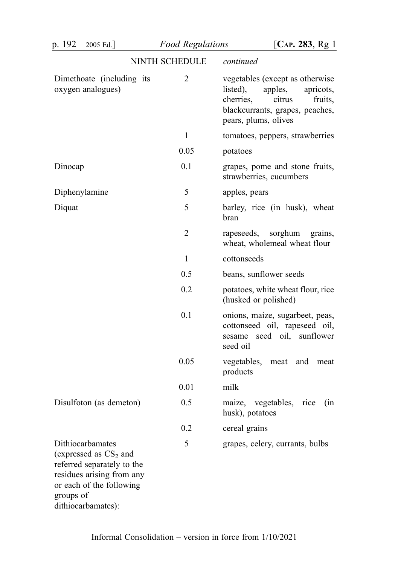| p. 192<br>2005 Ed.                                                                                                                                                     | <b>Food Regulations</b>    | [ $CAP. 283, Rg1$ ]                                                                                                                                              |
|------------------------------------------------------------------------------------------------------------------------------------------------------------------------|----------------------------|------------------------------------------------------------------------------------------------------------------------------------------------------------------|
|                                                                                                                                                                        | NINTH SCHEDULE - continued |                                                                                                                                                                  |
| Dimethoate (including its<br>oxygen analogues)                                                                                                                         | $\overline{2}$             | vegetables (except as otherwise<br>apples,<br>listed),<br>apricots,<br>cherries,<br>citrus<br>fruits,<br>blackcurrants, grapes, peaches,<br>pears, plums, olives |
|                                                                                                                                                                        | $\mathbf{1}$               | tomatoes, peppers, strawberries                                                                                                                                  |
|                                                                                                                                                                        | 0.05                       | potatoes                                                                                                                                                         |
| Dinocap                                                                                                                                                                | 0.1                        | grapes, pome and stone fruits,<br>strawberries, cucumbers                                                                                                        |
| Diphenylamine                                                                                                                                                          | 5                          | apples, pears                                                                                                                                                    |
| Diquat                                                                                                                                                                 | 5                          | barley, rice (in husk), wheat<br>bran                                                                                                                            |
|                                                                                                                                                                        | 2                          | rapeseeds,<br>sorghum<br>grains,<br>wheat, wholemeal wheat flour                                                                                                 |
|                                                                                                                                                                        | 1                          | cottonseeds                                                                                                                                                      |
|                                                                                                                                                                        | 0.5                        | beans, sunflower seeds                                                                                                                                           |
|                                                                                                                                                                        | 0.2                        | potatoes, white wheat flour, rice<br>(husked or polished)                                                                                                        |
|                                                                                                                                                                        | 0.1                        | onions, maize, sugarbeet, peas,<br>cottonseed oil, rapeseed oil,<br>sesame seed oil, sunflower<br>seed oil                                                       |
|                                                                                                                                                                        | 0.05                       | vegetables,<br>meat<br>and<br>meat<br>products                                                                                                                   |
|                                                                                                                                                                        | 0.01                       | milk                                                                                                                                                             |
| Disulfoton (as demeton)                                                                                                                                                | 0.5                        | maize, vegetables, rice<br>(in<br>husk), potatoes                                                                                                                |
|                                                                                                                                                                        | 0.2                        | cereal grains                                                                                                                                                    |
| Dithiocarbamates<br>(expressed as $CS_2$ and<br>referred separately to the<br>residues arising from any<br>or each of the following<br>groups of<br>dithiocarbamates): | 5                          | grapes, celery, currants, bulbs                                                                                                                                  |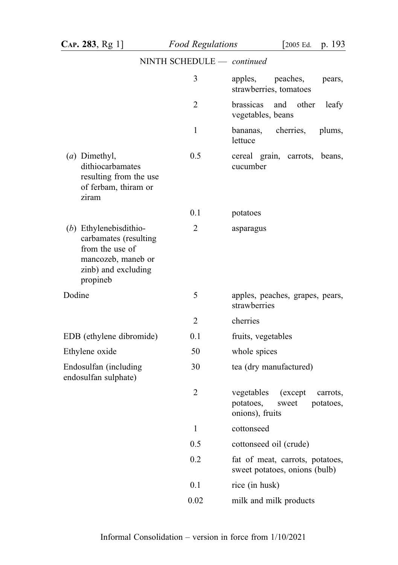|                                                                                                                               | $NINIT$ SUTEDULE $-$ <i>continued</i> |                                                                                          |
|-------------------------------------------------------------------------------------------------------------------------------|---------------------------------------|------------------------------------------------------------------------------------------|
|                                                                                                                               | 3                                     | apples,<br>peaches,<br>pears,<br>strawberries, tomatoes                                  |
|                                                                                                                               | $\overline{2}$                        | brassicas<br>and<br>other<br>leafy<br>vegetables, beans                                  |
|                                                                                                                               | 1                                     | cherries,<br>plums,<br>bananas,<br>lettuce                                               |
| (a) Dimethyl,<br>dithiocarbamates<br>resulting from the use<br>of ferbam, thiram or<br>ziram                                  | 0.5                                   | cereal grain, carrots, beans,<br>cucumber                                                |
|                                                                                                                               | 0.1                                   | potatoes                                                                                 |
| $(b)$ Ethylenebisdithio-<br>carbamates (resulting<br>from the use of<br>mancozeb, maneb or<br>zinb) and excluding<br>propineb | 2                                     | asparagus                                                                                |
| Dodine                                                                                                                        | 5                                     | apples, peaches, grapes, pears,<br>strawberries                                          |
|                                                                                                                               | $\overline{2}$                        | cherries                                                                                 |
| EDB (ethylene dibromide)                                                                                                      | 0.1                                   | fruits, vegetables                                                                       |
| Ethylene oxide                                                                                                                | 50                                    | whole spices                                                                             |
| Endosulfan (including<br>endosulfan sulphate)                                                                                 | 30                                    | tea (dry manufactured)                                                                   |
|                                                                                                                               | $\overline{2}$                        | vegetables<br>(except)<br>carrots,<br>potatoes,<br>potatoes,<br>sweet<br>onions), fruits |
|                                                                                                                               | $\mathbf{1}$                          | cottonseed                                                                               |
|                                                                                                                               | 0.5                                   | cottonseed oil (crude)                                                                   |
|                                                                                                                               | 0.2                                   | fat of meat, carrots, potatoes,<br>sweet potatoes, onions (bulb)                         |
|                                                                                                                               | 0.1                                   | rice (in husk)                                                                           |
|                                                                                                                               | 0.02                                  | milk and milk products                                                                   |

# NINTH SCHEDULE  $\_\_$  continued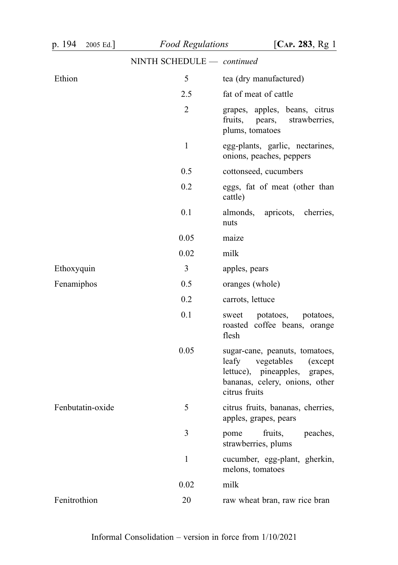| p. 194<br>2005 Ed. | <b>Food Regulations</b>    | [ $CAP. 283, Rg1$ ]                                                                                                                                   |
|--------------------|----------------------------|-------------------------------------------------------------------------------------------------------------------------------------------------------|
|                    | NINTH SCHEDULE - continued |                                                                                                                                                       |
| Ethion             | 5                          | tea (dry manufactured)                                                                                                                                |
|                    | 2.5                        | fat of meat of cattle                                                                                                                                 |
|                    | $\overline{2}$             | grapes, apples, beans, citrus<br>fruits, pears,<br>strawberries,<br>plums, tomatoes                                                                   |
|                    | $\mathbf{1}$               | egg-plants, garlic, nectarines,<br>onions, peaches, peppers                                                                                           |
|                    | 0.5                        | cottonseed, cucumbers                                                                                                                                 |
|                    | 0.2                        | eggs, fat of meat (other than<br>cattle)                                                                                                              |
|                    | 0.1                        | almonds, apricots, cherries,<br>nuts                                                                                                                  |
|                    | 0.05                       | maize                                                                                                                                                 |
|                    | 0.02                       | milk                                                                                                                                                  |
| Ethoxyquin         | 3                          | apples, pears                                                                                                                                         |
| Fenamiphos         | 0.5                        | oranges (whole)                                                                                                                                       |
|                    | 0.2                        | carrots, lettuce                                                                                                                                      |
|                    | 0.1                        | potatoes,<br>potatoes,<br>sweet<br>roasted coffee beans, orange<br>flesh                                                                              |
|                    | 0.05                       | sugar-cane, peanuts, tomatoes,<br>leafy<br>vegetables<br>(except)<br>lettuce), pineapples, grapes,<br>bananas, celery, onions, other<br>citrus fruits |
| Fenbutatin-oxide   | 5                          | citrus fruits, bananas, cherries,<br>apples, grapes, pears                                                                                            |
|                    | 3                          | fruits,<br>peaches,<br>pome<br>strawberries, plums                                                                                                    |
|                    | 1                          | cucumber, egg-plant, gherkin,<br>melons, tomatoes                                                                                                     |
|                    | 0.02                       | milk                                                                                                                                                  |
| Fenitrothion       | 20                         | raw wheat bran, raw rice bran                                                                                                                         |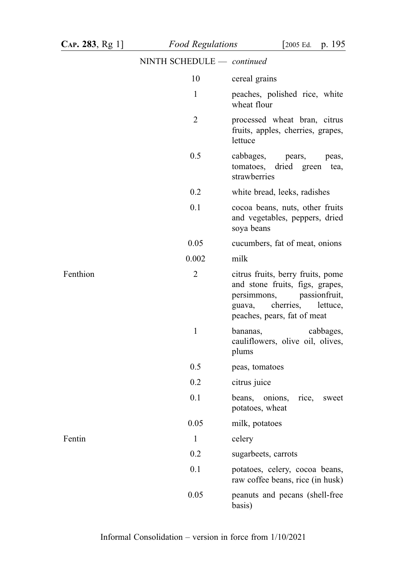# NINTH SCHEDULE — continued 10 cereal grains 1 peaches, polished rice, white wheat flour 2 processed wheat bran, citrus fruits, apples, cherries, grapes, lettuce 0.5 cabbages, pears, peas, tomatoes, dried green tea, strawberries 0.2 white bread, leeks, radishes 0.1 cocoa beans, nuts, other fruits and vegetables, peppers, dried soya beans 0.05 cucumbers, fat of meat, onions 0.002 milk Fenthion 2 citrus fruits, berry fruits, pome and stone fruits, figs, grapes, persimmons, passionfruit, guava, cherries, lettuce, peaches, pears, fat of meat 1 bananas, cabbages, cauliflowers, olive oil, olives, plums 0.5 peas, tomatoes 0.2 citrus juice 0.1 beans, onions, rice, sweet potatoes, wheat 0.05 milk, potatoes Fentin 1 celery 0.2 sugarbeets, carrots 0.1 potatoes, celery, cocoa beans, raw coffee beans, rice (in husk) 0.05 peanuts and pecans (shell-free basis)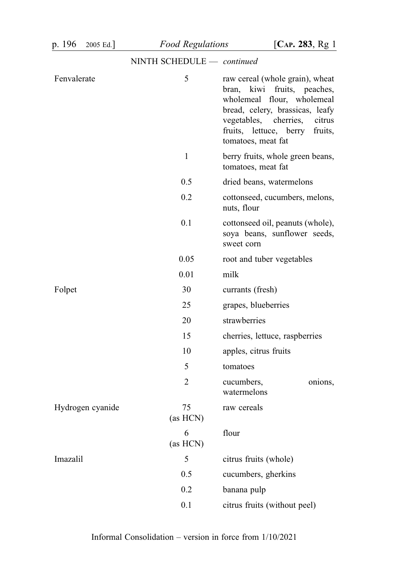| p. 196      | 2005 Ed.         | <b>Food Regulations</b>    | [ $CAP. 283, Rg1$ ]                                                                                                                                                                                                                 |
|-------------|------------------|----------------------------|-------------------------------------------------------------------------------------------------------------------------------------------------------------------------------------------------------------------------------------|
|             |                  | NINTH SCHEDULE - continued |                                                                                                                                                                                                                                     |
| Fenvalerate |                  | 5                          | raw cereal (whole grain), wheat<br>kiwi<br>fruits, peaches,<br>bran,<br>wholemeal flour, wholemeal<br>bread, celery, brassicas, leafy<br>vegetables, cherries,<br>citrus<br>fruits, lettuce, berry<br>fruits,<br>tomatoes, meat fat |
|             |                  | $\mathbf{1}$               | berry fruits, whole green beans,<br>tomatoes, meat fat                                                                                                                                                                              |
|             |                  | 0.5                        | dried beans, watermelons                                                                                                                                                                                                            |
|             |                  | 0.2                        | cottonseed, cucumbers, melons,<br>nuts, flour                                                                                                                                                                                       |
|             |                  | 0.1                        | cottonseed oil, peanuts (whole),<br>soya beans, sunflower seeds,<br>sweet corn                                                                                                                                                      |
|             |                  | 0.05                       | root and tuber vegetables                                                                                                                                                                                                           |
|             |                  | 0.01                       | milk                                                                                                                                                                                                                                |
| Folpet      |                  | 30                         | currants (fresh)                                                                                                                                                                                                                    |
|             |                  | 25                         | grapes, blueberries                                                                                                                                                                                                                 |
|             |                  | 20                         | strawberries                                                                                                                                                                                                                        |
|             |                  | 15                         | cherries, lettuce, raspberries                                                                                                                                                                                                      |
|             |                  | 10                         | apples, citrus fruits                                                                                                                                                                                                               |
|             |                  | 5                          | tomatoes                                                                                                                                                                                                                            |
|             |                  | 2                          | cucumbers,<br>onions,<br>watermelons                                                                                                                                                                                                |
|             | Hydrogen cyanide | 75<br>(as HCN)             | raw cereals                                                                                                                                                                                                                         |
|             |                  | 6<br>(as HCN)              | flour                                                                                                                                                                                                                               |
| Imazalil    |                  | 5                          | citrus fruits (whole)                                                                                                                                                                                                               |
|             |                  | 0.5                        | cucumbers, gherkins                                                                                                                                                                                                                 |
|             |                  | 0.2                        | banana pulp                                                                                                                                                                                                                         |
|             |                  | 0.1                        | citrus fruits (without peel)                                                                                                                                                                                                        |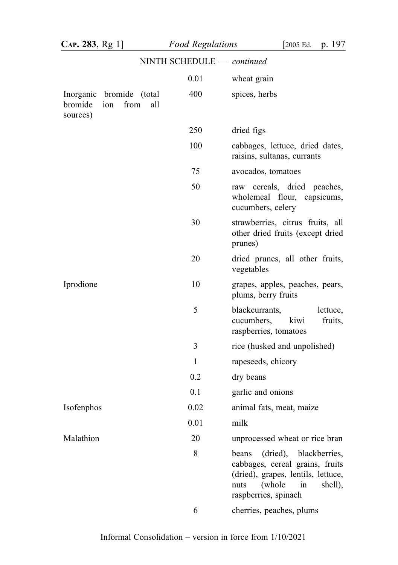| CAP. 283, Rg 1]     |                                                | <b>Food Regulations</b>    | $\sqrt{2005}$ Ed.<br>p. 197                                                                                                                                           |
|---------------------|------------------------------------------------|----------------------------|-----------------------------------------------------------------------------------------------------------------------------------------------------------------------|
|                     |                                                | NINTH SCHEDULE - continued |                                                                                                                                                                       |
|                     |                                                | 0.01                       | wheat grain                                                                                                                                                           |
| bromide<br>sources) | Inorganic bromide (total<br>from<br>all<br>ion | 400                        | spices, herbs                                                                                                                                                         |
|                     |                                                | 250                        | dried figs                                                                                                                                                            |
|                     |                                                | 100                        | cabbages, lettuce, dried dates,<br>raisins, sultanas, currants                                                                                                        |
|                     |                                                | 75                         | avocados, tomatoes                                                                                                                                                    |
|                     |                                                | 50                         | raw cereals, dried peaches,<br>wholemeal flour, capsicums,<br>cucumbers, celery                                                                                       |
|                     |                                                | 30                         | strawberries, citrus fruits, all<br>other dried fruits (except dried<br>prunes)                                                                                       |
|                     |                                                | 20                         | dried prunes, all other fruits,<br>vegetables                                                                                                                         |
| Iprodione           |                                                | 10                         | grapes, apples, peaches, pears,<br>plums, berry fruits                                                                                                                |
|                     |                                                | 5                          | blackcurrants,<br>lettuce,<br>cucumbers,<br>kiwi<br>fruits,<br>raspberries, tomatoes                                                                                  |
|                     |                                                | 3                          | rice (husked and unpolished)                                                                                                                                          |
|                     |                                                | $\mathbf{1}$               | rapeseeds, chicory                                                                                                                                                    |
|                     |                                                | 0.2                        | dry beans                                                                                                                                                             |
|                     |                                                | 0.1                        | garlic and onions                                                                                                                                                     |
| Isofenphos          |                                                | 0.02                       | animal fats, meat, maize                                                                                                                                              |
|                     |                                                | 0.01                       | milk                                                                                                                                                                  |
| Malathion           |                                                | 20                         | unprocessed wheat or rice bran                                                                                                                                        |
|                     |                                                | 8                          | dried),<br>blackberries,<br>beans<br>cabbages, cereal grains, fruits<br>(dried), grapes, lentils, lettuce,<br>(whole<br>shell),<br>nuts<br>in<br>raspberries, spinach |
|                     |                                                | 6                          | cherries, peaches, plums                                                                                                                                              |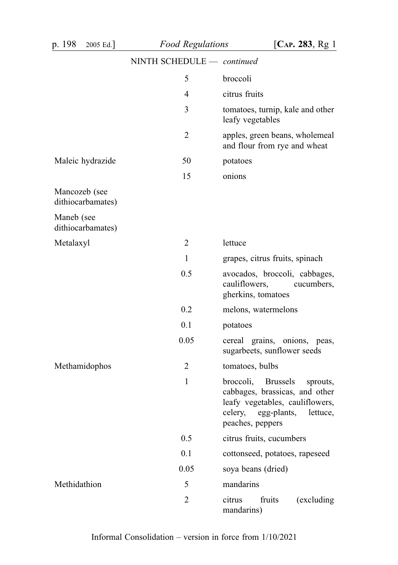| p. 198<br>2005 Ed.]                | <b>Food Regulations</b>    | [ $CAP. 283, Rg1$ ]                                                                                                                                           |
|------------------------------------|----------------------------|---------------------------------------------------------------------------------------------------------------------------------------------------------------|
|                                    | NINTH SCHEDULE - continued |                                                                                                                                                               |
|                                    | 5                          | broccoli                                                                                                                                                      |
|                                    | 4                          | citrus fruits                                                                                                                                                 |
|                                    | 3                          | tomatoes, turnip, kale and other<br>leafy vegetables                                                                                                          |
|                                    | 2                          | apples, green beans, wholemeal<br>and flour from rye and wheat                                                                                                |
| Maleic hydrazide                   | 50                         | potatoes                                                                                                                                                      |
|                                    | 15                         | onions                                                                                                                                                        |
| Mancozeb (see<br>dithiocarbamates) |                            |                                                                                                                                                               |
| Maneb (see<br>dithiocarbamates)    |                            |                                                                                                                                                               |
| Metalaxyl                          | 2                          | lettuce                                                                                                                                                       |
|                                    | 1                          | grapes, citrus fruits, spinach                                                                                                                                |
|                                    | 0.5                        | avocados, broccoli, cabbages,<br>cauliflowers,<br>cucumbers,<br>gherkins, tomatoes                                                                            |
|                                    | 0.2                        | melons, watermelons                                                                                                                                           |
|                                    | 0.1                        | potatoes                                                                                                                                                      |
|                                    | 0.05                       | cereal grains, onions, peas,<br>sugarbeets, sunflower seeds                                                                                                   |
| Methamidophos                      | 2                          | tomatoes, bulbs                                                                                                                                               |
|                                    | 1                          | broccoli, Brussels<br>sprouts,<br>cabbages, brassicas, and other<br>leafy vegetables, cauliflowers,<br>celery,<br>egg-plants,<br>lettuce,<br>peaches, peppers |
|                                    | 0.5                        | citrus fruits, cucumbers                                                                                                                                      |
|                                    | 0.1                        | cottonseed, potatoes, rapeseed                                                                                                                                |
|                                    | 0.05                       | soya beans (dried)                                                                                                                                            |
| Methidathion                       | 5                          | mandarins                                                                                                                                                     |
|                                    | $\overline{2}$             | fruits<br>citrus<br>(excluding<br>mandarins)                                                                                                                  |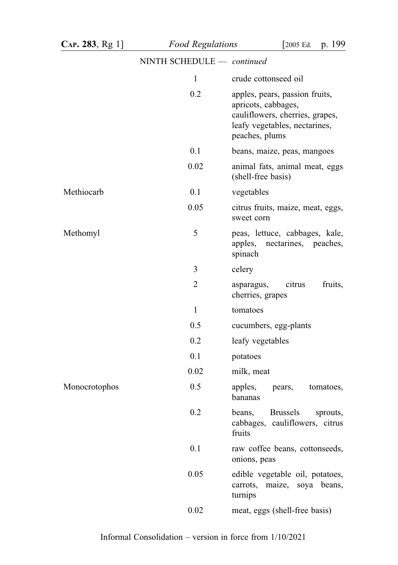| CAP. 283, Rg 1] | <b>Food Regulations</b>    | p. 199<br>[2005 Ed.                                                                                                                         |
|-----------------|----------------------------|---------------------------------------------------------------------------------------------------------------------------------------------|
|                 | NINTH SCHEDULE - continued |                                                                                                                                             |
|                 | 1                          | crude cottonseed oil                                                                                                                        |
|                 | 0.2                        | apples, pears, passion fruits,<br>apricots, cabbages,<br>cauliflowers, cherries, grapes,<br>leafy vegetables, nectarines,<br>peaches, plums |
|                 | 0.1                        | beans, maize, peas, mangoes                                                                                                                 |
|                 | 0.02                       | animal fats, animal meat, eggs<br>(shell-free basis)                                                                                        |
| Methiocarb      | 0.1                        | vegetables                                                                                                                                  |
|                 | 0.05                       | citrus fruits, maize, meat, eggs,<br>sweet corn                                                                                             |
| Methomyl        | 5                          | peas, lettuce, cabbages, kale,<br>apples,<br>nectarines, peaches,<br>spinach                                                                |
|                 | 3                          | celery                                                                                                                                      |
|                 | 2                          | fruits,<br>citrus<br>asparagus,<br>cherries, grapes                                                                                         |
|                 | 1                          | tomatoes                                                                                                                                    |
|                 | 0.5                        | cucumbers, egg-plants                                                                                                                       |
|                 | 0.2                        | leafy vegetables                                                                                                                            |
|                 | 0.1                        | potatoes                                                                                                                                    |
|                 | 0.02                       | milk, meat                                                                                                                                  |
| Monocrotophos   | 0.5                        | apples,<br>tomatoes,<br>pears,<br>bananas                                                                                                   |
|                 | 0.2                        | beans,<br><b>Brussels</b><br>sprouts,<br>cabbages, cauliflowers, citrus<br>fruits                                                           |
|                 | 0.1                        | raw coffee beans, cottonseeds,<br>onions, peas                                                                                              |
|                 | 0.05                       | edible vegetable oil, potatoes,<br>maize, soya beans,<br>carrots,<br>turnips                                                                |
|                 | 0.02                       | meat, eggs (shell-free basis)                                                                                                               |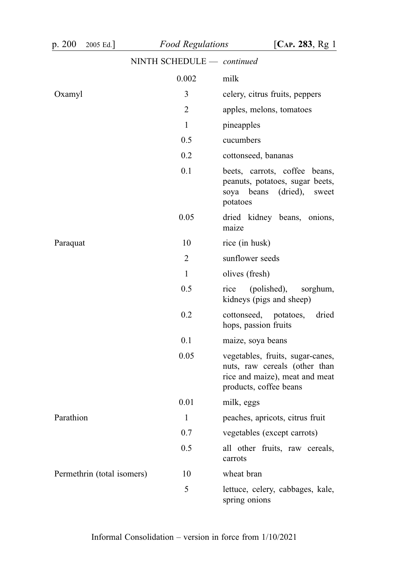| p. 200<br>2005 Ed.]        | <b>Food Regulations</b>    | [ $CAP. 283, Rg1$ ]                                                                                                           |
|----------------------------|----------------------------|-------------------------------------------------------------------------------------------------------------------------------|
|                            | NINTH SCHEDULE - continued |                                                                                                                               |
|                            | 0.002                      | milk                                                                                                                          |
| Oxamyl                     | 3                          | celery, citrus fruits, peppers                                                                                                |
|                            | 2                          | apples, melons, tomatoes                                                                                                      |
|                            | 1                          | pineapples                                                                                                                    |
|                            | 0.5                        | cucumbers                                                                                                                     |
|                            | 0.2                        | cottonseed, bananas                                                                                                           |
|                            | 0.1                        | beets, carrots, coffee beans,<br>peanuts, potatoes, sugar beets,<br>(dried),<br>soya<br>beans<br>sweet<br>potatoes            |
|                            | 0.05                       | dried kidney beans, onions,<br>maize                                                                                          |
| Paraquat                   | 10                         | rice (in husk)                                                                                                                |
|                            | $\overline{2}$             | sunflower seeds                                                                                                               |
|                            | 1                          | olives (fresh)                                                                                                                |
|                            | 0.5                        | (polished),<br>rice<br>sorghum,<br>kidneys (pigs and sheep)                                                                   |
|                            | 0.2                        | cottonseed,<br>potatoes,<br>dried<br>hops, passion fruits                                                                     |
|                            | 0.1                        | maize, soya beans                                                                                                             |
|                            | 0.05                       | vegetables, fruits, sugar-canes,<br>nuts, raw cereals (other than<br>rice and maize), meat and meat<br>products, coffee beans |
|                            | 0.01                       | milk, eggs                                                                                                                    |
| Parathion                  | $\mathbf{1}$               | peaches, apricots, citrus fruit                                                                                               |
|                            | 0.7                        | vegetables (except carrots)                                                                                                   |
|                            | 0.5                        | all other fruits, raw cereals,<br>carrots                                                                                     |
| Permethrin (total isomers) | 10                         | wheat bran                                                                                                                    |
|                            | 5                          | lettuce, celery, cabbages, kale,<br>spring onions                                                                             |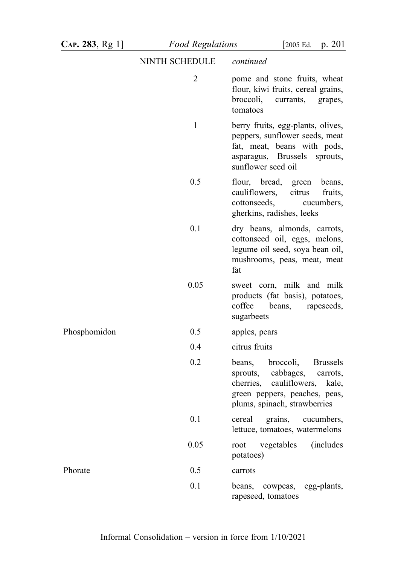## NINTH SCHEDULE — continued

|              | $\overline{2}$ | pome and stone fruits, wheat<br>flour, kiwi fruits, cereal grains,<br>broccoli,<br>currants,<br>grapes,<br>tomatoes                                                           |
|--------------|----------------|-------------------------------------------------------------------------------------------------------------------------------------------------------------------------------|
|              | 1              | berry fruits, egg-plants, olives,<br>peppers, sunflower seeds, meat<br>fat, meat, beans with pods,<br>asparagus, Brussels sprouts,<br>sunflower seed oil                      |
|              | 0.5            | flour, bread,<br>green<br>beans,<br>citrus<br>cauliflowers,<br>fruits,<br>cottonseeds,<br>cucumbers,<br>gherkins, radishes, leeks                                             |
|              | 0.1            | dry beans, almonds, carrots,<br>cottonseed oil, eggs, melons,<br>legume oil seed, soya bean oil,<br>mushrooms, peas, meat, meat<br>fat                                        |
|              | 0.05           | sweet corn, milk and milk<br>products (fat basis), potatoes,<br>coffee<br>beans, rapeseeds,<br>sugarbeets                                                                     |
| Phosphomidon | 0.5            | apples, pears                                                                                                                                                                 |
|              | 0.4            | citrus fruits                                                                                                                                                                 |
|              | 0.2            | broccoli,<br><b>Brussels</b><br>beans,<br>sprouts, cabbages,<br>carrots,<br>cherries, cauliflowers,<br>kale,<br>green peppers, peaches, peas,<br>plums, spinach, strawberries |
|              | 0.1            | grains, cucumbers,<br>cereal<br>lettuce, tomatoes, watermelons                                                                                                                |
|              | 0.05           | (includes)<br>vegetables<br>root<br>potatoes)                                                                                                                                 |
| Phorate      | 0.5            | carrots                                                                                                                                                                       |
|              | 0.1            | beans,<br>cowpeas,<br>egg-plants,<br>rapeseed, tomatoes                                                                                                                       |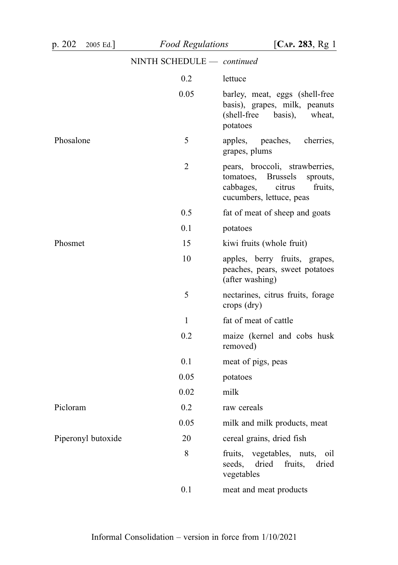| p. 202<br>2005 Ed. | <b>Food Regulations</b>    | [ $CAP. 283, Rg1$ ]                                                                                                                      |
|--------------------|----------------------------|------------------------------------------------------------------------------------------------------------------------------------------|
|                    | NINTH SCHEDULE - continued |                                                                                                                                          |
|                    | 0.2                        | lettuce                                                                                                                                  |
|                    | 0.05                       | barley, meat, eggs (shell-free<br>basis), grapes, milk, peanuts<br>(shell-free<br>basis),<br>wheat,<br>potatoes                          |
| Phosalone          | 5                          | apples,<br>peaches,<br>cherries,<br>grapes, plums                                                                                        |
|                    | 2                          | pears, broccoli, strawberries,<br><b>Brussels</b><br>tomatoes,<br>sprouts,<br>citrus<br>cabbages,<br>fruits,<br>cucumbers, lettuce, peas |
|                    | 0.5                        | fat of meat of sheep and goats                                                                                                           |
|                    | 0.1                        | potatoes                                                                                                                                 |
| Phosmet            | 15                         | kiwi fruits (whole fruit)                                                                                                                |
|                    | 10                         | apples, berry fruits, grapes,<br>peaches, pears, sweet potatoes<br>(after washing)                                                       |
|                    | 5                          | nectarines, citrus fruits, forage<br>crops (dry)                                                                                         |
|                    | $\mathbf{1}$               | fat of meat of cattle                                                                                                                    |
|                    | 0.2                        | maize (kernel and cobs husk<br>removed)                                                                                                  |
|                    | 0.1                        | meat of pigs, peas                                                                                                                       |
|                    | 0.05                       | potatoes                                                                                                                                 |
|                    | 0.02                       | milk                                                                                                                                     |
| Picloram           | 0.2                        | raw cereals                                                                                                                              |
|                    | 0.05                       | milk and milk products, meat                                                                                                             |
| Piperonyl butoxide | 20                         | cereal grains, dried fish                                                                                                                |
|                    | 8                          | vegetables, nuts, oil<br>fruits,<br>dried<br>seeds,<br>fruits,<br>dried<br>vegetables                                                    |
|                    | 0.1                        | meat and meat products                                                                                                                   |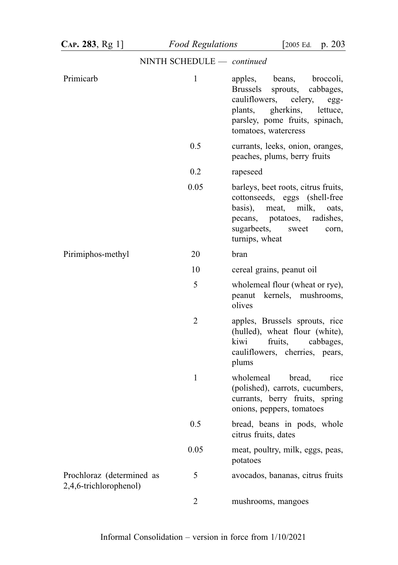| $CAP. 283, Rg 1$ ]                                  | <b>Food Regulations</b>    | p. 203<br>$\sqrt{2005}$ Ed.                                                                                                                                                                            |
|-----------------------------------------------------|----------------------------|--------------------------------------------------------------------------------------------------------------------------------------------------------------------------------------------------------|
|                                                     | NINTH SCHEDULE - continued |                                                                                                                                                                                                        |
| Primicarb                                           | $\mathbf{1}$               | apples,<br>beans, broccoli,<br>sprouts,<br><b>Brussels</b><br>cabbages,<br>cauliflowers,<br>celery,<br>egg-<br>gherkins, lettuce,<br>plants,<br>parsley, pome fruits, spinach,<br>tomatoes, watercress |
|                                                     | 0.5                        | currants, leeks, onion, oranges,<br>peaches, plums, berry fruits                                                                                                                                       |
|                                                     | 0.2                        | rapeseed                                                                                                                                                                                               |
|                                                     | 0.05                       | barleys, beet roots, citrus fruits,<br>cottonseeds, eggs (shell-free)<br>meat,<br>basis),<br>milk,<br>oats,<br>pecans, potatoes,<br>radishes,<br>sugarbeets,<br>sweet<br>corn,<br>turnips, wheat       |
| Pirimiphos-methyl                                   | 20                         | bran                                                                                                                                                                                                   |
|                                                     | 10                         | cereal grains, peanut oil                                                                                                                                                                              |
|                                                     | 5                          | wholemeal flour (wheat or rye),<br>peanut kernels, mushrooms,<br>olives                                                                                                                                |
|                                                     | $\overline{2}$             | apples, Brussels sprouts, rice<br>(hulled), wheat flour (white),<br>fruits,<br>kiwi<br>cabbages,<br>cauliflowers, cherries, pears,<br>plums                                                            |
|                                                     | $\mathbf{1}$               | bread,<br>wholemeal<br>rice<br>(polished), carrots, cucumbers,<br>currants, berry fruits, spring<br>onions, peppers, tomatoes                                                                          |
|                                                     | 0.5                        | bread, beans in pods, whole<br>citrus fruits, dates                                                                                                                                                    |
|                                                     | 0.05                       | meat, poultry, milk, eggs, peas,<br>potatoes                                                                                                                                                           |
| Prochloraz (determined as<br>2,4,6-trichlorophenol) | 5                          | avocados, bananas, citrus fruits                                                                                                                                                                       |
|                                                     | 2                          | mushrooms, mangoes                                                                                                                                                                                     |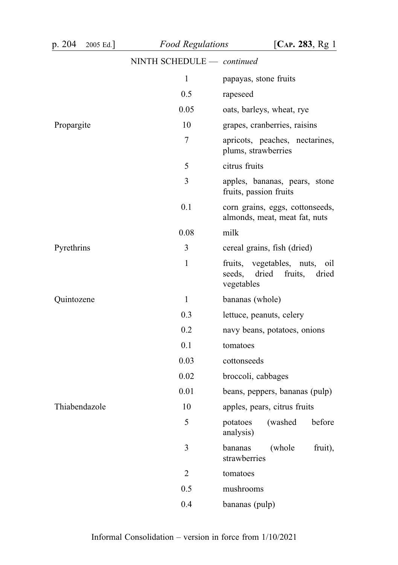| p. 204<br>2005 Ed.] | <b>Food Regulations</b>    | [ $CAP. 283, Rg1$ ]                                                                      |
|---------------------|----------------------------|------------------------------------------------------------------------------------------|
|                     | NINTH SCHEDULE - continued |                                                                                          |
|                     | $\mathbf{1}$               | papayas, stone fruits                                                                    |
|                     | 0.5                        | rapeseed                                                                                 |
|                     | 0.05                       | oats, barleys, wheat, rye                                                                |
| Propargite          | 10                         | grapes, cranberries, raisins                                                             |
|                     | 7                          | apricots, peaches, nectarines,<br>plums, strawberries                                    |
|                     | 5                          | citrus fruits                                                                            |
|                     | 3                          | apples, bananas, pears, stone<br>fruits, passion fruits                                  |
|                     | 0.1                        | corn grains, eggs, cottonseeds,<br>almonds, meat, meat fat, nuts                         |
|                     | 0.08                       | milk                                                                                     |
| Pyrethrins          | 3                          | cereal grains, fish (dried)                                                              |
|                     | $\mathbf{1}$               | fruits,<br>vegetables, nuts,<br>oil<br>seeds,<br>dried<br>fruits,<br>dried<br>vegetables |
| Quintozene          | $\mathbf{1}$               | bananas (whole)                                                                          |
|                     | 0.3                        | lettuce, peanuts, celery                                                                 |
|                     | 0.2                        | navy beans, potatoes, onions                                                             |
|                     | 0.1                        | tomatoes                                                                                 |
|                     | 0.03                       | cottonseeds                                                                              |
|                     | 0.02                       | broccoli, cabbages                                                                       |
|                     | 0.01                       | beans, peppers, bananas (pulp)                                                           |
| Thiabendazole       | 10                         | apples, pears, citrus fruits                                                             |
|                     | 5                          | before<br>(washed<br>potatoes<br>analysis)                                               |
|                     | 3                          | bananas<br>(whole<br>fruit),<br>strawberries                                             |
|                     | $\overline{2}$             | tomatoes                                                                                 |
|                     | 0.5                        | mushrooms                                                                                |
|                     | 0.4                        | bananas (pulp)                                                                           |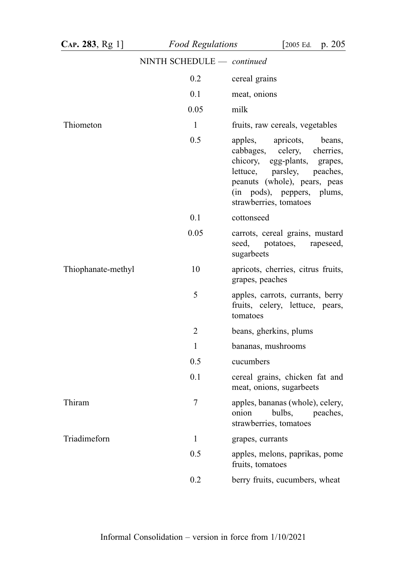| CAP. 283, Rg 1]    | <b>Food Regulations</b>    | $\sqrt{2005}$ Ed.<br>p. 205                                                                                                                                                                                         |
|--------------------|----------------------------|---------------------------------------------------------------------------------------------------------------------------------------------------------------------------------------------------------------------|
|                    | NINTH SCHEDULE - continued |                                                                                                                                                                                                                     |
|                    | 0.2                        | cereal grains                                                                                                                                                                                                       |
|                    | 0.1                        | meat, onions                                                                                                                                                                                                        |
|                    | 0.05                       | milk                                                                                                                                                                                                                |
| Thiometon          | $\mathbf{1}$               | fruits, raw cereals, vegetables                                                                                                                                                                                     |
|                    | 0.5                        | apples,<br>apricots,<br>beans,<br>cabbages, celery, cherries,<br>chicory, egg-plants, grapes,<br>lettuce, parsley, peaches,<br>peanuts (whole), pears, peas<br>(in pods), peppers, plums,<br>strawberries, tomatoes |
|                    | 0.1                        | cottonseed                                                                                                                                                                                                          |
|                    | 0.05                       | carrots, cereal grains, mustard<br>seed, potatoes,<br>rapeseed,<br>sugarbeets                                                                                                                                       |
| Thiophanate-methyl | 10                         | apricots, cherries, citrus fruits,<br>grapes, peaches                                                                                                                                                               |
|                    | 5                          | apples, carrots, currants, berry<br>fruits, celery, lettuce, pears,<br>tomatoes                                                                                                                                     |
|                    | 2                          | beans, gherkins, plums                                                                                                                                                                                              |
|                    | $\mathbf{1}$               | bananas, mushrooms                                                                                                                                                                                                  |
|                    | 0.5                        | cucumbers                                                                                                                                                                                                           |
|                    | 0.1                        | cereal grains, chicken fat and<br>meat, onions, sugarbeets                                                                                                                                                          |
| Thiram             | 7                          | apples, bananas (whole), celery,<br>onion<br>bulbs,<br>peaches,<br>strawberries, tomatoes                                                                                                                           |
| Triadimeforn       | $\mathbf{1}$               | grapes, currants                                                                                                                                                                                                    |
|                    | 0.5                        | apples, melons, paprikas, pome<br>fruits, tomatoes                                                                                                                                                                  |
|                    | 0.2                        | berry fruits, cucumbers, wheat                                                                                                                                                                                      |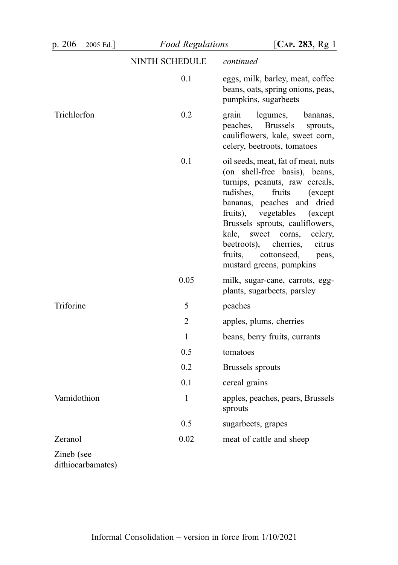| p. 206<br>$2005$ Ed. | <b>Food Regulations</b>    | [ $CAP. 283, Rg1$ ]                                                                                                                                                                                                                                                                                                                                                                         |
|----------------------|----------------------------|---------------------------------------------------------------------------------------------------------------------------------------------------------------------------------------------------------------------------------------------------------------------------------------------------------------------------------------------------------------------------------------------|
|                      | NINTH SCHEDULE - continued |                                                                                                                                                                                                                                                                                                                                                                                             |
|                      | 0.1                        | eggs, milk, barley, meat, coffee<br>beans, oats, spring onions, peas,<br>pumpkins, sugarbeets                                                                                                                                                                                                                                                                                               |
| Trichlorfon          | 0.2                        | grain<br>legumes,<br>bananas,<br><b>Brussels</b><br>peaches,<br>sprouts,<br>cauliflowers, kale, sweet corn,<br>celery, beetroots, tomatoes                                                                                                                                                                                                                                                  |
|                      | 0.1                        | oil seeds, meat, fat of meat, nuts<br>(on shell-free basis), beans,<br>turnips, peanuts, raw cereals,<br>radishes,<br>fruits<br>(except)<br>bananas, peaches and<br>dried<br>vegetables<br>fruits),<br>(except)<br>Brussels sprouts, cauliflowers,<br>kale,<br>sweet corns,<br>celery,<br>beetroots),<br>cherries,<br>citrus<br>fruits,<br>cottonseed,<br>peas,<br>mustard greens, pumpkins |
|                      | 0.05                       | milk, sugar-cane, carrots, egg-<br>plants, sugarbeets, parsley                                                                                                                                                                                                                                                                                                                              |
| Triforine            | 5                          | peaches                                                                                                                                                                                                                                                                                                                                                                                     |
|                      | $\overline{2}$             | apples, plums, cherries                                                                                                                                                                                                                                                                                                                                                                     |
|                      | $\mathbf{1}$               | beans, berry fruits, currants                                                                                                                                                                                                                                                                                                                                                               |
|                      | 0.5                        | tomatoes                                                                                                                                                                                                                                                                                                                                                                                    |
|                      | 0.2                        | Brussels sprouts                                                                                                                                                                                                                                                                                                                                                                            |
|                      | 0.1                        | cereal grains                                                                                                                                                                                                                                                                                                                                                                               |
| Vamidothion          | $\mathbf{1}$               | apples, peaches, pears, Brussels<br>sprouts                                                                                                                                                                                                                                                                                                                                                 |
|                      | 0.5                        | sugarbeets, grapes                                                                                                                                                                                                                                                                                                                                                                          |
| Zeranol              | 0.02                       | meat of cattle and sheep                                                                                                                                                                                                                                                                                                                                                                    |
| Zineb (see           |                            |                                                                                                                                                                                                                                                                                                                                                                                             |

dithiocarbamates)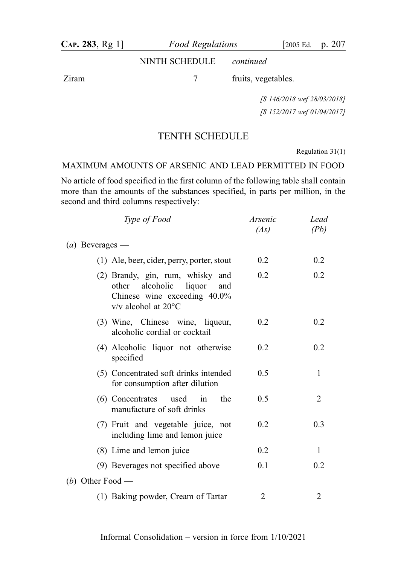## NINTH SCHEDULE — continued

Ziram 7 fruits, vegetables.

[S 146/2018 wef 28/03/2018] [S 152/2017 wef 01/04/2017]

## TENTH SCHEDULE

Regulation 31(1)

## MAXIMUM AMOUNTS OF ARSENIC AND LEAD PERMITTED IN FOOD

No article of food specified in the first column of the following table shall contain more than the amounts of the substances specified, in parts per million, in the second and third columns respectively:

| Type of Food                                                                                                                                | Arsenic<br>(As) | Lead<br>(Pb) |
|---------------------------------------------------------------------------------------------------------------------------------------------|-----------------|--------------|
| ( <i>a</i> ) Beverages —                                                                                                                    |                 |              |
| (1) Ale, beer, cider, perry, porter, stout                                                                                                  | 0.2             | 0.2          |
| (2) Brandy, gin, rum, whisky and<br>alcoholic<br>liquor<br>other<br>and<br>Chinese wine exceeding 40.0%<br>$v/v$ alcohol at 20 $^{\circ}$ C | 0.2             | 0.2          |
| (3) Wine, Chinese wine, liqueur,<br>alcoholic cordial or cocktail                                                                           | 0.2             | 0.2          |
| (4) Alcoholic liquor not otherwise<br>specified                                                                                             | 0.2             | 0.2          |
| (5) Concentrated soft drinks intended<br>for consumption after dilution                                                                     | 0.5             | 1            |
| (6) Concentrates used<br>the<br>in<br>manufacture of soft drinks                                                                            | 0.5             | 2            |
| (7) Fruit and vegetable juice, not<br>including lime and lemon juice                                                                        | 0.2             | 0.3          |
| (8) Lime and lemon juice                                                                                                                    | 0.2             | 1            |
| (9) Beverages not specified above                                                                                                           | 0.1             | 0.2          |
| (b) Other Food —                                                                                                                            |                 |              |
| (1) Baking powder, Cream of Tartar                                                                                                          | 2               | 2            |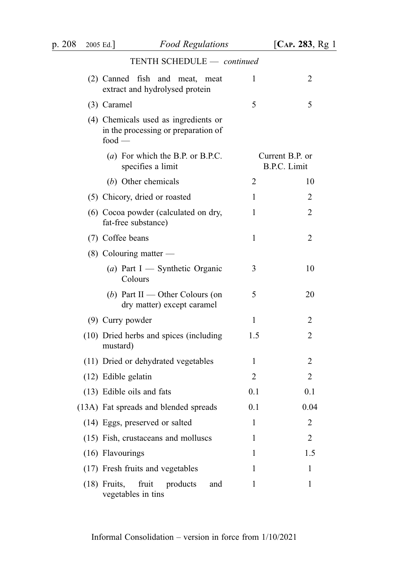| p. 208 | 2005 Ed.] Food Regulations                                                              |     | [ $CAP. 283, Rg1$ ]                    |
|--------|-----------------------------------------------------------------------------------------|-----|----------------------------------------|
|        | TENTH SCHEDULE - continued                                                              |     |                                        |
|        | (2) Canned fish and meat,<br>meat<br>extract and hydrolysed protein                     | 1   | 2                                      |
|        | (3) Caramel                                                                             | 5   | 5                                      |
|        | (4) Chemicals used as ingredients or<br>in the processing or preparation of<br>$food -$ |     |                                        |
|        | (a) For which the B.P. or B.P.C.<br>specifies a limit                                   |     | Current B.P. or<br><b>B.P.C.</b> Limit |
|        | (b) Other chemicals                                                                     | 2   | 10                                     |
|        | (5) Chicory, dried or roasted                                                           | 1   | 2                                      |
|        | (6) Cocoa powder (calculated on dry,<br>fat-free substance)                             | 1   | 2                                      |
|        | (7) Coffee beans                                                                        | 1   | 2                                      |
|        | $(8)$ Colouring matter —                                                                |     |                                        |
|        | (a) Part I — Synthetic Organic<br>Colours                                               | 3   | 10                                     |
|        | (b) Part II — Other Colours (on<br>dry matter) except caramel                           | 5   | 20                                     |
|        | (9) Curry powder                                                                        | 1   | 2                                      |
|        | (10) Dried herbs and spices (including<br>mustard)                                      | 1.5 | $\overline{2}$                         |
|        | (11) Dried or dehydrated vegetables                                                     | 1   | 2                                      |
|        | (12) Edible gelatin                                                                     | 2   | 2                                      |
|        | (13) Edible oils and fats                                                               | 0.1 | 0.1                                    |
|        | (13A) Fat spreads and blended spreads                                                   | 0.1 | 0.04                                   |
|        | (14) Eggs, preserved or salted                                                          | 1   | 2                                      |
|        | (15) Fish, crustaceans and molluscs                                                     | 1   | 2                                      |
|        | (16) Flavourings                                                                        | 1   | 1.5                                    |
|        | (17) Fresh fruits and vegetables                                                        | 1   | 1                                      |
|        | $(18)$ Fruits,<br>fruit<br>products<br>and<br>vegetables in tins                        | 1   | $\mathbf{1}$                           |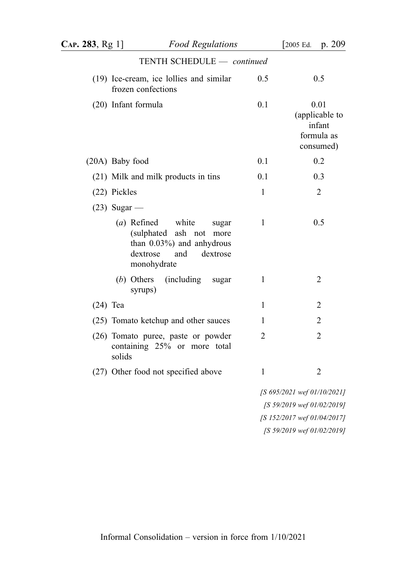| CAP. 283, Rg 1 | <b>Food Regulations</b>                                                                                                                         |              | [ $2005$ Ed. p. $209$ ]                                     |
|----------------|-------------------------------------------------------------------------------------------------------------------------------------------------|--------------|-------------------------------------------------------------|
|                | TENTH SCHEDULE - continued                                                                                                                      |              |                                                             |
|                | (19) Ice-cream, ice lollies and similar<br>frozen confections                                                                                   | 0.5          | 0.5                                                         |
|                | (20) Infant formula                                                                                                                             | 0.1          | 0.01<br>(applicable to<br>infant<br>formula as<br>consumed) |
|                | (20A) Baby food                                                                                                                                 | 0.1          | 0.2                                                         |
|                | (21) Milk and milk products in tins                                                                                                             | 0.1          | 0.3                                                         |
|                | (22) Pickles                                                                                                                                    | 1            | $\overline{2}$                                              |
|                | $(23)$ Sugar —                                                                                                                                  |              |                                                             |
|                | $(a)$ Refined<br>white<br>sugar<br>(sulphated ash<br>not<br>more<br>than $0.03\%$ ) and anhydrous<br>dextrose<br>and<br>dextrose<br>monohydrate | $\mathbf{1}$ | 0.5                                                         |
|                | $(b)$ Others<br>(including)<br>sugar<br>syrups)                                                                                                 | 1            | 2                                                           |
| $(24)$ Tea     |                                                                                                                                                 | 1            | $\overline{2}$                                              |
|                | (25) Tomato ketchup and other sauces                                                                                                            | 1            | $\overline{2}$                                              |
|                | (26) Tomato puree, paste or powder<br>containing 25% or more total<br>solids                                                                    | 2            | $\overline{2}$                                              |
|                | (27) Other food not specified above                                                                                                             | 1            | $\overline{2}$                                              |
|                |                                                                                                                                                 |              | [S 695/2021 wef 01/10/2021]<br>[S 59/2019 wef 01/02/2019]   |
|                |                                                                                                                                                 |              | [S 152/2017 wef 01/04/2017]                                 |

[S 59/2019 wef 01/02/2019]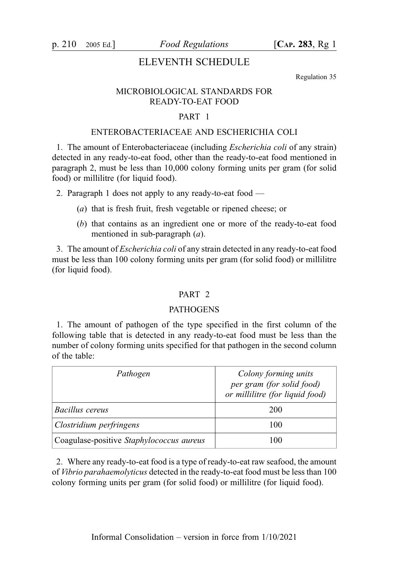p. 210 2005 Ed.]  $Food$  Regulations  $[Car. 283, Rg 1]$ 

## ELEVENTH SCHEDULE

Regulation 35

## MICROBIOLOGICAL STANDARDS FOR READY-TO-EAT FOOD

## PART 1

## ENTEROBACTERIACEAE AND ESCHERICHIA COLI

1. The amount of Enterobacteriaceae (including Escherichia coli of any strain) detected in any ready-to-eat food, other than the ready-to-eat food mentioned in paragraph 2, must be less than 10,000 colony forming units per gram (for solid food) or millilitre (for liquid food).

2. Paragraph 1 does not apply to any ready-to-eat food —

- (a) that is fresh fruit, fresh vegetable or ripened cheese; or
- (b) that contains as an ingredient one or more of the ready-to-eat food mentioned in sub-paragraph (a).

3. The amount of Escherichia coli of any strain detected in any ready-to-eat food must be less than 100 colony forming units per gram (for solid food) or millilitre (for liquid food).

## PART<sub>2</sub>

#### PATHOGENS

1. The amount of pathogen of the type specified in the first column of the following table that is detected in any ready-to-eat food must be less than the number of colony forming units specified for that pathogen in the second column of the table:

| Pathogen                                 | Colony forming units<br>per gram (for solid food)<br>or millilitre (for liquid food) |
|------------------------------------------|--------------------------------------------------------------------------------------|
| Bacillus cereus                          | 200                                                                                  |
| Clostridium perfringens                  | 100                                                                                  |
| Coagulase-positive Staphylococcus aureus | 100                                                                                  |

2. Where any ready-to-eat food is a type of ready-to-eat raw seafood, the amount of Vibrio parahaemolyticus detected in the ready-to-eat food must be less than 100 colony forming units per gram (for solid food) or millilitre (for liquid food).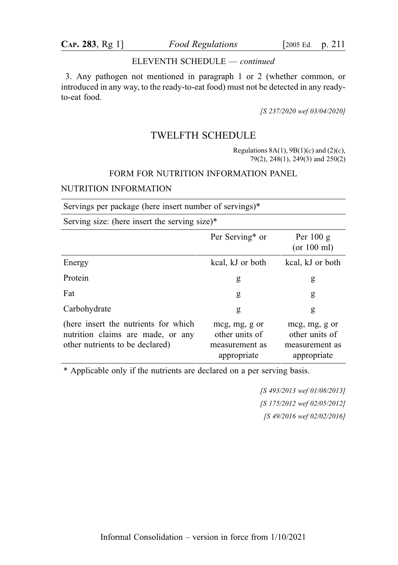#### ELEVENTH SCHEDULE — continued

3. Any pathogen not mentioned in paragraph 1 or 2 (whether common, or introduced in any way, to the ready-to-eat food) must not be detected in any readyto-eat food.

[S 237/2020 wef 03/04/2020]

## TWELFTH SCHEDULE

Regulations  $8A(1)$ ,  $9B(1)(c)$  and  $(2)(c)$ , 79(2), 248(1), 249(3) and 250(2)

#### FORM FOR NUTRITION INFORMATION PANEL

## NUTRITION INFORMATION

Servings per package (here insert number of servings)\*

Serving size: (here insert the serving size)\*

|                                                                                                              | Per Serving* or                                                  | Per $100 g$<br>(or 100 ml)                                       |
|--------------------------------------------------------------------------------------------------------------|------------------------------------------------------------------|------------------------------------------------------------------|
| Energy                                                                                                       | kcal, kJ or both                                                 | kcal, kJ or both                                                 |
| Protein                                                                                                      | g                                                                | g                                                                |
| Fat                                                                                                          | g                                                                | g                                                                |
| Carbohydrate                                                                                                 | g                                                                | g                                                                |
| (here insert the nutrients for which<br>nutrition claims are made, or any<br>other nutrients to be declared) | mcg, mg, g or<br>other units of<br>measurement as<br>appropriate | mcg, mg, g or<br>other units of<br>measurement as<br>appropriate |

\* Applicable only if the nutrients are declared on a per serving basis.

[S 493/2013 wef 01/08/2013] [S 175/2012 wef 02/05/2012] [S 49/2016 wef 02/02/2016]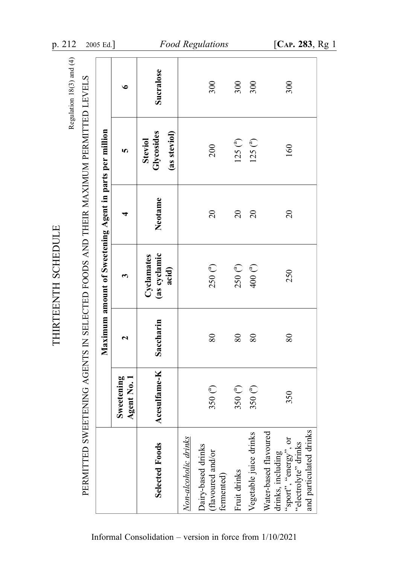| PERMITTED SWEETENING AGENTS IN SELECTED FOODS AND THEIR MAXIMUM PERMITTED LEVELS                                       |                           |           |                                                         |                |                                              | Regulation 18(3) and (4) |
|------------------------------------------------------------------------------------------------------------------------|---------------------------|-----------|---------------------------------------------------------|----------------|----------------------------------------------|--------------------------|
|                                                                                                                        |                           |           | Maximum amount of Sweetening Agent in parts per million |                |                                              |                          |
|                                                                                                                        | Sweetening<br>Agent No. 1 | ี         | 3                                                       |                | S                                            | $\bullet$                |
| Selected Foods                                                                                                         | Acesulfame-K              | Saccharin | (as cyclamic<br>Cyclamates<br>acid)                     | Neotame        | Glycosides<br>(as steviol)<br><b>Steviol</b> | Sucralose                |
| Non-alcoholic drinks                                                                                                   |                           |           |                                                         |                |                                              |                          |
| Dairy-based drinks<br>flavoured and/or<br>fermented)                                                                   | 350 $^{(a)}$              | $80\,$    | $250\binom{a}{ }$                                       | $\overline{c}$ | 200                                          | 300                      |
| Fruit drinks                                                                                                           | 350 $(^{a})$              | $80\,$    | $250\binom{a}{ }$                                       | $\overline{c}$ | 125 <sup>(a)</sup>                           | 300                      |
| Vegetable juice drinks                                                                                                 | 350 $(^{a})$              | 80        | 400 <sup>(a)</sup>                                      | $\overline{c}$ | 125 <sup>(a)</sup>                           | 300                      |
| and particulated drinks<br>Water-based flavoured<br>'sport", "energy", or<br>'electrolyte" drinks<br>drinks, including | 350                       | $80\,$    | 250                                                     | $\overline{c}$ | 160                                          | 300                      |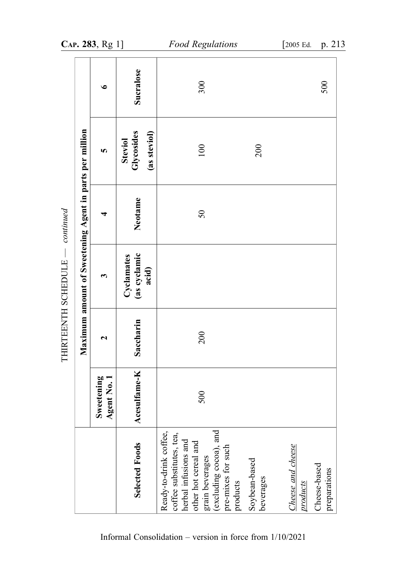|                     |                                                         | CAP. 283, Rg 1]                           |                                              | <b>Food Regulations</b>                                                                                                                                                                            | [2005 Ed.                                  | p. 213                       |
|---------------------|---------------------------------------------------------|-------------------------------------------|----------------------------------------------|----------------------------------------------------------------------------------------------------------------------------------------------------------------------------------------------------|--------------------------------------------|------------------------------|
|                     |                                                         | $\bullet$                                 | Sucralose                                    | 300                                                                                                                                                                                                |                                            | 500                          |
|                     |                                                         | 5                                         | Glycosides<br>(as steviol)<br><b>Steviol</b> | 100<br>200                                                                                                                                                                                         |                                            |                              |
| continued           |                                                         | ┓                                         | Neotame                                      | $50\,$                                                                                                                                                                                             |                                            |                              |
|                     | Maximum amount of Sweetening Agent in parts per million | 3                                         | (as cyclamic<br>acid)<br>Cyclamates          |                                                                                                                                                                                                    |                                            |                              |
| THIRTEENTH SCHEDULE |                                                         | 2                                         | Saccharin                                    | 200                                                                                                                                                                                                |                                            |                              |
|                     |                                                         | Sweetening<br>$\overline{N_0}$ .<br>Agent | Acesulfame-K                                 | 500                                                                                                                                                                                                |                                            |                              |
|                     |                                                         |                                           | Selected Foods                               | grain beverages<br>(excluding cocoa), and<br>Ready-to-drink coffee,<br>coffee substitutes, tea,<br>herbal infusions and<br>other hot cereal and<br>pre-mixes for such<br>Soybean-based<br>products | Cheese and cheese<br>beverages<br>products | Cheese-based<br>preparations |

Informal Consolidation – version in force from 1/10/2021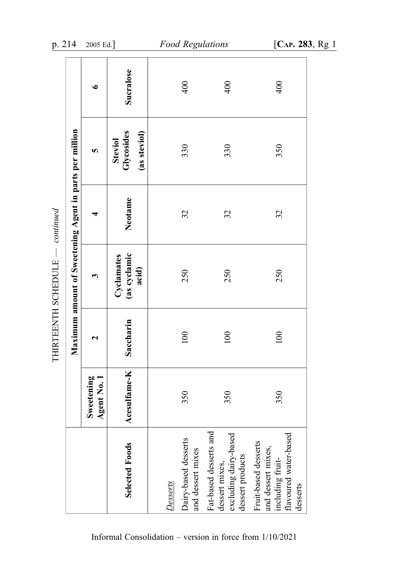|                                                                                                     |                           |                       | Maximum amount of Sweetening Agent in parts per million |         |                                              |           |
|-----------------------------------------------------------------------------------------------------|---------------------------|-----------------------|---------------------------------------------------------|---------|----------------------------------------------|-----------|
|                                                                                                     | Sweetening<br>Agent No. 1 | $\mathbf{\mathbf{z}}$ | 3                                                       |         | 5                                            | $\bullet$ |
| Selected Foods                                                                                      | Acesulfame-K              | Saccharin             | (as cyclamic<br>Cyclamates<br>acid)                     | Neotame | Glycosides<br>(as steviol)<br><b>Steviol</b> | Sucralose |
| Desserts                                                                                            |                           |                       |                                                         |         |                                              |           |
| Dairy-based desserts<br>and dessert mixes                                                           | 350                       | 100                   | 250                                                     | 32      | 330                                          | 400       |
| Fat-based desserts and<br>excluding dairy-based<br>dessert products<br>dessert mixes,               | 350                       | 100                   | 250                                                     | 32      | 330                                          | 400       |
| flavoured water-based<br>Fruit-based desserts<br>and dessert mixes,<br>including fruit-<br>desserts | 350                       | 100                   | 250                                                     | 32      | 350                                          | 400       |

THIRTEENTH SCHEDULE - continued — continued THIRTEENTH SCHEDULE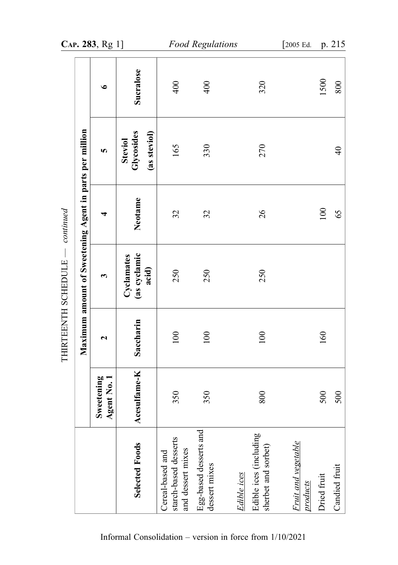|                       |                                                         | CAP. 283, Rg 1]                    |                                              |                                                                | Food Regulations                        |                                                              | [2005 Ed.                       |             | p. 215         |
|-----------------------|---------------------------------------------------------|------------------------------------|----------------------------------------------|----------------------------------------------------------------|-----------------------------------------|--------------------------------------------------------------|---------------------------------|-------------|----------------|
|                       |                                                         | $\bullet$                          | Sucralose                                    | 400                                                            | 400                                     | 320                                                          |                                 | 1500        | 800            |
|                       |                                                         | <b>i</b>                           | Glycosides<br>(as steviol)<br><b>Steviol</b> | 165                                                            | 330                                     | 270                                                          |                                 |             | $\overline{4}$ |
| continued             |                                                         | ₹                                  | Neotame                                      | 32                                                             | 32                                      | $\overline{26}$                                              |                                 | 100         | 65             |
| THIRTEENTH SCHEDULE — | Maximum amount of Sweetening Agent in parts per million | 3                                  | (as cyclamic<br>Cyclamates<br>acid)          | 250                                                            | 250                                     | 250                                                          |                                 |             |                |
|                       |                                                         | $\mathbf{\mathbf{z}}$              | Saccharin                                    | 100                                                            | 100                                     | 100                                                          |                                 | 160         |                |
|                       |                                                         | Sweetening<br>$t\ N$ o. 1<br>Agent | fame-K<br>Acesul                             | 350                                                            | 350                                     | 800                                                          |                                 | 500         | 500            |
|                       |                                                         |                                    | Selected Foods                               | starch-based desserts<br>and dessert mixes<br>Cereal-based and | Egg-based desserts and<br>dessert mixes | Edible ices (including<br>sherbet and sorbet)<br>Edible ices | Fruit and vegetable<br>products | Dried fruit | Candied fruit  |

THIRTEENTH SCHEDULE - continued — continued THIRTEENTH SCHEDULE

Informal Consolidation – version in force from 1/10/2021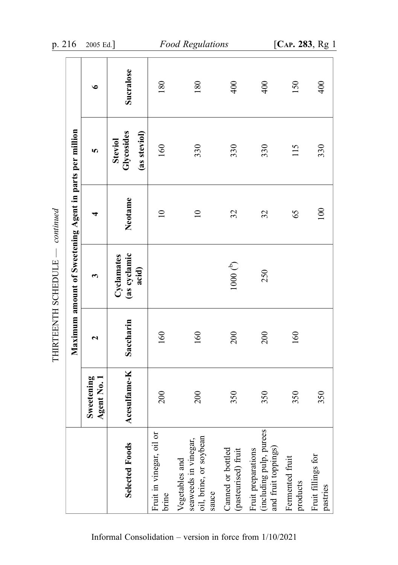| p. 216              |                                                         | 2005 Ed.]               |                                       |                                   | <b>Food Regulations</b>                                                   |                                                                         |                                                                      |                             | [CAP. 283, Rg 1                |
|---------------------|---------------------------------------------------------|-------------------------|---------------------------------------|-----------------------------------|---------------------------------------------------------------------------|-------------------------------------------------------------------------|----------------------------------------------------------------------|-----------------------------|--------------------------------|
|                     |                                                         | $\bullet$               | Sucralose                             | 180                               | 180                                                                       | 400                                                                     | 400                                                                  | 150                         | 400                            |
|                     |                                                         | <b>SC</b>               | Glycosides<br>(as steviol)<br>Steviol | 160                               | 330                                                                       | 330                                                                     | 330                                                                  | 115                         | 330                            |
| continued           |                                                         | 4                       | Neotame                               | $\overline{10}$                   | $\overline{10}$                                                           | 32                                                                      | 32                                                                   | 65                          | 100                            |
|                     | Maximum amount of Sweetening Agent in parts per million | 3                       | (as cyclamic<br>Cyclamates<br>acid)   |                                   |                                                                           | $1000\stackrel{b}{\left(\begin{smallmatrix} b\end{smallmatrix}\right)}$ | 250                                                                  |                             |                                |
| THIRTEENTH SCHEDULE |                                                         | $\mathbf{\mathbf{z}}$   | Saccharin                             | 160                               | 160                                                                       | 200                                                                     | 200                                                                  | 160                         |                                |
|                     |                                                         | Sweetening<br>Agent No. | Acesulfame-K                          | 200                               | 200                                                                       | 350                                                                     | 350                                                                  | 350                         | 350                            |
|                     |                                                         |                         | Selected Foods                        | Fruit in vinegar, oil or<br>brine | oil, brine, or soybean<br>seaweeds in vinegar,<br>Vegetables and<br>sauce | Canned or bottled<br>(pasteurised) fruit                                | (including pulp, purees<br>and fruit toppings)<br>Fruit preparations | Fermented fruit<br>products | Fruit fillings for<br>pastries |

THIRTEENTH SCHEDULE - continued — continued THIRTEENTH SCHEDULE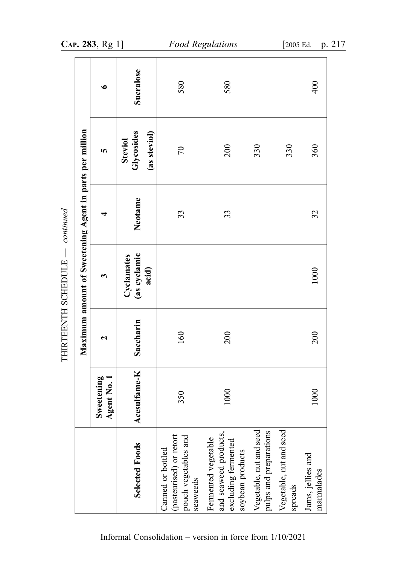|                                                                                         |                           |           | Maximum amount of Sweetening Agent in parts per million |         |                                       |           |
|-----------------------------------------------------------------------------------------|---------------------------|-----------|---------------------------------------------------------|---------|---------------------------------------|-----------|
|                                                                                         | Sweetening<br>Agent No. 1 | ٦         | ణ                                                       | 4       | 5                                     | $\bullet$ |
| Selected Foods                                                                          | Acesulfame-K              | Saccharin | (as cyclamic<br>Cyclamates<br>acid)                     | Neotame | Glycosides<br>(as steviol)<br>Steviol | Sucralose |
| (pasteurised) or retort<br>pouch vegetables and<br>Canned or bottled<br>seaweeds        | 350                       | 160       |                                                         | 33      | $\mathcal{L}$                         | 580       |
| and seaweed products,<br>Fermented vegetable<br>excluding fermented<br>soybean products | 1000                      | 200       |                                                         | 33      | 200                                   | 580       |
| Vegetable, nut and seed<br>pulps and preparations                                       |                           |           |                                                         |         | 330                                   |           |
| Vegetable, nut and seed<br>spreads                                                      |                           |           |                                                         |         | 330                                   |           |
| Jams, jellies and<br>marmalades                                                         | 1000                      | 200       | 1000                                                    | 32      | 360                                   | 400       |

THIRTEENTH SCHEDULE - continued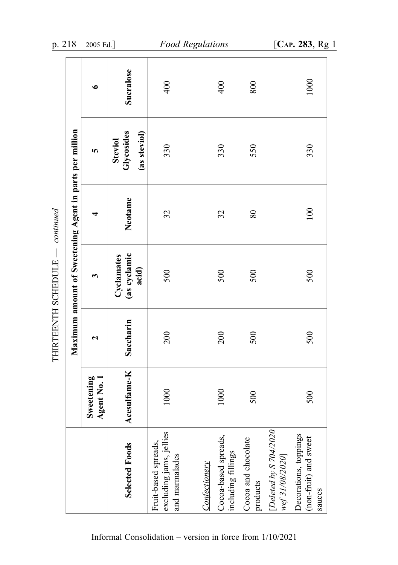| p. 218              |                                                         | 2005 Ed.]                             |                                              | <b>Food Regulations</b>                                           |                      |                                            |                                 |                                           | [CAP. 283, Rg 1                                          |
|---------------------|---------------------------------------------------------|---------------------------------------|----------------------------------------------|-------------------------------------------------------------------|----------------------|--------------------------------------------|---------------------------------|-------------------------------------------|----------------------------------------------------------|
|                     |                                                         | $\bullet$                             | Sucralose                                    | 400                                                               |                      | 400                                        | 800                             |                                           | 1000                                                     |
|                     |                                                         | <b>SC</b>                             | Glycosides<br>(as steviol)<br><b>Steviol</b> | 330                                                               |                      | 330                                        | 550                             |                                           | 330                                                      |
| continued           |                                                         | 4                                     | Neotame                                      | 32                                                                |                      | 32                                         | $\rm 80$                        |                                           | 100                                                      |
| THIRTEENTH SCHEDULE | Maximum amount of Sweetening Agent in parts per million | 3                                     | (as cyclamic<br>Cyclamates<br>acid)          | 500                                                               |                      | 500                                        | 500                             |                                           | 500                                                      |
|                     |                                                         | $\mathbf{\mathbf{z}}$                 | Saccharin                                    | 200                                                               |                      | 200                                        | 500                             |                                           | 500                                                      |
|                     |                                                         | Sweetening<br>$\overline{R}$<br>Agent | Acesulfame-K                                 | $\mathbf{R}$<br>$\Xi$                                             |                      | $\approx$<br>$\Xi$                         | 500                             |                                           | 500                                                      |
|                     |                                                         |                                       | Selected Foods                               | excluding jams, jellies<br>Fruit-based spreads,<br>and marmalades | <b>Confectionery</b> | Cocoa-based spreads,<br>including fillings | Cocoa and chocolate<br>products | [Deleted by S 704/2020<br>wef 31/08/2020] | Decorations, toppings<br>(non-fruit) and sweet<br>sauces |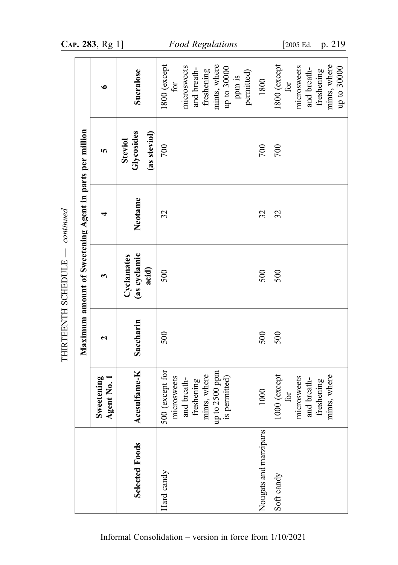|                                 |                                                         | CAP. 283, Rg 1]                      |                                              | <b>Food Regulations</b>                                                                                                          |                       | [ $2005$ Ed.<br>p. 219                                                                         |
|---------------------------------|---------------------------------------------------------|--------------------------------------|----------------------------------------------|----------------------------------------------------------------------------------------------------------------------------------|-----------------------|------------------------------------------------------------------------------------------------|
|                                 |                                                         | $\bullet$                            | Sucralose                                    | 1800 (except<br>mints, where<br>microsweets<br>up to $30000$<br>and breath-<br>freshening<br>permitted)<br>ppm is<br>$f_{\rm O}$ | 1800                  | 1800 (except<br>mints, where<br>microsweets<br>up to 30000<br>and breath-<br>freshening<br>for |
|                                 |                                                         | S.                                   | Glycosides<br>(as steviol)<br><b>Steviol</b> | 700                                                                                                                              | 700                   | 700                                                                                            |
|                                 |                                                         |                                      | Neotame                                      | 32                                                                                                                               | 32                    | 32                                                                                             |
| THIRTEENTH SCHEDULE — continued | Maximum amount of Sweetening Agent in parts per million | 3                                    | (as cyclamic<br>Cyclamates<br>acid)          | 500                                                                                                                              | 500                   | 500                                                                                            |
|                                 |                                                         | ٦                                    | Saccharin                                    | 500                                                                                                                              | 500                   | 500                                                                                            |
|                                 |                                                         | Sweetening<br>$t\,$ No. $1$<br>Agent | fame-K<br>Acesul                             | 500 (except for<br>up to 2500 ppm<br>mints, where<br>microsweets<br>and breath-<br>freshening<br>is permitted)                   | 1000                  | 1000 (except<br>mints, where<br>microsweets<br>and breath-<br>freshening<br>for                |
|                                 |                                                         |                                      | <b>Selected Foods</b>                        | Hard candy                                                                                                                       | Nougats and marzipans | Soft candy                                                                                     |

Informal Consolidation – version in force from 1/10/2021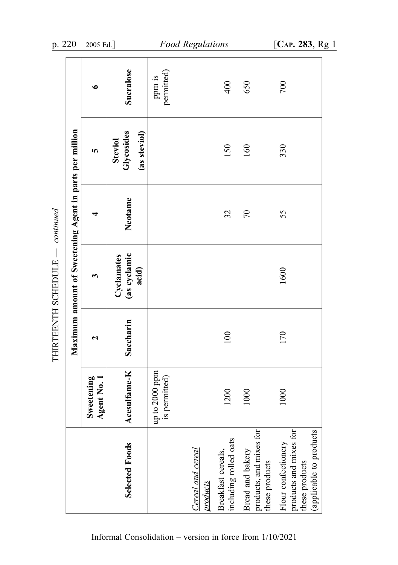|                                                                                            |                                               |                       | Maximum amount of Sweetening Agent in parts per million |            |                                              |                      |
|--------------------------------------------------------------------------------------------|-----------------------------------------------|-----------------------|---------------------------------------------------------|------------|----------------------------------------------|----------------------|
|                                                                                            | Sweetening<br>Agent No. 1                     | $\mathbf{\mathbf{z}}$ | 3                                                       | ₹          | 5                                            | $\bullet$            |
| Selected Foods                                                                             | Acesulfame-K                                  | Saccharin             | (as cyclamic<br>Cyclamates<br>acid)                     | Neotame    | Glycosides<br>(as steviol)<br><b>Steviol</b> | Sucralose            |
|                                                                                            | up to 2000 ppm<br>permitted)<br>$\frac{1}{2}$ |                       |                                                         |            |                                              | permitted)<br>ppm is |
| Cereal and cereal<br>products                                                              |                                               |                       |                                                         |            |                                              |                      |
| including rolled oats<br>Breakfast cereals,                                                | 1200                                          | 100                   |                                                         | 32         | 150                                          | 400                  |
| products, and mixes for<br>Bread and bakery<br>these products                              | 1000                                          |                       |                                                         | $\sqrt{2}$ | 160                                          | 650                  |
| products and mixes for<br>(applicable to products<br>Flour confectionery<br>these products | 1000                                          | 170                   | 1600                                                    | 55         | 330                                          | 700                  |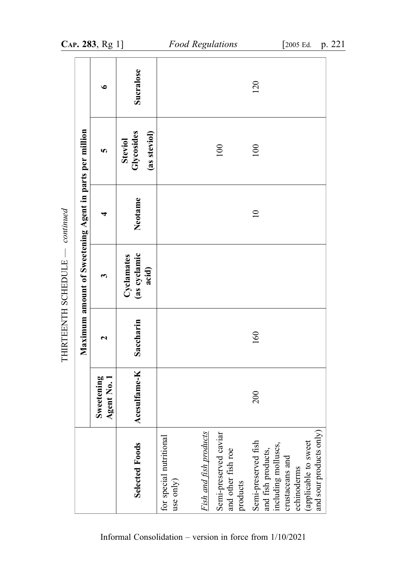|                                                                                                                                                       |                           |           | Maximum amount of Sweetening Agent in parts per million |                 |                                              |           |
|-------------------------------------------------------------------------------------------------------------------------------------------------------|---------------------------|-----------|---------------------------------------------------------|-----------------|----------------------------------------------|-----------|
|                                                                                                                                                       | Sweetening<br>Agent No. 1 | 2         | $\bm{\epsilon}$                                         | 4               | S.                                           | $\bullet$ |
| Selected Foods                                                                                                                                        | Acesulfame-K              | Saccharin | (as cyclamic<br>Cyclamates<br>acid)                     | Neotame         | Glycosides<br>(as steviol)<br><b>Steviol</b> | Sucralose |
| for special nutritional<br>use only)                                                                                                                  |                           |           |                                                         |                 |                                              |           |
| Fish and fish products                                                                                                                                |                           |           |                                                         |                 |                                              |           |
| Semi-preserved caviar<br>and other fish roe<br>products                                                                                               |                           |           |                                                         |                 | $100\,$                                      |           |
| and sour products only)<br>Semi-preserved fish<br>and fish products,<br>including molluscs,<br>(applicable to sweet<br>crustaceans and<br>echinoderms | 200                       | 160       |                                                         | $\overline{10}$ | 100                                          | 120       |

Informal Consolidation – version in force from 1/10/2021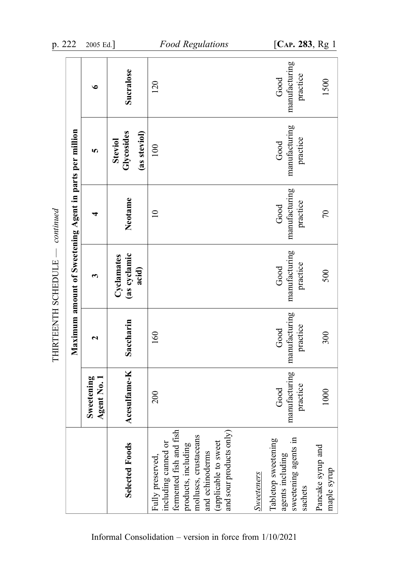| p. 222              |                                                         | 2005 Ed.]                                 |                                              | <b>Food Regulations</b>                                                                                                                                                                  |                   | [CAP. 283, Rg 1                                                            |                                  |
|---------------------|---------------------------------------------------------|-------------------------------------------|----------------------------------------------|------------------------------------------------------------------------------------------------------------------------------------------------------------------------------------------|-------------------|----------------------------------------------------------------------------|----------------------------------|
|                     |                                                         | $\bullet$                                 | Sucralose                                    | 120                                                                                                                                                                                      |                   | manufacturing<br>practice<br>Good                                          | 1500                             |
|                     |                                                         | 5                                         | Glycosides<br>(as steviol)<br><b>Steviol</b> | 100                                                                                                                                                                                      |                   | manufacturing<br>practice<br>Good                                          |                                  |
| continued           |                                                         |                                           | Neotame                                      | $\overline{10}$                                                                                                                                                                          |                   | manufacturing<br>practice<br>Good                                          | 70                               |
| THIRTEENTH SCHEDULE | Maximum amount of Sweetening Agent in parts per million | ణ                                         | (as cyclamic<br>Cyclamates<br>acid)          |                                                                                                                                                                                          |                   | manufacturing<br>practice<br>Good                                          | 500                              |
|                     |                                                         | $\mathbf{\mathbf{z}}$                     | Saccharin                                    | 160                                                                                                                                                                                      |                   | manufacturing<br>practice<br>Good                                          | 300                              |
|                     |                                                         | Sweetening<br>$\overline{N}$ 0.1<br>Agent | Acesulfame-K                                 | 200                                                                                                                                                                                      |                   | manufacturing<br>practice<br>Good                                          | 1000                             |
|                     |                                                         |                                           | Selected Foods                               | fermented fish and fish<br>and sour products only)<br>molluscs, crustaceans<br>including canned or<br>(applicable to sweet<br>products, including<br>and echinoderms<br>Fully preserved, | <b>Sweeteners</b> | sweetening agents in<br>Tabletop sweetening<br>agents including<br>sachets | Pancake syrup and<br>maple syrup |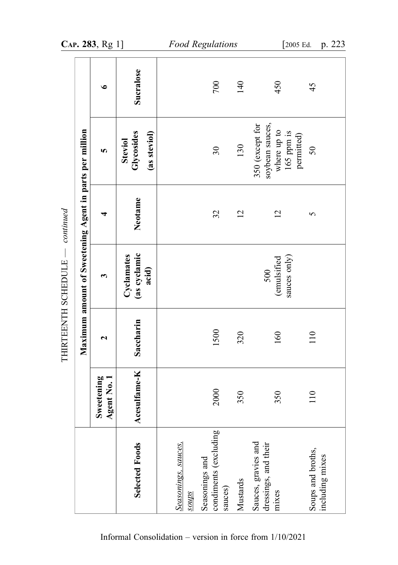|                                                                                    |                                                         | CAP. 283, Rg 1]           |                                       | <b>Food Regulations</b>                                                            |          | [2005 Ed.                                                                       | p. 223                               |
|------------------------------------------------------------------------------------|---------------------------------------------------------|---------------------------|---------------------------------------|------------------------------------------------------------------------------------|----------|---------------------------------------------------------------------------------|--------------------------------------|
|                                                                                    |                                                         | $\bullet$                 | Sucralose                             | 700                                                                                | 140      | 450                                                                             | 45                                   |
|                                                                                    |                                                         | <b>SC</b>                 | Glycosides<br>(as steviol)<br>Steviol | $\mathfrak{S}0$                                                                    | 130      | soybean sauces,<br>where up to<br>350 (except for<br>$165$ ppm is<br>permitted) | 50                                   |
| continued                                                                          |                                                         |                           | Neotame                               | 32                                                                                 | 12       | $\overline{2}$                                                                  | 5                                    |
| $\begin{array}{c} \begin{array}{c} \end{array} \end{array}$<br>THIRTEENTH SCHEDULE | Maximum amount of Sweetening Agent in parts per million | 3                         | (as cyclamic<br>acid)<br>Cyclamates   |                                                                                    |          | sauces only)<br>(emulsified<br>500                                              |                                      |
|                                                                                    |                                                         | $\mathbf{\mathbf{z}}$     | Saccharin                             | 1500                                                                               | 320      | 160                                                                             | 110                                  |
|                                                                                    |                                                         | Sweetening<br>Agent No. 1 | Acesulfame-K                          | 2000                                                                               | 350      | 350                                                                             | 110                                  |
|                                                                                    |                                                         |                           | Selected Foods                        | condiments (excluding<br>Seasonings, sauces,<br>Seasonings and<br>sauces)<br>sanos | Mustards | Sauces, gravies and<br>dressings, and their<br>mixes                            | Soups and broths,<br>including mixes |

Informal Consolidation – version in force from 1/10/2021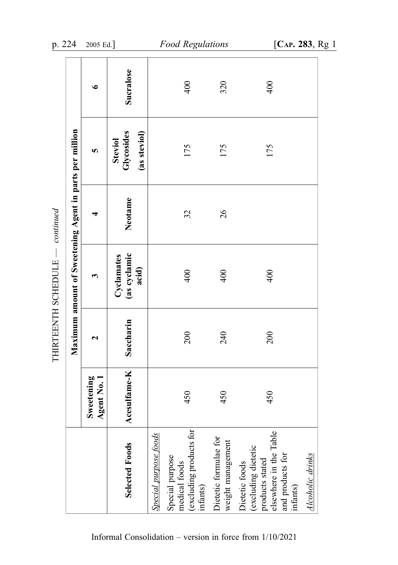|                       |                                                         | $\bullet$                 | Sucralose                                    |                       | 400                                                                     | 320                                        | 400                                                                                                                |                  |
|-----------------------|---------------------------------------------------------|---------------------------|----------------------------------------------|-----------------------|-------------------------------------------------------------------------|--------------------------------------------|--------------------------------------------------------------------------------------------------------------------|------------------|
|                       |                                                         | 5                         | Glycosides<br>(as steviol)<br><b>Steviol</b> |                       | 175                                                                     | 175                                        | 175                                                                                                                |                  |
| continued             |                                                         | ਚ                         | Neotame                                      |                       | 32                                                                      | 26                                         |                                                                                                                    |                  |
|                       | Maximum amount of Sweetening Agent in parts per million | ς                         | (as cyclamic<br>Cyclamates<br>acid)          |                       | 400                                                                     | 400                                        | 400                                                                                                                |                  |
| THIRTEENTH SCHEDULE - |                                                         | $\mathbf{\mathbf{z}}$     | Saccharin                                    |                       | 200                                                                     | 240                                        | 200                                                                                                                |                  |
|                       |                                                         | Sweetening<br>Agent No. 1 | Acesulfame-K                                 |                       | 450                                                                     | 450                                        | 450                                                                                                                |                  |
|                       |                                                         |                           | Selected Foods                               | Special purpose foods | medical foods<br>(excluding products for<br>Special purpose<br>infants) | Dietetic formulae for<br>weight management | elsewhere in the Table<br>Dietetic foods<br>(excluding dietetic<br>products stated<br>and products for<br>infants) | Alcoholic drinks |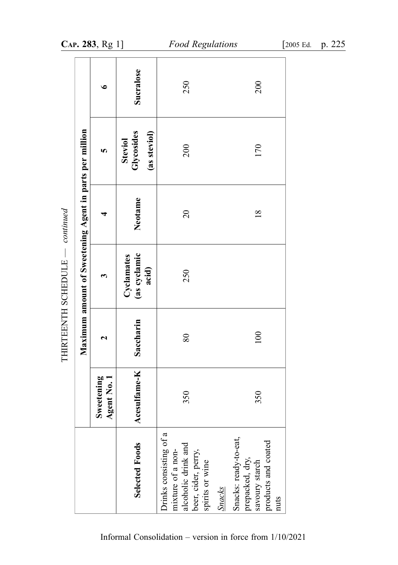|                                                                                                              |                           |           | Maximum amount of Sweetening Agent in parts per million |                |                                              |           |
|--------------------------------------------------------------------------------------------------------------|---------------------------|-----------|---------------------------------------------------------|----------------|----------------------------------------------|-----------|
|                                                                                                              | Sweetening<br>Agent No. 1 | ี         | ణ                                                       | ₹              | 5                                            | $\bullet$ |
| Selected Foods                                                                                               | Acesulfame-K              | Saccharin | (as cyclamic<br>Cyclamates<br>acid)                     | Neotame        | Glycosides<br>(as steviol)<br><b>Steviol</b> | Sucralose |
| Drinks consisting of a<br>alcoholic drink and<br>mixture of a non-<br>beer, cider, perry,<br>spirits or wine | 350                       | 80        | 250                                                     | $\Omega$       | 200                                          | 250       |
| Snacks: ready-to-eat,<br>products and coated<br>prepacked, dry,<br>savoury starch<br><b>Snacks</b><br>nuts   | 350                       | 100       |                                                         | $\frac{8}{18}$ | 170                                          | 200       |

THIRTEENTH SCHEDULE - continued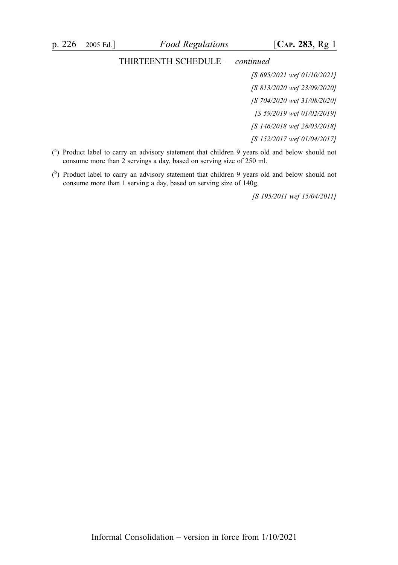#### THIRTEENTH SCHEDULE — continued

[S 695/2021 wef 01/10/2021] [S 813/2020 wef 23/09/2020] [S 704/2020 wef 31/08/2020] [S 59/2019 wef 01/02/2019] [S 146/2018 wef 28/03/2018] [S 152/2017 wef 01/04/2017]

- ( a ) Product label to carry an advisory statement that children 9 years old and below should not consume more than 2 servings a day, based on serving size of 250 ml.
- $($ <sup>b</sup>) Product label to carry an advisory statement that children 9 years old and below should not consume more than 1 serving a day, based on serving size of 140g.

[S 195/2011 wef 15/04/2011]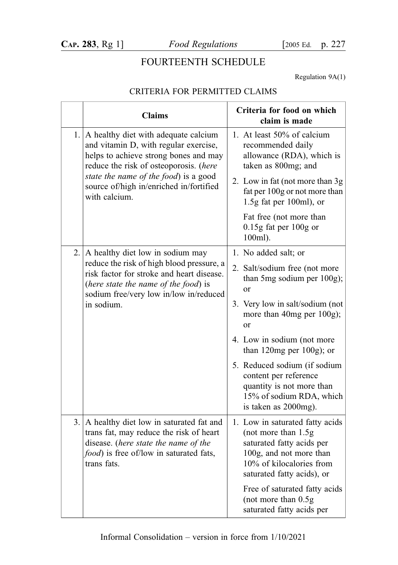## FOURTEENTH SCHEDULE

Regulation 9A(1)

#### CRITERIA FOR PERMITTED CLAIMS

|     | <b>Claims</b>                                                                                                                                                                           | Criteria for food on which<br>claim is made                                                                                                                               |
|-----|-----------------------------------------------------------------------------------------------------------------------------------------------------------------------------------------|---------------------------------------------------------------------------------------------------------------------------------------------------------------------------|
|     | 1. $\vert$ A healthy diet with adequate calcium<br>and vitamin D, with regular exercise,<br>helps to achieve strong bones and may<br>reduce the risk of osteoporosis. (here             | 1. At least 50% of calcium<br>recommended daily<br>allowance (RDA), which is<br>taken as 800mg; and                                                                       |
|     | state the name of the food) is a good<br>source of/high in/enriched in/fortified<br>with calcium.                                                                                       | 2. Low in fat (not more than 3g)<br>fat per 100g or not more than<br>$1.5g$ fat per 100ml), or                                                                            |
|     |                                                                                                                                                                                         | Fat free (not more than<br>$0.15$ g fat per $100$ g or<br>100ml).                                                                                                         |
| 2.1 | A healthy diet low in sodium may                                                                                                                                                        | 1. No added salt; or                                                                                                                                                      |
|     | reduce the risk of high blood pressure, a<br>risk factor for stroke and heart disease.<br>(here state the name of the food) is<br>sodium free/very low in/low in/reduced                | 2. Salt/sodium free (not more<br>than 5mg sodium per 100g);<br>or                                                                                                         |
|     | in sodium.                                                                                                                                                                              | 3. Very low in salt/sodium (not<br>more than 40mg per 100g);<br>or                                                                                                        |
|     |                                                                                                                                                                                         | 4. Low in sodium (not more<br>than 120mg per 100g); or                                                                                                                    |
|     |                                                                                                                                                                                         | 5. Reduced sodium (if sodium<br>content per reference<br>quantity is not more than<br>15% of sodium RDA, which<br>is taken as 2000mg).                                    |
|     | 3. A healthy diet low in saturated fat and<br>trans fat, may reduce the risk of heart<br>disease. (here state the name of the<br>food) is free of/low in saturated fats,<br>trans fats. | 1. Low in saturated fatty acids<br>(not more than 1.5g)<br>saturated fatty acids per<br>100g, and not more than<br>10% of kilocalories from<br>saturated fatty acids), or |
|     |                                                                                                                                                                                         | Free of saturated fatty acids<br>(not more than 0.5g)<br>saturated fatty acids per                                                                                        |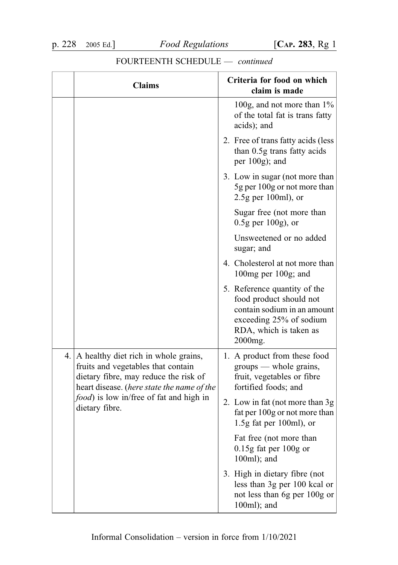| <b>Claims</b>                                                                                                                                                                | Criteria for food on which<br>claim is made                                                                                                            |
|------------------------------------------------------------------------------------------------------------------------------------------------------------------------------|--------------------------------------------------------------------------------------------------------------------------------------------------------|
|                                                                                                                                                                              | 100g, and not more than $1\%$<br>of the total fat is trans fatty<br>acids); and                                                                        |
|                                                                                                                                                                              | 2. Free of transfatty acids (less)<br>than 0.5g trans fatty acids<br>per 100g); and                                                                    |
|                                                                                                                                                                              | 3. Low in sugar (not more than<br>5g per 100g or not more than<br>$2.5g$ per 100ml), or                                                                |
|                                                                                                                                                                              | Sugar free (not more than<br>$0.5g$ per $100g$ , or                                                                                                    |
|                                                                                                                                                                              | Unsweetened or no added<br>sugar; and                                                                                                                  |
|                                                                                                                                                                              | 4. Cholesterol at not more than<br>100mg per 100g; and                                                                                                 |
|                                                                                                                                                                              | 5. Reference quantity of the<br>food product should not<br>contain sodium in an amount<br>exceeding 25% of sodium<br>RDA, which is taken as<br>2000mg. |
| 4. $\vert$ A healthy diet rich in whole grains,<br>fruits and vegetables that contain<br>dietary fibre, may reduce the risk of<br>heart disease. (here state the name of the | 1. A product from these food<br>groups — whole grains,<br>fruit, vegetables or fibre<br>fortified foods; and                                           |
| <i>food</i> ) is low in/free of fat and high in<br>dietary fibre.                                                                                                            | 2. Low in fat (not more than 3g)<br>fat per 100g or not more than<br>$1.5g$ fat per 100ml), or                                                         |
|                                                                                                                                                                              | Fat free (not more than<br>$0.15g$ fat per 100g or<br>100ml); and                                                                                      |
|                                                                                                                                                                              | 3. High in dietary fibre (not<br>less than 3g per 100 kcal or<br>not less than 6g per 100g or<br>100ml); and                                           |

### FOURTEENTH SCHEDULE — continued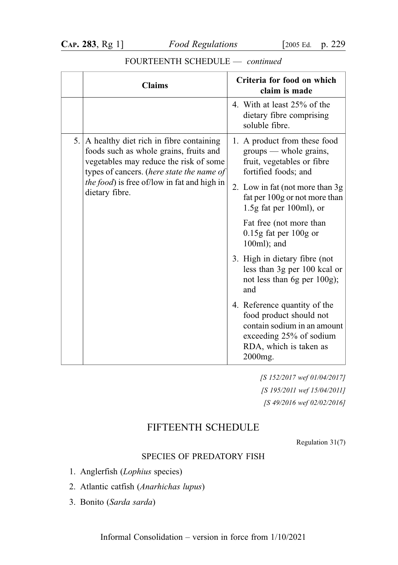#### Claims Claims Criteria for food on which claim is made 4. With at least 25% of the dietary fibre comprising soluble fibre. 5. A healthy diet rich in fibre containing foods such as whole grains, fruits and vegetables may reduce the risk of some types of cancers. (here state the name of the food) is free of/low in fat and high in dietary fibre. 1. A product from these food groups — whole grains, fruit, vegetables or fibre fortified foods; and 2. Low in fat (not more than 3g fat per 100g or not more than 1.5g fat per 100ml), or Fat free (not more than 0.15g fat per 100g or 100ml); and 3. High in dietary fibre (not less than 3g per 100 kcal or not less than 6g per 100g);

and

2000mg.

#### FOURTEENTH SCHEDULE — continued

[S 152/2017 wef 01/04/2017] [S 195/2011 wef 15/04/2011] [S 49/2016 wef 02/02/2016]

4. Reference quantity of the food product should not contain sodium in an amount exceeding 25% of sodium RDA, which is taken as

#### FIFTEENTH SCHEDULE

Regulation 31(7)

#### SPECIES OF PREDATORY FISH

1. Anglerfish (Lophius species)

2. Atlantic catfish (Anarhichas lupus)

3. Bonito (Sarda sarda)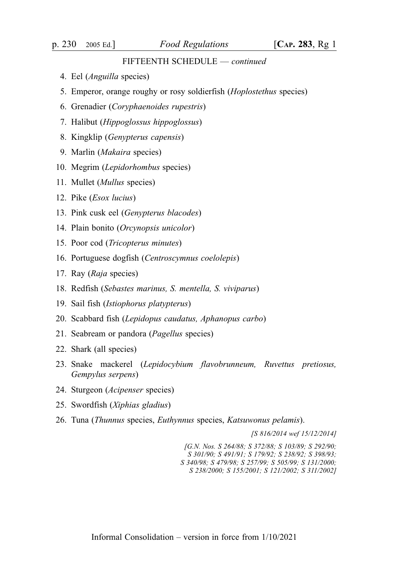#### FIFTEENTH SCHEDULE — continued

- 4. Eel (Anguilla species)
- 5. Emperor, orange roughy or rosy soldierfish (Hoplostethus species)
- 6. Grenadier (Coryphaenoides rupestris)
- 7. Halibut (Hippoglossus hippoglossus)
- 8. Kingklip (Genypterus capensis)
- 9. Marlin (Makaira species)
- 10. Megrim (Lepidorhombus species)
- 11. Mullet (Mullus species)
- 12. Pike (Esox lucius)
- 13. Pink cusk eel (Genypterus blacodes)
- 14. Plain bonito (Orcynopsis unicolor)
- 15. Poor cod (Tricopterus minutes)
- 16. Portuguese dogfish (Centroscymnus coelolepis)
- 17. Ray (Raja species)
- 18. Redfish (Sebastes marinus, S. mentella, S. viviparus)
- 19. Sail fish (Istiophorus platypterus)
- 20. Scabbard fish (Lepidopus caudatus, Aphanopus carbo)
- 21. Seabream or pandora (Pagellus species)
- 22. Shark (all species)
- 23. Snake mackerel (Lepidocybium flavobrunneum, Ruvettus pretiosus, Gempylus serpens)
- 24. Sturgeon (Acipenser species)
- 25. Swordfish (Xiphias gladius)
- 26. Tuna (Thunnus species, Euthynnus species, Katsuwonus pelamis).

[S 816/2014 wef 15/12/2014]

[G.N. Nos. S 264/88; S 372/88; S 103/89; S 292/90; S 301/90; S 491/91; S 179/92; S 238/92; S 398/93; S 340/98; S 479/98; S 257/99; S 505/99; S 131/2000; S 238/2000; S 155/2001; S 121/2002; S 311/2002]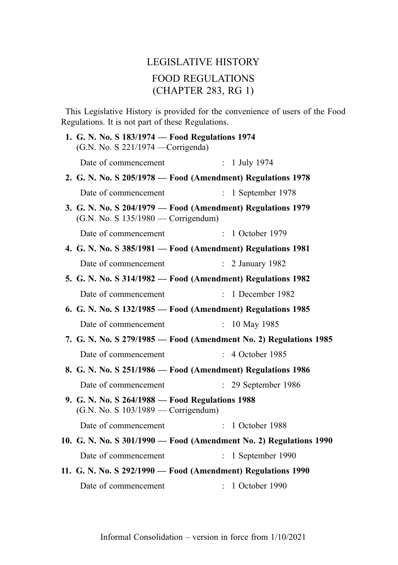# LEGISLATIVE HISTORY FOOD REGULATIONS (CHAPTER 283, RG 1)

This Legislative History is provided for the convenience of users of the Food Regulations. It is not part of these Regulations.

| 1. G. N. No. S 183/1974 - Food Regulations 1974<br>(G.N. No. S 221/1974 — Corrigenda)  |                                                                    |
|----------------------------------------------------------------------------------------|--------------------------------------------------------------------|
| Date of commencement                                                                   | : 1 July 1974                                                      |
|                                                                                        | 2. G. N. No. S 205/1978 – Food (Amendment) Regulations 1978        |
| Date of commencement                                                                   | $: 1$ September 1978                                               |
| (G.N. No. S 135/1980 — Corrigendum)                                                    | 3. G. N. No. S 204/1979 - Food (Amendment) Regulations 1979        |
| Date of commencement                                                                   | $: 1$ October 1979                                                 |
|                                                                                        | 4. G. N. No. S 385/1981 - Food (Amendment) Regulations 1981        |
| Date of commencement                                                                   | $\therefore$ 2 January 1982                                        |
|                                                                                        | 5. G. N. No. S 314/1982 — Food (Amendment) Regulations 1982        |
| Date of commencement                                                                   | : 1 December 1982                                                  |
|                                                                                        | 6. G. N. No. S 132/1985 - Food (Amendment) Regulations 1985        |
| Date of commencement                                                                   | $\mathbb{R}^{\mathbb{Z}}$<br>10 May 1985                           |
|                                                                                        | 7. G. N. No. S 279/1985 — Food (Amendment No. 2) Regulations 1985  |
| Date of commencement                                                                   | : 4 October 1985                                                   |
|                                                                                        | 8. G. N. No. S 251/1986 - Food (Amendment) Regulations 1986        |
| Date of commencement                                                                   | : 29 September 1986                                                |
| 9. G. N. No. S 264/1988 - Food Regulations 1988<br>(G.N. No. S 103/1989 — Corrigendum) |                                                                    |
| Date of commencement                                                                   | $: 1$ October 1988                                                 |
|                                                                                        | 10. G. N. No. S 301/1990 - Food (Amendment No. 2) Regulations 1990 |
| Date of commencement                                                                   | $\mathbb{R}^{\mathbb{Z}}$<br>1 September 1990                      |
|                                                                                        | 11. G. N. No. S 292/1990 - Food (Amendment) Regulations 1990       |
| Date of commencement                                                                   | $: 1$ October 1990                                                 |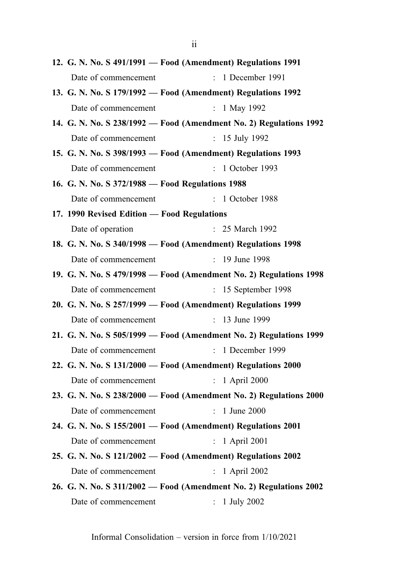|                                                  | 12. G. N. No. S 491/1991 - Food (Amendment) Regulations 1991       |
|--------------------------------------------------|--------------------------------------------------------------------|
| Date of commencement                             | : 1 December 1991                                                  |
|                                                  | 13. G. N. No. S 179/1992 - Food (Amendment) Regulations 1992       |
| Date of commencement                             | : $1$ May 1992                                                     |
|                                                  | 14. G. N. No. S 238/1992 - Food (Amendment No. 2) Regulations 1992 |
| Date of commencement                             | : $15$ July 1992                                                   |
|                                                  | 15. G. N. No. S 398/1993 - Food (Amendment) Regulations 1993       |
| Date of commencement                             | : 1 October 1993                                                   |
| 16. G. N. No. S 372/1988 - Food Regulations 1988 |                                                                    |
| Date of commencement                             | : 1 October 1988                                                   |
| 17. 1990 Revised Edition - Food Regulations      |                                                                    |
| Date of operation                                | : 25 March 1992                                                    |
|                                                  | 18. G. N. No. S 340/1998 - Food (Amendment) Regulations 1998       |
| Date of commencement                             | : 19 June 1998                                                     |
|                                                  | 19. G. N. No. S 479/1998 - Food (Amendment No. 2) Regulations 1998 |
| Date of commencement                             | $: 15$ September 1998                                              |
|                                                  | 20. G. N. No. S 257/1999 - Food (Amendment) Regulations 1999       |
| Date of commencement                             | : 13 June 1999                                                     |
|                                                  | 21. G. N. No. S 505/1999 - Food (Amendment No. 2) Regulations 1999 |
| Date of commencement                             | $: 1$ December 1999                                                |
|                                                  | 22. G. N. No. S 131/2000 - Food (Amendment) Regulations 2000       |
| Date of commencement                             | $: 1$ April 2000                                                   |
|                                                  | 23. G. N. No. S 238/2000 - Food (Amendment No. 2) Regulations 2000 |
| Date of commencement : 1 June 2000               |                                                                    |
|                                                  | 24. G. N. No. S 155/2001 - Food (Amendment) Regulations 2001       |
| Date of commencement                             | $: 1$ April 2001                                                   |
|                                                  | 25. G. N. No. S 121/2002 - Food (Amendment) Regulations 2002       |
| Date of commencement                             | : 1 April 2002                                                     |
|                                                  | 26. G. N. No. S 311/2002 - Food (Amendment No. 2) Regulations 2002 |
| Date of commencement                             | 1 July 2002                                                        |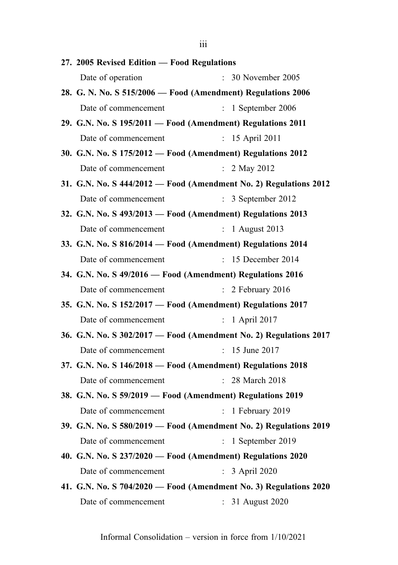27. 2005 Revised Edition — Food Regulations Date of operation : 30 November 2005 28. G. N. No. S 515/2006 — Food (Amendment) Regulations 2006 Date of commencement : 1 September 2006 29. G.N. No. S 195/2011 — Food (Amendment) Regulations 2011 Date of commencement : 15 April 2011 30. G.N. No. S 175/2012 — Food (Amendment) Regulations 2012 Date of commencement : 2 May 2012 31. G.N. No. S 444/2012 — Food (Amendment No. 2) Regulations 2012 Date of commencement : 3 September 2012 32. G.N. No. S 493/2013 — Food (Amendment) Regulations 2013 Date of commencement : 1 August 2013 33. G.N. No. S 816/2014 — Food (Amendment) Regulations 2014 Date of commencement : 15 December 2014 34. G.N. No. S 49/2016 — Food (Amendment) Regulations 2016 Date of commencement : 2 February 2016 35. G.N. No. S 152/2017 — Food (Amendment) Regulations 2017 Date of commencement : 1 April 2017 36. G.N. No. S 302/2017 — Food (Amendment No. 2) Regulations 2017 Date of commencement : 15 June 2017 37. G.N. No. S 146/2018 — Food (Amendment) Regulations 2018 Date of commencement : 28 March 2018 38. G.N. No. S 59/2019 — Food (Amendment) Regulations 2019 Date of commencement : 1 February 2019 39. G.N. No. S 580/2019 — Food (Amendment No. 2) Regulations 2019 Date of commencement : 1 September 2019 40. G.N. No. S 237/2020 — Food (Amendment) Regulations 2020 Date of commencement : 3 April 2020 41. G.N. No. S 704/2020 — Food (Amendment No. 3) Regulations 2020 Date of commencement : 31 August 2020

Informal Consolidation – version in force from 1/10/2021

iii